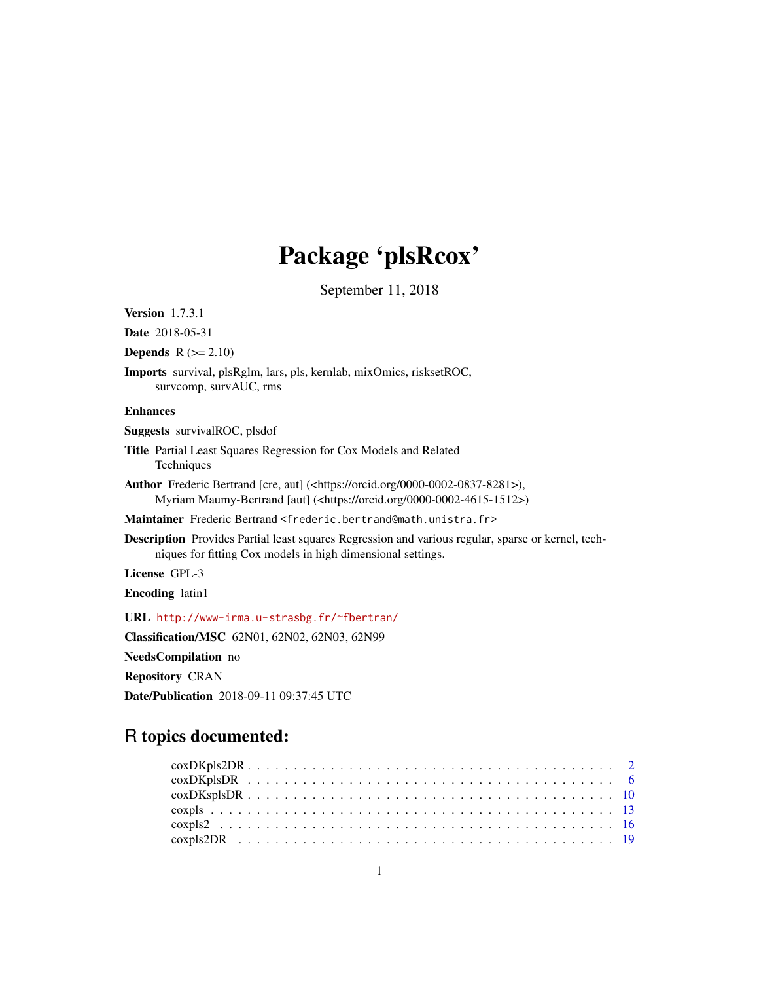# Package 'plsRcox'

September 11, 2018

<span id="page-0-0"></span>Version 1.7.3.1

Date 2018-05-31

**Depends**  $R$  ( $>= 2.10$ )

Imports survival, plsRglm, lars, pls, kernlab, mixOmics, risksetROC, survcomp, survAUC, rms

#### Enhances

Suggests survivalROC, plsdof

- Title Partial Least Squares Regression for Cox Models and Related **Techniques**
- Author Frederic Bertrand [cre, aut] (<https://orcid.org/0000-0002-0837-8281>), Myriam Maumy-Bertrand [aut] (<https://orcid.org/0000-0002-4615-1512>)
- Maintainer Frederic Bertrand <frederic.bertrand@math.unistra.fr>
- Description Provides Partial least squares Regression and various regular, sparse or kernel, techniques for fitting Cox models in high dimensional settings.

License GPL-3

Encoding latin1

URL <http://www-irma.u-strasbg.fr/~fbertran/>

Classification/MSC 62N01, 62N02, 62N03, 62N99

NeedsCompilation no Repository CRAN

Date/Publication 2018-09-11 09:37:45 UTC

# R topics documented: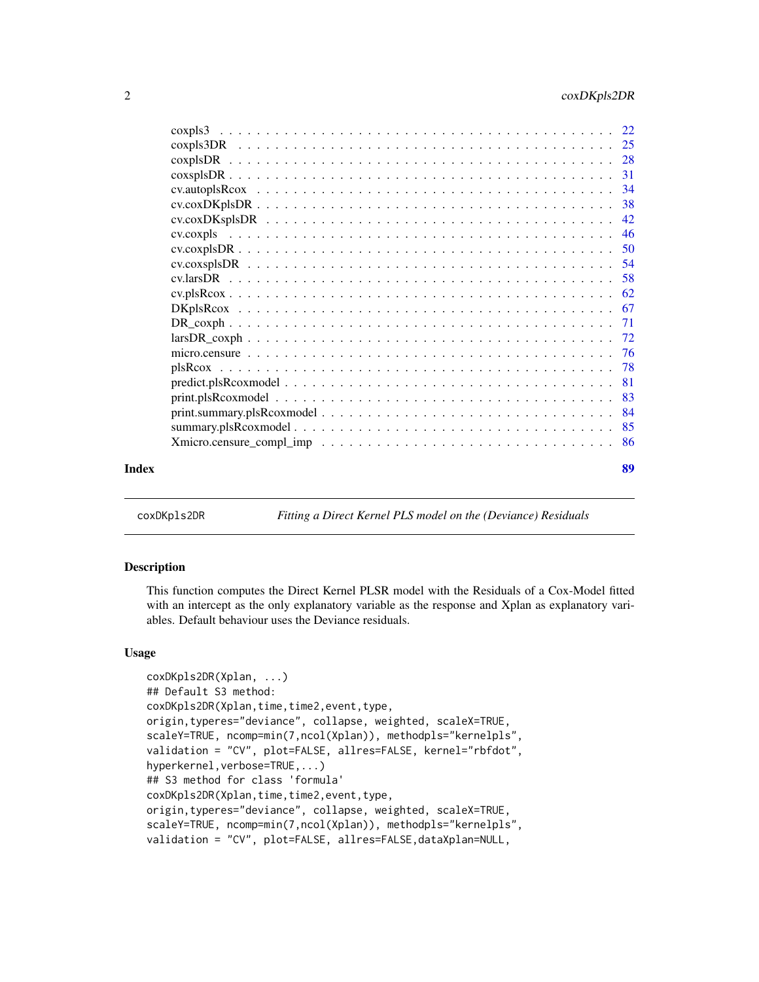<span id="page-1-0"></span>

|       | $print. plsRcoxmodel \ldots \ldots \ldots \ldots \ldots \ldots \ldots \ldots \ldots \ldots \ldots \ldots \ldots 83$ |    |
|-------|---------------------------------------------------------------------------------------------------------------------|----|
|       |                                                                                                                     |    |
|       |                                                                                                                     |    |
|       |                                                                                                                     |    |
| Index |                                                                                                                     | 89 |

coxDKpls2DR *Fitting a Direct Kernel PLS model on the (Deviance) Residuals*

#### Description

This function computes the Direct Kernel PLSR model with the Residuals of a Cox-Model fitted with an intercept as the only explanatory variable as the response and Xplan as explanatory variables. Default behaviour uses the Deviance residuals.

#### Usage

```
coxDKpls2DR(Xplan, ...)
## Default S3 method:
coxDKpls2DR(Xplan,time,time2,event,type,
origin,typeres="deviance", collapse, weighted, scaleX=TRUE,
scaleY=TRUE, ncomp=min(7,ncol(Xplan)), methodpls="kernelpls",
validation = "CV", plot=FALSE, allres=FALSE, kernel="rbfdot",
hyperkernel,verbose=TRUE,...)
## S3 method for class 'formula'
coxDKpls2DR(Xplan,time,time2,event,type,
origin,typeres="deviance", collapse, weighted, scaleX=TRUE,
scaleY=TRUE, ncomp=min(7,ncol(Xplan)), methodpls="kernelpls",
validation = "CV", plot=FALSE, allres=FALSE,dataXplan=NULL,
```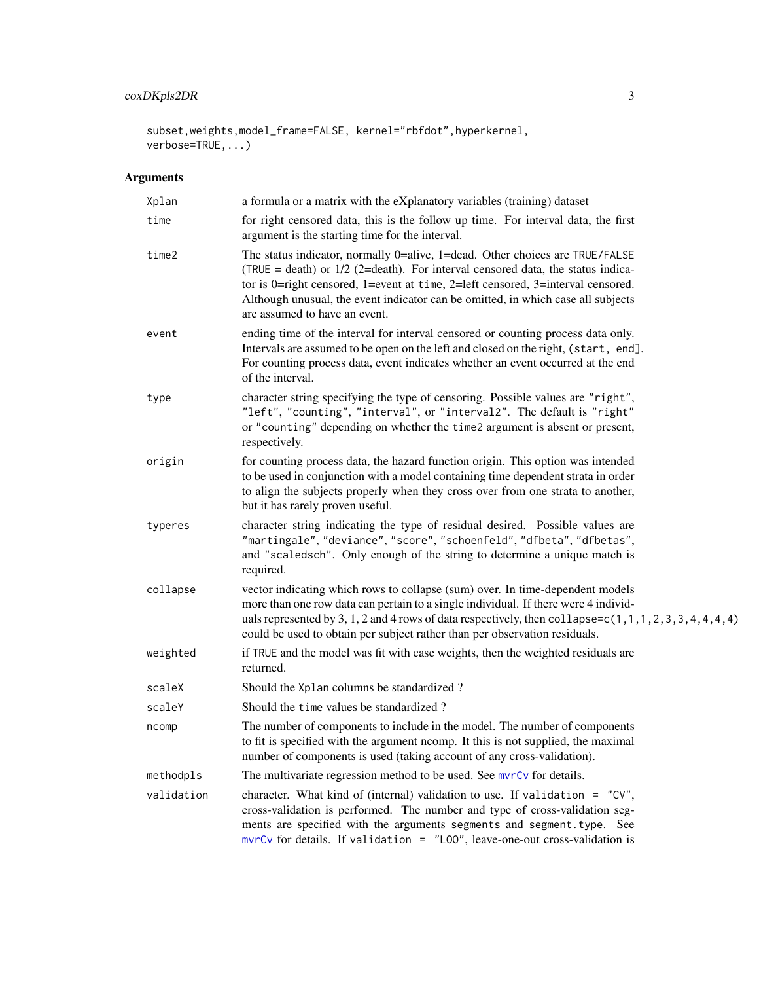# coxDKpls2DR 3

subset,weights,model\_frame=FALSE, kernel="rbfdot",hyperkernel, verbose=TRUE,...)

| Xplan      | a formula or a matrix with the eXplanatory variables (training) dataset                                                                                                                                                                                                                                                                                                   |  |
|------------|---------------------------------------------------------------------------------------------------------------------------------------------------------------------------------------------------------------------------------------------------------------------------------------------------------------------------------------------------------------------------|--|
| time       | for right censored data, this is the follow up time. For interval data, the first<br>argument is the starting time for the interval.                                                                                                                                                                                                                                      |  |
| time2      | The status indicator, normally 0=alive, 1=dead. Other choices are TRUE/FALSE<br>(TRUE = death) or $1/2$ (2=death). For interval censored data, the status indica-<br>tor is 0=right censored, 1=event at time, 2=left censored, 3=interval censored.<br>Although unusual, the event indicator can be omitted, in which case all subjects<br>are assumed to have an event. |  |
| event      | ending time of the interval for interval censored or counting process data only.<br>Intervals are assumed to be open on the left and closed on the right, (start, end].<br>For counting process data, event indicates whether an event occurred at the end<br>of the interval.                                                                                            |  |
| type       | character string specifying the type of censoring. Possible values are "right",<br>"left", "counting", "interval", or "interval2". The default is "right"<br>or "counting" depending on whether the time2 argument is absent or present,<br>respectively.                                                                                                                 |  |
| origin     | for counting process data, the hazard function origin. This option was intended<br>to be used in conjunction with a model containing time dependent strata in order<br>to align the subjects properly when they cross over from one strata to another,<br>but it has rarely proven useful.                                                                                |  |
| typeres    | character string indicating the type of residual desired. Possible values are<br>"martingale", "deviance", "score", "schoenfeld", "dfbeta", "dfbetas",<br>and "scaledsch". Only enough of the string to determine a unique match is<br>required.                                                                                                                          |  |
| collapse   | vector indicating which rows to collapse (sum) over. In time-dependent models<br>more than one row data can pertain to a single individual. If there were 4 individ-<br>uals represented by 3, 1, 2 and 4 rows of data respectively, then collapse= $c(1, 1, 1, 2, 3, 3, 4, 4, 4, 4)$<br>could be used to obtain per subject rather than per observation residuals.       |  |
| weighted   | if TRUE and the model was fit with case weights, then the weighted residuals are<br>returned.                                                                                                                                                                                                                                                                             |  |
| scaleX     | Should the Xplan columns be standardized?                                                                                                                                                                                                                                                                                                                                 |  |
| scaleY     | Should the time values be standardized?                                                                                                                                                                                                                                                                                                                                   |  |
| ncomp      | The number of components to include in the model. The number of components<br>to fit is specified with the argument ncomp. It this is not supplied, the maximal<br>number of components is used (taking account of any cross-validation).                                                                                                                                 |  |
| methodpls  | The multivariate regression method to be used. See mvrCv for details.                                                                                                                                                                                                                                                                                                     |  |
| validation | character. What kind of (internal) validation to use. If validation = $"CV",$<br>cross-validation is performed. The number and type of cross-validation seg-<br>ments are specified with the arguments segments and segment.type. See<br>$mvrCv$ for details. If validation = "LOO", leave-one-out cross-validation is                                                    |  |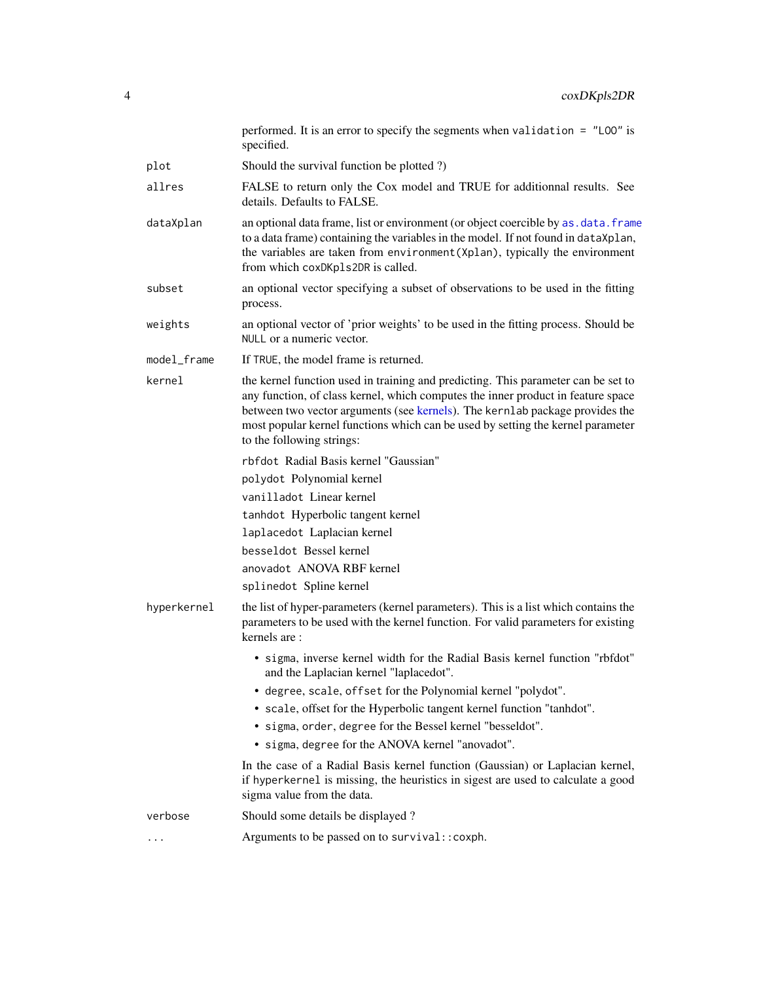|             | performed. It is an error to specify the segments when validation = $"L00"$ is<br>specified.                                                                                                                                                                                                                                                                          |
|-------------|-----------------------------------------------------------------------------------------------------------------------------------------------------------------------------------------------------------------------------------------------------------------------------------------------------------------------------------------------------------------------|
| plot        | Should the survival function be plotted ?)                                                                                                                                                                                                                                                                                                                            |
| allres      | FALSE to return only the Cox model and TRUE for additionnal results. See<br>details. Defaults to FALSE.                                                                                                                                                                                                                                                               |
| dataXplan   | an optional data frame, list or environment (or object coercible by as . data. frame<br>to a data frame) containing the variables in the model. If not found in dataXplan,<br>the variables are taken from environment (Xplan), typically the environment<br>from which coxDKp1s2DR is called.                                                                        |
| subset      | an optional vector specifying a subset of observations to be used in the fitting<br>process.                                                                                                                                                                                                                                                                          |
| weights     | an optional vector of 'prior weights' to be used in the fitting process. Should be<br>NULL or a numeric vector.                                                                                                                                                                                                                                                       |
| model_frame | If TRUE, the model frame is returned.                                                                                                                                                                                                                                                                                                                                 |
| kernel      | the kernel function used in training and predicting. This parameter can be set to<br>any function, of class kernel, which computes the inner product in feature space<br>between two vector arguments (see kernels). The kernlab package provides the<br>most popular kernel functions which can be used by setting the kernel parameter<br>to the following strings: |
|             | rbfdot Radial Basis kernel "Gaussian"                                                                                                                                                                                                                                                                                                                                 |
|             | polydot Polynomial kernel                                                                                                                                                                                                                                                                                                                                             |
|             | vanilladot Linear kernel                                                                                                                                                                                                                                                                                                                                              |
|             | tanhdot Hyperbolic tangent kernel                                                                                                                                                                                                                                                                                                                                     |
|             | laplacedot Laplacian kernel                                                                                                                                                                                                                                                                                                                                           |
|             | besseldot Bessel kernel                                                                                                                                                                                                                                                                                                                                               |
|             | anovadot ANOVA RBF kernel                                                                                                                                                                                                                                                                                                                                             |
|             | splinedot Spline kernel                                                                                                                                                                                                                                                                                                                                               |
| hyperkernel | the list of hyper-parameters (kernel parameters). This is a list which contains the<br>parameters to be used with the kernel function. For valid parameters for existing<br>kernels are:                                                                                                                                                                              |
|             | • sigma, inverse kernel width for the Radial Basis kernel function "rbfdot"<br>and the Laplacian kernel "laplacedot".                                                                                                                                                                                                                                                 |
|             | • degree, scale, offset for the Polynomial kernel "polydot".                                                                                                                                                                                                                                                                                                          |
|             | • scale, offset for the Hyperbolic tangent kernel function "tanhdot".                                                                                                                                                                                                                                                                                                 |
|             | • sigma, order, degree for the Bessel kernel "besseldot".<br>• sigma, degree for the ANOVA kernel "anovadot".                                                                                                                                                                                                                                                         |
|             |                                                                                                                                                                                                                                                                                                                                                                       |
|             | In the case of a Radial Basis kernel function (Gaussian) or Laplacian kernel,<br>if hyperkernel is missing, the heuristics in sigest are used to calculate a good<br>sigma value from the data.                                                                                                                                                                       |
| verbose     | Should some details be displayed?                                                                                                                                                                                                                                                                                                                                     |
| $\cdots$    | Arguments to be passed on to survival:: coxph.                                                                                                                                                                                                                                                                                                                        |
|             |                                                                                                                                                                                                                                                                                                                                                                       |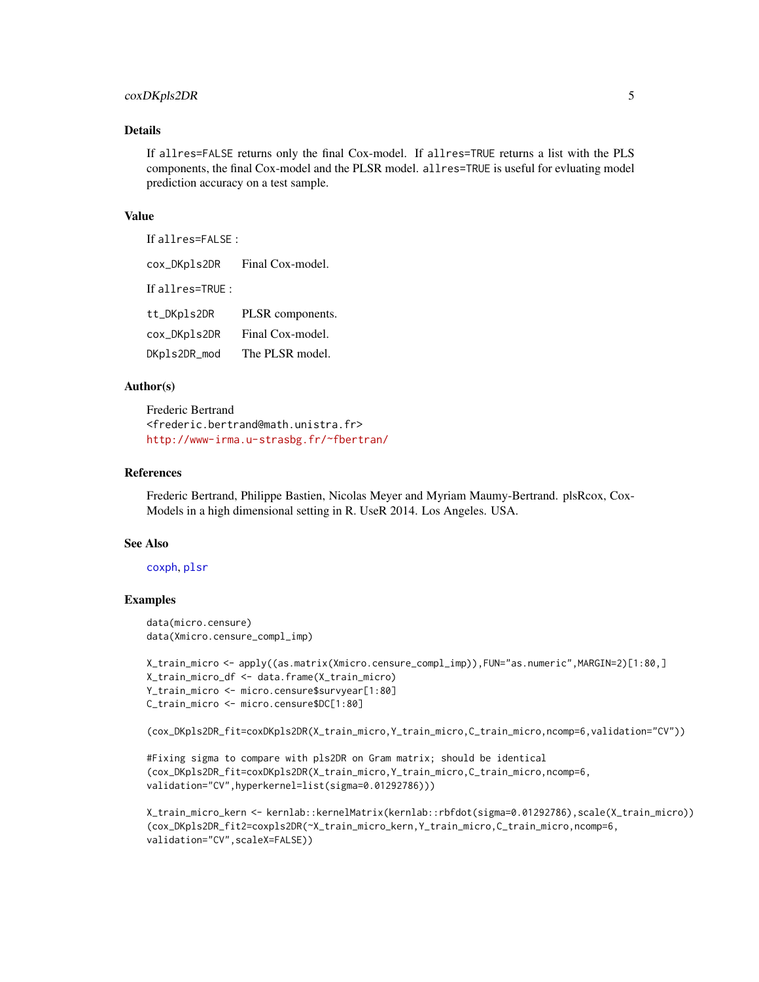#### coxDKpls2DR 5

#### Details

If allres=FALSE returns only the final Cox-model. If allres=TRUE returns a list with the PLS components, the final Cox-model and the PLSR model. allres=TRUE is useful for evluating model prediction accuracy on a test sample.

#### Value

If allres=FALSE :

cox\_DKpls2DR Final Cox-model. If allres=TRUE : tt\_DKpls2DR PLSR components. cox\_DKpls2DR Final Cox-model. DKpls2DR\_mod The PLSR model.

#### Author(s)

Frederic Bertrand <frederic.bertrand@math.unistra.fr> <http://www-irma.u-strasbg.fr/~fbertran/>

#### References

Frederic Bertrand, Philippe Bastien, Nicolas Meyer and Myriam Maumy-Bertrand. plsRcox, Cox-Models in a high dimensional setting in R. UseR 2014. Los Angeles. USA.

#### See Also

#### [coxph](#page-0-0), [plsr](#page-0-0)

#### Examples

data(micro.censure) data(Xmicro.censure\_compl\_imp)

```
X_train_micro <- apply((as.matrix(Xmicro.censure_compl_imp)),FUN="as.numeric",MARGIN=2)[1:80,]
X_train_micro_df <- data.frame(X_train_micro)
Y_train_micro <- micro.censure$survyear[1:80]
C_train_micro <- micro.censure$DC[1:80]
```

```
(cox_DKpls2DR_fit=coxDKpls2DR(X_train_micro,Y_train_micro,C_train_micro,ncomp=6,validation="CV"))
```

```
#Fixing sigma to compare with pls2DR on Gram matrix; should be identical
(cox_DKpls2DR_fit=coxDKpls2DR(X_train_micro,Y_train_micro,C_train_micro,ncomp=6,
validation="CV",hyperkernel=list(sigma=0.01292786)))
```

```
X_train_micro_kern <- kernlab::kernelMatrix(kernlab::rbfdot(sigma=0.01292786),scale(X_train_micro))
(cox_DKpls2DR_fit2=coxpls2DR(~X_train_micro_kern,Y_train_micro,C_train_micro,ncomp=6,
validation="CV",scaleX=FALSE))
```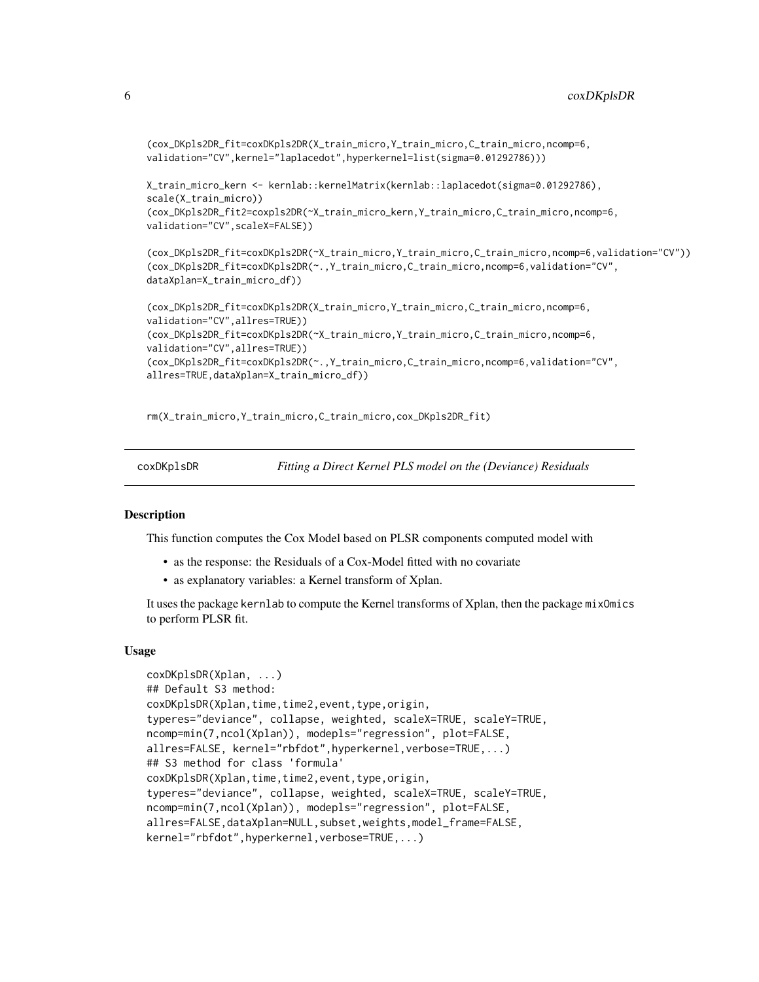```
(cox_DKpls2DR_fit=coxDKpls2DR(X_train_micro,Y_train_micro,C_train_micro,ncomp=6,
validation="CV",kernel="laplacedot",hyperkernel=list(sigma=0.01292786)))
```
X\_train\_micro\_kern <- kernlab::kernelMatrix(kernlab::laplacedot(sigma=0.01292786), scale(X\_train\_micro)) (cox\_DKpls2DR\_fit2=coxpls2DR(~X\_train\_micro\_kern,Y\_train\_micro,C\_train\_micro,ncomp=6, validation="CV",scaleX=FALSE))

(cox\_DKpls2DR\_fit=coxDKpls2DR(~X\_train\_micro,Y\_train\_micro,C\_train\_micro,ncomp=6,validation="CV")) (cox\_DKpls2DR\_fit=coxDKpls2DR(~.,Y\_train\_micro,C\_train\_micro,ncomp=6,validation="CV", dataXplan=X\_train\_micro\_df))

```
(cox_DKpls2DR_fit=coxDKpls2DR(X_train_micro,Y_train_micro,C_train_micro,ncomp=6,
validation="CV",allres=TRUE))
(cox_DKpls2DR_fit=coxDKpls2DR(~X_train_micro,Y_train_micro,C_train_micro,ncomp=6,
validation="CV",allres=TRUE))
(cox_DKpls2DR_fit=coxDKpls2DR(~.,Y_train_micro,C_train_micro,ncomp=6,validation="CV",
allres=TRUE,dataXplan=X_train_micro_df))
```
rm(X\_train\_micro,Y\_train\_micro,C\_train\_micro,cox\_DKpls2DR\_fit)

coxDKplsDR *Fitting a Direct Kernel PLS model on the (Deviance) Residuals*

#### **Description**

This function computes the Cox Model based on PLSR components computed model with

- as the response: the Residuals of a Cox-Model fitted with no covariate
- as explanatory variables: a Kernel transform of Xplan.

It uses the package kernlab to compute the Kernel transforms of Xplan, then the package mixOmics to perform PLSR fit.

#### Usage

```
coxDKplsDR(Xplan, ...)
## Default S3 method:
coxDKplsDR(Xplan,time,time2,event,type,origin,
typeres="deviance", collapse, weighted, scaleX=TRUE, scaleY=TRUE,
ncomp=min(7,ncol(Xplan)), modepls="regression", plot=FALSE,
allres=FALSE, kernel="rbfdot",hyperkernel,verbose=TRUE,...)
## S3 method for class 'formula'
coxDKplsDR(Xplan,time,time2,event,type,origin,
typeres="deviance", collapse, weighted, scaleX=TRUE, scaleY=TRUE,
ncomp=min(7,ncol(Xplan)), modepls="regression", plot=FALSE,
allres=FALSE,dataXplan=NULL,subset,weights,model_frame=FALSE,
kernel="rbfdot",hyperkernel,verbose=TRUE,...)
```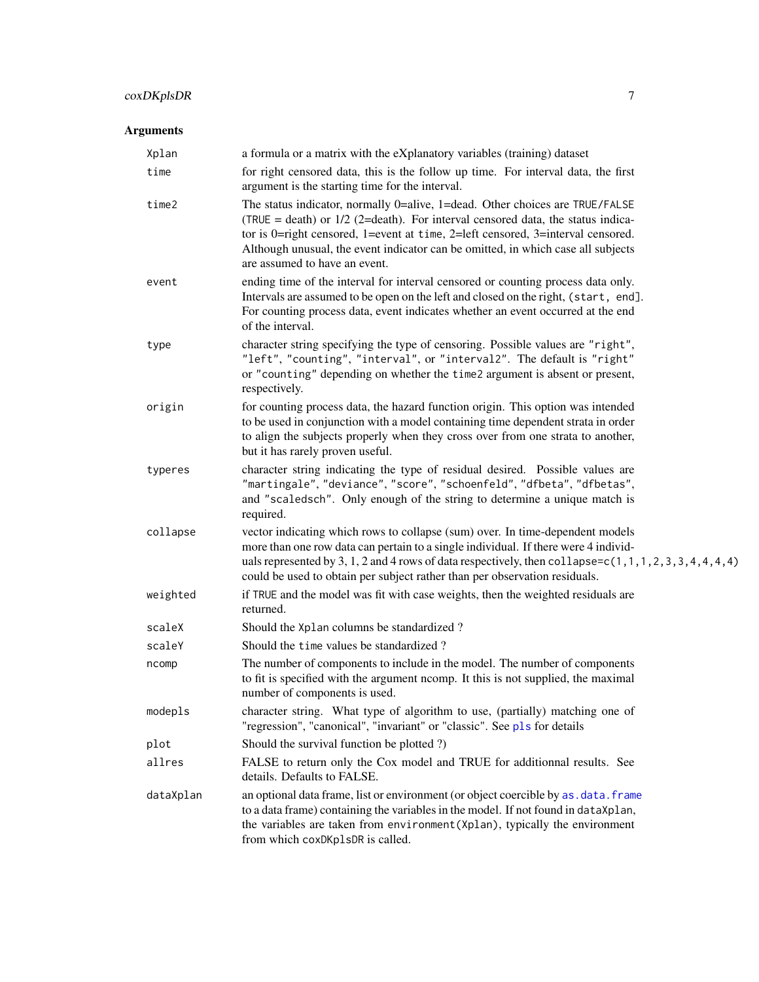# coxDKplsDR 7

| Xplan     | a formula or a matrix with the eXplanatory variables (training) dataset                                                                                                                                                                                                                                                                                                   |
|-----------|---------------------------------------------------------------------------------------------------------------------------------------------------------------------------------------------------------------------------------------------------------------------------------------------------------------------------------------------------------------------------|
| time      | for right censored data, this is the follow up time. For interval data, the first<br>argument is the starting time for the interval.                                                                                                                                                                                                                                      |
| time2     | The status indicator, normally 0=alive, 1=dead. Other choices are TRUE/FALSE<br>(TRUE = death) or $1/2$ (2=death). For interval censored data, the status indica-<br>tor is 0=right censored, 1=event at time, 2=left censored, 3=interval censored.<br>Although unusual, the event indicator can be omitted, in which case all subjects<br>are assumed to have an event. |
| event     | ending time of the interval for interval censored or counting process data only.<br>Intervals are assumed to be open on the left and closed on the right, (start, end].<br>For counting process data, event indicates whether an event occurred at the end<br>of the interval.                                                                                            |
| type      | character string specifying the type of censoring. Possible values are "right",<br>"left", "counting", "interval", or "interval2". The default is "right"<br>or "counting" depending on whether the time2 argument is absent or present,<br>respectively.                                                                                                                 |
| origin    | for counting process data, the hazard function origin. This option was intended<br>to be used in conjunction with a model containing time dependent strata in order<br>to align the subjects properly when they cross over from one strata to another,<br>but it has rarely proven useful.                                                                                |
| typeres   | character string indicating the type of residual desired. Possible values are<br>"martingale", "deviance", "score", "schoenfeld", "dfbeta", "dfbetas",<br>and "scaledsch". Only enough of the string to determine a unique match is<br>required.                                                                                                                          |
| collapse  | vector indicating which rows to collapse (sum) over. In time-dependent models<br>more than one row data can pertain to a single individual. If there were 4 individ-<br>uals represented by 3, 1, 2 and 4 rows of data respectively, then collapse= $c(1, 1, 1, 2, 3, 3, 4, 4, 4, 4)$<br>could be used to obtain per subject rather than per observation residuals.       |
| weighted  | if TRUE and the model was fit with case weights, then the weighted residuals are<br>returned.                                                                                                                                                                                                                                                                             |
| scaleX    | Should the Xplan columns be standardized?                                                                                                                                                                                                                                                                                                                                 |
| scaleY    | Should the time values be standardized?                                                                                                                                                                                                                                                                                                                                   |
| ncomp     | The number of components to include in the model. The number of components<br>to fit is specified with the argument ncomp. It this is not supplied, the maximal<br>number of components is used.                                                                                                                                                                          |
| modepls   | character string. What type of algorithm to use, (partially) matching one of<br>"regression", "canonical", "invariant" or "classic". See pls for details                                                                                                                                                                                                                  |
| plot      | Should the survival function be plotted ?)                                                                                                                                                                                                                                                                                                                                |
| allres    | FALSE to return only the Cox model and TRUE for additionnal results. See<br>details. Defaults to FALSE.                                                                                                                                                                                                                                                                   |
| dataXplan | an optional data frame, list or environment (or object coercible by as . data. frame<br>to a data frame) containing the variables in the model. If not found in dataXplan,<br>the variables are taken from environment (Xplan), typically the environment<br>from which coxDKp1sDR is called.                                                                             |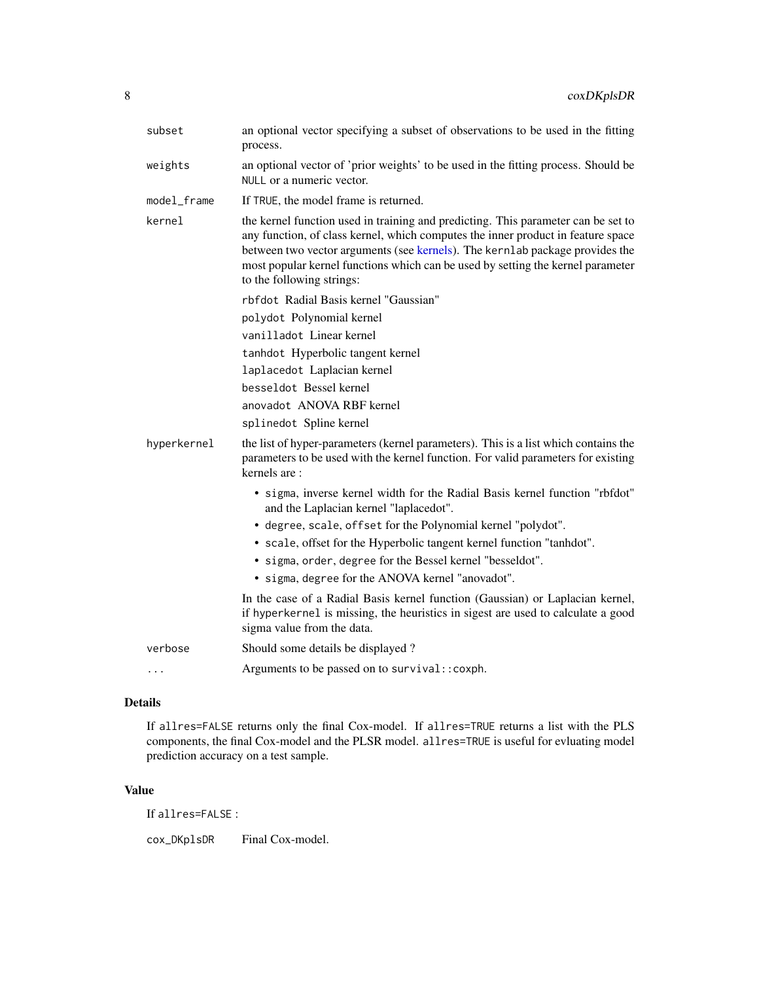| subset      | an optional vector specifying a subset of observations to be used in the fitting<br>process.                                                                                                                                                                                                                                                                          |
|-------------|-----------------------------------------------------------------------------------------------------------------------------------------------------------------------------------------------------------------------------------------------------------------------------------------------------------------------------------------------------------------------|
| weights     | an optional vector of 'prior weights' to be used in the fitting process. Should be<br>NULL or a numeric vector.                                                                                                                                                                                                                                                       |
| model_frame | If TRUE, the model frame is returned.                                                                                                                                                                                                                                                                                                                                 |
| kernel      | the kernel function used in training and predicting. This parameter can be set to<br>any function, of class kernel, which computes the inner product in feature space<br>between two vector arguments (see kernels). The kernlab package provides the<br>most popular kernel functions which can be used by setting the kernel parameter<br>to the following strings: |
|             | rbfdot Radial Basis kernel "Gaussian"                                                                                                                                                                                                                                                                                                                                 |
|             | polydot Polynomial kernel                                                                                                                                                                                                                                                                                                                                             |
|             | vanilladot Linear kernel                                                                                                                                                                                                                                                                                                                                              |
|             | tanhdot Hyperbolic tangent kernel                                                                                                                                                                                                                                                                                                                                     |
|             | laplacedot Laplacian kernel                                                                                                                                                                                                                                                                                                                                           |
|             | besseldot Bessel kernel                                                                                                                                                                                                                                                                                                                                               |
|             | anovadot ANOVA RBF kernel                                                                                                                                                                                                                                                                                                                                             |
|             | splinedot Spline kernel                                                                                                                                                                                                                                                                                                                                               |
| hyperkernel | the list of hyper-parameters (kernel parameters). This is a list which contains the<br>parameters to be used with the kernel function. For valid parameters for existing<br>kernels are:                                                                                                                                                                              |
|             | • sigma, inverse kernel width for the Radial Basis kernel function "rbfdot"<br>and the Laplacian kernel "laplacedot".                                                                                                                                                                                                                                                 |
|             | • degree, scale, offset for the Polynomial kernel "polydot".                                                                                                                                                                                                                                                                                                          |
|             | • scale, offset for the Hyperbolic tangent kernel function "tanhdot".<br>• sigma, order, degree for the Bessel kernel "besseldot".                                                                                                                                                                                                                                    |
|             | • sigma, degree for the ANOVA kernel "anovadot".                                                                                                                                                                                                                                                                                                                      |
|             | In the case of a Radial Basis kernel function (Gaussian) or Laplacian kernel,<br>if hyperkernel is missing, the heuristics in sigest are used to calculate a good<br>sigma value from the data.                                                                                                                                                                       |
| verbose     | Should some details be displayed?                                                                                                                                                                                                                                                                                                                                     |
| $\cdot$     | Arguments to be passed on to survival:: coxph.                                                                                                                                                                                                                                                                                                                        |
|             |                                                                                                                                                                                                                                                                                                                                                                       |

# Details

If allres=FALSE returns only the final Cox-model. If allres=TRUE returns a list with the PLS components, the final Cox-model and the PLSR model. allres=TRUE is useful for evluating model prediction accuracy on a test sample.

#### Value

If allres=FALSE :

cox\_DKp1sDR Final Cox-model.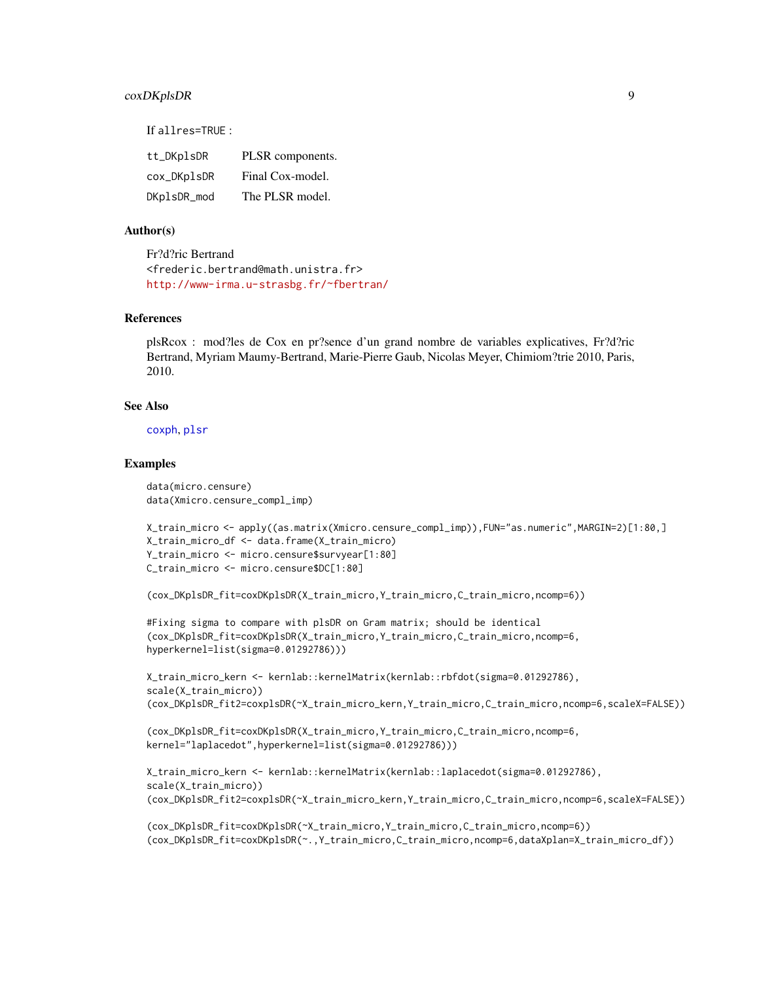#### coxDKplsDR 9

If allres=TRUE :

| tt_DKplsDR  | PLSR components. |
|-------------|------------------|
| cox_DKplsDR | Final Cox-model. |
| DKplsDR_mod | The PLSR model.  |

#### Author(s)

Fr?d?ric Bertrand <frederic.bertrand@math.unistra.fr> <http://www-irma.u-strasbg.fr/~fbertran/>

#### References

plsRcox : mod?les de Cox en pr?sence d'un grand nombre de variables explicatives, Fr?d?ric Bertrand, Myriam Maumy-Bertrand, Marie-Pierre Gaub, Nicolas Meyer, Chimiom?trie 2010, Paris, 2010.

#### See Also

[coxph](#page-0-0), [plsr](#page-0-0)

#### Examples

data(micro.censure) data(Xmicro.censure\_compl\_imp)

```
X_train_micro <- apply((as.matrix(Xmicro.censure_compl_imp)),FUN="as.numeric",MARGIN=2)[1:80,]
X_train_micro_df <- data.frame(X_train_micro)
Y_train_micro <- micro.censure$survyear[1:80]
C_train_micro <- micro.censure$DC[1:80]
```
(cox\_DKplsDR\_fit=coxDKplsDR(X\_train\_micro,Y\_train\_micro,C\_train\_micro,ncomp=6))

```
#Fixing sigma to compare with plsDR on Gram matrix; should be identical
(cox_DKplsDR_fit=coxDKplsDR(X_train_micro,Y_train_micro,C_train_micro,ncomp=6,
hyperkernel=list(sigma=0.01292786)))
```
X\_train\_micro\_kern <- kernlab::kernelMatrix(kernlab::rbfdot(sigma=0.01292786), scale(X\_train\_micro)) (cox\_DKplsDR\_fit2=coxplsDR(~X\_train\_micro\_kern,Y\_train\_micro,C\_train\_micro,ncomp=6,scaleX=FALSE))

```
(cox_DKplsDR_fit=coxDKplsDR(X_train_micro,Y_train_micro,C_train_micro,ncomp=6,
kernel="laplacedot",hyperkernel=list(sigma=0.01292786)))
```

```
X_train_micro_kern <- kernlab::kernelMatrix(kernlab::laplacedot(sigma=0.01292786),
scale(X_train_micro))
(cox_DKplsDR_fit2=coxplsDR(~X_train_micro_kern,Y_train_micro,C_train_micro,ncomp=6,scaleX=FALSE))
```

```
(cox_DKplsDR_fit=coxDKplsDR(~X_train_micro,Y_train_micro,C_train_micro,ncomp=6))
(cox_DKplsDR_fit=coxDKplsDR(~.,Y_train_micro,C_train_micro,ncomp=6,dataXplan=X_train_micro_df))
```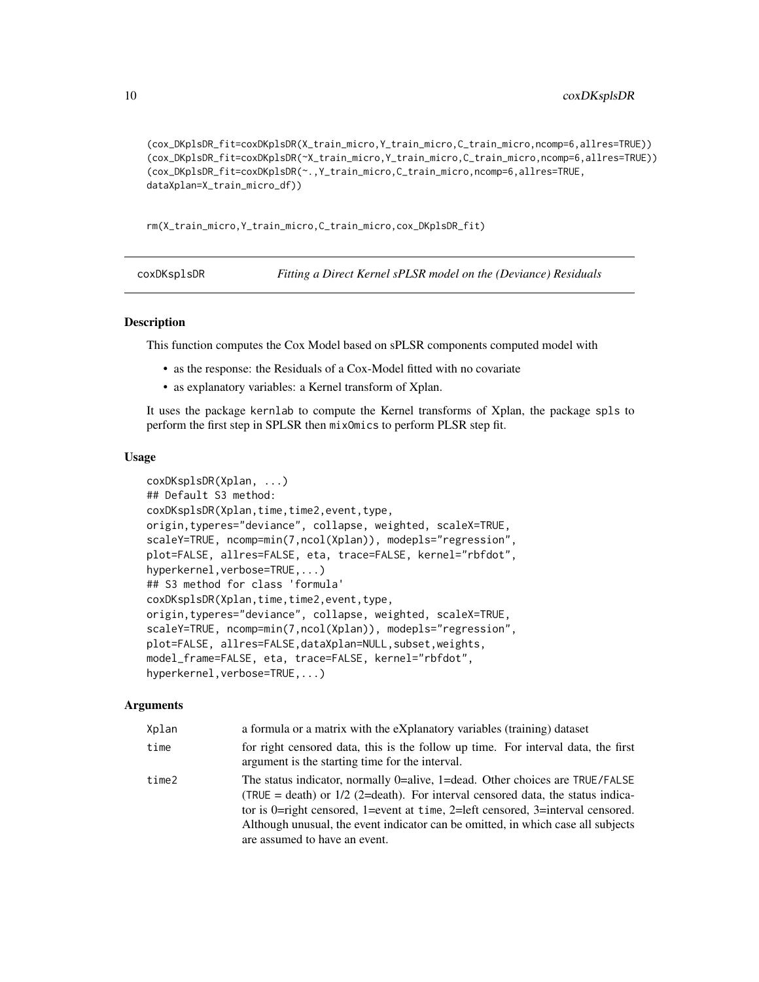```
(cox_DKplsDR_fit=coxDKplsDR(X_train_micro,Y_train_micro,C_train_micro,ncomp=6,allres=TRUE))
(cox_DKplsDR_fit=coxDKplsDR(~X_train_micro,Y_train_micro,C_train_micro,ncomp=6,allres=TRUE))
(cox_DKplsDR_fit=coxDKplsDR(~.,Y_train_micro,C_train_micro,ncomp=6,allres=TRUE,
dataXplan=X_train_micro_df))
```
rm(X\_train\_micro,Y\_train\_micro,C\_train\_micro,cox\_DKplsDR\_fit)

coxDKsplsDR *Fitting a Direct Kernel sPLSR model on the (Deviance) Residuals*

#### **Description**

This function computes the Cox Model based on sPLSR components computed model with

- as the response: the Residuals of a Cox-Model fitted with no covariate
- as explanatory variables: a Kernel transform of Xplan.

It uses the package kernlab to compute the Kernel transforms of Xplan, the package spls to perform the first step in SPLSR then mixOmics to perform PLSR step fit.

#### Usage

```
coxDKsplsDR(Xplan, ...)
## Default S3 method:
coxDKsplsDR(Xplan,time,time2,event,type,
origin,typeres="deviance", collapse, weighted, scaleX=TRUE,
scaleY=TRUE, ncomp=min(7,ncol(Xplan)), modepls="regression",
plot=FALSE, allres=FALSE, eta, trace=FALSE, kernel="rbfdot",
hyperkernel,verbose=TRUE,...)
## S3 method for class 'formula'
coxDKsplsDR(Xplan,time,time2,event,type,
origin,typeres="deviance", collapse, weighted, scaleX=TRUE,
scaleY=TRUE, ncomp=min(7,ncol(Xplan)), modepls="regression",
plot=FALSE, allres=FALSE,dataXplan=NULL,subset,weights,
model_frame=FALSE, eta, trace=FALSE, kernel="rbfdot",
hyperkernel,verbose=TRUE,...)
```

| Xplan | a formula or a matrix with the eXplanatory variables (training) dataset                                                                                                                                                                                                                                                                                                   |
|-------|---------------------------------------------------------------------------------------------------------------------------------------------------------------------------------------------------------------------------------------------------------------------------------------------------------------------------------------------------------------------------|
| time  | for right censored data, this is the follow up time. For interval data, the first<br>argument is the starting time for the interval.                                                                                                                                                                                                                                      |
| time2 | The status indicator, normally 0=alive, 1=dead. Other choices are TRUE/FALSE<br>(TRUE = death) or $1/2$ (2=death). For interval censored data, the status indica-<br>tor is 0=right censored, 1=event at time, 2=left censored, 3=interval censored.<br>Although unusual, the event indicator can be omitted, in which case all subjects<br>are assumed to have an event. |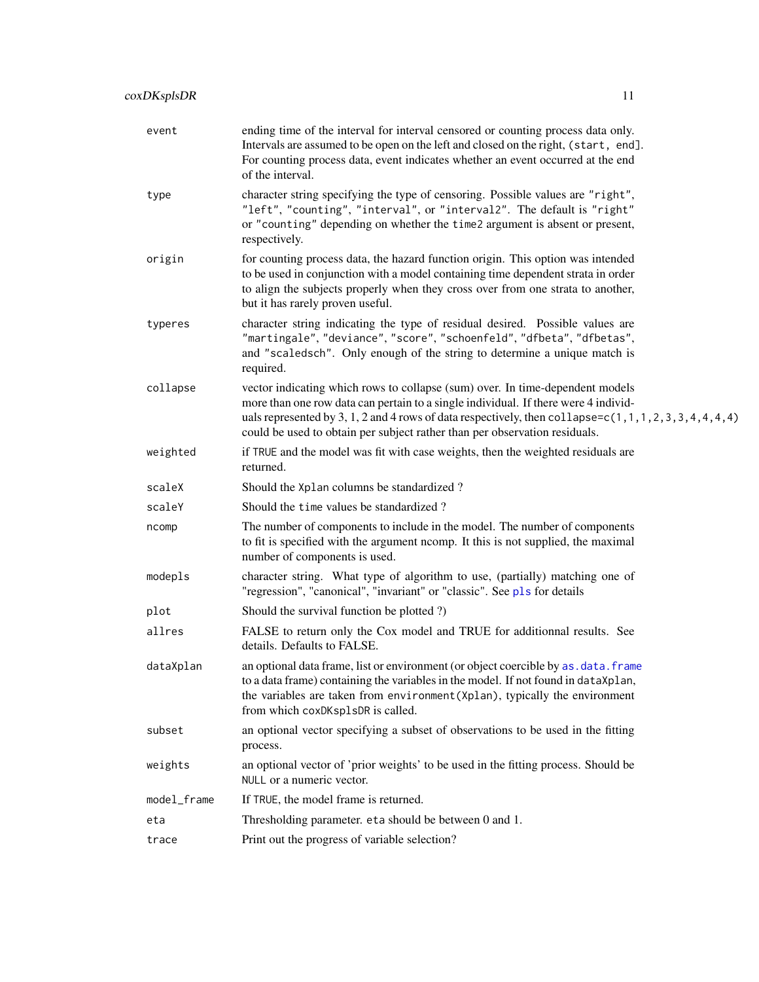| event       | ending time of the interval for interval censored or counting process data only.<br>Intervals are assumed to be open on the left and closed on the right, (start, end].<br>For counting process data, event indicates whether an event occurred at the end<br>of the interval.                                                                                      |
|-------------|---------------------------------------------------------------------------------------------------------------------------------------------------------------------------------------------------------------------------------------------------------------------------------------------------------------------------------------------------------------------|
| type        | character string specifying the type of censoring. Possible values are "right",<br>"left", "counting", "interval", or "interval2". The default is "right"<br>or "counting" depending on whether the time2 argument is absent or present,<br>respectively.                                                                                                           |
| origin      | for counting process data, the hazard function origin. This option was intended<br>to be used in conjunction with a model containing time dependent strata in order<br>to align the subjects properly when they cross over from one strata to another,<br>but it has rarely proven useful.                                                                          |
| typeres     | character string indicating the type of residual desired. Possible values are<br>"martingale", "deviance", "score", "schoenfeld", "dfbeta", "dfbetas",<br>and "scaledsch". Only enough of the string to determine a unique match is<br>required.                                                                                                                    |
| collapse    | vector indicating which rows to collapse (sum) over. In time-dependent models<br>more than one row data can pertain to a single individual. If there were 4 individ-<br>uals represented by 3, 1, 2 and 4 rows of data respectively, then collapse= $c(1, 1, 1, 2, 3, 3, 4, 4, 4, 4)$<br>could be used to obtain per subject rather than per observation residuals. |
| weighted    | if TRUE and the model was fit with case weights, then the weighted residuals are<br>returned.                                                                                                                                                                                                                                                                       |
| scaleX      | Should the Xplan columns be standardized?                                                                                                                                                                                                                                                                                                                           |
| scaleY      | Should the time values be standardized?                                                                                                                                                                                                                                                                                                                             |
| ncomp       | The number of components to include in the model. The number of components<br>to fit is specified with the argument ncomp. It this is not supplied, the maximal<br>number of components is used.                                                                                                                                                                    |
| modepls     | character string. What type of algorithm to use, (partially) matching one of<br>"regression", "canonical", "invariant" or "classic". See pls for details                                                                                                                                                                                                            |
| plot        | Should the survival function be plotted ?)                                                                                                                                                                                                                                                                                                                          |
| allres      | FALSE to return only the Cox model and TRUE for additionnal results. See<br>details. Defaults to FALSE.                                                                                                                                                                                                                                                             |
| dataXplan   | an optional data frame, list or environment (or object coercible by as. data. frame<br>to a data frame) containing the variables in the model. If not found in data Xplan,<br>the variables are taken from environment (Xplan), typically the environment<br>from which coxDKsp1sDR is called.                                                                      |
| subset      | an optional vector specifying a subset of observations to be used in the fitting<br>process.                                                                                                                                                                                                                                                                        |
| weights     | an optional vector of 'prior weights' to be used in the fitting process. Should be<br>NULL or a numeric vector.                                                                                                                                                                                                                                                     |
| model_frame | If TRUE, the model frame is returned.                                                                                                                                                                                                                                                                                                                               |
| eta         | Thresholding parameter. eta should be between 0 and 1.                                                                                                                                                                                                                                                                                                              |
| trace       | Print out the progress of variable selection?                                                                                                                                                                                                                                                                                                                       |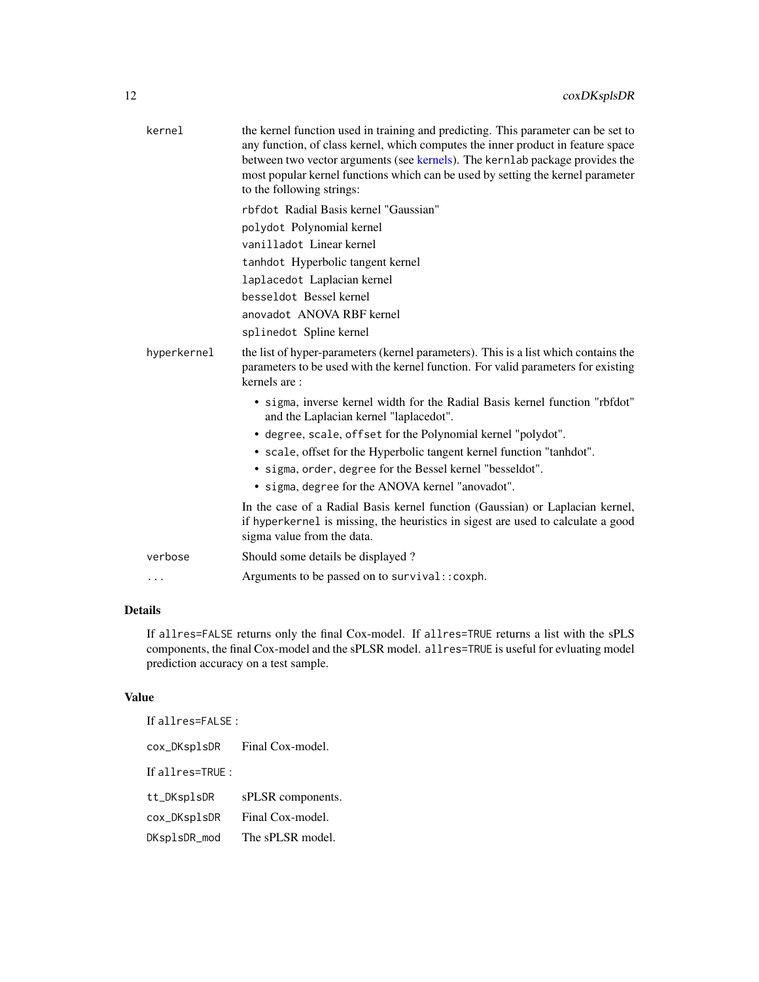| the kernel function used in training and predicting. This parameter can be set to<br>any function, of class kernel, which computes the inner product in feature space<br>between two vector arguments (see kernels). The kernlab package provides the<br>most popular kernel functions which can be used by setting the kernel parameter |
|------------------------------------------------------------------------------------------------------------------------------------------------------------------------------------------------------------------------------------------------------------------------------------------------------------------------------------------|
|                                                                                                                                                                                                                                                                                                                                          |
|                                                                                                                                                                                                                                                                                                                                          |
|                                                                                                                                                                                                                                                                                                                                          |
|                                                                                                                                                                                                                                                                                                                                          |
|                                                                                                                                                                                                                                                                                                                                          |
|                                                                                                                                                                                                                                                                                                                                          |
|                                                                                                                                                                                                                                                                                                                                          |
|                                                                                                                                                                                                                                                                                                                                          |
| the list of hyper-parameters (kernel parameters). This is a list which contains the<br>parameters to be used with the kernel function. For valid parameters for existing                                                                                                                                                                 |
| • sigma, inverse kernel width for the Radial Basis kernel function "rbfdot"                                                                                                                                                                                                                                                              |
|                                                                                                                                                                                                                                                                                                                                          |
|                                                                                                                                                                                                                                                                                                                                          |
|                                                                                                                                                                                                                                                                                                                                          |
|                                                                                                                                                                                                                                                                                                                                          |
| In the case of a Radial Basis kernel function (Gaussian) or Laplacian kernel,<br>if hyperkernel is missing, the heuristics in sigest are used to calculate a good                                                                                                                                                                        |
|                                                                                                                                                                                                                                                                                                                                          |
|                                                                                                                                                                                                                                                                                                                                          |
|                                                                                                                                                                                                                                                                                                                                          |

# Details

If allres=FALSE returns only the final Cox-model. If allres=TRUE returns a list with the sPLS components, the final Cox-model and the sPLSR model. allres=TRUE is useful for evluating model prediction accuracy on a test sample.

#### Value

| If allres= $FALSE:$ |                   |
|---------------------|-------------------|
| cox_DKsplsDR        | Final Cox-model.  |
| If allres= $TRUE:$  |                   |
| tt_DKsplsDR         | sPLSR components. |
| cox_DKsplsDR        | Final Cox-model.  |
| DKsplsDR_mod        | The sPLSR model.  |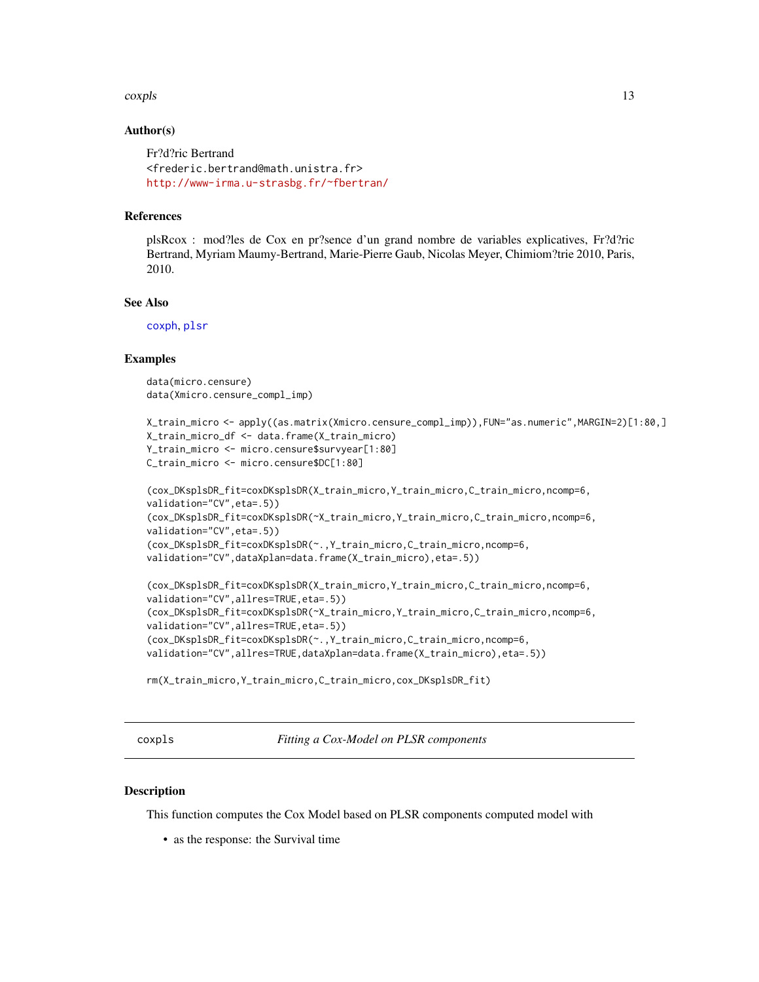#### <span id="page-12-0"></span>coxpls to the complex of the contract of the contract of the contract of the contract of the contract of the contract of the contract of the contract of the contract of the contract of the contract of the contract of the c

#### Author(s)

```
Fr?d?ric Bertrand
<frederic.bertrand@math.unistra.fr>
http://www-irma.u-strasbg.fr/~fbertran/
```
#### References

plsRcox : mod?les de Cox en pr?sence d'un grand nombre de variables explicatives, Fr?d?ric Bertrand, Myriam Maumy-Bertrand, Marie-Pierre Gaub, Nicolas Meyer, Chimiom?trie 2010, Paris, 2010.

#### See Also

[coxph](#page-0-0), [plsr](#page-0-0)

#### Examples

data(micro.censure) data(Xmicro.censure\_compl\_imp)

```
X_train_micro <- apply((as.matrix(Xmicro.censure_compl_imp)),FUN="as.numeric",MARGIN=2)[1:80,]
X_train_micro_df <- data.frame(X_train_micro)
Y_train_micro <- micro.censure$survyear[1:80]
C_train_micro <- micro.censure$DC[1:80]
```

```
(cox_DKsplsDR_fit=coxDKsplsDR(X_train_micro,Y_train_micro,C_train_micro,ncomp=6,
validation="CV",eta=.5))
(cox_DKsplsDR_fit=coxDKsplsDR(~X_train_micro,Y_train_micro,C_train_micro,ncomp=6,
validation="CV",eta=.5))
(cox_DKsplsDR_fit=coxDKsplsDR(~.,Y_train_micro,C_train_micro,ncomp=6,
validation="CV",dataXplan=data.frame(X_train_micro),eta=.5))
```

```
(cox_DKsplsDR_fit=coxDKsplsDR(X_train_micro,Y_train_micro,C_train_micro,ncomp=6,
validation="CV",allres=TRUE,eta=.5))
(cox_DKsplsDR_fit=coxDKsplsDR(~X_train_micro,Y_train_micro,C_train_micro,ncomp=6,
validation="CV",allres=TRUE,eta=.5))
(cox_DKsplsDR_fit=coxDKsplsDR(~.,Y_train_micro,C_train_micro,ncomp=6,
validation="CV",allres=TRUE,dataXplan=data.frame(X_train_micro),eta=.5))
```

```
rm(X_train_micro,Y_train_micro,C_train_micro,cox_DKsplsDR_fit)
```
coxpls *Fitting a Cox-Model on PLSR components*

#### Description

This function computes the Cox Model based on PLSR components computed model with

• as the response: the Survival time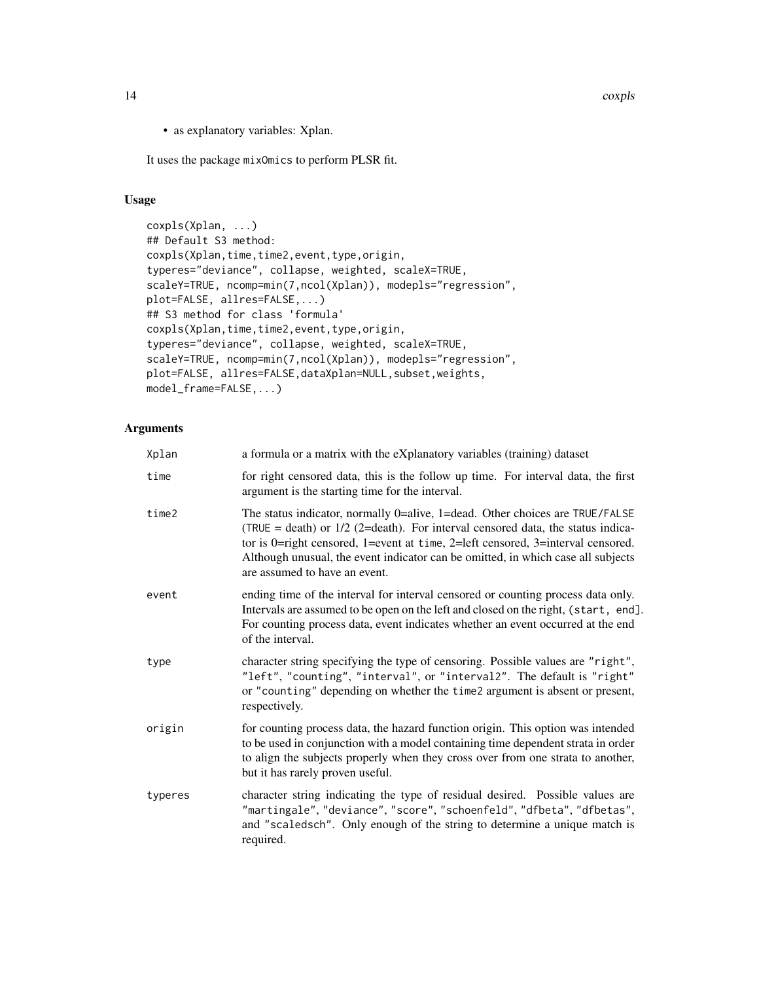14 coxpls

• as explanatory variables: Xplan.

It uses the package mixOmics to perform PLSR fit.

#### Usage

```
coxpls(Xplan, ...)
## Default S3 method:
coxpls(Xplan,time,time2,event,type,origin,
typeres="deviance", collapse, weighted, scaleX=TRUE,
scaleY=TRUE, ncomp=min(7,ncol(Xplan)), modepls="regression",
plot=FALSE, allres=FALSE,...)
## S3 method for class 'formula'
coxpls(Xplan,time,time2,event,type,origin,
typeres="deviance", collapse, weighted, scaleX=TRUE,
scaleY=TRUE, ncomp=min(7,ncol(Xplan)), modepls="regression",
plot=FALSE, allres=FALSE,dataXplan=NULL, subset, weights,
model_frame=FALSE,...)
```

| Xplan   | a formula or a matrix with the eXplanatory variables (training) dataset                                                                                                                                                                                                                                                                                                   |
|---------|---------------------------------------------------------------------------------------------------------------------------------------------------------------------------------------------------------------------------------------------------------------------------------------------------------------------------------------------------------------------------|
| time    | for right censored data, this is the follow up time. For interval data, the first<br>argument is the starting time for the interval.                                                                                                                                                                                                                                      |
| time2   | The status indicator, normally 0=alive, 1=dead. Other choices are TRUE/FALSE<br>(TRUE = death) or $1/2$ (2=death). For interval censored data, the status indica-<br>tor is 0=right censored, 1=event at time, 2=left censored, 3=interval censored.<br>Although unusual, the event indicator can be omitted, in which case all subjects<br>are assumed to have an event. |
| event   | ending time of the interval for interval censored or counting process data only.<br>Intervals are assumed to be open on the left and closed on the right, (start, end].<br>For counting process data, event indicates whether an event occurred at the end<br>of the interval.                                                                                            |
| type    | character string specifying the type of censoring. Possible values are "right",<br>"left", "counting", "interval", or "interval2". The default is "right"<br>or "counting" depending on whether the time2 argument is absent or present,<br>respectively.                                                                                                                 |
| origin  | for counting process data, the hazard function origin. This option was intended<br>to be used in conjunction with a model containing time dependent strata in order<br>to align the subjects properly when they cross over from one strata to another,<br>but it has rarely proven useful.                                                                                |
| typeres | character string indicating the type of residual desired. Possible values are<br>"martingale", "deviance", "score", "schoenfeld", "dfbeta", "dfbetas",<br>and "scaledsch". Only enough of the string to determine a unique match is<br>required.                                                                                                                          |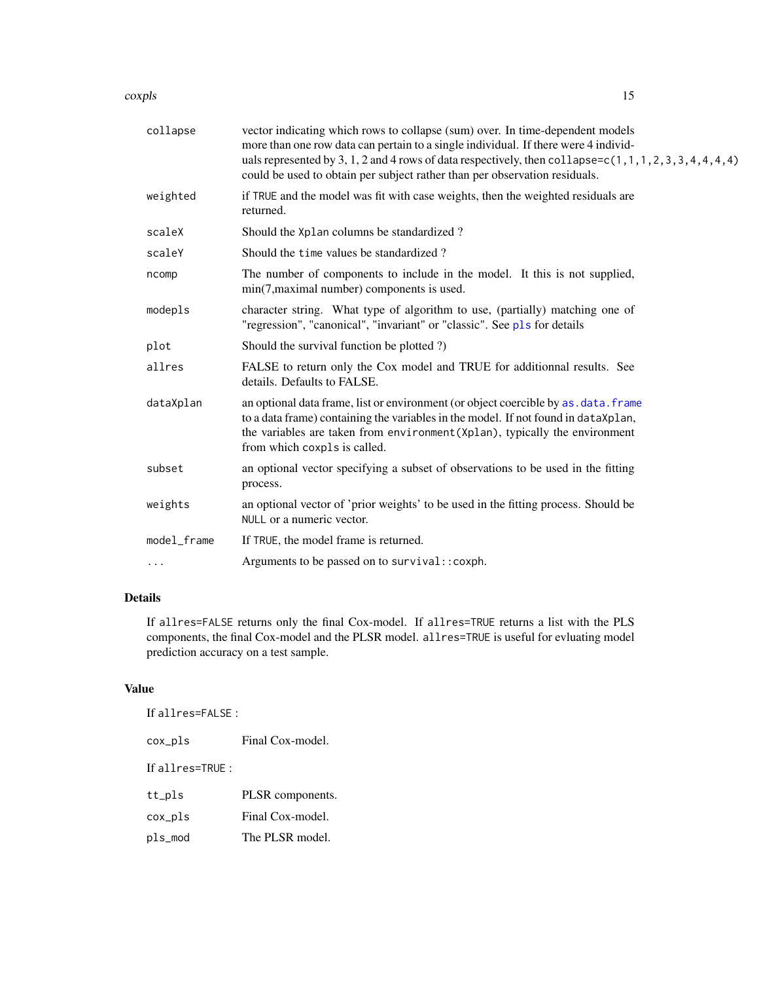#### coxpls to the complex of the contract of the contract of the contract of the contract of the contract of the contract of the contract of the contract of the contract of the contract of the contract of the contract of the c

| collapse    | vector indicating which rows to collapse (sum) over. In time-dependent models<br>more than one row data can pertain to a single individual. If there were 4 individ-<br>uals represented by 3, 1, 2 and 4 rows of data respectively, then collapse=c(1, 1, 1, 2, 3, 3, 4, 4, 4, 4)<br>could be used to obtain per subject rather than per observation residuals. |
|-------------|------------------------------------------------------------------------------------------------------------------------------------------------------------------------------------------------------------------------------------------------------------------------------------------------------------------------------------------------------------------|
| weighted    | if TRUE and the model was fit with case weights, then the weighted residuals are<br>returned.                                                                                                                                                                                                                                                                    |
| scaleX      | Should the Xplan columns be standardized?                                                                                                                                                                                                                                                                                                                        |
| scaleY      | Should the time values be standardized?                                                                                                                                                                                                                                                                                                                          |
| ncomp       | The number of components to include in the model. It this is not supplied,<br>min(7, maximal number) components is used.                                                                                                                                                                                                                                         |
| modepls     | character string. What type of algorithm to use, (partially) matching one of<br>"regression", "canonical", "invariant" or "classic". See pls for details                                                                                                                                                                                                         |
| plot        | Should the survival function be plotted ?)                                                                                                                                                                                                                                                                                                                       |
| allres      | FALSE to return only the Cox model and TRUE for additionnal results. See<br>details. Defaults to FALSE.                                                                                                                                                                                                                                                          |
| dataXplan   | an optional data frame, list or environment (or object coercible by as . data. frame<br>to a data frame) containing the variables in the model. If not found in dataXplan,<br>the variables are taken from environment (Xplan), typically the environment<br>from which coxpls is called.                                                                        |
| subset      | an optional vector specifying a subset of observations to be used in the fitting<br>process.                                                                                                                                                                                                                                                                     |
| weights     | an optional vector of 'prior weights' to be used in the fitting process. Should be<br>NULL or a numeric vector.                                                                                                                                                                                                                                                  |
| model_frame | If TRUE, the model frame is returned.                                                                                                                                                                                                                                                                                                                            |
| $\cdots$    | Arguments to be passed on to survival:: coxph.                                                                                                                                                                                                                                                                                                                   |

# Details

If allres=FALSE returns only the final Cox-model. If allres=TRUE returns a list with the PLS components, the final Cox-model and the PLSR model. allres=TRUE is useful for evluating model prediction accuracy on a test sample.

# Value

| If allres=FALSE : |
|-------------------|
|-------------------|

cox\_pls Final Cox-model.

If allres=TRUE :

| tt_pls | PLSR components. |
|--------|------------------|
|        |                  |

cox\_pls Final Cox-model.

pls\_mod The PLSR model.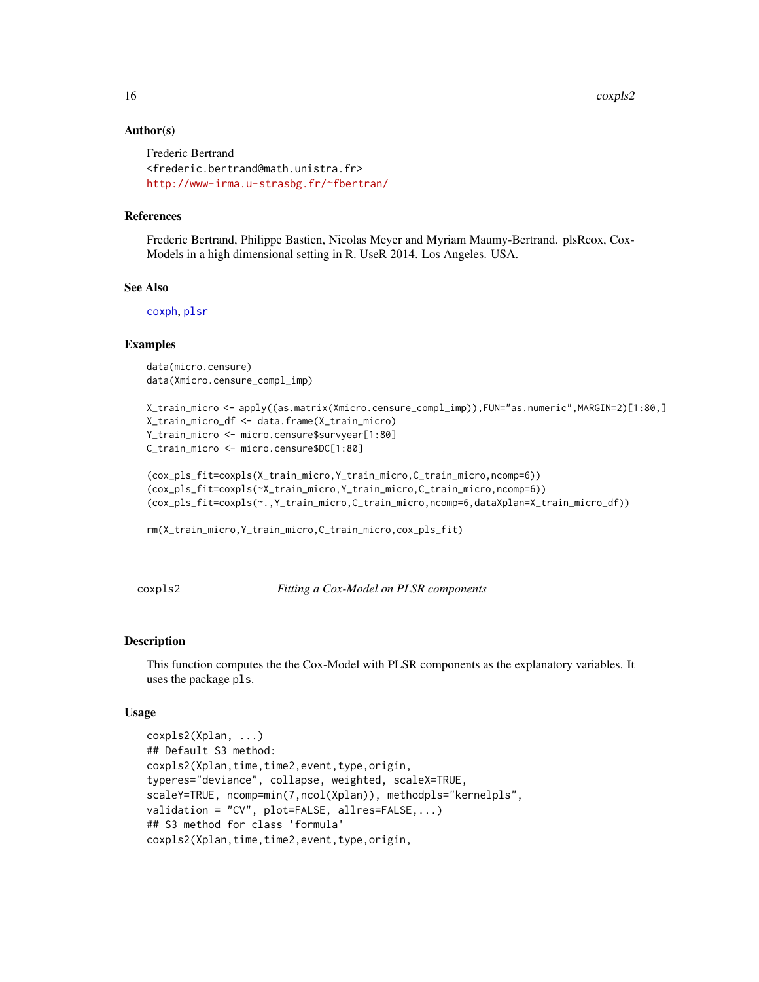#### Author(s)

```
Frederic Bertrand
<frederic.bertrand@math.unistra.fr>
http://www-irma.u-strasbg.fr/~fbertran/
```
#### References

Frederic Bertrand, Philippe Bastien, Nicolas Meyer and Myriam Maumy-Bertrand. plsRcox, Cox-Models in a high dimensional setting in R. UseR 2014. Los Angeles. USA.

#### See Also

[coxph](#page-0-0), [plsr](#page-0-0)

#### Examples

data(micro.censure) data(Xmicro.censure\_compl\_imp)

```
X_train_micro <- apply((as.matrix(Xmicro.censure_compl_imp)),FUN="as.numeric",MARGIN=2)[1:80,]
X_train_micro_df <- data.frame(X_train_micro)
Y_train_micro <- micro.censure$survyear[1:80]
C_train_micro <- micro.censure$DC[1:80]
```

```
(cox_pls_fit=coxpls(X_train_micro,Y_train_micro,C_train_micro,ncomp=6))
(cox_pls_fit=coxpls(~X_train_micro,Y_train_micro,C_train_micro,ncomp=6))
(cox_pls_fit=coxpls(~.,Y_train_micro,C_train_micro,ncomp=6,dataXplan=X_train_micro_df))
```
rm(X\_train\_micro,Y\_train\_micro,C\_train\_micro,cox\_pls\_fit)

coxpls2 *Fitting a Cox-Model on PLSR components*

#### Description

This function computes the the Cox-Model with PLSR components as the explanatory variables. It uses the package pls.

#### Usage

```
coxpls2(Xplan, ...)
## Default S3 method:
coxpls2(Xplan,time,time2,event,type,origin,
typeres="deviance", collapse, weighted, scaleX=TRUE,
scaleY=TRUE, ncomp=min(7,ncol(Xplan)), methodpls="kernelpls",
validation = "CV", plot=FALSE, allres=FALSE,...)
## S3 method for class 'formula'
coxpls2(Xplan,time,time2,event,type,origin,
```
<span id="page-15-0"></span>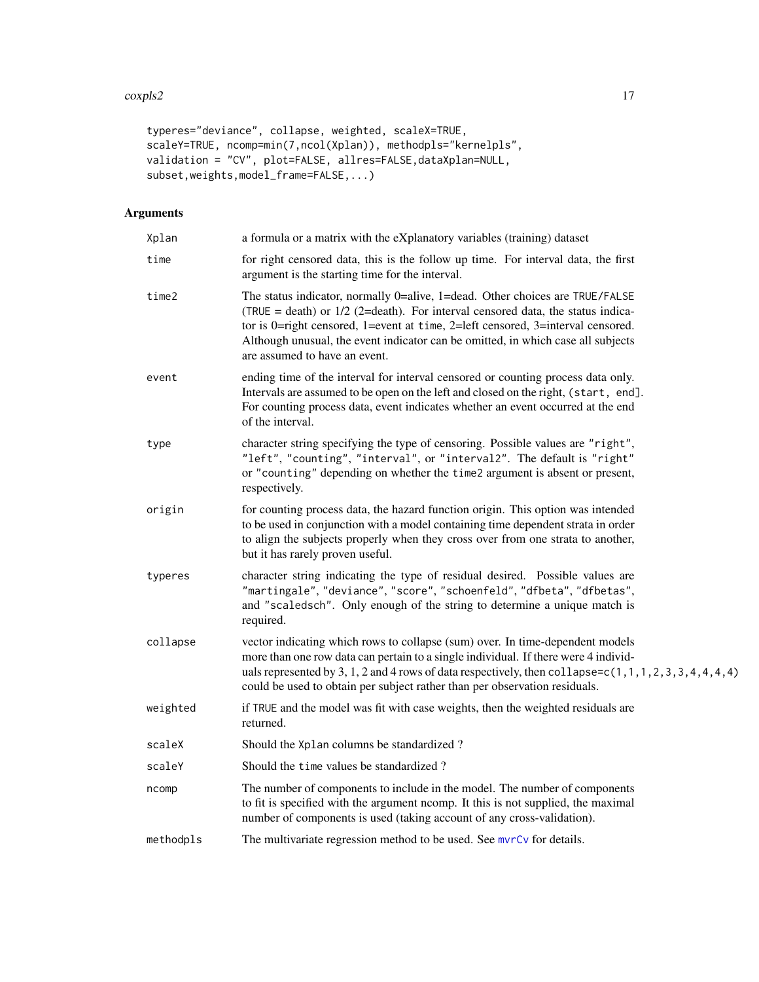#### coxpls2 17

```
typeres="deviance", collapse, weighted, scaleX=TRUE,
scaleY=TRUE, ncomp=min(7,ncol(Xplan)), methodpls="kernelpls",
validation = "CV", plot=FALSE, allres=FALSE, dataXplan=NULL,
subset,weights,model_frame=FALSE,...)
```

| Xplan     | a formula or a matrix with the eXplanatory variables (training) dataset                                                                                                                                                                                                                                                                                                   |
|-----------|---------------------------------------------------------------------------------------------------------------------------------------------------------------------------------------------------------------------------------------------------------------------------------------------------------------------------------------------------------------------------|
| time      | for right censored data, this is the follow up time. For interval data, the first<br>argument is the starting time for the interval.                                                                                                                                                                                                                                      |
| time2     | The status indicator, normally 0=alive, 1=dead. Other choices are TRUE/FALSE<br>(TRUE = death) or $1/2$ (2=death). For interval censored data, the status indica-<br>tor is 0=right censored, 1=event at time, 2=left censored, 3=interval censored.<br>Although unusual, the event indicator can be omitted, in which case all subjects<br>are assumed to have an event. |
| event     | ending time of the interval for interval censored or counting process data only.<br>Intervals are assumed to be open on the left and closed on the right, (start, end].<br>For counting process data, event indicates whether an event occurred at the end<br>of the interval.                                                                                            |
| type      | character string specifying the type of censoring. Possible values are "right",<br>"left", "counting", "interval", or "interval2". The default is "right"<br>or "counting" depending on whether the time2 argument is absent or present,<br>respectively.                                                                                                                 |
| origin    | for counting process data, the hazard function origin. This option was intended<br>to be used in conjunction with a model containing time dependent strata in order<br>to align the subjects properly when they cross over from one strata to another,<br>but it has rarely proven useful.                                                                                |
| typeres   | character string indicating the type of residual desired. Possible values are<br>"martingale", "deviance", "score", "schoenfeld", "dfbeta", "dfbetas",<br>and "scaledsch". Only enough of the string to determine a unique match is<br>required.                                                                                                                          |
| collapse  | vector indicating which rows to collapse (sum) over. In time-dependent models<br>more than one row data can pertain to a single individual. If there were 4 individ-<br>uals represented by 3, 1, 2 and 4 rows of data respectively, then collapse=c(1, 1, 1, 2, 3, 3, 4, 4, 4, 4)<br>could be used to obtain per subject rather than per observation residuals.          |
| weighted  | if TRUE and the model was fit with case weights, then the weighted residuals are<br>returned.                                                                                                                                                                                                                                                                             |
| scaleX    | Should the Xplan columns be standardized?                                                                                                                                                                                                                                                                                                                                 |
| scaleY    | Should the time values be standardized?                                                                                                                                                                                                                                                                                                                                   |
| ncomp     | The number of components to include in the model. The number of components<br>to fit is specified with the argument ncomp. It this is not supplied, the maximal<br>number of components is used (taking account of any cross-validation).                                                                                                                                 |
| methodpls | The multivariate regression method to be used. See mvrCv for details.                                                                                                                                                                                                                                                                                                     |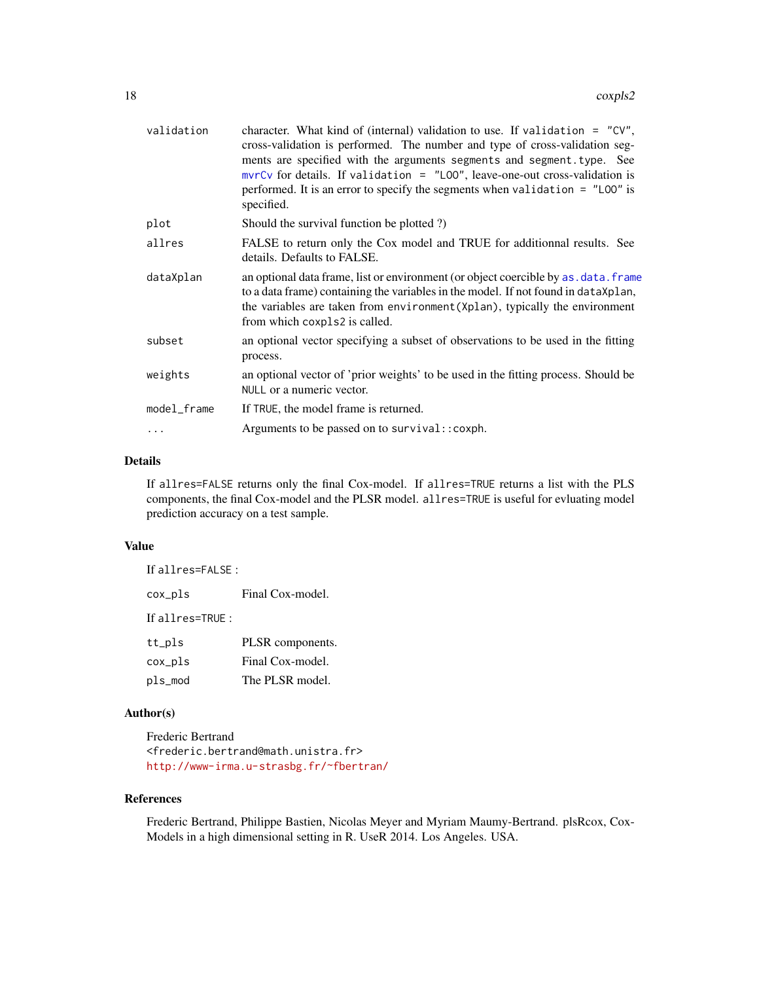| validation  | character. What kind of (internal) validation to use. If validation = $"CV",$<br>cross-validation is performed. The number and type of cross-validation seg-<br>ments are specified with the arguments segments and segment. type. See<br>$mvrCv$ for details. If validation = "LOO", leave-one-out cross-validation is<br>performed. It is an error to specify the segments when validation $=$ "LOO" is<br>specified. |
|-------------|-------------------------------------------------------------------------------------------------------------------------------------------------------------------------------------------------------------------------------------------------------------------------------------------------------------------------------------------------------------------------------------------------------------------------|
| plot        | Should the survival function be plotted?)                                                                                                                                                                                                                                                                                                                                                                               |
| allres      | FALSE to return only the Cox model and TRUE for additionnal results. See<br>details. Defaults to FALSE.                                                                                                                                                                                                                                                                                                                 |
| dataXplan   | an optional data frame, list or environment (or object coercible by as, data, frame<br>to a data frame) containing the variables in the model. If not found in dataXplan,<br>the variables are taken from environment (Xplan), typically the environment<br>from which coxpls2 is called.                                                                                                                               |
| subset      | an optional vector specifying a subset of observations to be used in the fitting<br>process.                                                                                                                                                                                                                                                                                                                            |
| weights     | an optional vector of 'prior weights' to be used in the fitting process. Should be<br>NULL or a numeric vector.                                                                                                                                                                                                                                                                                                         |
| model_frame | If TRUE, the model frame is returned.                                                                                                                                                                                                                                                                                                                                                                                   |
| .           | Arguments to be passed on to survival:: coxph.                                                                                                                                                                                                                                                                                                                                                                          |
|             |                                                                                                                                                                                                                                                                                                                                                                                                                         |

#### Details

If allres=FALSE returns only the final Cox-model. If allres=TRUE returns a list with the PLS components, the final Cox-model and the PLSR model. allres=TRUE is useful for evluating model prediction accuracy on a test sample.

#### Value

If allres=FALSE :

cox\_pls Final Cox-model. If allres=TRUE : tt\_pls PLSR components. cox\_pls Final Cox-model. pls\_mod The PLSR model.

#### Author(s)

Frederic Bertrand <frederic.bertrand@math.unistra.fr> <http://www-irma.u-strasbg.fr/~fbertran/>

# References

Frederic Bertrand, Philippe Bastien, Nicolas Meyer and Myriam Maumy-Bertrand. plsRcox, Cox-Models in a high dimensional setting in R. UseR 2014. Los Angeles. USA.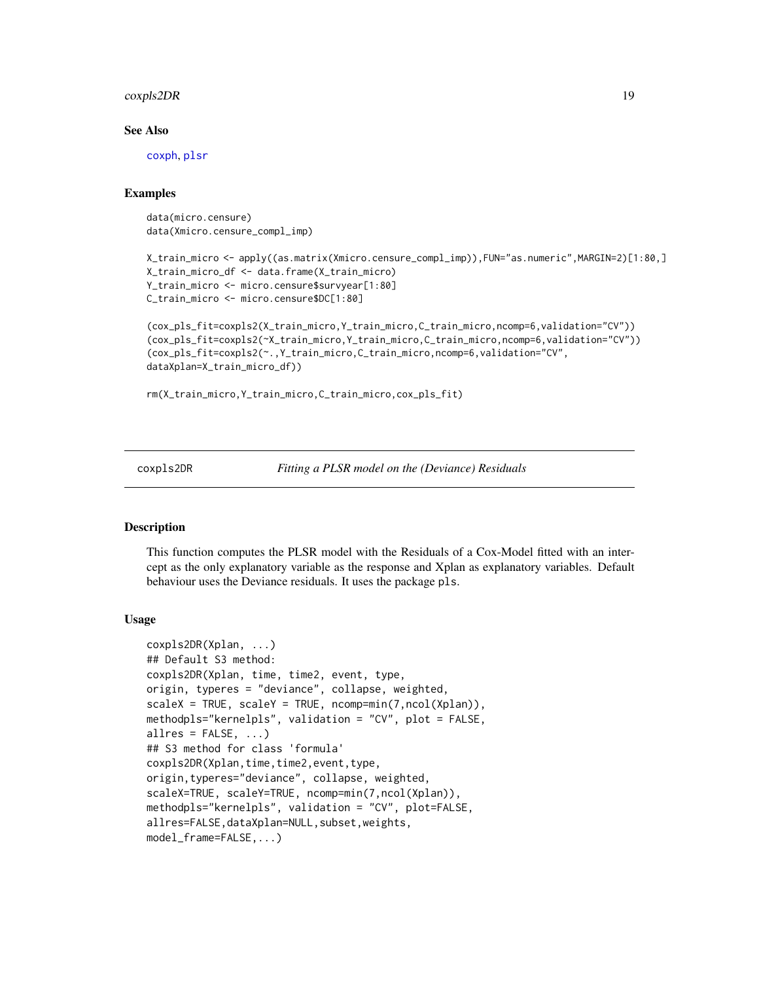#### <span id="page-18-0"></span>coxpls2DR 19

#### See Also

[coxph](#page-0-0), [plsr](#page-0-0)

#### Examples

```
data(micro.censure)
data(Xmicro.censure_compl_imp)
```

```
X_train_micro <- apply((as.matrix(Xmicro.censure_compl_imp)),FUN="as.numeric",MARGIN=2)[1:80,]
X_train_micro_df <- data.frame(X_train_micro)
Y_train_micro <- micro.censure$survyear[1:80]
C_train_micro <- micro.censure$DC[1:80]
```

```
(cox_pls_fit=coxpls2(X_train_micro,Y_train_micro,C_train_micro,ncomp=6,validation="CV"))
(cox_pls_fit=coxpls2(~X_train_micro,Y_train_micro,C_train_micro,ncomp=6,validation="CV"))
(cox_pls_fit=coxpls2(~.,Y_train_micro,C_train_micro,ncomp=6,validation="CV",
dataXplan=X_train_micro_df))
```

```
rm(X_train_micro,Y_train_micro,C_train_micro,cox_pls_fit)
```
coxpls2DR *Fitting a PLSR model on the (Deviance) Residuals*

#### **Description**

This function computes the PLSR model with the Residuals of a Cox-Model fitted with an intercept as the only explanatory variable as the response and Xplan as explanatory variables. Default behaviour uses the Deviance residuals. It uses the package pls.

#### Usage

```
coxpls2DR(Xplan, ...)
## Default S3 method:
coxpls2DR(Xplan, time, time2, event, type,
origin, typeres = "deviance", collapse, weighted,
scaleX = TRUE, scaleY = TRUE, ncomp = min(7, ncol(Xplan))methodpls="kernelpls", validation = "CV", plot = FALSE,
allres = FALSE, ...)## S3 method for class 'formula'
coxpls2DR(Xplan,time,time2,event,type,
origin,typeres="deviance", collapse, weighted,
scaleX=TRUE, scaleY=TRUE, ncomp=min(7,ncol(Xplan)),
methodpls="kernelpls", validation = "CV", plot=FALSE,
allres=FALSE, dataXplan=NULL, subset, weights,
model_frame=FALSE,...)
```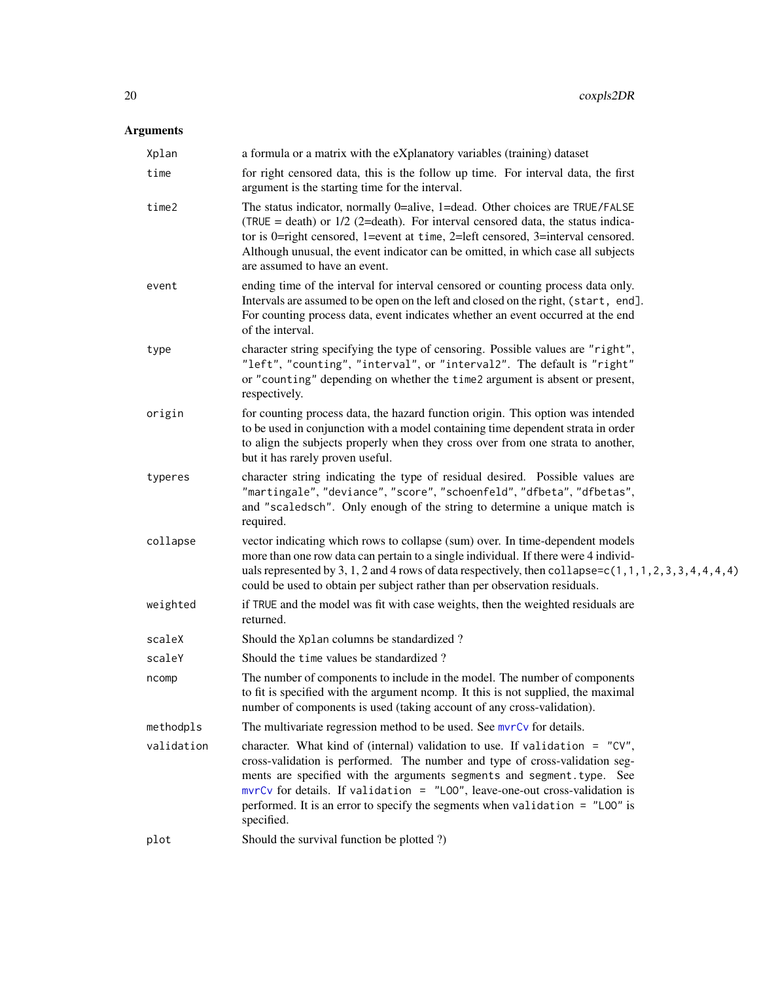| Xplan      | a formula or a matrix with the eXplanatory variables (training) dataset                                                                                                                                                                                                                                                                                                                                              |
|------------|----------------------------------------------------------------------------------------------------------------------------------------------------------------------------------------------------------------------------------------------------------------------------------------------------------------------------------------------------------------------------------------------------------------------|
| time       | for right censored data, this is the follow up time. For interval data, the first<br>argument is the starting time for the interval.                                                                                                                                                                                                                                                                                 |
| time2      | The status indicator, normally 0=alive, 1=dead. Other choices are TRUE/FALSE<br>(TRUE = death) or $1/2$ (2=death). For interval censored data, the status indica-<br>tor is 0=right censored, 1=event at time, 2=left censored, 3=interval censored.<br>Although unusual, the event indicator can be omitted, in which case all subjects<br>are assumed to have an event.                                            |
| event      | ending time of the interval for interval censored or counting process data only.<br>Intervals are assumed to be open on the left and closed on the right, (start, end].<br>For counting process data, event indicates whether an event occurred at the end<br>of the interval.                                                                                                                                       |
| type       | character string specifying the type of censoring. Possible values are "right",<br>"left", "counting", "interval", or "interval2". The default is "right"<br>or "counting" depending on whether the time2 argument is absent or present,<br>respectively.                                                                                                                                                            |
| origin     | for counting process data, the hazard function origin. This option was intended<br>to be used in conjunction with a model containing time dependent strata in order<br>to align the subjects properly when they cross over from one strata to another,<br>but it has rarely proven useful.                                                                                                                           |
| typeres    | character string indicating the type of residual desired. Possible values are<br>"martingale", "deviance", "score", "schoenfeld", "dfbeta", "dfbetas",<br>and "scaledsch". Only enough of the string to determine a unique match is<br>required.                                                                                                                                                                     |
| collapse   | vector indicating which rows to collapse (sum) over. In time-dependent models<br>more than one row data can pertain to a single individual. If there were 4 individ-<br>uals represented by 3, 1, 2 and 4 rows of data respectively, then collapse=c(1, 1, 1, 2, 3, 3, 4, 4, 4, 4)<br>could be used to obtain per subject rather than per observation residuals.                                                     |
| weighted   | if TRUE and the model was fit with case weights, then the weighted residuals are<br>returned.                                                                                                                                                                                                                                                                                                                        |
| scaleX     | Should the Xplan columns be standardized?                                                                                                                                                                                                                                                                                                                                                                            |
| scaleY     | Should the time values be standardized?                                                                                                                                                                                                                                                                                                                                                                              |
| ncomp      | The number of components to include in the model. The number of components<br>to fit is specified with the argument ncomp. It this is not supplied, the maximal<br>number of components is used (taking account of any cross-validation).                                                                                                                                                                            |
| methodpls  | The multivariate regression method to be used. See mvrCv for details.                                                                                                                                                                                                                                                                                                                                                |
| validation | character. What kind of (internal) validation to use. If validation = $"CV",$<br>cross-validation is performed. The number and type of cross-validation seg-<br>ments are specified with the arguments segments and segment.type. See<br>$mvrCv$ for details. If validation = "LOO", leave-one-out cross-validation is<br>performed. It is an error to specify the segments when validation = "LOO" is<br>specified. |
| plot       | Should the survival function be plotted ?)                                                                                                                                                                                                                                                                                                                                                                           |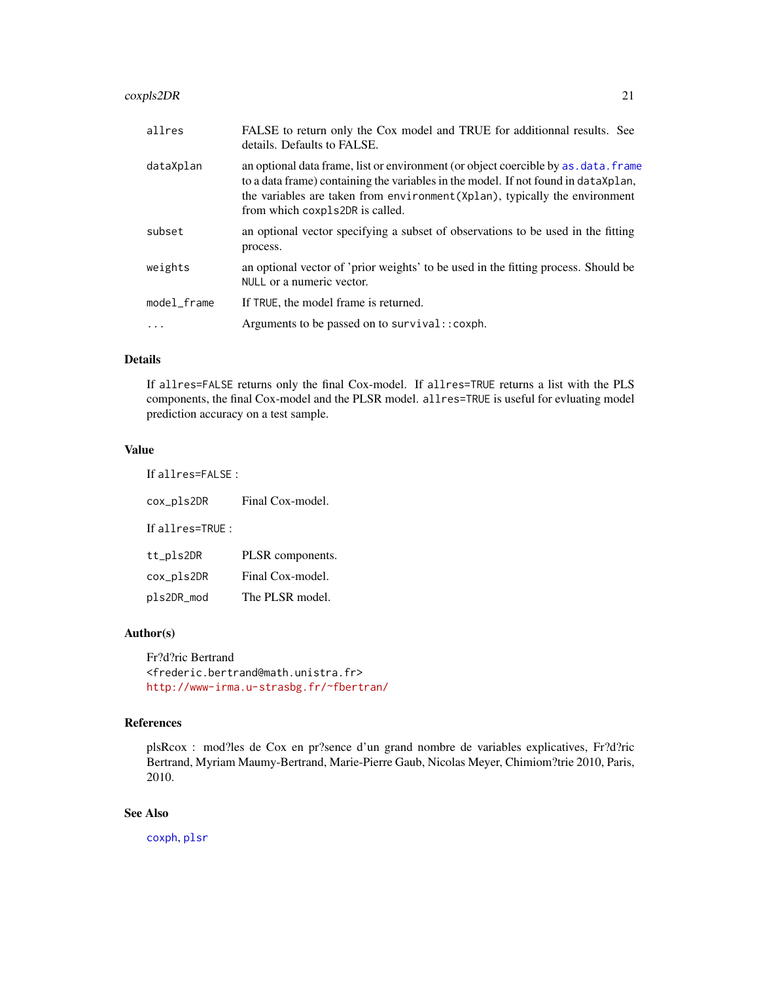## coxpls2DR 21

| allres      | FALSE to return only the Cox model and TRUE for additionnal results. See<br>details. Defaults to FALSE.                                                                                                                                                                                     |
|-------------|---------------------------------------------------------------------------------------------------------------------------------------------------------------------------------------------------------------------------------------------------------------------------------------------|
| dataXplan   | an optional data frame, list or environment (or object coercible by as, data, frame<br>to a data frame) containing the variables in the model. If not found in dataXplan,<br>the variables are taken from environment (Xplan), typically the environment<br>from which coxpls2DR is called. |
| subset      | an optional vector specifying a subset of observations to be used in the fitting<br>process.                                                                                                                                                                                                |
| weights     | an optional vector of 'prior weights' to be used in the fitting process. Should be<br>NULL or a numeric vector.                                                                                                                                                                             |
| model_frame | If TRUE, the model frame is returned.                                                                                                                                                                                                                                                       |
| .           | Arguments to be passed on to survival:: coxph.                                                                                                                                                                                                                                              |
|             |                                                                                                                                                                                                                                                                                             |

#### Details

If allres=FALSE returns only the final Cox-model. If allres=TRUE returns a list with the PLS components, the final Cox-model and the PLSR model. allres=TRUE is useful for evluating model prediction accuracy on a test sample.

# Value

If allres=FALSE : cox\_pls2DR Final Cox-model.

If allres=TRUE :

| tt_pls2DR  | PLSR components. |
|------------|------------------|
| cox_pls2DR | Final Cox-model. |
| pls2DR_mod | The PLSR model.  |

# Author(s)

Fr?d?ric Bertrand <frederic.bertrand@math.unistra.fr> <http://www-irma.u-strasbg.fr/~fbertran/>

# References

plsRcox : mod?les de Cox en pr?sence d'un grand nombre de variables explicatives, Fr?d?ric Bertrand, Myriam Maumy-Bertrand, Marie-Pierre Gaub, Nicolas Meyer, Chimiom?trie 2010, Paris, 2010.

# See Also

[coxph](#page-0-0), [plsr](#page-0-0)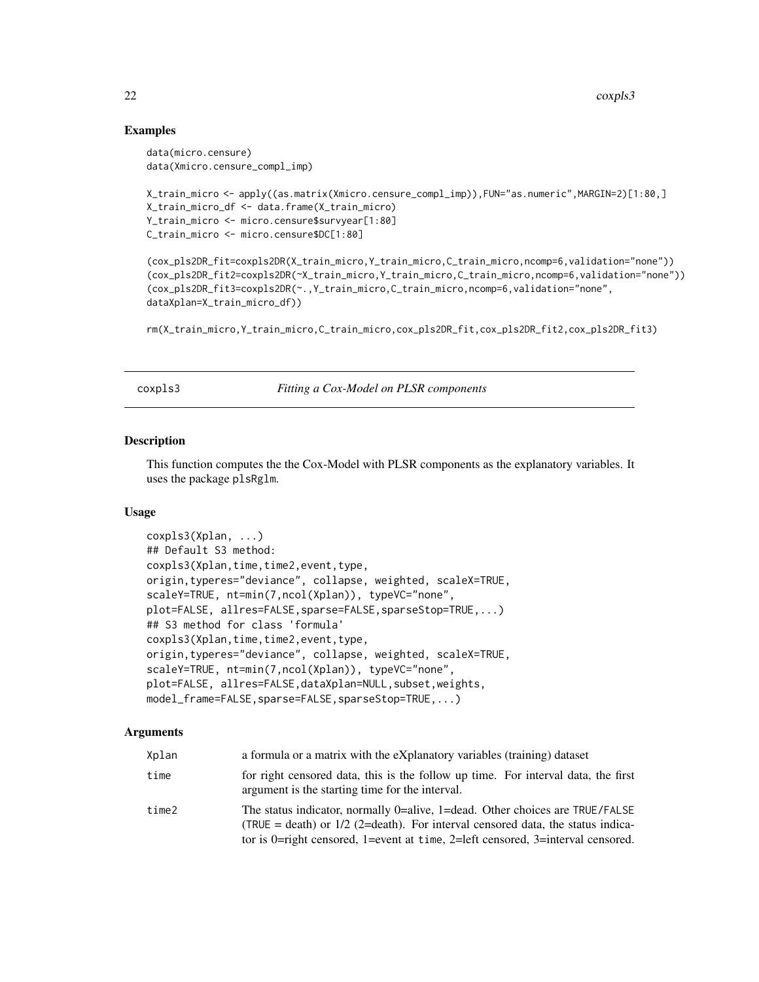#### Examples

```
data(micro.censure)
data(Xmicro.censure_compl_imp)
```

```
X_train_micro <- apply((as.matrix(Xmicro.censure_compl_imp)),FUN="as.numeric",MARGIN=2)[1:80,]
X_train_micro_df <- data.frame(X_train_micro)
Y_train_micro <- micro.censure$survyear[1:80]
C_train_micro <- micro.censure$DC[1:80]
```
(cox\_pls2DR\_fit=coxpls2DR(X\_train\_micro,Y\_train\_micro,C\_train\_micro,ncomp=6,validation="none")) (cox\_pls2DR\_fit2=coxpls2DR(~X\_train\_micro,Y\_train\_micro,C\_train\_micro,ncomp=6,validation="none")) (cox\_pls2DR\_fit3=coxpls2DR(~.,Y\_train\_micro,C\_train\_micro,ncomp=6,validation="none", dataXplan=X\_train\_micro\_df))

rm(X\_train\_micro,Y\_train\_micro,C\_train\_micro,cox\_pls2DR\_fit,cox\_pls2DR\_fit2,cox\_pls2DR\_fit3)

coxpls3 *Fitting a Cox-Model on PLSR components*

#### Description

This function computes the the Cox-Model with PLSR components as the explanatory variables. It uses the package plsRglm.

#### Usage

```
coxpls3(Xplan, ...)
## Default S3 method:
coxpls3(Xplan,time,time2,event,type,
origin,typeres="deviance", collapse, weighted, scaleX=TRUE,
scaleY=TRUE, nt=min(7,ncol(Xplan)), typeVC="none",
plot=FALSE, allres=FALSE,sparse=FALSE,sparseStop=TRUE,...)
## S3 method for class 'formula'
coxpls3(Xplan,time,time2,event,type,
origin,typeres="deviance", collapse, weighted, scaleX=TRUE,
scaleY=TRUE, nt=min(7,ncol(Xplan)), typeVC="none",
plot=FALSE, allres=FALSE,dataXplan=NULL,subset,weights,
model_frame=FALSE,sparse=FALSE,sparseStop=TRUE,...)
```

| Xplan | a formula or a matrix with the eXplanatory variables (training) dataset                                                                                                                                                                                  |
|-------|----------------------------------------------------------------------------------------------------------------------------------------------------------------------------------------------------------------------------------------------------------|
| time  | for right censored data, this is the follow up time. For interval data, the first<br>argument is the starting time for the interval.                                                                                                                     |
| time2 | The status indicator, normally 0 = alive, 1 = dead. Other choices are TRUE/FALSE<br>(TRUE = death) or $1/2$ (2=death). For interval censored data, the status indica-<br>tor is 0=right censored, 1=event at time, 2=left censored, 3=interval censored. |

<span id="page-21-0"></span>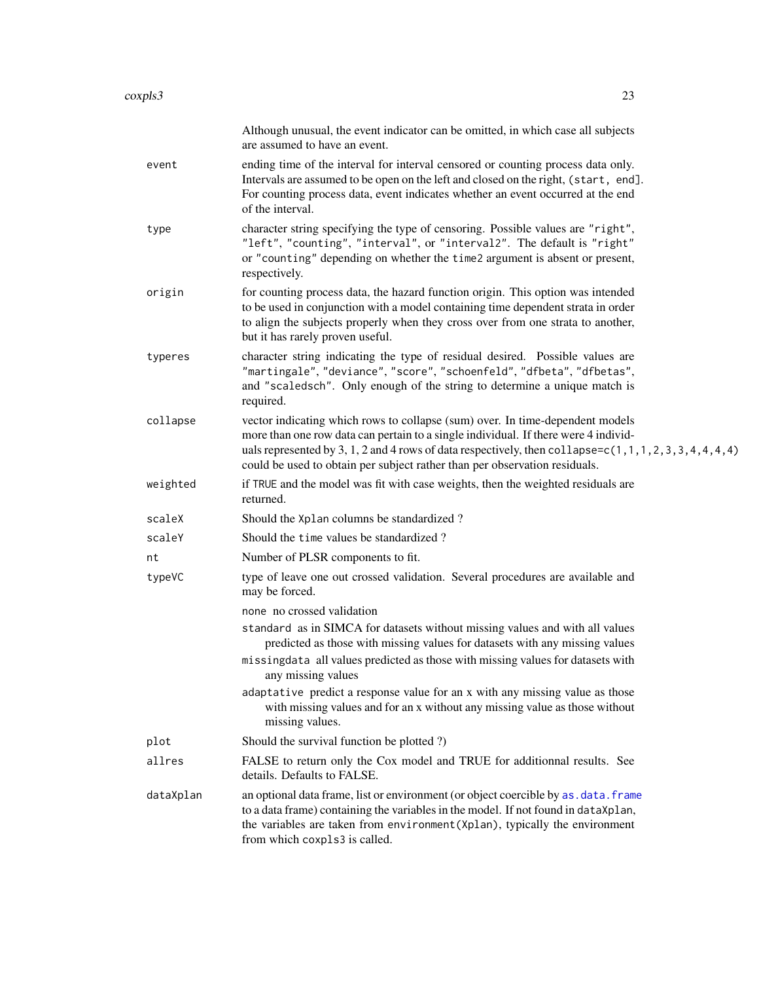|           | Although unusual, the event indicator can be omitted, in which case all subjects<br>are assumed to have an event.                                                                                                                                                                                                                                                   |
|-----------|---------------------------------------------------------------------------------------------------------------------------------------------------------------------------------------------------------------------------------------------------------------------------------------------------------------------------------------------------------------------|
| event     | ending time of the interval for interval censored or counting process data only.<br>Intervals are assumed to be open on the left and closed on the right, (start, end].<br>For counting process data, event indicates whether an event occurred at the end<br>of the interval.                                                                                      |
| type      | character string specifying the type of censoring. Possible values are "right",<br>"left", "counting", "interval", or "interval2". The default is "right"<br>or "counting" depending on whether the time2 argument is absent or present,<br>respectively.                                                                                                           |
| origin    | for counting process data, the hazard function origin. This option was intended<br>to be used in conjunction with a model containing time dependent strata in order<br>to align the subjects properly when they cross over from one strata to another,<br>but it has rarely proven useful.                                                                          |
| typeres   | character string indicating the type of residual desired. Possible values are<br>"martingale", "deviance", "score", "schoenfeld", "dfbeta", "dfbetas",<br>and "scaledsch". Only enough of the string to determine a unique match is<br>required.                                                                                                                    |
| collapse  | vector indicating which rows to collapse (sum) over. In time-dependent models<br>more than one row data can pertain to a single individual. If there were 4 individ-<br>uals represented by 3, 1, 2 and 4 rows of data respectively, then collapse= $c(1, 1, 1, 2, 3, 3, 4, 4, 4, 4)$<br>could be used to obtain per subject rather than per observation residuals. |
| weighted  | if TRUE and the model was fit with case weights, then the weighted residuals are<br>returned.                                                                                                                                                                                                                                                                       |
| scaleX    | Should the Xplan columns be standardized?                                                                                                                                                                                                                                                                                                                           |
| scaleY    | Should the time values be standardized?                                                                                                                                                                                                                                                                                                                             |
| nt        | Number of PLSR components to fit.                                                                                                                                                                                                                                                                                                                                   |
| typeVC    | type of leave one out crossed validation. Several procedures are available and<br>may be forced.                                                                                                                                                                                                                                                                    |
|           | none no crossed validation                                                                                                                                                                                                                                                                                                                                          |
|           | standard as in SIMCA for datasets without missing values and with all values<br>predicted as those with missing values for datasets with any missing values                                                                                                                                                                                                         |
|           | missingdata all values predicted as those with missing values for datasets with<br>any missing values                                                                                                                                                                                                                                                               |
|           | adaptative predict a response value for an x with any missing value as those<br>with missing values and for an x without any missing value as those without<br>missing values.                                                                                                                                                                                      |
| plot      | Should the survival function be plotted ?)                                                                                                                                                                                                                                                                                                                          |
| allres    | FALSE to return only the Cox model and TRUE for additionnal results. See<br>details. Defaults to FALSE.                                                                                                                                                                                                                                                             |
| dataXplan | an optional data frame, list or environment (or object coercible by as . data. frame<br>to a data frame) containing the variables in the model. If not found in dataXplan,<br>the variables are taken from environment (Xplan), typically the environment<br>from which coxpls3 is called.                                                                          |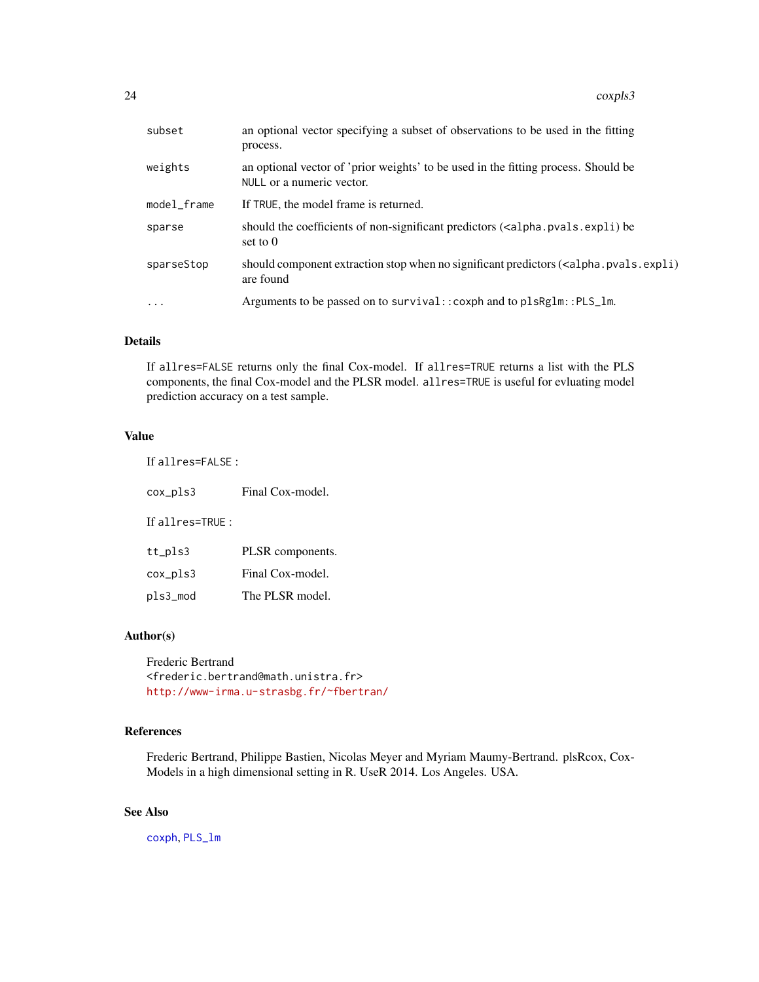| subset      | an optional vector specifying a subset of observations to be used in the fitting<br>process.                                    |
|-------------|---------------------------------------------------------------------------------------------------------------------------------|
| weights     | an optional vector of 'prior weights' to be used in the fitting process. Should be<br>NULL or a numeric vector.                 |
| model frame | If TRUE, the model frame is returned.                                                                                           |
| sparse      | should the coefficients of non-significant predictors ( <alpha.pvals.expli) be<br="">set to <math>0</math></alpha.pvals.expli)> |
| sparseStop  | should component extraction stop when no significant predictors ( <alpha.pvals.expli)<br>are found</alpha.pvals.expli)<br>      |
| $\ddotsc$   | Arguments to be passed on to survival::coxph and to plsRglm::PLS_lm.                                                            |
|             |                                                                                                                                 |

#### Details

If allres=FALSE returns only the final Cox-model. If allres=TRUE returns a list with the PLS components, the final Cox-model and the PLSR model. allres=TRUE is useful for evluating model prediction accuracy on a test sample.

# Value

If allres=FALSE :

cox\_pls3 Final Cox-model.

If allres=TRUE :

| tt_pls3  | PLSR components. |
|----------|------------------|
| cox_pls3 | Final Cox-model. |
| pls3_mod | The PLSR model.  |

## Author(s)

Frederic Bertrand <frederic.bertrand@math.unistra.fr> <http://www-irma.u-strasbg.fr/~fbertran/>

# References

Frederic Bertrand, Philippe Bastien, Nicolas Meyer and Myriam Maumy-Bertrand. plsRcox, Cox-Models in a high dimensional setting in R. UseR 2014. Los Angeles. USA.

# See Also

[coxph](#page-0-0), [PLS\\_lm](#page-0-0)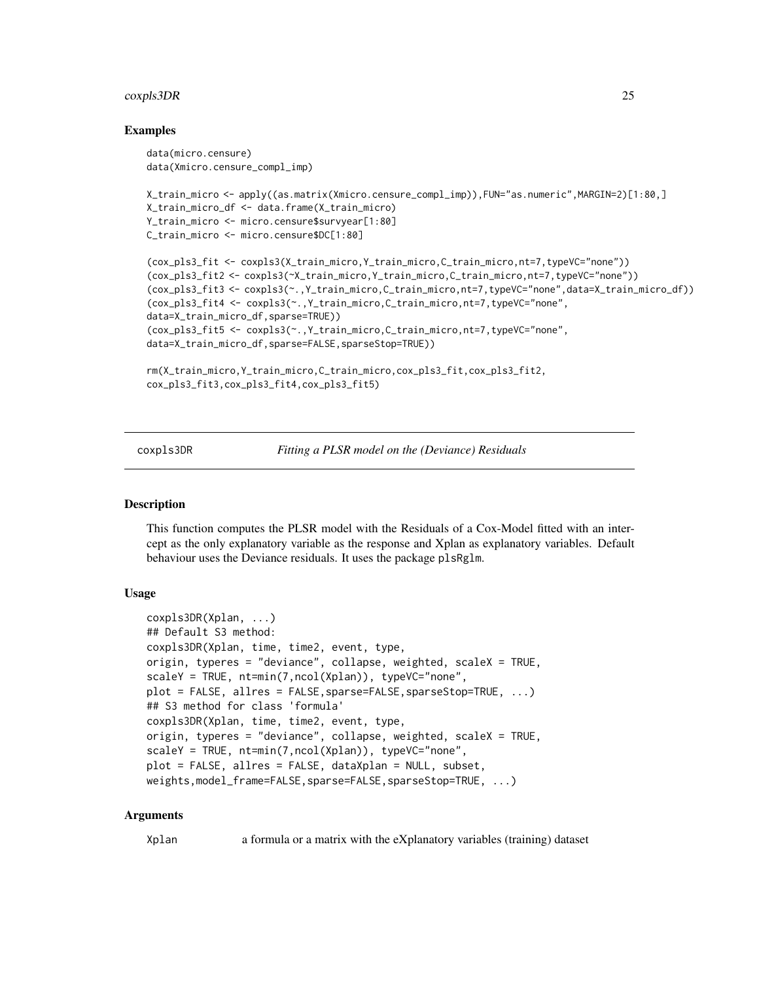#### <span id="page-24-0"></span>coxpls3DR 25

#### Examples

```
data(micro.censure)
data(Xmicro.censure_compl_imp)
X_train_micro <- apply((as.matrix(Xmicro.censure_compl_imp)),FUN="as.numeric",MARGIN=2)[1:80,]
X_train_micro_df <- data.frame(X_train_micro)
Y_train_micro <- micro.censure$survyear[1:80]
C_train_micro <- micro.censure$DC[1:80]
(cox_pls3_fit <- coxpls3(X_train_micro,Y_train_micro,C_train_micro,nt=7,typeVC="none"))
(cox_pls3_fit2 <- coxpls3(~X_train_micro,Y_train_micro,C_train_micro,nt=7,typeVC="none"))
(cox_pls3_fit3 <- coxpls3(~.,Y_train_micro,C_train_micro,nt=7,typeVC="none",data=X_train_micro_df))
(cox_pls3_fit4 <- coxpls3(~.,Y_train_micro,C_train_micro,nt=7,typeVC="none",
data=X_train_micro_df,sparse=TRUE))
(cox_pls3_fit5 <- coxpls3(~.,Y_train_micro,C_train_micro,nt=7,typeVC="none",
data=X_train_micro_df,sparse=FALSE,sparseStop=TRUE))
rm(X_train_micro,Y_train_micro,C_train_micro,cox_pls3_fit,cox_pls3_fit2,
cox_pls3_fit3,cox_pls3_fit4,cox_pls3_fit5)
```
coxpls3DR *Fitting a PLSR model on the (Deviance) Residuals*

#### Description

This function computes the PLSR model with the Residuals of a Cox-Model fitted with an intercept as the only explanatory variable as the response and Xplan as explanatory variables. Default behaviour uses the Deviance residuals. It uses the package plsRglm.

#### Usage

```
coxpls3DR(Xplan, ...)
## Default S3 method:
coxpls3DR(Xplan, time, time2, event, type,
origin, typeres = "deviance", collapse, weighted, scaleX = TRUE,
scaleY = TRUE, nt=min(7,ncol(Xplan)), typeVC="none",
plot = FALSE, allres = FALSE,sparse=FALSE,sparseStop=TRUE, ...)
## S3 method for class 'formula'
coxpls3DR(Xplan, time, time2, event, type,
origin, typeres = "deviance", collapse, weighted, scaleX = TRUE,
scaleY = TRUE, nt=min(7,ncol(Xplan)), typeVC="none",
plot = FALSE, allres = FALSE, dataXplan = NULL, subset,
weights,model_frame=FALSE,sparse=FALSE,sparseStop=TRUE, ...)
```
#### Arguments

Xplan a formula or a matrix with the eXplanatory variables (training) dataset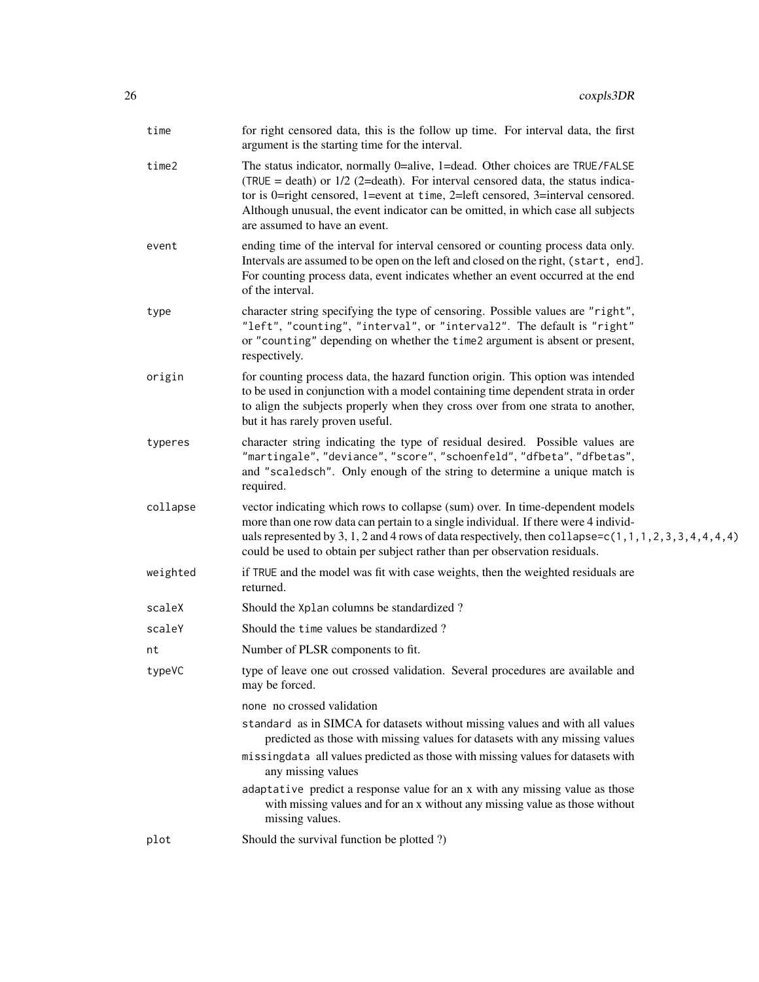| time     | for right censored data, this is the follow up time. For interval data, the first<br>argument is the starting time for the interval.                                                                                                                                                                                                                                      |
|----------|---------------------------------------------------------------------------------------------------------------------------------------------------------------------------------------------------------------------------------------------------------------------------------------------------------------------------------------------------------------------------|
| time2    | The status indicator, normally 0=alive, 1=dead. Other choices are TRUE/FALSE<br>(TRUE = death) or $1/2$ (2=death). For interval censored data, the status indica-<br>tor is 0=right censored, 1=event at time, 2=left censored, 3=interval censored.<br>Although unusual, the event indicator can be omitted, in which case all subjects<br>are assumed to have an event. |
| event    | ending time of the interval for interval censored or counting process data only.<br>Intervals are assumed to be open on the left and closed on the right, (start, end].<br>For counting process data, event indicates whether an event occurred at the end<br>of the interval.                                                                                            |
| type     | character string specifying the type of censoring. Possible values are "right",<br>"left", "counting", "interval", or "interval2". The default is "right"<br>or "counting" depending on whether the time2 argument is absent or present,<br>respectively.                                                                                                                 |
| origin   | for counting process data, the hazard function origin. This option was intended<br>to be used in conjunction with a model containing time dependent strata in order<br>to align the subjects properly when they cross over from one strata to another,<br>but it has rarely proven useful.                                                                                |
| typeres  | character string indicating the type of residual desired. Possible values are<br>"martingale", "deviance", "score", "schoenfeld", "dfbeta", "dfbetas",<br>and "scaledsch". Only enough of the string to determine a unique match is<br>required.                                                                                                                          |
| collapse | vector indicating which rows to collapse (sum) over. In time-dependent models<br>more than one row data can pertain to a single individual. If there were 4 individ-<br>uals represented by 3, 1, 2 and 4 rows of data respectively, then collapse=c(1,1,1,2,3,3,4,4,4,4)<br>could be used to obtain per subject rather than per observation residuals.                   |
| weighted | if TRUE and the model was fit with case weights, then the weighted residuals are<br>returned.                                                                                                                                                                                                                                                                             |
| scaleX   | Should the Xplan columns be standardized?                                                                                                                                                                                                                                                                                                                                 |
| scaleY   | Should the time values be standardized?                                                                                                                                                                                                                                                                                                                                   |
| nt       | Number of PLSR components to fit.                                                                                                                                                                                                                                                                                                                                         |
| typeVC   | type of leave one out crossed validation. Several procedures are available and<br>may be forced.                                                                                                                                                                                                                                                                          |
|          | none no crossed validation<br>standard as in SIMCA for datasets without missing values and with all values<br>predicted as those with missing values for datasets with any missing values<br>missingdata all values predicted as those with missing values for datasets with<br>any missing values                                                                        |
|          | adaptative predict a response value for an x with any missing value as those<br>with missing values and for an x without any missing value as those without<br>missing values.                                                                                                                                                                                            |
| plot     | Should the survival function be plotted ?)                                                                                                                                                                                                                                                                                                                                |
|          |                                                                                                                                                                                                                                                                                                                                                                           |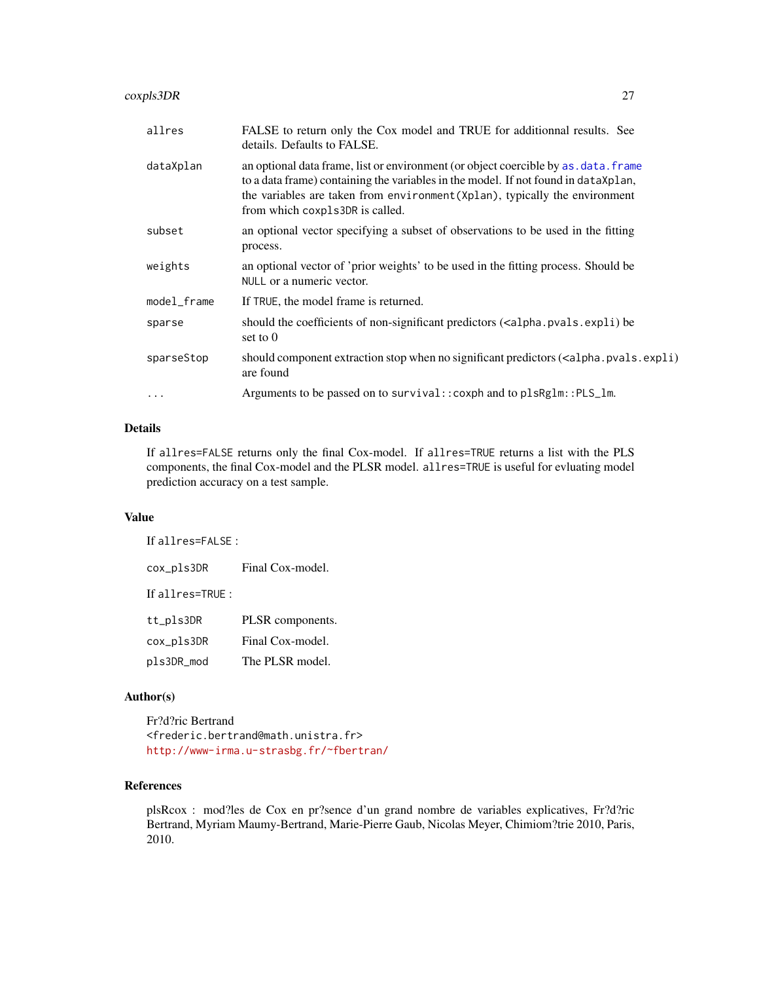## coxpls3DR 27

| allres      | FALSE to return only the Cox model and TRUE for additionnal results. See<br>details. Defaults to FALSE.                                                                                                                                                                                      |
|-------------|----------------------------------------------------------------------------------------------------------------------------------------------------------------------------------------------------------------------------------------------------------------------------------------------|
| dataXplan   | an optional data frame, list or environment (or object coercible by as . data. frame<br>to a data frame) containing the variables in the model. If not found in dataXplan,<br>the variables are taken from environment (Xplan), typically the environment<br>from which coxpls3DR is called. |
| subset      | an optional vector specifying a subset of observations to be used in the fitting<br>process.                                                                                                                                                                                                 |
| weights     | an optional vector of 'prior weights' to be used in the fitting process. Should be<br>NULL or a numeric vector.                                                                                                                                                                              |
| model_frame | If TRUE, the model frame is returned.                                                                                                                                                                                                                                                        |
| sparse      | should the coefficients of non-significant predictors ( <alpha.pvals.expli) be<br="">set to <math>0</math></alpha.pvals.expli)>                                                                                                                                                              |
| sparseStop  | should component extraction stop when no significant predictors ( <alpha.pvals.expli)<br>are found</alpha.pvals.expli)<br>                                                                                                                                                                   |
| $\cdot$     | Arguments to be passed on to survival:: coxph and to plsRglm:: PLS_lm.                                                                                                                                                                                                                       |
|             |                                                                                                                                                                                                                                                                                              |

#### Details

If allres=FALSE returns only the final Cox-model. If allres=TRUE returns a list with the PLS components, the final Cox-model and the PLSR model. allres=TRUE is useful for evluating model prediction accuracy on a test sample.

#### Value

If allres=FALSE :

cox\_pls3DR Final Cox-model. If allres=TRUE :

| tt_pls3DR  | PLSR components. |
|------------|------------------|
| cox_pls3DR | Final Cox-model. |
| pls3DR_mod | The PLSR model.  |

#### Author(s)

Fr?d?ric Bertrand <frederic.bertrand@math.unistra.fr> <http://www-irma.u-strasbg.fr/~fbertran/>

#### References

plsRcox : mod?les de Cox en pr?sence d'un grand nombre de variables explicatives, Fr?d?ric Bertrand, Myriam Maumy-Bertrand, Marie-Pierre Gaub, Nicolas Meyer, Chimiom?trie 2010, Paris, 2010.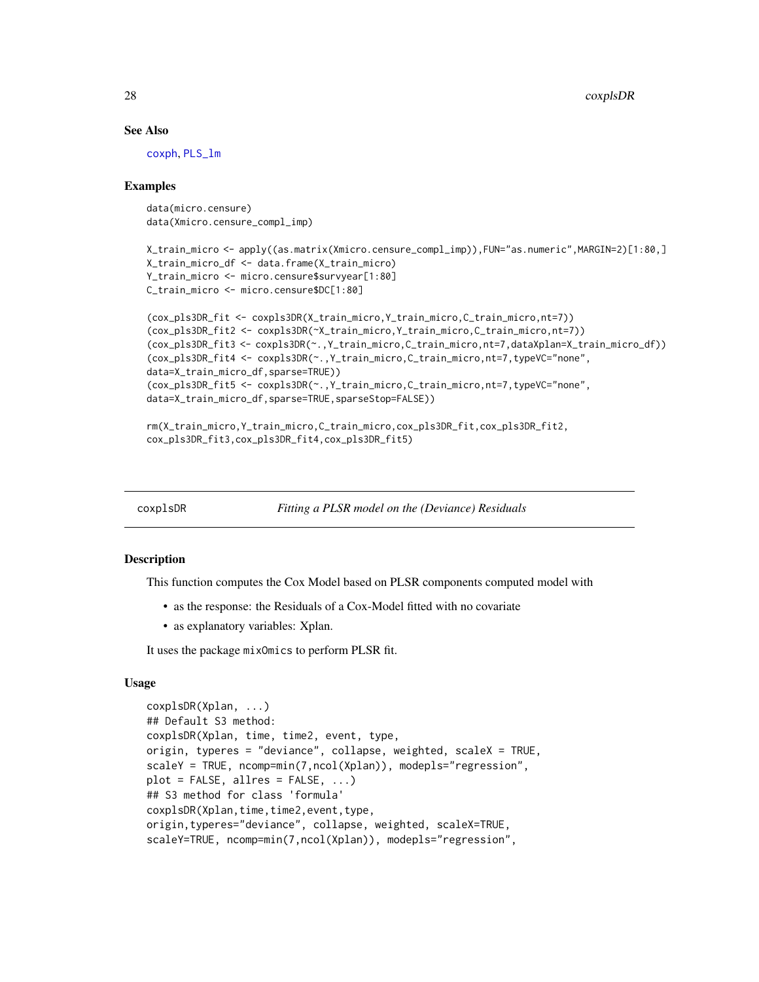#### See Also

[coxph](#page-0-0), [PLS\\_lm](#page-0-0)

#### Examples

data(micro.censure) data(Xmicro.censure\_compl\_imp)

```
X_train_micro <- apply((as.matrix(Xmicro.censure_compl_imp)),FUN="as.numeric",MARGIN=2)[1:80,]
X_train_micro_df <- data.frame(X_train_micro)
Y_train_micro <- micro.censure$survyear[1:80]
C_train_micro <- micro.censure$DC[1:80]
```

```
(cox_pls3DR_fit <- coxpls3DR(X_train_micro,Y_train_micro,C_train_micro,nt=7))
(cox_pls3DR_fit2 <- coxpls3DR(~X_train_micro,Y_train_micro,C_train_micro,nt=7))
(cox_pls3DR_fit3 <- coxpls3DR(~.,Y_train_micro,C_train_micro,nt=7,dataXplan=X_train_micro_df))
(cox_pls3DR_fit4 <- coxpls3DR(~.,Y_train_micro,C_train_micro,nt=7,typeVC="none",
data=X_train_micro_df,sparse=TRUE))
(cox_pls3DR_fit5 <- coxpls3DR(~.,Y_train_micro,C_train_micro,nt=7,typeVC="none",
data=X_train_micro_df,sparse=TRUE,sparseStop=FALSE))
```

```
rm(X_train_micro,Y_train_micro,C_train_micro,cox_pls3DR_fit,cox_pls3DR_fit2,
cox_pls3DR_fit3,cox_pls3DR_fit4,cox_pls3DR_fit5)
```
coxplsDR *Fitting a PLSR model on the (Deviance) Residuals*

#### Description

This function computes the Cox Model based on PLSR components computed model with

- as the response: the Residuals of a Cox-Model fitted with no covariate
- as explanatory variables: Xplan.

It uses the package mixOmics to perform PLSR fit.

#### Usage

```
coxplsDR(Xplan, ...)
## Default S3 method:
coxplsDR(Xplan, time, time2, event, type,
origin, typeres = "deviance", collapse, weighted, scaleX = TRUE,
scaleY = TRUE, ncomp=min(7,ncol(Xplan)), modepls="regression",
plot = FALSE, allres = FALSE, ...)## S3 method for class 'formula'
coxplsDR(Xplan,time,time2,event,type,
origin,typeres="deviance", collapse, weighted, scaleX=TRUE,
scaleY=TRUE, ncomp=min(7,ncol(Xplan)), modepls="regression",
```
<span id="page-27-0"></span>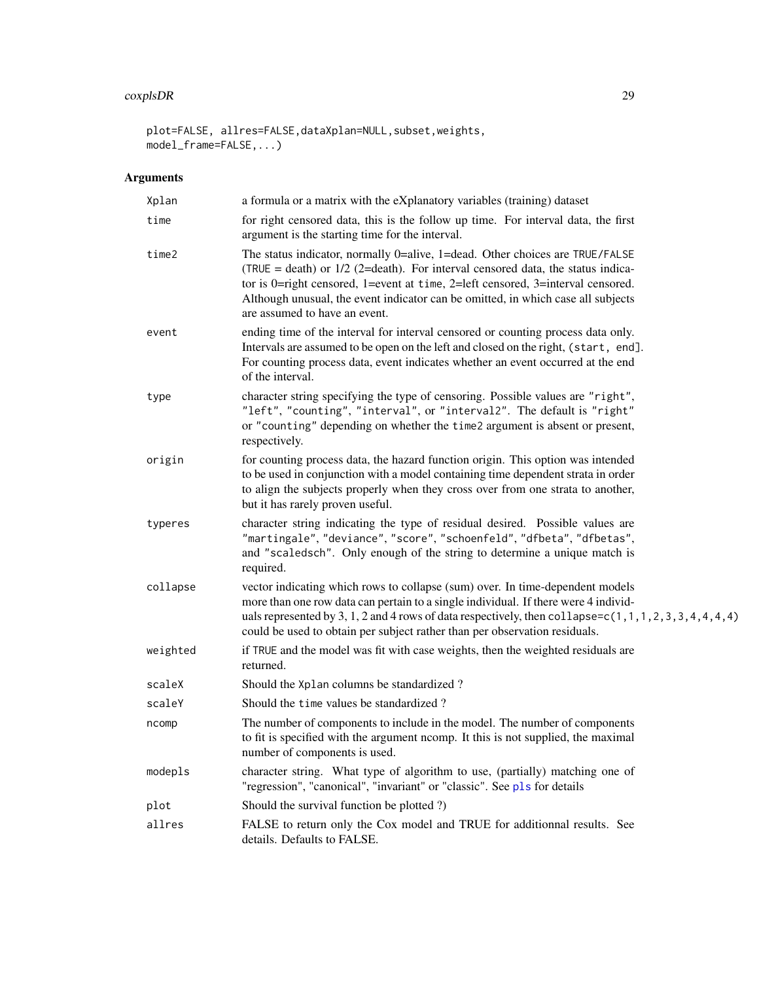# coxplsDR 29

plot=FALSE, allres=FALSE,dataXplan=NULL,subset,weights, model\_frame=FALSE,...)

| Xplan    | a formula or a matrix with the eXplanatory variables (training) dataset                                                                                                                                                                                                                                                                                                   |
|----------|---------------------------------------------------------------------------------------------------------------------------------------------------------------------------------------------------------------------------------------------------------------------------------------------------------------------------------------------------------------------------|
| time     | for right censored data, this is the follow up time. For interval data, the first<br>argument is the starting time for the interval.                                                                                                                                                                                                                                      |
| time2    | The status indicator, normally 0=alive, 1=dead. Other choices are TRUE/FALSE<br>(TRUE = death) or $1/2$ (2=death). For interval censored data, the status indica-<br>tor is 0=right censored, 1=event at time, 2=left censored, 3=interval censored.<br>Although unusual, the event indicator can be omitted, in which case all subjects<br>are assumed to have an event. |
| event    | ending time of the interval for interval censored or counting process data only.<br>Intervals are assumed to be open on the left and closed on the right, (start, end].<br>For counting process data, event indicates whether an event occurred at the end<br>of the interval.                                                                                            |
| type     | character string specifying the type of censoring. Possible values are "right",<br>"left", "counting", "interval", or "interval2". The default is "right"<br>or "counting" depending on whether the time2 argument is absent or present,<br>respectively.                                                                                                                 |
| origin   | for counting process data, the hazard function origin. This option was intended<br>to be used in conjunction with a model containing time dependent strata in order<br>to align the subjects properly when they cross over from one strata to another,<br>but it has rarely proven useful.                                                                                |
| typeres  | character string indicating the type of residual desired. Possible values are<br>"martingale", "deviance", "score", "schoenfeld", "dfbeta", "dfbetas",<br>and "scaledsch". Only enough of the string to determine a unique match is<br>required.                                                                                                                          |
| collapse | vector indicating which rows to collapse (sum) over. In time-dependent models<br>more than one row data can pertain to a single individual. If there were 4 individ-<br>uals represented by 3, 1, 2 and 4 rows of data respectively, then collapse= $c(1, 1, 1, 2, 3, 3, 4, 4, 4, 4)$<br>could be used to obtain per subject rather than per observation residuals.       |
| weighted | if TRUE and the model was fit with case weights, then the weighted residuals are<br>returned.                                                                                                                                                                                                                                                                             |
| scaleX   | Should the Xplan columns be standardized?                                                                                                                                                                                                                                                                                                                                 |
| scaleY   | Should the time values be standardized?                                                                                                                                                                                                                                                                                                                                   |
| ncomp    | The number of components to include in the model. The number of components<br>to fit is specified with the argument ncomp. It this is not supplied, the maximal<br>number of components is used.                                                                                                                                                                          |
| modepls  | character string. What type of algorithm to use, (partially) matching one of<br>"regression", "canonical", "invariant" or "classic". See pls for details                                                                                                                                                                                                                  |
| plot     | Should the survival function be plotted ?)                                                                                                                                                                                                                                                                                                                                |
| allres   | FALSE to return only the Cox model and TRUE for additionnal results. See<br>details. Defaults to FALSE.                                                                                                                                                                                                                                                                   |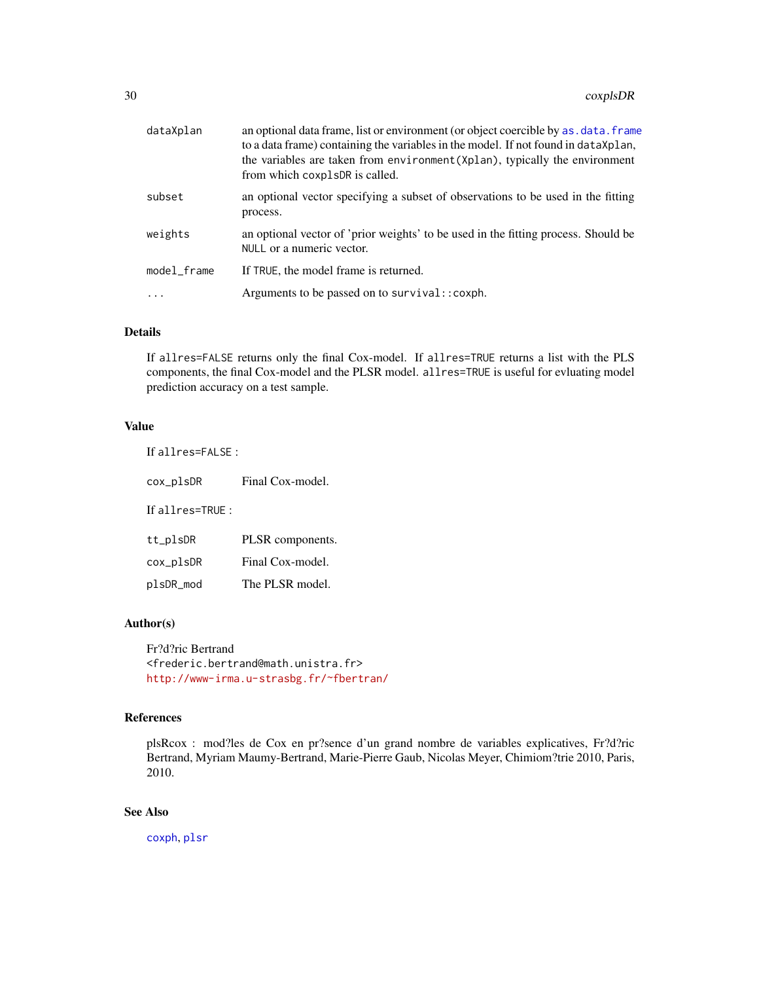| dataXplan   | an optional data frame, list or environment (or object coercible by as . data. frame<br>to a data frame) containing the variables in the model. If not found in data Xplan,<br>the variables are taken from environment (Xplan), typically the environment<br>from which coxplsDR is called. |
|-------------|----------------------------------------------------------------------------------------------------------------------------------------------------------------------------------------------------------------------------------------------------------------------------------------------|
| subset      | an optional vector specifying a subset of observations to be used in the fitting<br>process.                                                                                                                                                                                                 |
| weights     | an optional vector of 'prior weights' to be used in the fitting process. Should be<br>NULL or a numeric vector.                                                                                                                                                                              |
| model_frame | If TRUE, the model frame is returned.                                                                                                                                                                                                                                                        |
| $\ddots$ .  | Arguments to be passed on to survival:: coxph.                                                                                                                                                                                                                                               |

## Details

If allres=FALSE returns only the final Cox-model. If allres=TRUE returns a list with the PLS components, the final Cox-model and the PLSR model. allres=TRUE is useful for evluating model prediction accuracy on a test sample.

#### Value

| If allres= $FALSE:$ |                  |  |
|---------------------|------------------|--|
| cox_plsDR           | Final Cox-model. |  |
| If all $res=TRUF:$  |                  |  |
| tt_plsDR            | PLSR components. |  |
| cox_plsDR           | Final Cox-model. |  |
| plsDR_mod           | The PLSR model.  |  |

## Author(s)

Fr?d?ric Bertrand <frederic.bertrand@math.unistra.fr> <http://www-irma.u-strasbg.fr/~fbertran/>

# References

plsRcox : mod?les de Cox en pr?sence d'un grand nombre de variables explicatives, Fr?d?ric Bertrand, Myriam Maumy-Bertrand, Marie-Pierre Gaub, Nicolas Meyer, Chimiom?trie 2010, Paris, 2010.

# See Also

[coxph](#page-0-0), [plsr](#page-0-0)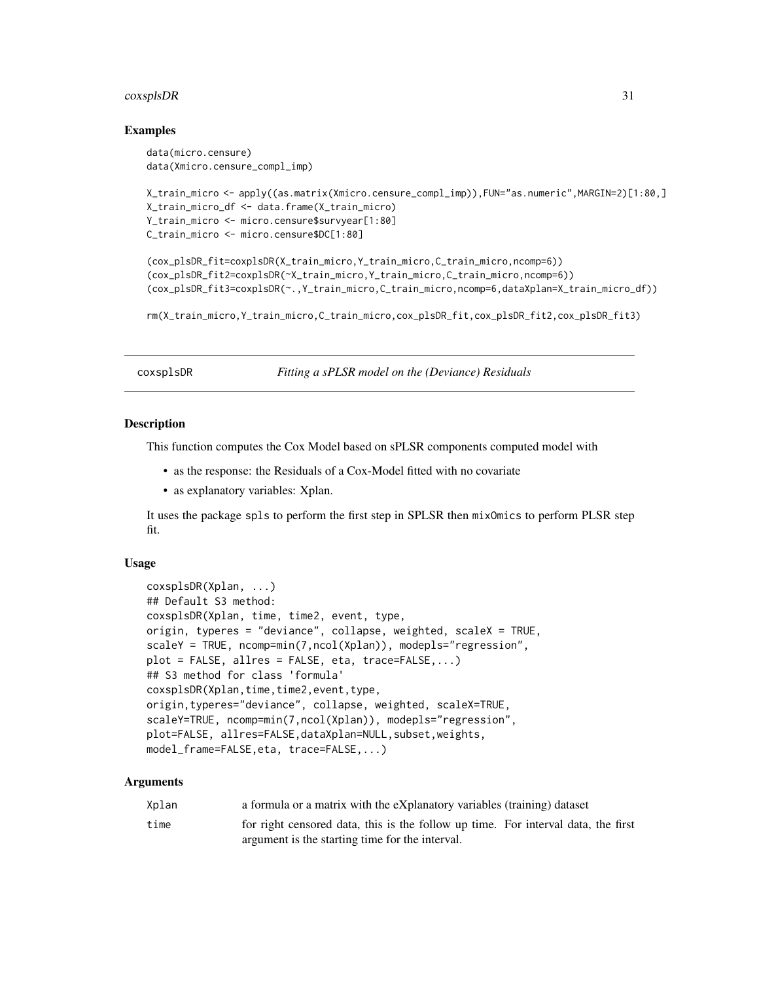#### <span id="page-30-0"></span> $\alpha$ coxsplsDR  $\beta$  31

#### Examples

```
data(micro.censure)
data(Xmicro.censure_compl_imp)
```

```
X_train_micro <- apply((as.matrix(Xmicro.censure_compl_imp)),FUN="as.numeric",MARGIN=2)[1:80,]
X_train_micro_df <- data.frame(X_train_micro)
Y_train_micro <- micro.censure$survyear[1:80]
C_train_micro <- micro.censure$DC[1:80]
```

```
(cox_plsDR_fit=coxplsDR(X_train_micro,Y_train_micro,C_train_micro,ncomp=6))
(cox_plsDR_fit2=coxplsDR(~X_train_micro,Y_train_micro,C_train_micro,ncomp=6))
(cox_plsDR_fit3=coxplsDR(~.,Y_train_micro,C_train_micro,ncomp=6,dataXplan=X_train_micro_df))
```
rm(X\_train\_micro,Y\_train\_micro,C\_train\_micro,cox\_plsDR\_fit,cox\_plsDR\_fit2,cox\_plsDR\_fit3)

coxsplsDR *Fitting a sPLSR model on the (Deviance) Residuals*

#### **Description**

This function computes the Cox Model based on sPLSR components computed model with

- as the response: the Residuals of a Cox-Model fitted with no covariate
- as explanatory variables: Xplan.

It uses the package spls to perform the first step in SPLSR then mixOmics to perform PLSR step fit.

#### Usage

```
coxsplsDR(Xplan, ...)
## Default S3 method:
coxsplsDR(Xplan, time, time2, event, type,
origin, typeres = "deviance", collapse, weighted, scaleX = TRUE,
scaleY = TRUE, ncomp=min(7,ncol(Xplan)), modepls="regression",
plot = FALSE, allres = FALSE, eta, trace=FALSE,...)
## S3 method for class 'formula'
coxsplsDR(Xplan,time,time2,event,type,
origin,typeres="deviance", collapse, weighted, scaleX=TRUE,
scaleY=TRUE, ncomp=min(7,ncol(Xplan)), modepls="regression",
plot=FALSE, allres=FALSE,dataXplan=NULL,subset,weights,
model_frame=FALSE,eta, trace=FALSE,...)
```

| Xplan | a formula or a matrix with the eXplanatory variables (training) dataset           |
|-------|-----------------------------------------------------------------------------------|
| time  | for right censored data, this is the follow up time. For interval data, the first |
|       | argument is the starting time for the interval.                                   |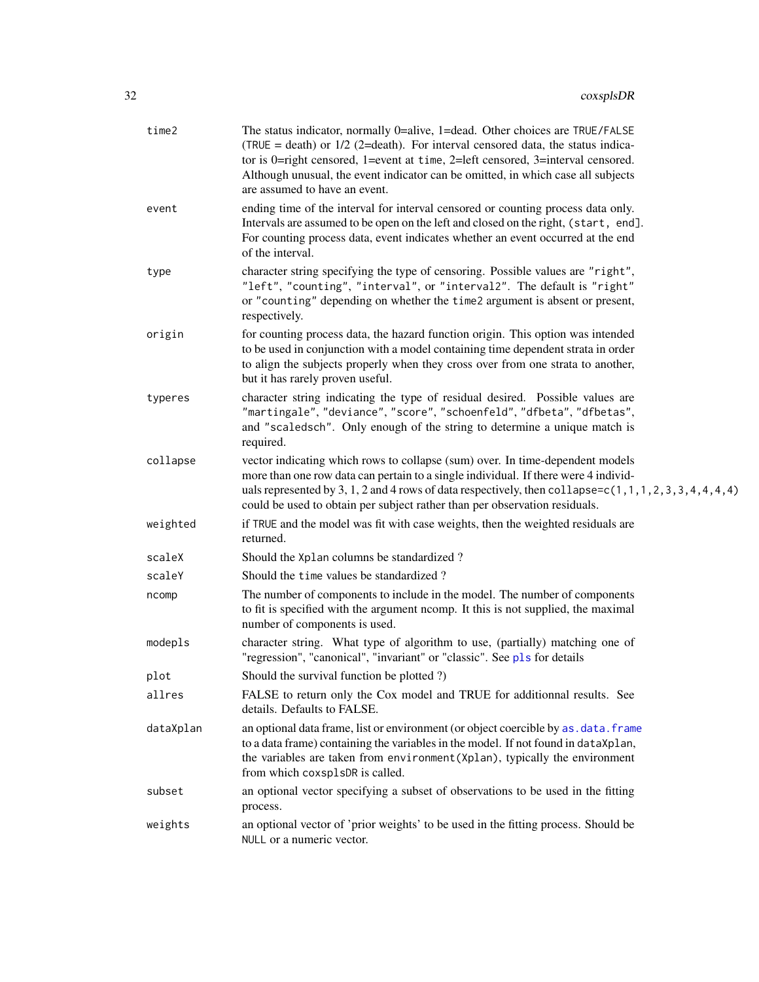| time2     | The status indicator, normally 0=alive, 1=dead. Other choices are TRUE/FALSE<br>(TRUE = death) or $1/2$ (2=death). For interval censored data, the status indica-<br>tor is 0=right censored, 1=event at time, 2=left censored, 3=interval censored.<br>Although unusual, the event indicator can be omitted, in which case all subjects<br>are assumed to have an event. |
|-----------|---------------------------------------------------------------------------------------------------------------------------------------------------------------------------------------------------------------------------------------------------------------------------------------------------------------------------------------------------------------------------|
| event     | ending time of the interval for interval censored or counting process data only.<br>Intervals are assumed to be open on the left and closed on the right, (start, end].<br>For counting process data, event indicates whether an event occurred at the end<br>of the interval.                                                                                            |
| type      | character string specifying the type of censoring. Possible values are "right",<br>"left", "counting", "interval", or "interval2". The default is "right"<br>or "counting" depending on whether the time2 argument is absent or present,<br>respectively.                                                                                                                 |
| origin    | for counting process data, the hazard function origin. This option was intended<br>to be used in conjunction with a model containing time dependent strata in order<br>to align the subjects properly when they cross over from one strata to another,<br>but it has rarely proven useful.                                                                                |
| typeres   | character string indicating the type of residual desired. Possible values are<br>"martingale", "deviance", "score", "schoenfeld", "dfbeta", "dfbetas",<br>and "scaledsch". Only enough of the string to determine a unique match is<br>required.                                                                                                                          |
| collapse  | vector indicating which rows to collapse (sum) over. In time-dependent models<br>more than one row data can pertain to a single individual. If there were 4 individ-<br>uals represented by 3, 1, 2 and 4 rows of data respectively, then collapse= $c(1, 1, 1, 2, 3, 3, 4, 4, 4, 4)$<br>could be used to obtain per subject rather than per observation residuals.       |
| weighted  | if TRUE and the model was fit with case weights, then the weighted residuals are<br>returned.                                                                                                                                                                                                                                                                             |
| scaleX    | Should the Xplan columns be standardized?                                                                                                                                                                                                                                                                                                                                 |
| scaleY    | Should the time values be standardized?                                                                                                                                                                                                                                                                                                                                   |
| ncomp     | The number of components to include in the model. The number of components<br>to fit is specified with the argument ncomp. It this is not supplied, the maximal<br>number of components is used.                                                                                                                                                                          |
| modepls   | character string. What type of algorithm to use, (partially) matching one of<br>"regression", "canonical", "invariant" or "classic". See pls for details                                                                                                                                                                                                                  |
| plot      | Should the survival function be plotted ?)                                                                                                                                                                                                                                                                                                                                |
| allres    | FALSE to return only the Cox model and TRUE for additionnal results. See<br>details. Defaults to FALSE.                                                                                                                                                                                                                                                                   |
| dataXplan | an optional data frame, list or environment (or object coercible by as. data. frame<br>to a data frame) containing the variables in the model. If not found in dataXplan,<br>the variables are taken from environment (Xplan), typically the environment<br>from which coxsplsDR is called.                                                                               |
| subset    | an optional vector specifying a subset of observations to be used in the fitting<br>process.                                                                                                                                                                                                                                                                              |
| weights   | an optional vector of 'prior weights' to be used in the fitting process. Should be<br>NULL or a numeric vector.                                                                                                                                                                                                                                                           |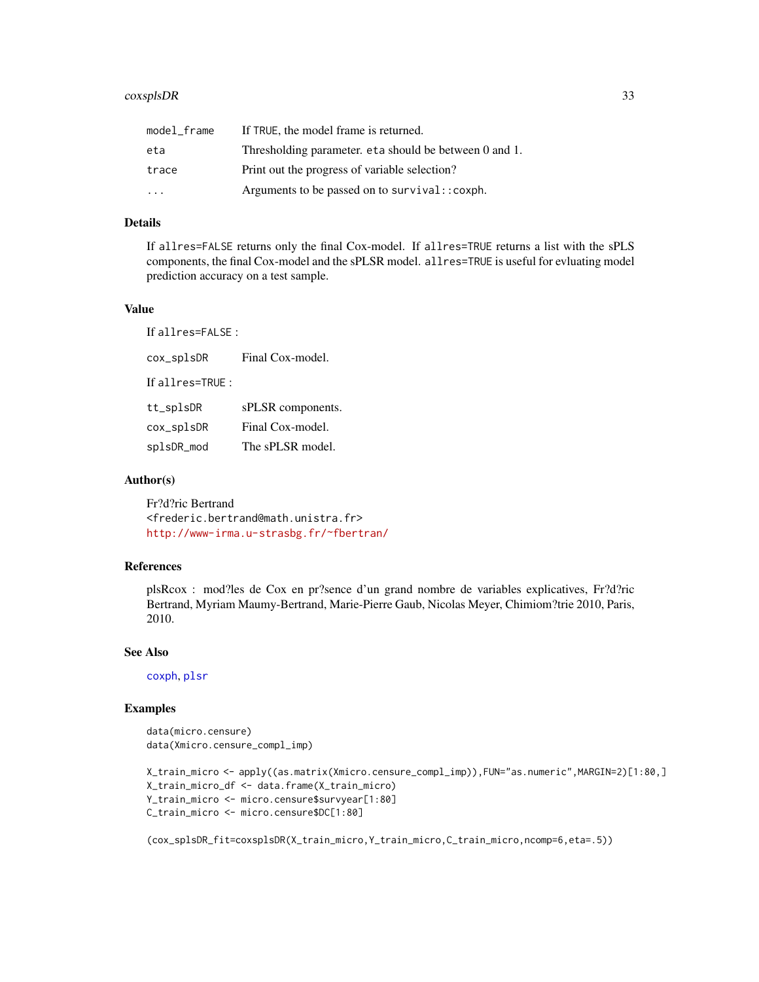## coxsplsDR 33

| model_frame             | If TRUE, the model frame is returned.                  |
|-------------------------|--------------------------------------------------------|
| eta                     | Thresholding parameter, eta should be between 0 and 1. |
| trace                   | Print out the progress of variable selection?          |
| $\cdot$ $\cdot$ $\cdot$ | Arguments to be passed on to survival:: coxph.         |

#### Details

If allres=FALSE returns only the final Cox-model. If allres=TRUE returns a list with the sPLS components, the final Cox-model and the sPLSR model. allres=TRUE is useful for evluating model prediction accuracy on a test sample.

#### Value

If allres=FALSE :

cox\_splsDR Final Cox-model.

If allres=TRUE :

| tt_splsDR  | sPLSR components. |
|------------|-------------------|
| cox_splsDR | Final Cox-model.  |
| splsDR_mod | The sPLSR model.  |

#### Author(s)

Fr?d?ric Bertrand <frederic.bertrand@math.unistra.fr> <http://www-irma.u-strasbg.fr/~fbertran/>

#### References

plsRcox : mod?les de Cox en pr?sence d'un grand nombre de variables explicatives, Fr?d?ric Bertrand, Myriam Maumy-Bertrand, Marie-Pierre Gaub, Nicolas Meyer, Chimiom?trie 2010, Paris, 2010.

## See Also

[coxph](#page-0-0), [plsr](#page-0-0)

## Examples

```
data(micro.censure)
data(Xmicro.censure_compl_imp)
```

```
X_train_micro <- apply((as.matrix(Xmicro.censure_compl_imp)),FUN="as.numeric",MARGIN=2)[1:80,]
X_train_micro_df <- data.frame(X_train_micro)
Y_train_micro <- micro.censure$survyear[1:80]
C_train_micro <- micro.censure$DC[1:80]
```
(cox\_splsDR\_fit=coxsplsDR(X\_train\_micro,Y\_train\_micro,C\_train\_micro,ncomp=6,eta=.5))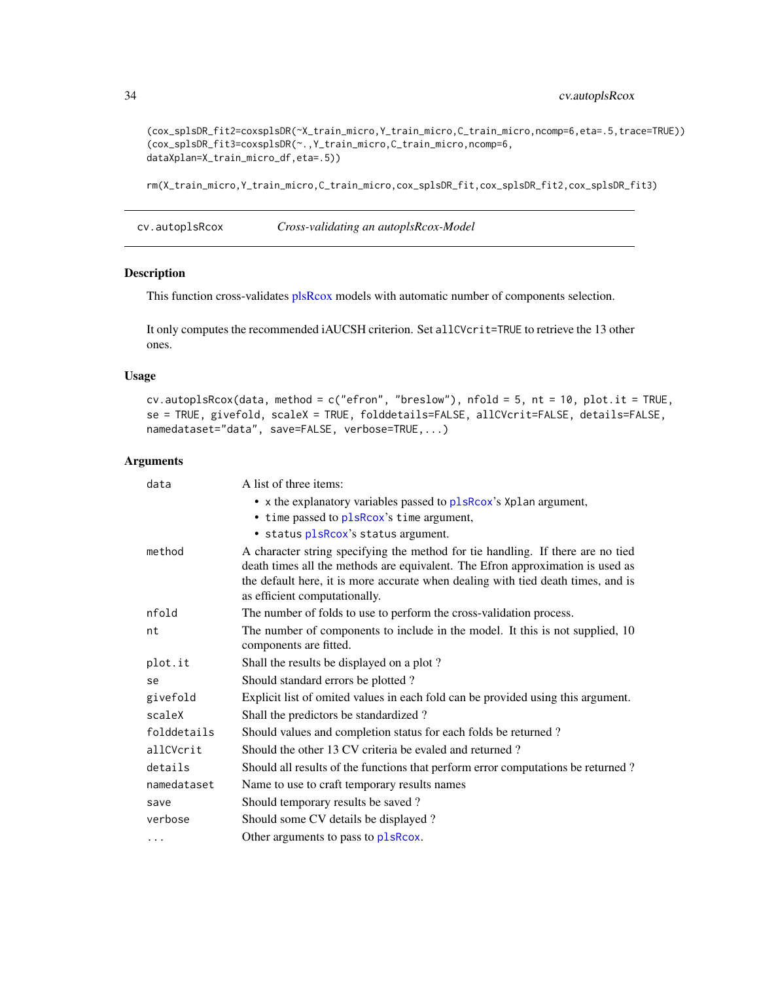```
(cox_splsDR_fit2=coxsplsDR(~X_train_micro,Y_train_micro,C_train_micro,ncomp=6,eta=.5,trace=TRUE))
(cox_splsDR_fit3=coxsplsDR(~.,Y_train_micro,C_train_micro,ncomp=6,
dataXplan=X_train_micro_df,eta=.5))
```
rm(X\_train\_micro,Y\_train\_micro,C\_train\_micro,cox\_splsDR\_fit,cox\_splsDR\_fit2,cox\_splsDR\_fit3)

cv.autoplsRcox *Cross-validating an autoplsRcox-Model*

#### Description

This function cross-validates [plsRcox](#page-77-1) models with automatic number of components selection.

It only computes the recommended iAUCSH criterion. Set allCVcrit=TRUE to retrieve the 13 other ones.

#### Usage

```
cv.autoplsRcox(data, method = c("efron", "breslow"), nfold = 5, nt = 10, plot.it = TRUE,
se = TRUE, givefold, scaleX = TRUE, folddetails=FALSE, allCVcrit=FALSE, details=FALSE,
namedataset="data", save=FALSE, verbose=TRUE,...)
```

| data        | A list of three items:                                                                                                                                                                                                                                                                 |
|-------------|----------------------------------------------------------------------------------------------------------------------------------------------------------------------------------------------------------------------------------------------------------------------------------------|
|             | • x the explanatory variables passed to plsRcox's Xplan argument,                                                                                                                                                                                                                      |
|             | • time passed to plsRcox's time argument,                                                                                                                                                                                                                                              |
|             | · status plsRcox's status argument.                                                                                                                                                                                                                                                    |
| method      | A character string specifying the method for tie handling. If there are no tied<br>death times all the methods are equivalent. The Efron approximation is used as<br>the default here, it is more accurate when dealing with tied death times, and is<br>as efficient computationally. |
| nfold       | The number of folds to use to perform the cross-validation process.                                                                                                                                                                                                                    |
| nt          | The number of components to include in the model. It this is not supplied, 10<br>components are fitted.                                                                                                                                                                                |
| plot.it     | Shall the results be displayed on a plot?                                                                                                                                                                                                                                              |
| se          | Should standard errors be plotted?                                                                                                                                                                                                                                                     |
| givefold    | Explicit list of omited values in each fold can be provided using this argument.                                                                                                                                                                                                       |
| scaleX      | Shall the predictors be standardized?                                                                                                                                                                                                                                                  |
| folddetails | Should values and completion status for each folds be returned?                                                                                                                                                                                                                        |
| allCVcrit   | Should the other 13 CV criteria be evaled and returned?                                                                                                                                                                                                                                |
| details     | Should all results of the functions that perform error computations be returned?                                                                                                                                                                                                       |
| namedataset | Name to use to craft temporary results names                                                                                                                                                                                                                                           |
| save        | Should temporary results be saved?                                                                                                                                                                                                                                                     |
| verbose     | Should some CV details be displayed?                                                                                                                                                                                                                                                   |
| .           | Other arguments to pass to plsRcox.                                                                                                                                                                                                                                                    |

<span id="page-33-0"></span>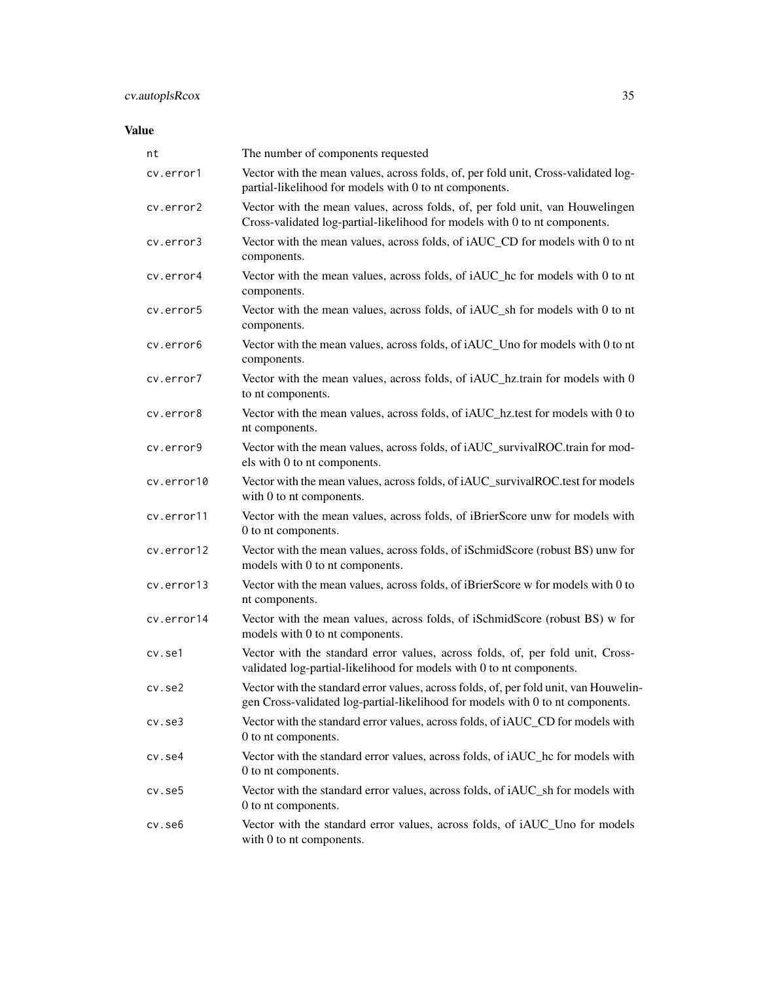## Value

| nt         | The number of components requested                                                                                                                                      |
|------------|-------------------------------------------------------------------------------------------------------------------------------------------------------------------------|
| cv.error1  | Vector with the mean values, across folds, of, per fold unit, Cross-validated log-<br>partial-likelihood for models with 0 to nt components.                            |
| cv.error2  | Vector with the mean values, across folds, of, per fold unit, van Houwelingen<br>Cross-validated log-partial-likelihood for models with 0 to nt components.             |
| cv.error3  | Vector with the mean values, across folds, of iAUC_CD for models with 0 to nt<br>components.                                                                            |
| cv.error4  | Vector with the mean values, across folds, of iAUC_hc for models with 0 to nt<br>components.                                                                            |
| cv.error5  | Vector with the mean values, across folds, of iAUC_sh for models with 0 to nt<br>components.                                                                            |
| cv.error6  | Vector with the mean values, across folds, of iAUC_Uno for models with 0 to nt<br>components.                                                                           |
| cv.error7  | Vector with the mean values, across folds, of iAUC_hz.train for models with 0<br>to nt components.                                                                      |
| cv.error8  | Vector with the mean values, across folds, of iAUC_hz.test for models with 0 to<br>nt components.                                                                       |
| cv.error9  | Vector with the mean values, across folds, of iAUC_survivalROC.train for mod-<br>els with 0 to nt components.                                                           |
| cv.error10 | Vector with the mean values, across folds, of iAUC_survivalROC.test for models<br>with 0 to nt components.                                                              |
| cv.error11 | Vector with the mean values, across folds, of iBrierScore unw for models with<br>0 to nt components.                                                                    |
| cv.error12 | Vector with the mean values, across folds, of iSchmidScore (robust BS) unw for<br>models with 0 to nt components.                                                       |
| cv.error13 | Vector with the mean values, across folds, of iBrierScore w for models with 0 to<br>nt components.                                                                      |
| cv.error14 | Vector with the mean values, across folds, of iSchmidScore (robust BS) w for<br>models with 0 to nt components.                                                         |
| cv.se1     | Vector with the standard error values, across folds, of, per fold unit, Cross-<br>validated log-partial-likelihood for models with 0 to nt components.                  |
| cv.se2     | Vector with the standard error values, across folds, of, per fold unit, van Houwelin-<br>gen Cross-validated log-partial-likelihood for models with 0 to nt components. |
| cv.se3     | Vector with the standard error values, across folds, of iAUC_CD for models with<br>0 to nt components.                                                                  |
| cv.se4     | Vector with the standard error values, across folds, of iAUC_hc for models with<br>0 to nt components.                                                                  |
| cv.se5     | Vector with the standard error values, across folds, of iAUC_sh for models with<br>0 to nt components.                                                                  |
| cv.se6     | Vector with the standard error values, across folds, of iAUC_Uno for models<br>with 0 to nt components.                                                                 |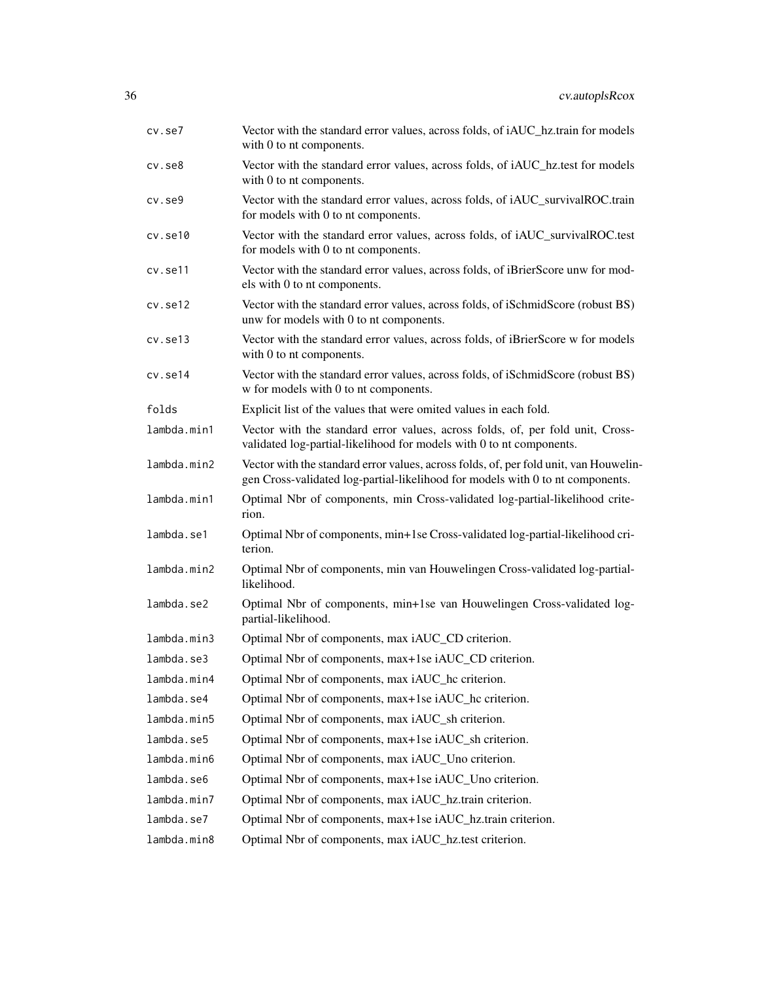| cv.se7       | Vector with the standard error values, across folds, of iAUC_hz.train for models<br>with 0 to nt components.                                                            |
|--------------|-------------------------------------------------------------------------------------------------------------------------------------------------------------------------|
| $cv.$ se $8$ | Vector with the standard error values, across folds, of iAUC_hz.test for models<br>with 0 to nt components.                                                             |
| $cv.$ se $9$ | Vector with the standard error values, across folds, of iAUC_survivalROC.train<br>for models with 0 to nt components.                                                   |
| cv.set10     | Vector with the standard error values, across folds, of iAUC_survivalROC.test<br>for models with 0 to nt components.                                                    |
| cv.se11      | Vector with the standard error values, across folds, of iBrierScore unw for mod-<br>els with 0 to nt components.                                                        |
| cv.set12     | Vector with the standard error values, across folds, of iSchmidScore (robust BS)<br>unw for models with 0 to nt components.                                             |
| cv.set13     | Vector with the standard error values, across folds, of iBrierScore w for models<br>with 0 to nt components.                                                            |
| cv.se14      | Vector with the standard error values, across folds, of iSchmidScore (robust BS)<br>w for models with 0 to nt components.                                               |
| folds        | Explicit list of the values that were omited values in each fold.                                                                                                       |
| lambda.min1  | Vector with the standard error values, across folds, of, per fold unit, Cross-<br>validated log-partial-likelihood for models with 0 to nt components.                  |
| lambda.min2  | Vector with the standard error values, across folds, of, per fold unit, van Houwelin-<br>gen Cross-validated log-partial-likelihood for models with 0 to nt components. |
| lambda.min1  | Optimal Nbr of components, min Cross-validated log-partial-likelihood crite-<br>rion.                                                                                   |
| lambda.se1   | Optimal Nbr of components, min+1se Cross-validated log-partial-likelihood cri-<br>terion.                                                                               |
| lambda.min2  | Optimal Nbr of components, min van Houwelingen Cross-validated log-partial-<br>likelihood.                                                                              |
| lambda.se2   | Optimal Nbr of components, min+1se van Houwelingen Cross-validated log-<br>partial-likelihood.                                                                          |
| lambda.min3  | Optimal Nbr of components, max iAUC_CD criterion.                                                                                                                       |
| lambda.se3   | Optimal Nbr of components, max+1se iAUC_CD criterion.                                                                                                                   |
| lambda.min4  | Optimal Nbr of components, max iAUC_hc criterion.                                                                                                                       |
| lambda.se4   | Optimal Nbr of components, max+1se iAUC_hc criterion.                                                                                                                   |
| lambda.min5  | Optimal Nbr of components, max iAUC_sh criterion.                                                                                                                       |
| lambda.se5   | Optimal Nbr of components, max+1se iAUC_sh criterion.                                                                                                                   |
| lambda.min6  | Optimal Nbr of components, max iAUC_Uno criterion.                                                                                                                      |
| lambda.se6   | Optimal Nbr of components, max+1se iAUC_Uno criterion.                                                                                                                  |
| lambda.min7  | Optimal Nbr of components, max iAUC_hz.train criterion.                                                                                                                 |
| lambda.se7   | Optimal Nbr of components, max+1se iAUC_hz.train criterion.                                                                                                             |
| lambda.min8  | Optimal Nbr of components, max iAUC_hz.test criterion.                                                                                                                  |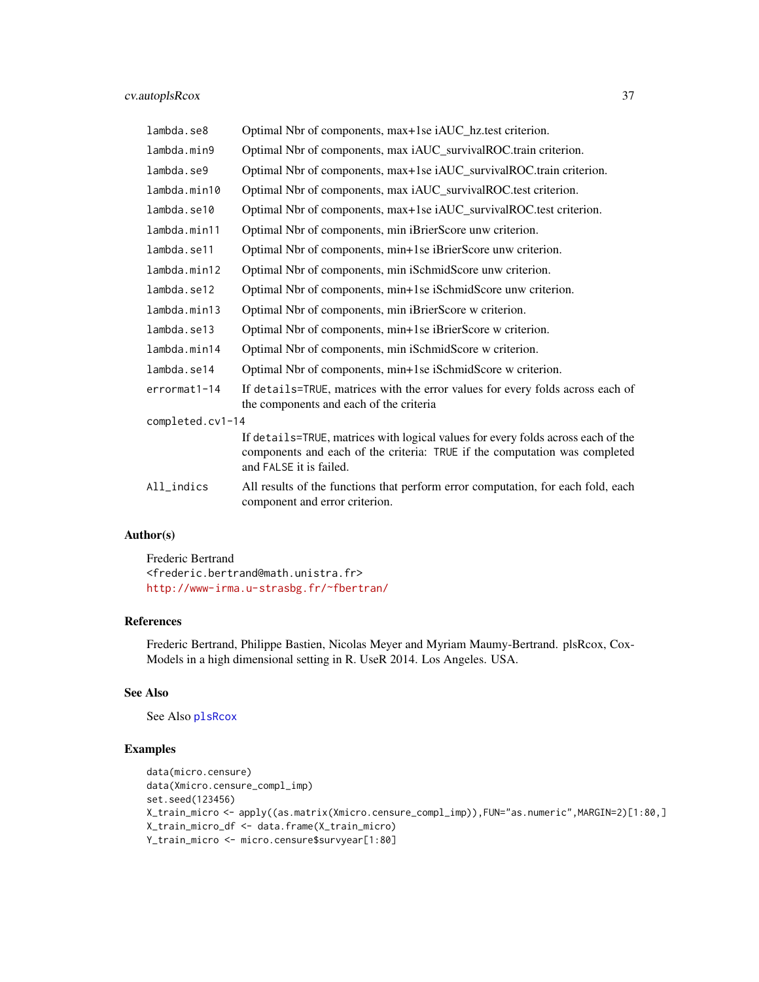| lambda.se8       | Optimal Nbr of components, max+1se iAUC_hz.test criterion.                                                                                                                                |
|------------------|-------------------------------------------------------------------------------------------------------------------------------------------------------------------------------------------|
| lambda.min9      | Optimal Nbr of components, max iAUC_survivalROC.train criterion.                                                                                                                          |
| lambda.se9       | Optimal Nbr of components, max+1se iAUC_survivalROC.train criterion.                                                                                                                      |
| lambda.min10     | Optimal Nbr of components, max iAUC_survivalROC.test criterion.                                                                                                                           |
| lambda.se10      | Optimal Nbr of components, max+1se iAUC_survivalROC.test criterion.                                                                                                                       |
| lambda.min11     | Optimal Nbr of components, min iBrierScore unw criterion.                                                                                                                                 |
| lambda.se11      | Optimal Nbr of components, min+1se iBrierScore unw criterion.                                                                                                                             |
| lambda.min12     | Optimal Nbr of components, min iSchmidScore unw criterion.                                                                                                                                |
| lambda.se12      | Optimal Nbr of components, min+1se iSchmidScore unw criterion.                                                                                                                            |
| lambda.min13     | Optimal Nbr of components, min iBrierScore w criterion.                                                                                                                                   |
| lambda.se13      | Optimal Nbr of components, min+1se iBrierScore w criterion.                                                                                                                               |
| lambda.min14     | Optimal Nbr of components, min iSchmidScore w criterion.                                                                                                                                  |
| lambda.se14      | Optimal Nbr of components, min+1se iSchmidScore w criterion.                                                                                                                              |
| errormat1-14     | If details=TRUE, matrices with the error values for every folds across each of<br>the components and each of the criteria                                                                 |
| completed.cv1-14 |                                                                                                                                                                                           |
|                  | If details=TRUE, matrices with logical values for every folds across each of the<br>components and each of the criteria: TRUE if the computation was completed<br>and FALSE it is failed. |
| All_indics       | All results of the functions that perform error computation, for each fold, each<br>component and error criterion.                                                                        |

Frederic Bertrand <frederic.bertrand@math.unistra.fr> <http://www-irma.u-strasbg.fr/~fbertran/>

## References

Frederic Bertrand, Philippe Bastien, Nicolas Meyer and Myriam Maumy-Bertrand. plsRcox, Cox-Models in a high dimensional setting in R. UseR 2014. Los Angeles. USA.

# See Also

See Also [plsRcox](#page-77-0)

# Examples

```
data(micro.censure)
data(Xmicro.censure_compl_imp)
set.seed(123456)
X_train_micro <- apply((as.matrix(Xmicro.censure_compl_imp)),FUN="as.numeric",MARGIN=2)[1:80,]
X_train_micro_df <- data.frame(X_train_micro)
Y_train_micro <- micro.censure$survyear[1:80]
```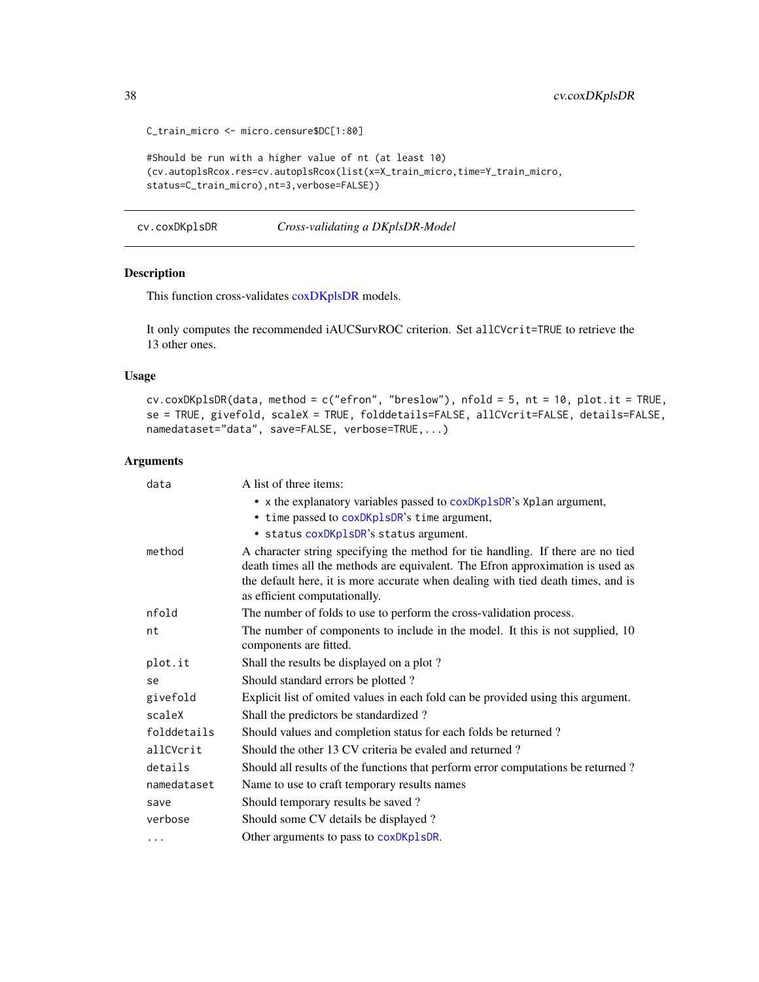```
C_train_micro <- micro.censure$DC[1:80]
#Should be run with a higher value of nt (at least 10)
(cv.autoplsRcox.res=cv.autoplsRcox(list(x=X_train_micro,time=Y_train_micro,
status=C_train_micro),nt=3,verbose=FALSE))
```
cv.coxDKplsDR *Cross-validating a DKplsDR-Model*

# Description

This function cross-validates [coxDKplsDR](#page-5-0) models.

It only computes the recommended iAUCSurvROC criterion. Set allCVcrit=TRUE to retrieve the 13 other ones.

# Usage

```
cv.coxDKplsDR(data, method = c("efron", "breslow"), nfold = 5, nt = 10, plot.it = TRUE,
se = TRUE, givefold, scaleX = TRUE, folddetails=FALSE, allCVcrit=FALSE, details=FALSE,
namedataset="data", save=FALSE, verbose=TRUE,...)
```

| data        | A list of three items:                                                                                                                                                                                                                                                                 |
|-------------|----------------------------------------------------------------------------------------------------------------------------------------------------------------------------------------------------------------------------------------------------------------------------------------|
|             | • x the explanatory variables passed to coxDKp1sDR's Xp1an argument,                                                                                                                                                                                                                   |
|             | • time passed to coxDKplsDR's time argument,                                                                                                                                                                                                                                           |
|             | • status coxDKplsDR's status argument.                                                                                                                                                                                                                                                 |
| method      | A character string specifying the method for tie handling. If there are no tied<br>death times all the methods are equivalent. The Efron approximation is used as<br>the default here, it is more accurate when dealing with tied death times, and is<br>as efficient computationally. |
| nfold       | The number of folds to use to perform the cross-validation process.                                                                                                                                                                                                                    |
| nt          | The number of components to include in the model. It this is not supplied, 10<br>components are fitted.                                                                                                                                                                                |
| plot.it     | Shall the results be displayed on a plot?                                                                                                                                                                                                                                              |
| se          | Should standard errors be plotted?                                                                                                                                                                                                                                                     |
| givefold    | Explicit list of omited values in each fold can be provided using this argument.                                                                                                                                                                                                       |
| scaleX      | Shall the predictors be standardized?                                                                                                                                                                                                                                                  |
| folddetails | Should values and completion status for each folds be returned?                                                                                                                                                                                                                        |
| allCVcrit   | Should the other 13 CV criteria be evaled and returned?                                                                                                                                                                                                                                |
| details     | Should all results of the functions that perform error computations be returned?                                                                                                                                                                                                       |
| namedataset | Name to use to craft temporary results names                                                                                                                                                                                                                                           |
| save        | Should temporary results be saved?                                                                                                                                                                                                                                                     |
| verbose     | Should some CV details be displayed?                                                                                                                                                                                                                                                   |
| .           | Other arguments to pass to coxDKp1sDR.                                                                                                                                                                                                                                                 |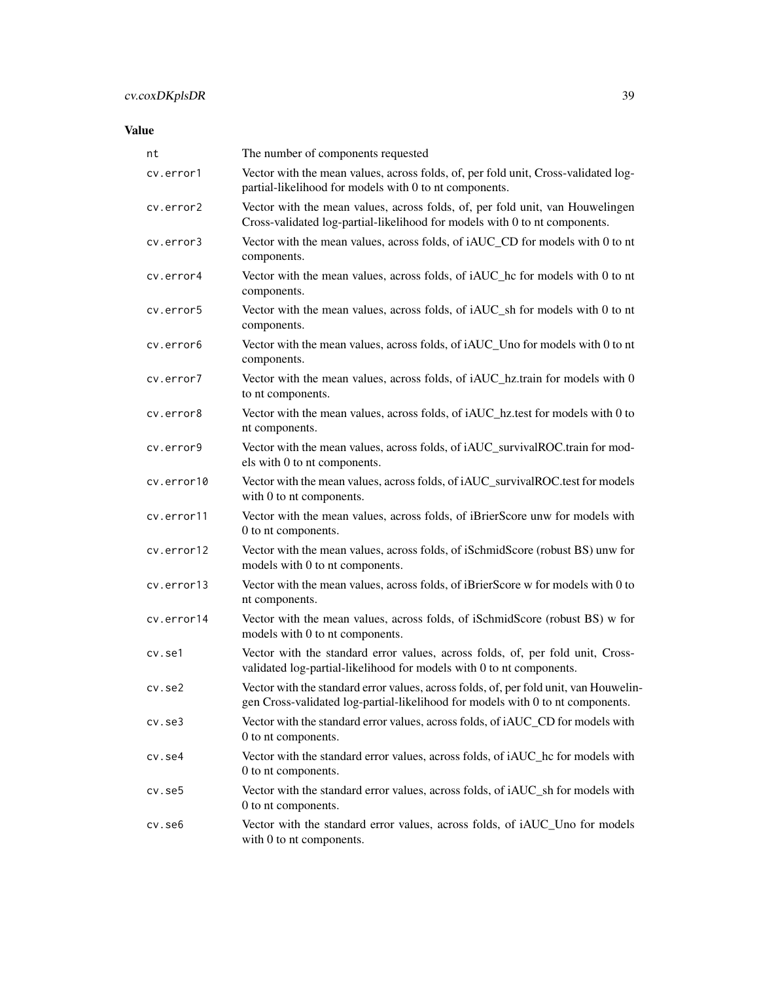| nt         | The number of components requested                                                                                                                                      |
|------------|-------------------------------------------------------------------------------------------------------------------------------------------------------------------------|
| cv.error1  | Vector with the mean values, across folds, of, per fold unit, Cross-validated log-<br>partial-likelihood for models with 0 to nt components.                            |
| cv.error2  | Vector with the mean values, across folds, of, per fold unit, van Houwelingen<br>Cross-validated log-partial-likelihood for models with 0 to nt components.             |
| cv.error3  | Vector with the mean values, across folds, of iAUC_CD for models with 0 to nt<br>components.                                                                            |
| cv.error4  | Vector with the mean values, across folds, of iAUC_hc for models with 0 to nt<br>components.                                                                            |
| cv.error5  | Vector with the mean values, across folds, of iAUC_sh for models with 0 to nt<br>components.                                                                            |
| cv.error6  | Vector with the mean values, across folds, of iAUC_Uno for models with 0 to nt<br>components.                                                                           |
| cv.error7  | Vector with the mean values, across folds, of iAUC_hz.train for models with 0<br>to nt components.                                                                      |
| cv.error8  | Vector with the mean values, across folds, of iAUC_hz.test for models with 0 to<br>nt components.                                                                       |
| cv.error9  | Vector with the mean values, across folds, of iAUC_survivalROC.train for mod-<br>els with 0 to nt components.                                                           |
| cv.error10 | Vector with the mean values, across folds, of iAUC_survivalROC.test for models<br>with 0 to nt components.                                                              |
| cv.error11 | Vector with the mean values, across folds, of iBrierScore unw for models with<br>0 to nt components.                                                                    |
| cv.error12 | Vector with the mean values, across folds, of iSchmidScore (robust BS) unw for<br>models with 0 to nt components.                                                       |
| cv.error13 | Vector with the mean values, across folds, of iBrierScore w for models with 0 to<br>nt components.                                                                      |
| cv.error14 | Vector with the mean values, across folds, of iSchmidScore (robust BS) w for<br>models with 0 to nt components.                                                         |
| cv.se1     | Vector with the standard error values, across folds, of, per fold unit, Cross-<br>validated log-partial-likelihood for models with 0 to nt components.                  |
| cv.se2     | Vector with the standard error values, across folds, of, per fold unit, van Houwelin-<br>gen Cross-validated log-partial-likelihood for models with 0 to nt components. |
| cv.se3     | Vector with the standard error values, across folds, of iAUC_CD for models with<br>0 to nt components.                                                                  |
| cv.se4     | Vector with the standard error values, across folds, of iAUC_hc for models with<br>0 to nt components.                                                                  |
| cv.se5     | Vector with the standard error values, across folds, of iAUC_sh for models with<br>0 to nt components.                                                                  |
| cv.se6     | Vector with the standard error values, across folds, of iAUC_Uno for models<br>with 0 to nt components.                                                                 |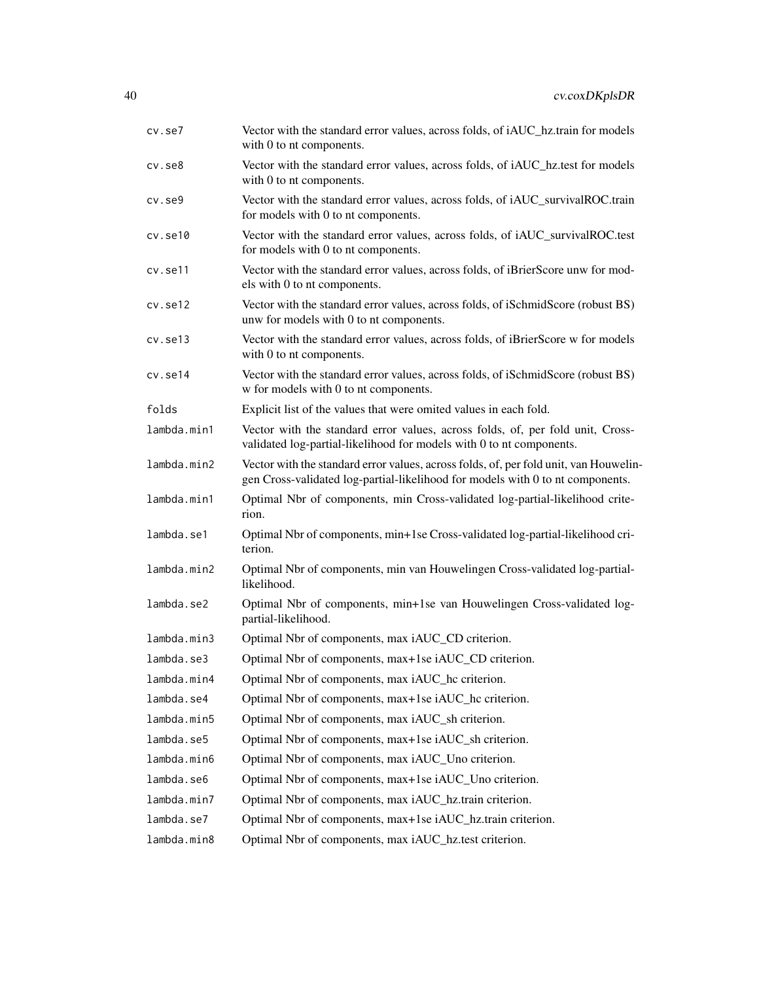| cv.se7       | Vector with the standard error values, across folds, of iAUC_hz.train for models<br>with 0 to nt components.                                                            |
|--------------|-------------------------------------------------------------------------------------------------------------------------------------------------------------------------|
| $cv.$ se $8$ | Vector with the standard error values, across folds, of iAUC_hz.test for models<br>with 0 to nt components.                                                             |
| $cv.$ se $9$ | Vector with the standard error values, across folds, of iAUC_survivalROC.train<br>for models with 0 to nt components.                                                   |
| cv.set10     | Vector with the standard error values, across folds, of iAUC_survivalROC.test<br>for models with 0 to nt components.                                                    |
| cv.se11      | Vector with the standard error values, across folds, of iBrierScore unw for mod-<br>els with 0 to nt components.                                                        |
| cv.set12     | Vector with the standard error values, across folds, of iSchmidScore (robust BS)<br>unw for models with 0 to nt components.                                             |
| cv.set13     | Vector with the standard error values, across folds, of iBrierScore w for models<br>with 0 to nt components.                                                            |
| cv.se14      | Vector with the standard error values, across folds, of iSchmidScore (robust BS)<br>w for models with 0 to nt components.                                               |
| folds        | Explicit list of the values that were omited values in each fold.                                                                                                       |
| lambda.min1  | Vector with the standard error values, across folds, of, per fold unit, Cross-<br>validated log-partial-likelihood for models with 0 to nt components.                  |
| lambda.min2  | Vector with the standard error values, across folds, of, per fold unit, van Houwelin-<br>gen Cross-validated log-partial-likelihood for models with 0 to nt components. |
| lambda.min1  | Optimal Nbr of components, min Cross-validated log-partial-likelihood crite-<br>rion.                                                                                   |
| lambda.se1   | Optimal Nbr of components, min+1se Cross-validated log-partial-likelihood cri-<br>terion.                                                                               |
| lambda.min2  | Optimal Nbr of components, min van Houwelingen Cross-validated log-partial-<br>likelihood.                                                                              |
| lambda.se2   | Optimal Nbr of components, min+1se van Houwelingen Cross-validated log-<br>partial-likelihood.                                                                          |
| lambda.min3  | Optimal Nbr of components, max iAUC_CD criterion.                                                                                                                       |
| lambda.se3   | Optimal Nbr of components, max+1se iAUC_CD criterion.                                                                                                                   |
| lambda.min4  | Optimal Nbr of components, max iAUC_hc criterion.                                                                                                                       |
| lambda.se4   | Optimal Nbr of components, max+1se iAUC_hc criterion.                                                                                                                   |
| lambda.min5  | Optimal Nbr of components, max iAUC_sh criterion.                                                                                                                       |
| lambda.se5   | Optimal Nbr of components, max+1se iAUC_sh criterion.                                                                                                                   |
| lambda.min6  | Optimal Nbr of components, max iAUC_Uno criterion.                                                                                                                      |
| lambda.se6   | Optimal Nbr of components, max+1se iAUC_Uno criterion.                                                                                                                  |
| lambda.min7  | Optimal Nbr of components, max iAUC_hz.train criterion.                                                                                                                 |
| lambda.se7   | Optimal Nbr of components, max+1se iAUC_hz.train criterion.                                                                                                             |
| lambda.min8  | Optimal Nbr of components, max iAUC_hz.test criterion.                                                                                                                  |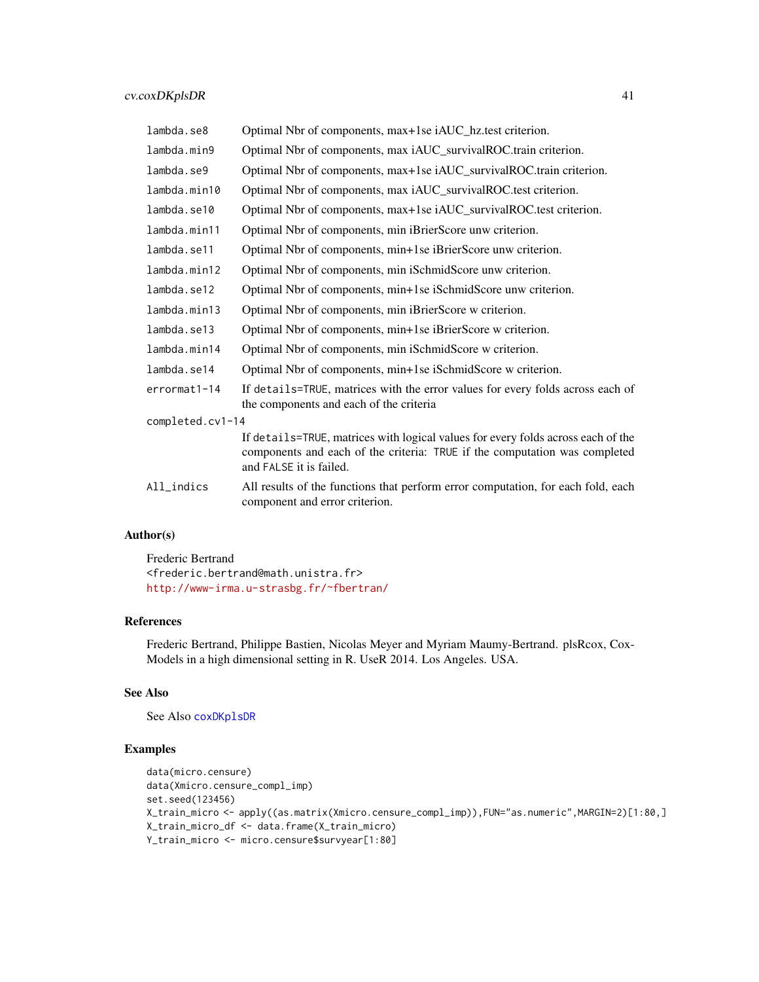| lambda.se8       | Optimal Nbr of components, max+1se iAUC_hz.test criterion.                                                                                                                                |
|------------------|-------------------------------------------------------------------------------------------------------------------------------------------------------------------------------------------|
| lambda.min9      | Optimal Nbr of components, max iAUC_survivalROC.train criterion.                                                                                                                          |
| lambda.se9       | Optimal Nbr of components, max+1se iAUC_survivalROC.train criterion.                                                                                                                      |
| lambda.min10     | Optimal Nbr of components, max iAUC_survivalROC.test criterion.                                                                                                                           |
| lambda.se10      | Optimal Nbr of components, max+1se iAUC_survivalROC.test criterion.                                                                                                                       |
| lambda.min11     | Optimal Nbr of components, min iBrierScore unw criterion.                                                                                                                                 |
| lambda.se11      | Optimal Nbr of components, min+1se iBrierScore unw criterion.                                                                                                                             |
| lambda.min12     | Optimal Nbr of components, min iSchmidScore unw criterion.                                                                                                                                |
| lambda.se12      | Optimal Nbr of components, min+1se iSchmidScore unw criterion.                                                                                                                            |
| lambda.min13     | Optimal Nbr of components, min iBrierScore w criterion.                                                                                                                                   |
| lambda.se13      | Optimal Nbr of components, min+1se iBrierScore w criterion.                                                                                                                               |
| lambda.min14     | Optimal Nbr of components, min iSchmidScore w criterion.                                                                                                                                  |
| lambda.se14      | Optimal Nbr of components, min+1se iSchmidScore w criterion.                                                                                                                              |
| errormat1-14     | If details=TRUE, matrices with the error values for every folds across each of<br>the components and each of the criteria                                                                 |
| completed.cv1-14 |                                                                                                                                                                                           |
|                  | If details=TRUE, matrices with logical values for every folds across each of the<br>components and each of the criteria: TRUE if the computation was completed<br>and FALSE it is failed. |
| All_indics       | All results of the functions that perform error computation, for each fold, each<br>component and error criterion.                                                                        |

Frederic Bertrand <frederic.bertrand@math.unistra.fr> <http://www-irma.u-strasbg.fr/~fbertran/>

## References

Frederic Bertrand, Philippe Bastien, Nicolas Meyer and Myriam Maumy-Bertrand. plsRcox, Cox-Models in a high dimensional setting in R. UseR 2014. Los Angeles. USA.

# See Also

See Also [coxDKplsDR](#page-5-0)

# Examples

```
data(micro.censure)
data(Xmicro.censure_compl_imp)
set.seed(123456)
X_train_micro <- apply((as.matrix(Xmicro.censure_compl_imp)),FUN="as.numeric",MARGIN=2)[1:80,]
X_train_micro_df <- data.frame(X_train_micro)
Y_train_micro <- micro.censure$survyear[1:80]
```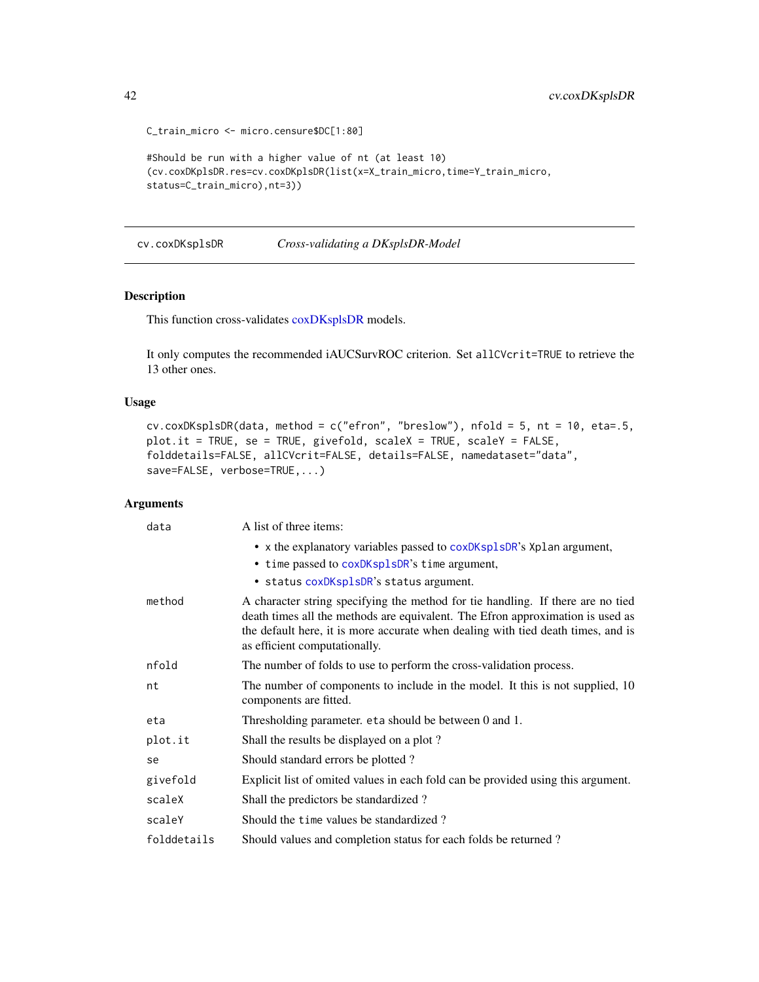42 cv.coxDKsplsDR

```
C_train_micro <- micro.censure$DC[1:80]
#Should be run with a higher value of nt (at least 10)
(cv.coxDKplsDR.res=cv.coxDKplsDR(list(x=X_train_micro,time=Y_train_micro,
status=C_train_micro),nt=3))
```
cv.coxDKsplsDR *Cross-validating a DKsplsDR-Model*

### Description

This function cross-validates [coxDKsplsDR](#page-9-0) models.

It only computes the recommended iAUCSurvROC criterion. Set allCVcrit=TRUE to retrieve the 13 other ones.

# Usage

```
cv.coxDKsplsDR(data, method = c("efron", "breslow"), nfold = 5, nt = 10, eta=.5,
plot.it = TRUE, se = TRUE, givefold, scaleX = TRUE, scaleY = FALSE,
folddetails=FALSE, allCVcrit=FALSE, details=FALSE, namedataset="data",
save=FALSE, verbose=TRUE,...)
```

| data        | A list of three items:                                                                                                                                                                                                                                                                 |
|-------------|----------------------------------------------------------------------------------------------------------------------------------------------------------------------------------------------------------------------------------------------------------------------------------------|
|             | • x the explanatory variables passed to coxDKsplsDR's Xplan argument,                                                                                                                                                                                                                  |
|             | • time passed to coxDKsplsDR's time argument,                                                                                                                                                                                                                                          |
|             | · status coxDKsplsDR's status argument.                                                                                                                                                                                                                                                |
| method      | A character string specifying the method for tie handling. If there are no tied<br>death times all the methods are equivalent. The Efron approximation is used as<br>the default here, it is more accurate when dealing with tied death times, and is<br>as efficient computationally. |
| nfold       | The number of folds to use to perform the cross-validation process.                                                                                                                                                                                                                    |
| nt          | The number of components to include in the model. It this is not supplied, 10<br>components are fitted.                                                                                                                                                                                |
| eta         | Thresholding parameter. et a should be between 0 and 1.                                                                                                                                                                                                                                |
| plot.it     | Shall the results be displayed on a plot?                                                                                                                                                                                                                                              |
| se          | Should standard errors be plotted?                                                                                                                                                                                                                                                     |
| givefold    | Explicit list of omited values in each fold can be provided using this argument.                                                                                                                                                                                                       |
| scaleX      | Shall the predictors be standardized?                                                                                                                                                                                                                                                  |
| scaleY      | Should the time values be standardized?                                                                                                                                                                                                                                                |
| folddetails | Should values and completion status for each folds be returned?                                                                                                                                                                                                                        |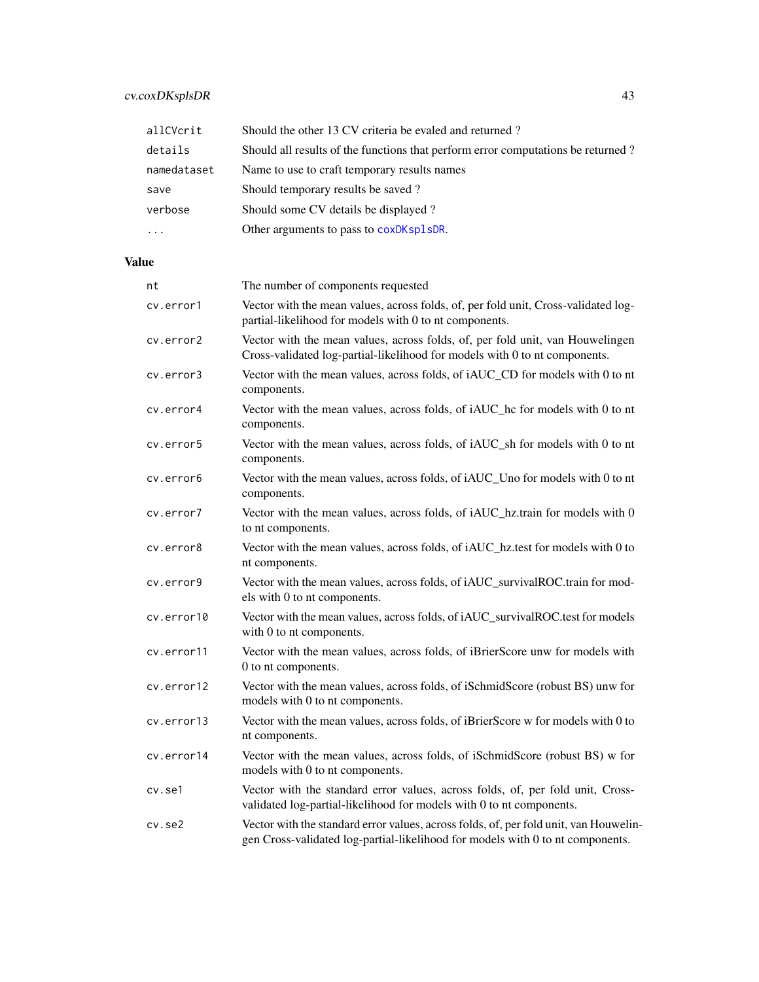# cv.coxDKsplsDR 43

| allCVcrit           | Should the other 13 CV criteria be evaled and returned?                          |
|---------------------|----------------------------------------------------------------------------------|
| details             | Should all results of the functions that perform error computations be returned? |
| namedataset         | Name to use to craft temporary results names                                     |
| save                | Should temporary results be saved?                                               |
| verbose             | Should some CV details be displayed?                                             |
| $\cdot \cdot \cdot$ | Other arguments to pass to coxDKsp1sDR.                                          |

| nt         | The number of components requested                                                                                                                                      |
|------------|-------------------------------------------------------------------------------------------------------------------------------------------------------------------------|
| cv.error1  | Vector with the mean values, across folds, of, per fold unit, Cross-validated log-<br>partial-likelihood for models with 0 to nt components.                            |
| cv.error2  | Vector with the mean values, across folds, of, per fold unit, van Houwelingen<br>Cross-validated log-partial-likelihood for models with 0 to nt components.             |
| cv.error3  | Vector with the mean values, across folds, of iAUC_CD for models with 0 to nt<br>components.                                                                            |
| cv.error4  | Vector with the mean values, across folds, of iAUC_hc for models with 0 to nt<br>components.                                                                            |
| cv.error5  | Vector with the mean values, across folds, of iAUC_sh for models with 0 to nt<br>components.                                                                            |
| cv.error6  | Vector with the mean values, across folds, of iAUC_Uno for models with 0 to nt<br>components.                                                                           |
| cv.error7  | Vector with the mean values, across folds, of iAUC_hz.train for models with 0<br>to nt components.                                                                      |
| cv.error8  | Vector with the mean values, across folds, of iAUC_hz.test for models with 0 to<br>nt components.                                                                       |
| cv.error9  | Vector with the mean values, across folds, of iAUC_survivalROC.train for mod-<br>els with 0 to nt components.                                                           |
| cv.error10 | Vector with the mean values, across folds, of iAUC_survivalROC.test for models<br>with 0 to nt components.                                                              |
| cv.error11 | Vector with the mean values, across folds, of iBrierScore unw for models with<br>0 to nt components.                                                                    |
| cv.error12 | Vector with the mean values, across folds, of iSchmidScore (robust BS) unw for<br>models with 0 to nt components.                                                       |
| cv.error13 | Vector with the mean values, across folds, of iBrierScore w for models with 0 to<br>nt components.                                                                      |
| cv.error14 | Vector with the mean values, across folds, of iSchmidScore (robust BS) w for<br>models with 0 to nt components.                                                         |
| cv.se1     | Vector with the standard error values, across folds, of, per fold unit, Cross-<br>validated log-partial-likelihood for models with 0 to nt components.                  |
| cv.se2     | Vector with the standard error values, across folds, of, per fold unit, van Houwelin-<br>gen Cross-validated log-partial-likelihood for models with 0 to nt components. |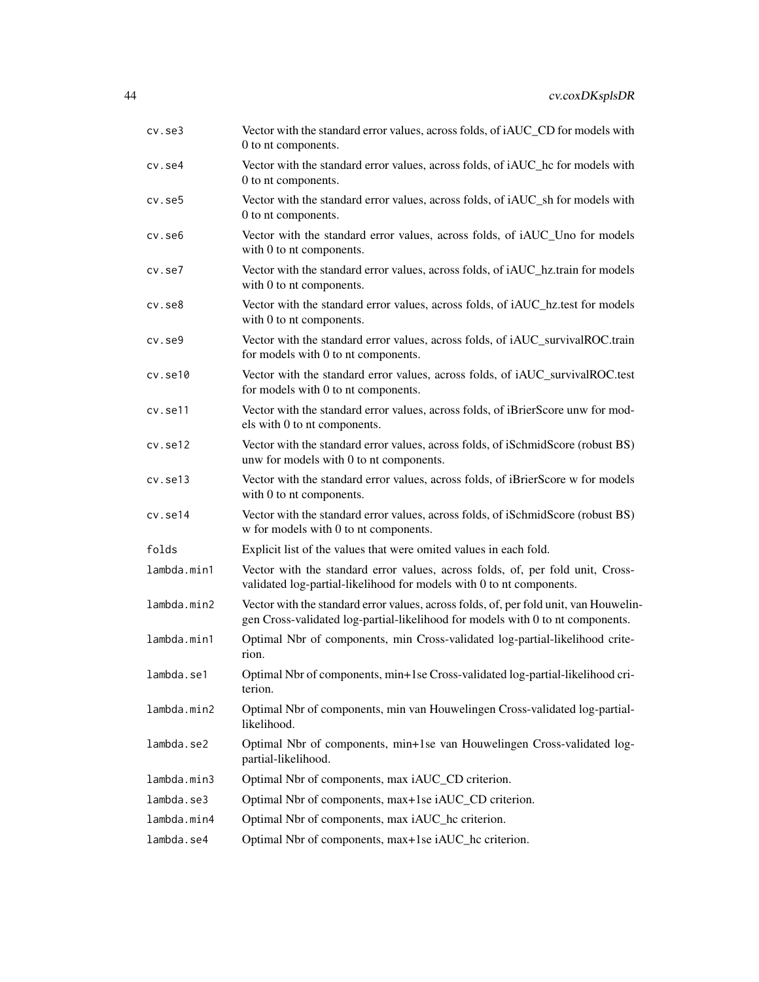| $cv.$ se $3$ | Vector with the standard error values, across folds, of iAUC_CD for models with<br>0 to nt components.                                                                  |
|--------------|-------------------------------------------------------------------------------------------------------------------------------------------------------------------------|
| cv.se4       | Vector with the standard error values, across folds, of iAUC_hc for models with<br>0 to nt components.                                                                  |
| $cv.$ se $5$ | Vector with the standard error values, across folds, of iAUC_sh for models with<br>0 to nt components.                                                                  |
| cv.se6       | Vector with the standard error values, across folds, of iAUC_Uno for models<br>with 0 to nt components.                                                                 |
| $cv.$ se $7$ | Vector with the standard error values, across folds, of iAUC_hz.train for models<br>with 0 to nt components.                                                            |
| $cv.$ se $8$ | Vector with the standard error values, across folds, of iAUC_hz.test for models<br>with 0 to nt components.                                                             |
| $cv.$ se $9$ | Vector with the standard error values, across folds, of iAUC_survivalROC.train<br>for models with 0 to nt components.                                                   |
| cv.set10     | Vector with the standard error values, across folds, of iAUC_survivalROC.test<br>for models with 0 to nt components.                                                    |
| cv.se11      | Vector with the standard error values, across folds, of iBrierScore unw for mod-<br>els with 0 to nt components.                                                        |
| cv.set12     | Vector with the standard error values, across folds, of iSchmidScore (robust BS)<br>unw for models with 0 to nt components.                                             |
| cv.set13     | Vector with the standard error values, across folds, of iBrierScore w for models<br>with 0 to nt components.                                                            |
| cv.se14      | Vector with the standard error values, across folds, of iSchmidScore (robust BS)<br>w for models with 0 to nt components.                                               |
| folds        | Explicit list of the values that were omited values in each fold.                                                                                                       |
| lambda.min1  | Vector with the standard error values, across folds, of, per fold unit, Cross-<br>validated log-partial-likelihood for models with 0 to nt components.                  |
| lambda.min2  | Vector with the standard error values, across folds, of, per fold unit, van Houwelin-<br>gen Cross-validated log-partial-likelihood for models with 0 to nt components. |
| lambda.min1  | Optimal Nbr of components, min Cross-validated log-partial-likelihood crite-<br>rion.                                                                                   |
| lambda.se1   | Optimal Nbr of components, min+1se Cross-validated log-partial-likelihood cri-<br>terion.                                                                               |
| lambda.min2  | Optimal Nbr of components, min van Houwelingen Cross-validated log-partial-<br>likelihood.                                                                              |
| lambda.se2   | Optimal Nbr of components, min+1se van Houwelingen Cross-validated log-<br>partial-likelihood.                                                                          |
| lambda.min3  | Optimal Nbr of components, max iAUC_CD criterion.                                                                                                                       |
| lambda.se3   | Optimal Nbr of components, max+1se iAUC_CD criterion.                                                                                                                   |
| lambda.min4  | Optimal Nbr of components, max iAUC_hc criterion.                                                                                                                       |
| lambda.se4   | Optimal Nbr of components, max+1se iAUC_hc criterion.                                                                                                                   |
|              |                                                                                                                                                                         |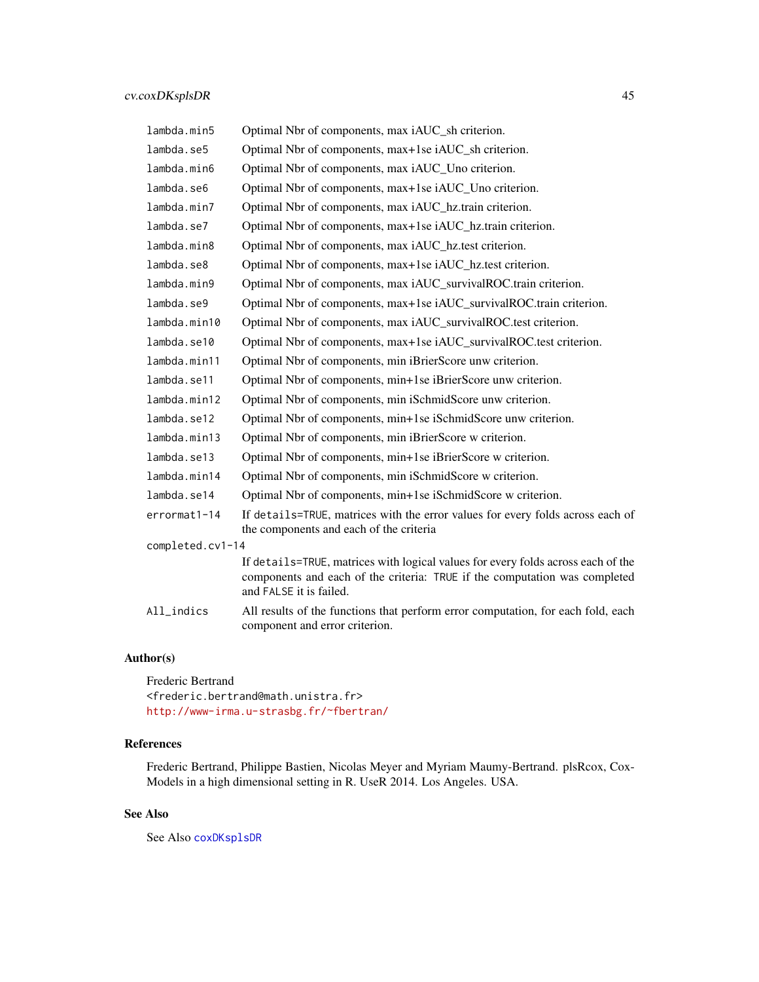| lambda.min5      | Optimal Nbr of components, max iAUC_sh criterion.                                                                                                                                         |
|------------------|-------------------------------------------------------------------------------------------------------------------------------------------------------------------------------------------|
| lambda.se5       | Optimal Nbr of components, max+1se iAUC_sh criterion.                                                                                                                                     |
| lambda.min6      | Optimal Nbr of components, max iAUC_Uno criterion.                                                                                                                                        |
| lambda.se6       | Optimal Nbr of components, max+1se iAUC_Uno criterion.                                                                                                                                    |
| lambda.min7      | Optimal Nbr of components, max iAUC_hz.train criterion.                                                                                                                                   |
| lambda.se7       | Optimal Nbr of components, max+1se iAUC_hz.train criterion.                                                                                                                               |
| lambda.min8      | Optimal Nbr of components, max iAUC_hz.test criterion.                                                                                                                                    |
| lambda.se8       | Optimal Nbr of components, max+1se iAUC_hz.test criterion.                                                                                                                                |
| lambda.min9      | Optimal Nbr of components, max iAUC_survivalROC.train criterion.                                                                                                                          |
| lambda.se9       | Optimal Nbr of components, max+1se iAUC_survivalROC.train criterion.                                                                                                                      |
| lambda.min10     | Optimal Nbr of components, max iAUC_survivalROC.test criterion.                                                                                                                           |
| lambda.se10      | Optimal Nbr of components, max+1se iAUC_survivalROC.test criterion.                                                                                                                       |
| lambda.min11     | Optimal Nbr of components, min iBrierScore unw criterion.                                                                                                                                 |
| lambda.se11      | Optimal Nbr of components, min+1se iBrierScore unw criterion.                                                                                                                             |
| lambda.min12     | Optimal Nbr of components, min iSchmidScore unw criterion.                                                                                                                                |
| lambda.se12      | Optimal Nbr of components, min+1se iSchmidScore unw criterion.                                                                                                                            |
| lambda.min13     | Optimal Nbr of components, min iBrierScore w criterion.                                                                                                                                   |
| lambda.se13      | Optimal Nbr of components, min+1se iBrierScore w criterion.                                                                                                                               |
| lambda.min14     | Optimal Nbr of components, min iSchmidScore w criterion.                                                                                                                                  |
| lambda.se14      | Optimal Nbr of components, min+1se iSchmidScore w criterion.                                                                                                                              |
| errormat1-14     | If details=TRUE, matrices with the error values for every folds across each of<br>the components and each of the criteria                                                                 |
| completed.cv1-14 |                                                                                                                                                                                           |
|                  | If details=TRUE, matrices with logical values for every folds across each of the<br>components and each of the criteria: TRUE if the computation was completed<br>and FALSE it is failed. |
| All_indics       | All results of the functions that perform error computation, for each fold, each<br>component and error criterion.                                                                        |

Frederic Bertrand <frederic.bertrand@math.unistra.fr> <http://www-irma.u-strasbg.fr/~fbertran/>

# References

Frederic Bertrand, Philippe Bastien, Nicolas Meyer and Myriam Maumy-Bertrand. plsRcox, Cox-Models in a high dimensional setting in R. UseR 2014. Los Angeles. USA.

# See Also

See Also [coxDKsplsDR](#page-9-0)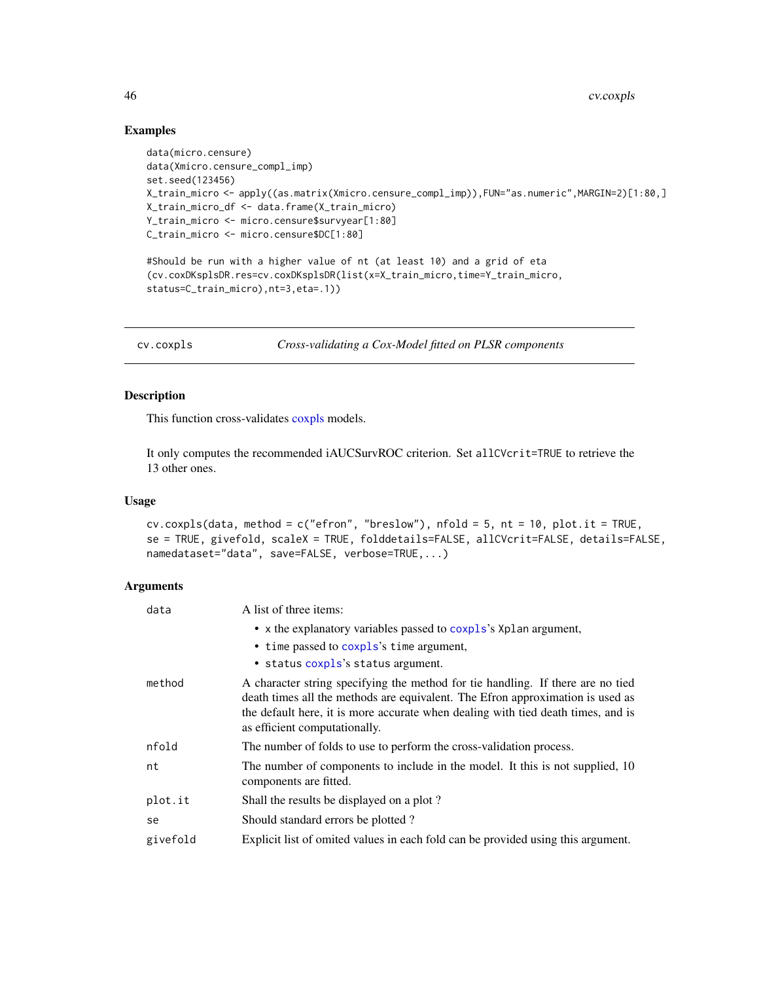### Examples

```
data(micro.censure)
data(Xmicro.censure_compl_imp)
set.seed(123456)
X_train_micro <- apply((as.matrix(Xmicro.censure_compl_imp)),FUN="as.numeric",MARGIN=2)[1:80,]
X_train_micro_df <- data.frame(X_train_micro)
Y_train_micro <- micro.censure$survyear[1:80]
C_train_micro <- micro.censure$DC[1:80]
#Should be run with a higher value of nt (at least 10) and a grid of eta
(cv.coxDKsplsDR.res=cv.coxDKsplsDR(list(x=X_train_micro,time=Y_train_micro,
status=C_train_micro),nt=3,eta=.1))
```
cv.coxpls *Cross-validating a Cox-Model fitted on PLSR components*

# Description

This function cross-validates [coxpls](#page-12-0) models.

It only computes the recommended iAUCSurvROC criterion. Set allCVcrit=TRUE to retrieve the 13 other ones.

#### Usage

```
cv.coxpls(data, method = c("efron", "breslow"), nfold = 5, nt = 10, plot.it = TRUE,
se = TRUE, givefold, scaleX = TRUE, folddetails=FALSE, allCVcrit=FALSE, details=FALSE,
namedataset="data", save=FALSE, verbose=TRUE,...)
```

| data     | A list of three items:                                                                                                                                                                                                                                                                 |
|----------|----------------------------------------------------------------------------------------------------------------------------------------------------------------------------------------------------------------------------------------------------------------------------------------|
|          | • x the explanatory variables passed to coxpls's Xplan argument,                                                                                                                                                                                                                       |
|          | • time passed to coxpls's time argument,                                                                                                                                                                                                                                               |
|          | • status coxpls's status argument.                                                                                                                                                                                                                                                     |
| method   | A character string specifying the method for tie handling. If there are no tied<br>death times all the methods are equivalent. The Efron approximation is used as<br>the default here, it is more accurate when dealing with tied death times, and is<br>as efficient computationally. |
| nfold    | The number of folds to use to perform the cross-validation process.                                                                                                                                                                                                                    |
| nt       | The number of components to include in the model. It this is not supplied, 10<br>components are fitted.                                                                                                                                                                                |
| plot.it  | Shall the results be displayed on a plot?                                                                                                                                                                                                                                              |
| se       | Should standard errors be plotted?                                                                                                                                                                                                                                                     |
| givefold | Explicit list of omited values in each fold can be provided using this argument.                                                                                                                                                                                                       |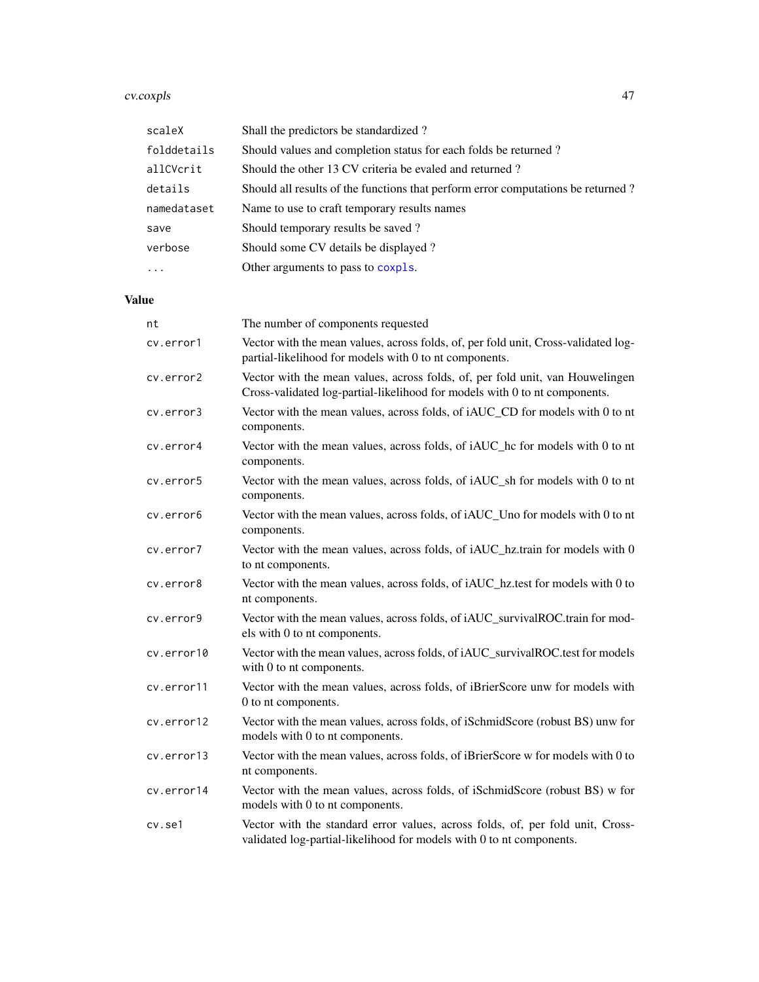#### cv.coxpls 47

| scaleX      | Shall the predictors be standardized?                                            |
|-------------|----------------------------------------------------------------------------------|
| folddetails | Should values and completion status for each folds be returned?                  |
| allCVcrit   | Should the other 13 CV criteria be evaled and returned?                          |
| details     | Should all results of the functions that perform error computations be returned? |
| namedataset | Name to use to craft temporary results names                                     |
| save        | Should temporary results be saved?                                               |
| verbose     | Should some CV details be displayed?                                             |
| $\cdots$    | Other arguments to pass to coxpls.                                               |

| nt         | The number of components requested                                                                                                                          |
|------------|-------------------------------------------------------------------------------------------------------------------------------------------------------------|
| cv.error1  | Vector with the mean values, across folds, of, per fold unit, Cross-validated log-<br>partial-likelihood for models with 0 to nt components.                |
| cv.error2  | Vector with the mean values, across folds, of, per fold unit, van Houwelingen<br>Cross-validated log-partial-likelihood for models with 0 to nt components. |
| cv.error3  | Vector with the mean values, across folds, of iAUC_CD for models with 0 to nt<br>components.                                                                |
| cv.error4  | Vector with the mean values, across folds, of iAUC_hc for models with 0 to nt<br>components.                                                                |
| cv.error5  | Vector with the mean values, across folds, of iAUC_sh for models with 0 to nt<br>components.                                                                |
| cv.error6  | Vector with the mean values, across folds, of iAUC_Uno for models with 0 to nt<br>components.                                                               |
| cv.error7  | Vector with the mean values, across folds, of iAUC_hz.train for models with 0<br>to nt components.                                                          |
| cv.error8  | Vector with the mean values, across folds, of iAUC_hz.test for models with 0 to<br>nt components.                                                           |
| cv.error9  | Vector with the mean values, across folds, of iAUC_survivalROC.train for mod-<br>els with 0 to nt components.                                               |
| cv.error10 | Vector with the mean values, across folds, of iAUC_survivalROC.test for models<br>with 0 to nt components.                                                  |
| cv.error11 | Vector with the mean values, across folds, of iBrierScore unw for models with<br>0 to nt components.                                                        |
| cv.error12 | Vector with the mean values, across folds, of iSchmidScore (robust BS) unw for<br>models with 0 to nt components.                                           |
| cv.error13 | Vector with the mean values, across folds, of iBrierScore w for models with 0 to<br>nt components.                                                          |
| cv.error14 | Vector with the mean values, across folds, of iSchmidScore (robust BS) w for<br>models with 0 to nt components.                                             |
| cv.se1     | Vector with the standard error values, across folds, of, per fold unit, Cross-<br>validated log-partial-likelihood for models with 0 to nt components.      |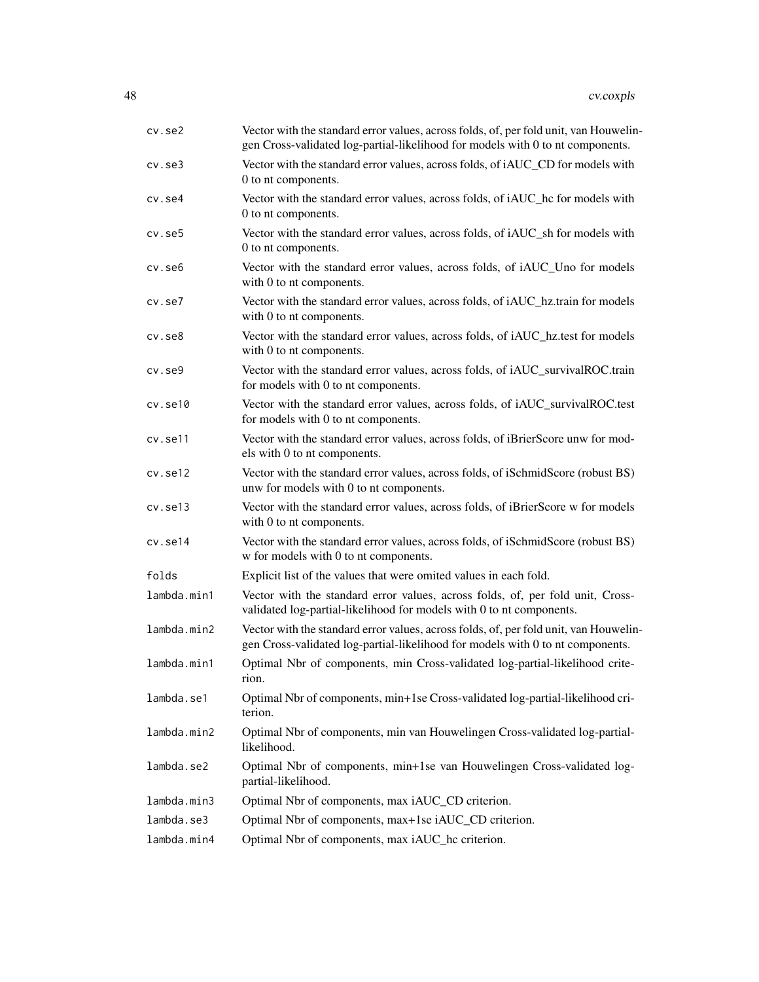| cv.se2       | Vector with the standard error values, across folds, of, per fold unit, van Houwelin-<br>gen Cross-validated log-partial-likelihood for models with 0 to nt components. |
|--------------|-------------------------------------------------------------------------------------------------------------------------------------------------------------------------|
| $cv.$ se $3$ | Vector with the standard error values, across folds, of iAUC_CD for models with<br>0 to nt components.                                                                  |
| cv.se4       | Vector with the standard error values, across folds, of iAUC_hc for models with<br>0 to nt components.                                                                  |
| cv.se5       | Vector with the standard error values, across folds, of iAUC_sh for models with<br>0 to nt components.                                                                  |
| cv.se6       | Vector with the standard error values, across folds, of iAUC_Uno for models<br>with 0 to nt components.                                                                 |
| $cv.$ se $7$ | Vector with the standard error values, across folds, of iAUC_hz.train for models<br>with 0 to nt components.                                                            |
| $cv.$ se $8$ | Vector with the standard error values, across folds, of iAUC_hz.test for models<br>with 0 to nt components.                                                             |
| $cv.$ se $9$ | Vector with the standard error values, across folds, of iAUC_survivalROC.train<br>for models with 0 to nt components.                                                   |
| cv.set10     | Vector with the standard error values, across folds, of iAUC_survivalROC.test<br>for models with 0 to nt components.                                                    |
| cv.set11     | Vector with the standard error values, across folds, of iBrierScore unw for mod-<br>els with 0 to nt components.                                                        |
| cv.set12     | Vector with the standard error values, across folds, of iSchmidScore (robust BS)<br>unw for models with 0 to nt components.                                             |
| cv.se13      | Vector with the standard error values, across folds, of iBrierScore w for models<br>with 0 to nt components.                                                            |
| cv.se14      | Vector with the standard error values, across folds, of iSchmidScore (robust BS)<br>w for models with 0 to nt components.                                               |
| folds        | Explicit list of the values that were omited values in each fold.                                                                                                       |
| lambda.min1  | Vector with the standard error values, across folds, of, per fold unit, Cross-<br>validated log-partial-likelihood for models with 0 to nt components.                  |
| lambda.min2  | Vector with the standard error values, across folds, of, per fold unit, van Houwelin-<br>gen Cross-validated log-partial-likelihood for models with 0 to nt components. |
| lambda.min1  | Optimal Nbr of components, min Cross-validated log-partial-likelihood crite-<br>rion.                                                                                   |
| lambda.se1   | Optimal Nbr of components, min+1se Cross-validated log-partial-likelihood cri-<br>terion.                                                                               |
| lambda.min2  | Optimal Nbr of components, min van Houwelingen Cross-validated log-partial-<br>likelihood.                                                                              |
| lambda.se2   | Optimal Nbr of components, min+1se van Houwelingen Cross-validated log-<br>partial-likelihood.                                                                          |
| lambda.min3  | Optimal Nbr of components, max iAUC_CD criterion.                                                                                                                       |
| lambda.se3   | Optimal Nbr of components, max+1se iAUC_CD criterion.                                                                                                                   |
| lambda.min4  | Optimal Nbr of components, max iAUC_hc criterion.                                                                                                                       |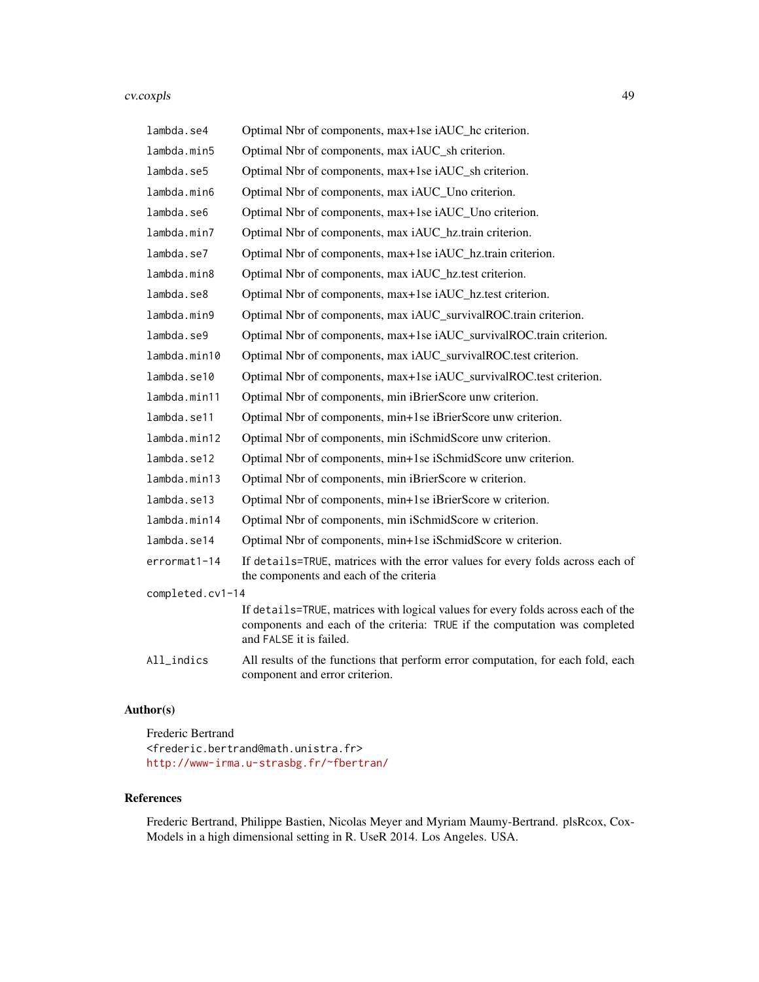#### cv.coxpls 49

| lambda.se4       | Optimal Nbr of components, max+1se iAUC_hc criterion.                                                                                                                                     |
|------------------|-------------------------------------------------------------------------------------------------------------------------------------------------------------------------------------------|
| lambda.min5      | Optimal Nbr of components, max iAUC_sh criterion.                                                                                                                                         |
| lambda.se5       | Optimal Nbr of components, max+1se iAUC_sh criterion.                                                                                                                                     |
| lambda.min6      | Optimal Nbr of components, max iAUC_Uno criterion.                                                                                                                                        |
| lambda.se6       | Optimal Nbr of components, max+1se iAUC_Uno criterion.                                                                                                                                    |
| lambda.min7      | Optimal Nbr of components, max iAUC_hz.train criterion.                                                                                                                                   |
| lambda.se7       | Optimal Nbr of components, max+1se iAUC_hz.train criterion.                                                                                                                               |
| lambda.min8      | Optimal Nbr of components, max iAUC_hz.test criterion.                                                                                                                                    |
| lambda.se8       | Optimal Nbr of components, max+1se iAUC_hz.test criterion.                                                                                                                                |
| lambda.min9      | Optimal Nbr of components, max iAUC_survivalROC.train criterion.                                                                                                                          |
| lambda.se9       | Optimal Nbr of components, max+1se iAUC_survivalROC.train criterion.                                                                                                                      |
| lambda.min10     | Optimal Nbr of components, max iAUC_survivalROC.test criterion.                                                                                                                           |
| lambda.se10      | Optimal Nbr of components, max+1se iAUC_survivalROC.test criterion.                                                                                                                       |
| lambda.min11     | Optimal Nbr of components, min iBrierScore unw criterion.                                                                                                                                 |
| lambda.se11      | Optimal Nbr of components, min+1se iBrierScore unw criterion.                                                                                                                             |
| lambda.min12     | Optimal Nbr of components, min iSchmidScore unw criterion.                                                                                                                                |
| lambda.se12      | Optimal Nbr of components, min+1se iSchmidScore unw criterion.                                                                                                                            |
| lambda.min13     | Optimal Nbr of components, min iBrierScore w criterion.                                                                                                                                   |
| lambda.se13      | Optimal Nbr of components, min+1se iBrierScore w criterion.                                                                                                                               |
| lambda.min14     | Optimal Nbr of components, min iSchmidScore w criterion.                                                                                                                                  |
| lambda.se14      | Optimal Nbr of components, min+1se iSchmidScore w criterion.                                                                                                                              |
| errormat1-14     | If details=TRUE, matrices with the error values for every folds across each of<br>the components and each of the criteria                                                                 |
| completed.cv1-14 |                                                                                                                                                                                           |
|                  | If details=TRUE, matrices with logical values for every folds across each of the<br>components and each of the criteria: TRUE if the computation was completed<br>and FALSE it is failed. |
| All_indics       | All results of the functions that perform error computation, for each fold, each<br>component and error criterion.                                                                        |

# Author(s)

Frederic Bertrand <frederic.bertrand@math.unistra.fr> <http://www-irma.u-strasbg.fr/~fbertran/>

# References

Frederic Bertrand, Philippe Bastien, Nicolas Meyer and Myriam Maumy-Bertrand. plsRcox, Cox-Models in a high dimensional setting in R. UseR 2014. Los Angeles. USA.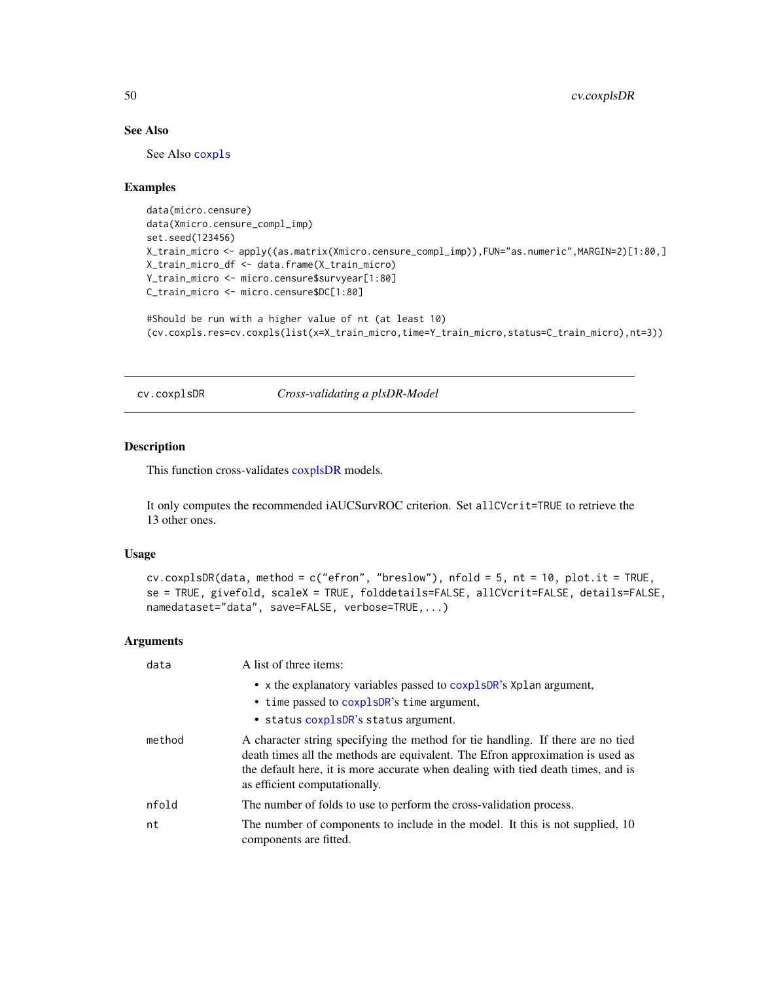# See Also

See Also [coxpls](#page-12-0)

### Examples

```
data(micro.censure)
data(Xmicro.censure_compl_imp)
set.seed(123456)
X_train_micro <- apply((as.matrix(Xmicro.censure_compl_imp)),FUN="as.numeric",MARGIN=2)[1:80,]
X_train_micro_df <- data.frame(X_train_micro)
Y_train_micro <- micro.censure$survyear[1:80]
C_train_micro <- micro.censure$DC[1:80]
```

```
#Should be run with a higher value of nt (at least 10)
(cv.coxpls.res=cv.coxpls(list(x=X_train_micro,time=Y_train_micro,status=C_train_micro),nt=3))
```
cv.coxplsDR *Cross-validating a plsDR-Model*

### Description

This function cross-validates [coxplsDR](#page-27-0) models.

It only computes the recommended iAUCSurvROC criterion. Set allCVcrit=TRUE to retrieve the 13 other ones.

# Usage

```
cv.coxplsDR(data, method = c("efron", "breslow"), nfold = 5, nt = 10, plot.it = TRUE,
se = TRUE, givefold, scaleX = TRUE, folddetails=FALSE, allCVcrit=FALSE, details=FALSE,
namedataset="data", save=FALSE, verbose=TRUE,...)
```

| data   | A list of three items:                                                                                                                                                                                                                                                                 |
|--------|----------------------------------------------------------------------------------------------------------------------------------------------------------------------------------------------------------------------------------------------------------------------------------------|
|        | • x the explanatory variables passed to coxplsDR's Xplan argument,<br>• time passed to coxplsDR's time argument,<br>• status coxplsDR's status argument.                                                                                                                               |
| method | A character string specifying the method for tie handling. If there are no tied<br>death times all the methods are equivalent. The Efron approximation is used as<br>the default here, it is more accurate when dealing with tied death times, and is<br>as efficient computationally. |
| nfold  | The number of folds to use to perform the cross-validation process.                                                                                                                                                                                                                    |
| nt     | The number of components to include in the model. It this is not supplied, 10<br>components are fitted.                                                                                                                                                                                |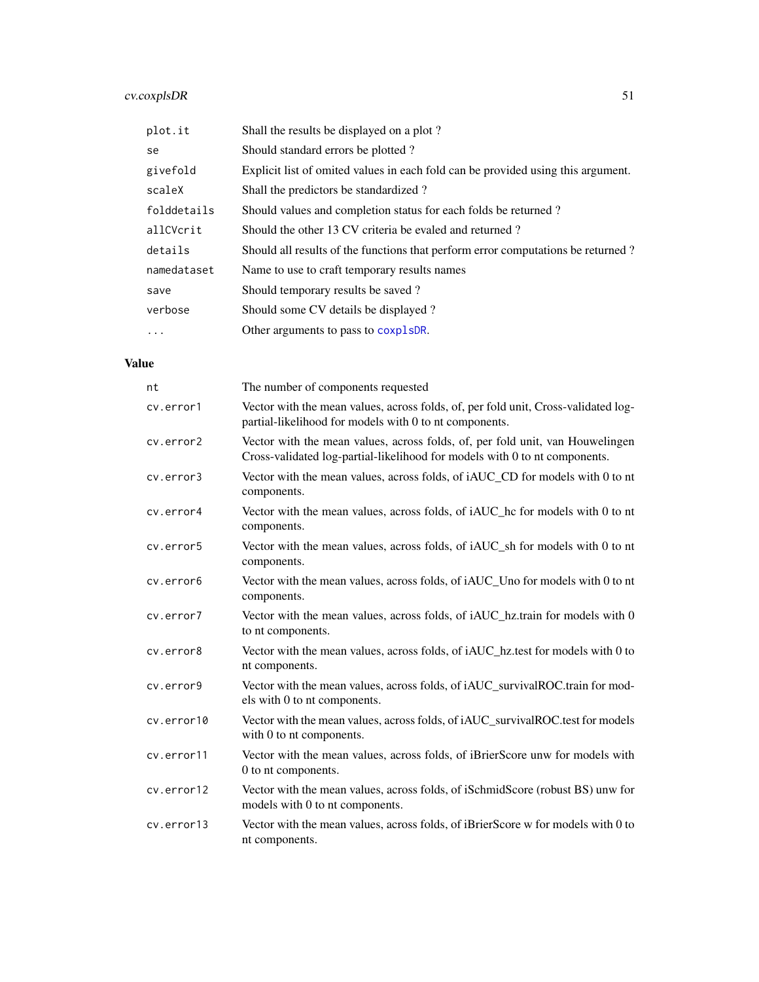# cv.coxplsDR 51

| plot.it     | Shall the results be displayed on a plot?                                        |
|-------------|----------------------------------------------------------------------------------|
| se          | Should standard errors be plotted?                                               |
| givefold    | Explicit list of omited values in each fold can be provided using this argument. |
| scaleX      | Shall the predictors be standardized?                                            |
| folddetails | Should values and completion status for each folds be returned?                  |
| allCVcrit   | Should the other 13 CV criteria be evaled and returned?                          |
| details     | Should all results of the functions that perform error computations be returned? |
| namedataset | Name to use to craft temporary results names                                     |
| save        | Should temporary results be saved?                                               |
| verbose     | Should some CV details be displayed?                                             |
| $\cdots$    | Other arguments to pass to coxplsDR.                                             |

| nt         | The number of components requested                                                                                                                          |
|------------|-------------------------------------------------------------------------------------------------------------------------------------------------------------|
| cv.error1  | Vector with the mean values, across folds, of, per fold unit, Cross-validated log-<br>partial-likelihood for models with 0 to nt components.                |
| cv.error2  | Vector with the mean values, across folds, of, per fold unit, van Houwelingen<br>Cross-validated log-partial-likelihood for models with 0 to nt components. |
| cv.error3  | Vector with the mean values, across folds, of iAUC_CD for models with 0 to nt<br>components.                                                                |
| cv.error4  | Vector with the mean values, across folds, of iAUC_hc for models with 0 to nt<br>components.                                                                |
| cv.error5  | Vector with the mean values, across folds, of iAUC_sh for models with 0 to nt<br>components.                                                                |
| cv.error6  | Vector with the mean values, across folds, of iAUC_Uno for models with 0 to nt<br>components.                                                               |
| cv.error7  | Vector with the mean values, across folds, of iAUC_hz.train for models with 0<br>to nt components.                                                          |
| cv.error8  | Vector with the mean values, across folds, of iAUC_hz.test for models with 0 to<br>nt components.                                                           |
| cv.error9  | Vector with the mean values, across folds, of iAUC_survivalROC.train for mod-<br>els with 0 to nt components.                                               |
| cv.error10 | Vector with the mean values, across folds, of iAUC_survivalROC.test for models<br>with 0 to nt components.                                                  |
| cv.error11 | Vector with the mean values, across folds, of iBrierScore unw for models with<br>0 to nt components.                                                        |
| cv.error12 | Vector with the mean values, across folds, of iSchmidScore (robust BS) unw for<br>models with 0 to nt components.                                           |
| cv.error13 | Vector with the mean values, across folds, of iBrierScore w for models with 0 to<br>nt components.                                                          |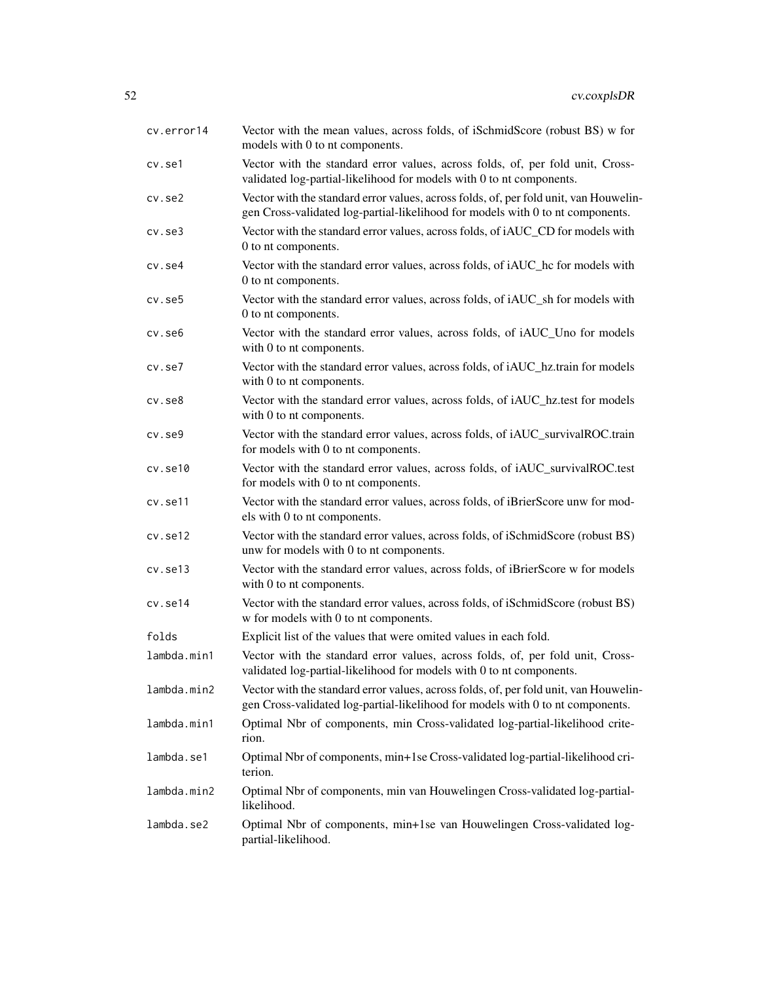| cv.error14   | Vector with the mean values, across folds, of iSchmidScore (robust BS) w for<br>models with 0 to nt components.                                                         |
|--------------|-------------------------------------------------------------------------------------------------------------------------------------------------------------------------|
| cv.se1       | Vector with the standard error values, across folds, of, per fold unit, Cross-<br>validated log-partial-likelihood for models with 0 to nt components.                  |
| $cv.$ se $2$ | Vector with the standard error values, across folds, of, per fold unit, van Houwelin-<br>gen Cross-validated log-partial-likelihood for models with 0 to nt components. |
| $cv.$ se $3$ | Vector with the standard error values, across folds, of iAUC_CD for models with<br>0 to nt components.                                                                  |
| cv.se4       | Vector with the standard error values, across folds, of iAUC_hc for models with<br>0 to nt components.                                                                  |
| cv.se5       | Vector with the standard error values, across folds, of iAUC_sh for models with<br>0 to nt components.                                                                  |
| cv.se6       | Vector with the standard error values, across folds, of iAUC_Uno for models<br>with 0 to nt components.                                                                 |
| cv.se7       | Vector with the standard error values, across folds, of iAUC_hz.train for models<br>with 0 to nt components.                                                            |
| $cv.$ se $8$ | Vector with the standard error values, across folds, of iAUC_hz.test for models<br>with 0 to nt components.                                                             |
| cv.se9       | Vector with the standard error values, across folds, of iAUC_survivalROC.train<br>for models with 0 to nt components.                                                   |
| cv.set10     | Vector with the standard error values, across folds, of iAUC_survivalROC.test<br>for models with 0 to nt components.                                                    |
| cv.se11      | Vector with the standard error values, across folds, of iBrierScore unw for mod-<br>els with 0 to nt components.                                                        |
| cv.se12      | Vector with the standard error values, across folds, of iSchmidScore (robust BS)<br>unw for models with 0 to nt components.                                             |
| cv.set13     | Vector with the standard error values, across folds, of iBrierScore w for models<br>with 0 to nt components.                                                            |
| cv.set14     | Vector with the standard error values, across folds, of iSchmidScore (robust BS)<br>w for models with 0 to nt components.                                               |
| folds        | Explicit list of the values that were omited values in each fold.                                                                                                       |
| lambda.min1  | Vector with the standard error values, across folds, of, per fold unit, Cross-<br>validated log-partial-likelihood for models with 0 to nt components.                  |
| lambda.min2  | Vector with the standard error values, across folds, of, per fold unit, van Houwelin-<br>gen Cross-validated log-partial-likelihood for models with 0 to nt components. |
| lambda.min1  | Optimal Nbr of components, min Cross-validated log-partial-likelihood crite-<br>rion.                                                                                   |
| lambda.se1   | Optimal Nbr of components, min+1se Cross-validated log-partial-likelihood cri-<br>terion.                                                                               |
| lambda.min2  | Optimal Nbr of components, min van Houwelingen Cross-validated log-partial-<br>likelihood.                                                                              |
| lambda.se2   | Optimal Nbr of components, min+1se van Houwelingen Cross-validated log-<br>partial-likelihood.                                                                          |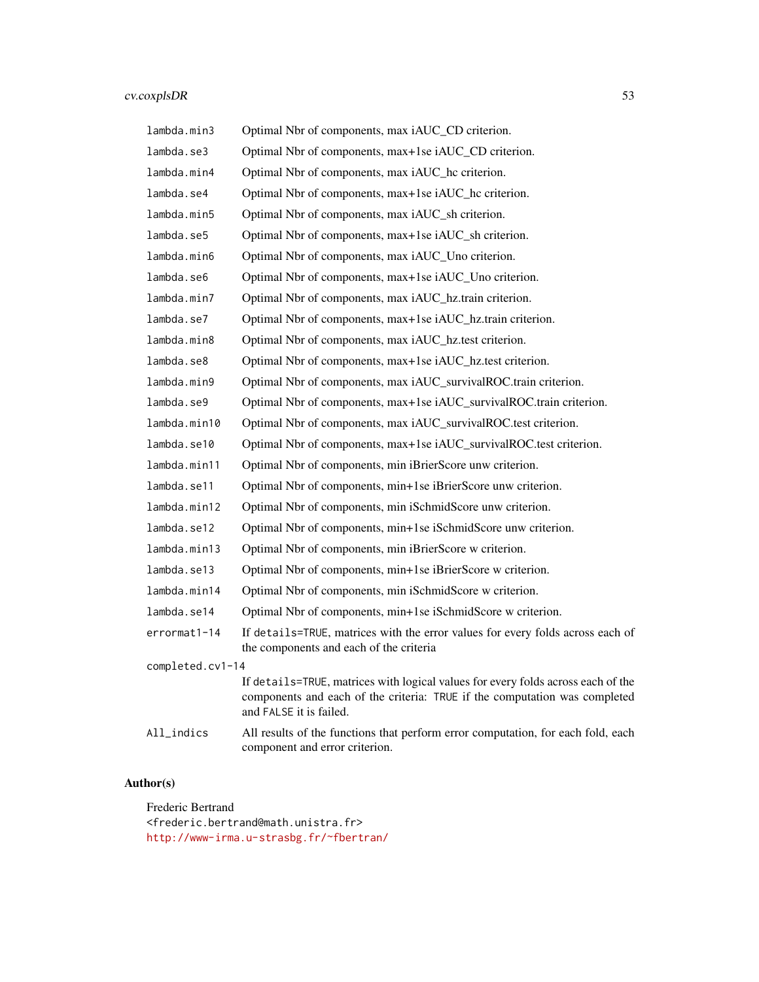# cv.coxplsDR 53

| lambda.min3      | Optimal Nbr of components, max iAUC_CD criterion.                                                                                                                                         |
|------------------|-------------------------------------------------------------------------------------------------------------------------------------------------------------------------------------------|
| lambda.se3       | Optimal Nbr of components, max+1se iAUC_CD criterion.                                                                                                                                     |
| lambda.min4      | Optimal Nbr of components, max iAUC_hc criterion.                                                                                                                                         |
| lambda.se4       | Optimal Nbr of components, max+1se iAUC_hc criterion.                                                                                                                                     |
| lambda.min5      | Optimal Nbr of components, max iAUC_sh criterion.                                                                                                                                         |
| lambda.se5       | Optimal Nbr of components, max+1se iAUC_sh criterion.                                                                                                                                     |
| lambda.min6      | Optimal Nbr of components, max iAUC_Uno criterion.                                                                                                                                        |
| lambda.se6       | Optimal Nbr of components, max+1se iAUC_Uno criterion.                                                                                                                                    |
| lambda.min7      | Optimal Nbr of components, max iAUC_hz.train criterion.                                                                                                                                   |
| lambda.se7       | Optimal Nbr of components, max+1se iAUC_hz.train criterion.                                                                                                                               |
| lambda.min8      | Optimal Nbr of components, max iAUC_hz.test criterion.                                                                                                                                    |
| lambda.se8       | Optimal Nbr of components, max+1se iAUC_hz.test criterion.                                                                                                                                |
| lambda.min9      | Optimal Nbr of components, max iAUC_survivalROC.train criterion.                                                                                                                          |
| lambda.se9       | Optimal Nbr of components, max+1se iAUC_survivalROC.train criterion.                                                                                                                      |
| lambda.min10     | Optimal Nbr of components, max iAUC_survivalROC.test criterion.                                                                                                                           |
| lambda.se10      | Optimal Nbr of components, max+1se iAUC_survivalROC.test criterion.                                                                                                                       |
| lambda.min11     | Optimal Nbr of components, min iBrierScore unw criterion.                                                                                                                                 |
| lambda.se11      | Optimal Nbr of components, min+1se iBrierScore unw criterion.                                                                                                                             |
| lambda.min12     | Optimal Nbr of components, min iSchmidScore unw criterion.                                                                                                                                |
| lambda.se12      | Optimal Nbr of components, min+1se iSchmidScore unw criterion.                                                                                                                            |
| lambda.min13     | Optimal Nbr of components, min iBrierScore w criterion.                                                                                                                                   |
| lambda.se13      | Optimal Nbr of components, min+1se iBrierScore w criterion.                                                                                                                               |
| lambda.min14     | Optimal Nbr of components, min iSchmidScore w criterion.                                                                                                                                  |
| lambda.se14      | Optimal Nbr of components, min+1se iSchmidScore w criterion.                                                                                                                              |
| errormat1-14     | If details=TRUE, matrices with the error values for every folds across each of<br>the components and each of the criteria                                                                 |
| completed.cv1-14 |                                                                                                                                                                                           |
|                  | If details=TRUE, matrices with logical values for every folds across each of the<br>components and each of the criteria: TRUE if the computation was completed<br>and FALSE it is failed. |
| $All_$ indics    | All results of the functions that perform error computation, for each fold, each<br>component and error criterion.                                                                        |

# Author(s)

Frederic Bertrand <frederic.bertrand@math.unistra.fr> <http://www-irma.u-strasbg.fr/~fbertran/>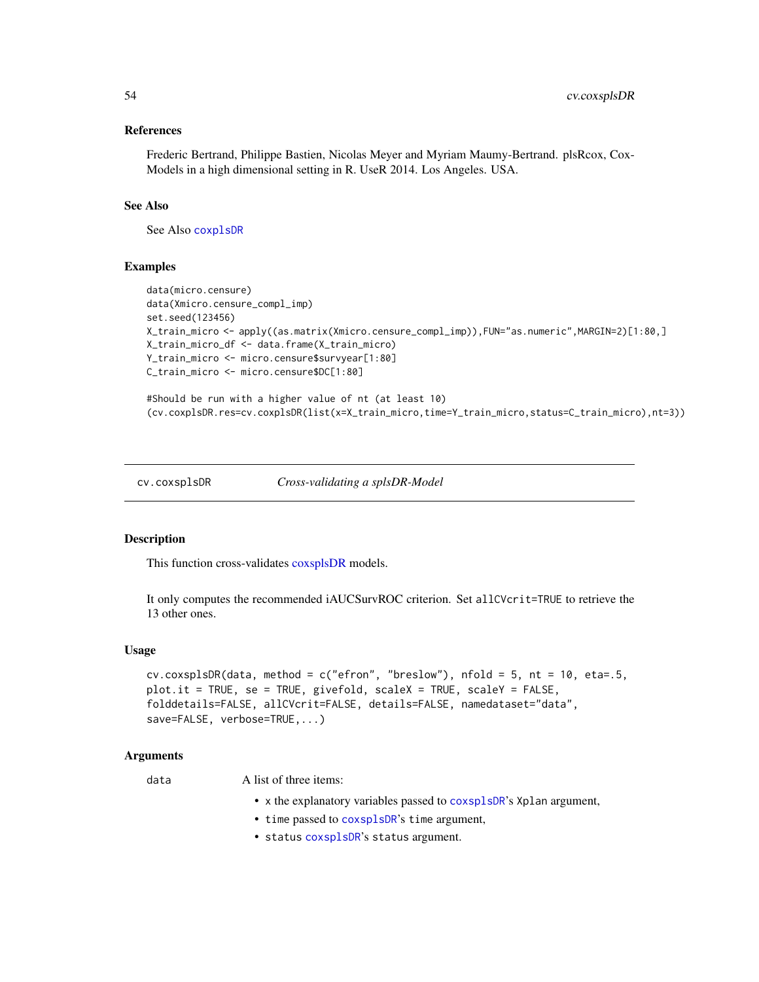### References

Frederic Bertrand, Philippe Bastien, Nicolas Meyer and Myriam Maumy-Bertrand. plsRcox, Cox-Models in a high dimensional setting in R. UseR 2014. Los Angeles. USA.

#### See Also

See Also [coxplsDR](#page-27-0)

### Examples

```
data(micro.censure)
data(Xmicro.censure_compl_imp)
set.seed(123456)
X_train_micro <- apply((as.matrix(Xmicro.censure_compl_imp)),FUN="as.numeric",MARGIN=2)[1:80,]
X_train_micro_df <- data.frame(X_train_micro)
Y_train_micro <- micro.censure$survyear[1:80]
C_train_micro <- micro.censure$DC[1:80]
```

```
#Should be run with a higher value of nt (at least 10)
(cv.coxplsDR.res=cv.coxplsDR(list(x=X_train_micro,time=Y_train_micro,status=C_train_micro),nt=3))
```
cv.coxsplsDR *Cross-validating a splsDR-Model*

#### Description

This function cross-validates [coxsplsDR](#page-30-0) models.

It only computes the recommended iAUCSurvROC criterion. Set allCVcrit=TRUE to retrieve the 13 other ones.

#### Usage

```
cv.coxsplsDR(data, method = c("efron", "breslow"), nfold = 5, nt = 10, eta=.5,
plot.it = TRUE, se = TRUE, givefold, scaleX = TRUE, scaleY = FALSE,
folddetails=FALSE, allCVcrit=FALSE, details=FALSE, namedataset="data",
save=FALSE, verbose=TRUE,...)
```
### Arguments

data A list of three items:

- x the explanatory variables passed to [coxsplsDR](#page-30-0)'s Xplan argument,
- time passed to [coxsplsDR](#page-30-0)'s time argument,
- status [coxsplsDR](#page-30-0)'s status argument.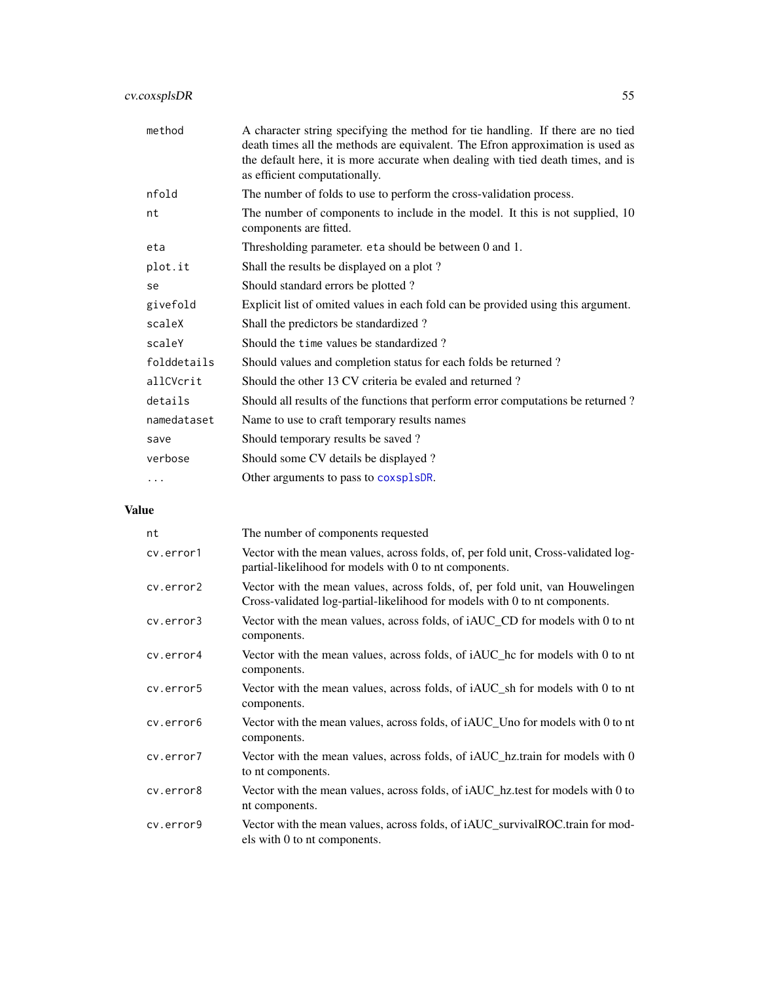| method      | A character string specifying the method for tie handling. If there are no tied<br>death times all the methods are equivalent. The Efron approximation is used as<br>the default here, it is more accurate when dealing with tied death times, and is<br>as efficient computationally. |
|-------------|----------------------------------------------------------------------------------------------------------------------------------------------------------------------------------------------------------------------------------------------------------------------------------------|
| nfold       | The number of folds to use to perform the cross-validation process.                                                                                                                                                                                                                    |
| nt          | The number of components to include in the model. It this is not supplied, 10<br>components are fitted.                                                                                                                                                                                |
| eta         | Thresholding parameter. eta should be between 0 and 1.                                                                                                                                                                                                                                 |
| plot.it     | Shall the results be displayed on a plot?                                                                                                                                                                                                                                              |
| se          | Should standard errors be plotted?                                                                                                                                                                                                                                                     |
| givefold    | Explicit list of omited values in each fold can be provided using this argument.                                                                                                                                                                                                       |
| scaleX      | Shall the predictors be standardized?                                                                                                                                                                                                                                                  |
| scaleY      | Should the time values be standardized?                                                                                                                                                                                                                                                |
| folddetails | Should values and completion status for each folds be returned?                                                                                                                                                                                                                        |
| allCVcrit   | Should the other 13 CV criteria be evaled and returned?                                                                                                                                                                                                                                |
| details     | Should all results of the functions that perform error computations be returned?                                                                                                                                                                                                       |
| namedataset | Name to use to craft temporary results names                                                                                                                                                                                                                                           |
| save        | Should temporary results be saved?                                                                                                                                                                                                                                                     |
| verbose     | Should some CV details be displayed?                                                                                                                                                                                                                                                   |
| .           | Other arguments to pass to coxsplsDR.                                                                                                                                                                                                                                                  |

| nt        | The number of components requested                                                                                                                          |
|-----------|-------------------------------------------------------------------------------------------------------------------------------------------------------------|
| cv.error1 | Vector with the mean values, across folds, of, per fold unit, Cross-validated log-<br>partial-likelihood for models with 0 to nt components.                |
| cv.error2 | Vector with the mean values, across folds, of, per fold unit, van Houwelingen<br>Cross-validated log-partial-likelihood for models with 0 to nt components. |
| cv.error3 | Vector with the mean values, across folds, of iAUC_CD for models with 0 to nt<br>components.                                                                |
| cv.error4 | Vector with the mean values, across folds, of <i>iAUC</i> he for models with 0 to nt<br>components.                                                         |
| cv.error5 | Vector with the mean values, across folds, of iAUC_sh for models with 0 to nt<br>components.                                                                |
| cv.error6 | Vector with the mean values, across folds, of iAUC_Uno for models with 0 to nt<br>components.                                                               |
| cv.error7 | Vector with the mean values, across folds, of iAUC_hz.train for models with 0<br>to nt components.                                                          |
| cv.error8 | Vector with the mean values, across folds, of iAUC_hz.test for models with 0 to<br>nt components.                                                           |
| cy.error9 | Vector with the mean values, across folds, of iAUC_survivalROC.train for mod-<br>els with 0 to nt components.                                               |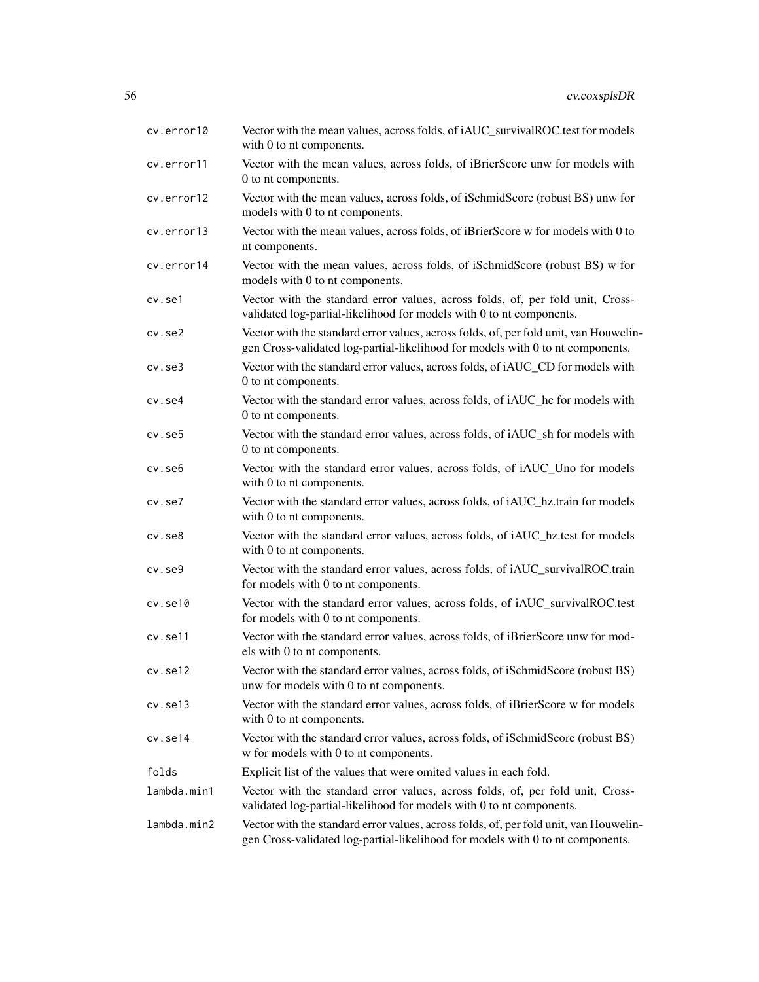| cv.error10   | Vector with the mean values, across folds, of iAUC_survivalROC.test for models<br>with 0 to nt components.                                                              |
|--------------|-------------------------------------------------------------------------------------------------------------------------------------------------------------------------|
| cv.error11   | Vector with the mean values, across folds, of iBrierScore unw for models with<br>0 to nt components.                                                                    |
| cv.error12   | Vector with the mean values, across folds, of iSchmidScore (robust BS) unw for<br>models with 0 to nt components.                                                       |
| cv.error13   | Vector with the mean values, across folds, of iBrierScore w for models with 0 to<br>nt components.                                                                      |
| cv.error14   | Vector with the mean values, across folds, of iSchmidScore (robust BS) w for<br>models with 0 to nt components.                                                         |
| cv.se1       | Vector with the standard error values, across folds, of, per fold unit, Cross-<br>validated log-partial-likelihood for models with 0 to nt components.                  |
| $cv.$ se $2$ | Vector with the standard error values, across folds, of, per fold unit, van Houwelin-<br>gen Cross-validated log-partial-likelihood for models with 0 to nt components. |
| $cv.$ se $3$ | Vector with the standard error values, across folds, of iAUC_CD for models with<br>0 to nt components.                                                                  |
| cv.se4       | Vector with the standard error values, across folds, of iAUC_hc for models with<br>0 to nt components.                                                                  |
| $cv.$ se $5$ | Vector with the standard error values, across folds, of iAUC_sh for models with<br>0 to nt components.                                                                  |
| $cv.$ se $6$ | Vector with the standard error values, across folds, of iAUC_Uno for models<br>with 0 to nt components.                                                                 |
| cv.se7       | Vector with the standard error values, across folds, of iAUC_hz.train for models<br>with 0 to nt components.                                                            |
| $cv.$ se $8$ | Vector with the standard error values, across folds, of iAUC_hz.test for models<br>with 0 to nt components.                                                             |
| cv.se9       | Vector with the standard error values, across folds, of iAUC_survivalROC.train<br>for models with 0 to nt components.                                                   |
| cv.set10     | Vector with the standard error values, across folds, of iAUC_survivalROC.test<br>for models with 0 to nt components.                                                    |
| cv.se11      | Vector with the standard error values, across folds, of iBrierScore unw for mod-<br>els with 0 to nt components.                                                        |
| cv.set12     | Vector with the standard error values, across folds, of iSchmidScore (robust BS)<br>unw for models with 0 to nt components.                                             |
| cv.set13     | Vector with the standard error values, across folds, of iBrierScore w for models<br>with 0 to nt components.                                                            |
| cv.se14      | Vector with the standard error values, across folds, of iSchmidScore (robust BS)<br>w for models with 0 to nt components.                                               |
| folds        | Explicit list of the values that were omited values in each fold.                                                                                                       |
| lambda.min1  | Vector with the standard error values, across folds, of, per fold unit, Cross-<br>validated log-partial-likelihood for models with 0 to nt components.                  |
| lambda.min2  | Vector with the standard error values, across folds, of, per fold unit, van Houwelin-<br>gen Cross-validated log-partial-likelihood for models with 0 to nt components. |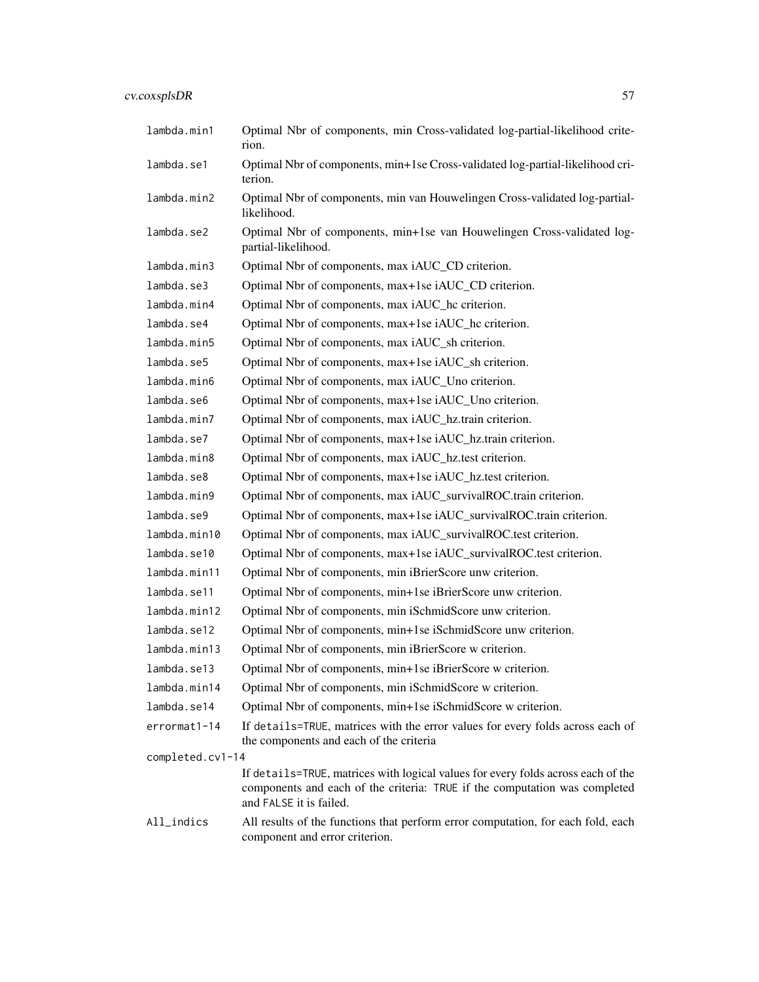| lambda.min1      | Optimal Nbr of components, min Cross-validated log-partial-likelihood crite-<br>rion.                                                                                                     |
|------------------|-------------------------------------------------------------------------------------------------------------------------------------------------------------------------------------------|
| lambda.se1       | Optimal Nbr of components, min+1se Cross-validated log-partial-likelihood cri-<br>terion.                                                                                                 |
| lambda.min2      | Optimal Nbr of components, min van Houwelingen Cross-validated log-partial-<br>likelihood.                                                                                                |
| lambda.se2       | Optimal Nbr of components, min+1se van Houwelingen Cross-validated log-<br>partial-likelihood.                                                                                            |
| lambda.min3      | Optimal Nbr of components, max iAUC_CD criterion.                                                                                                                                         |
| lambda.se3       | Optimal Nbr of components, max+1se iAUC_CD criterion.                                                                                                                                     |
| lambda.min4      | Optimal Nbr of components, max iAUC_hc criterion.                                                                                                                                         |
| lambda.se4       | Optimal Nbr of components, max+1se iAUC_hc criterion.                                                                                                                                     |
| lambda.min5      | Optimal Nbr of components, max iAUC_sh criterion.                                                                                                                                         |
| lambda.se5       | Optimal Nbr of components, max+1se iAUC_sh criterion.                                                                                                                                     |
| lambda.min6      | Optimal Nbr of components, max iAUC_Uno criterion.                                                                                                                                        |
| lambda.se6       | Optimal Nbr of components, max+1se iAUC_Uno criterion.                                                                                                                                    |
| lambda.min7      | Optimal Nbr of components, max iAUC_hz.train criterion.                                                                                                                                   |
| lambda.se7       | Optimal Nbr of components, max+1se iAUC_hz.train criterion.                                                                                                                               |
| lambda.min8      | Optimal Nbr of components, max iAUC_hz.test criterion.                                                                                                                                    |
| lambda.se8       | Optimal Nbr of components, max+1se iAUC_hz.test criterion.                                                                                                                                |
| lambda.min9      | Optimal Nbr of components, max iAUC_survivalROC.train criterion.                                                                                                                          |
| lambda.se9       | Optimal Nbr of components, max+1se iAUC_survivalROC.train criterion.                                                                                                                      |
| lambda.min10     | Optimal Nbr of components, max iAUC_survivalROC.test criterion.                                                                                                                           |
| lambda.se10      | Optimal Nbr of components, max+1se iAUC_survivalROC.test criterion.                                                                                                                       |
| lambda.min11     | Optimal Nbr of components, min iBrierScore unw criterion.                                                                                                                                 |
| lambda.se11      | Optimal Nbr of components, min+1se iBrierScore unw criterion.                                                                                                                             |
| lambda.min12     | Optimal Nbr of components, min iSchmidScore unw criterion.                                                                                                                                |
| lambda.se12      | Optimal Nbr of components, min+1se iSchmidScore unw criterion.                                                                                                                            |
| lambda.min13     | Optimal Nbr of components, min iBrierScore w criterion.                                                                                                                                   |
| lambda.se13      | Optimal Nbr of components, min+1se iBrierScore w criterion.                                                                                                                               |
| lambda.min14     | Optimal Nbr of components, min iSchmidScore w criterion.                                                                                                                                  |
| lambda.se14      | Optimal Nbr of components, min+1se iSchmidScore w criterion.                                                                                                                              |
| errormat1-14     | If details=TRUE, matrices with the error values for every folds across each of<br>the components and each of the criteria                                                                 |
| completed.cv1-14 |                                                                                                                                                                                           |
|                  | If details=TRUE, matrices with logical values for every folds across each of the<br>components and each of the criteria: TRUE if the computation was completed<br>and FALSE it is failed. |
| All_indics       | All results of the functions that perform error computation, for each fold, each<br>component and error criterion.                                                                        |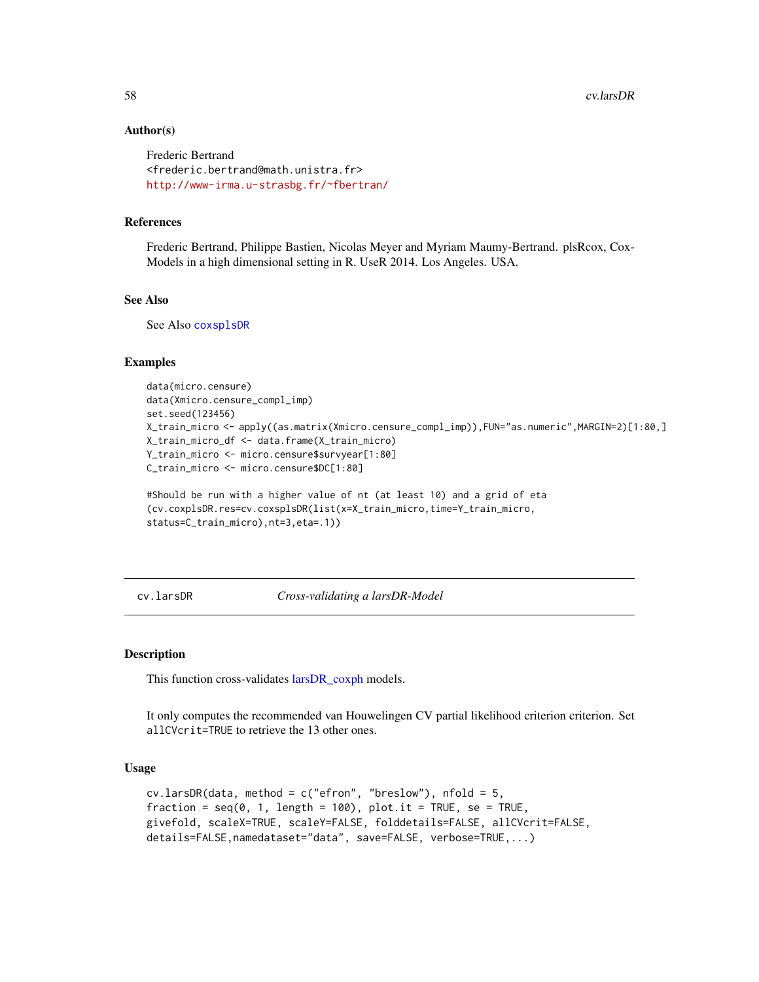```
Frederic Bertrand
<frederic.bertrand@math.unistra.fr>
http://www-irma.u-strasbg.fr/~fbertran/
```
### References

Frederic Bertrand, Philippe Bastien, Nicolas Meyer and Myriam Maumy-Bertrand. plsRcox, Cox-Models in a high dimensional setting in R. UseR 2014. Los Angeles. USA.

# See Also

See Also [coxsplsDR](#page-30-0)

### Examples

```
data(micro.censure)
data(Xmicro.censure_compl_imp)
set.seed(123456)
X_train_micro <- apply((as.matrix(Xmicro.censure_compl_imp)),FUN="as.numeric",MARGIN=2)[1:80,]
X_train_micro_df <- data.frame(X_train_micro)
Y_train_micro <- micro.censure$survyear[1:80]
C_train_micro <- micro.censure$DC[1:80]
```

```
#Should be run with a higher value of nt (at least 10) and a grid of eta
(cv.coxplsDR.res=cv.coxsplsDR(list(x=X_train_micro,time=Y_train_micro,
status=C_train_micro),nt=3,eta=.1))
```
cv.larsDR *Cross-validating a larsDR-Model*

#### Description

This function cross-validates [larsDR\\_coxph](#page-71-0) models.

It only computes the recommended van Houwelingen CV partial likelihood criterion criterion. Set allCVcrit=TRUE to retrieve the 13 other ones.

### Usage

```
cv.larsDR(data, method = c("efron", "breakow"), nfold = 5,fraction = seq(0, 1, length = 100), plot.it = TRUE, se = TRUE,
givefold, scaleX=TRUE, scaleY=FALSE, folddetails=FALSE, allCVcrit=FALSE,
details=FALSE,namedataset="data", save=FALSE, verbose=TRUE,...)
```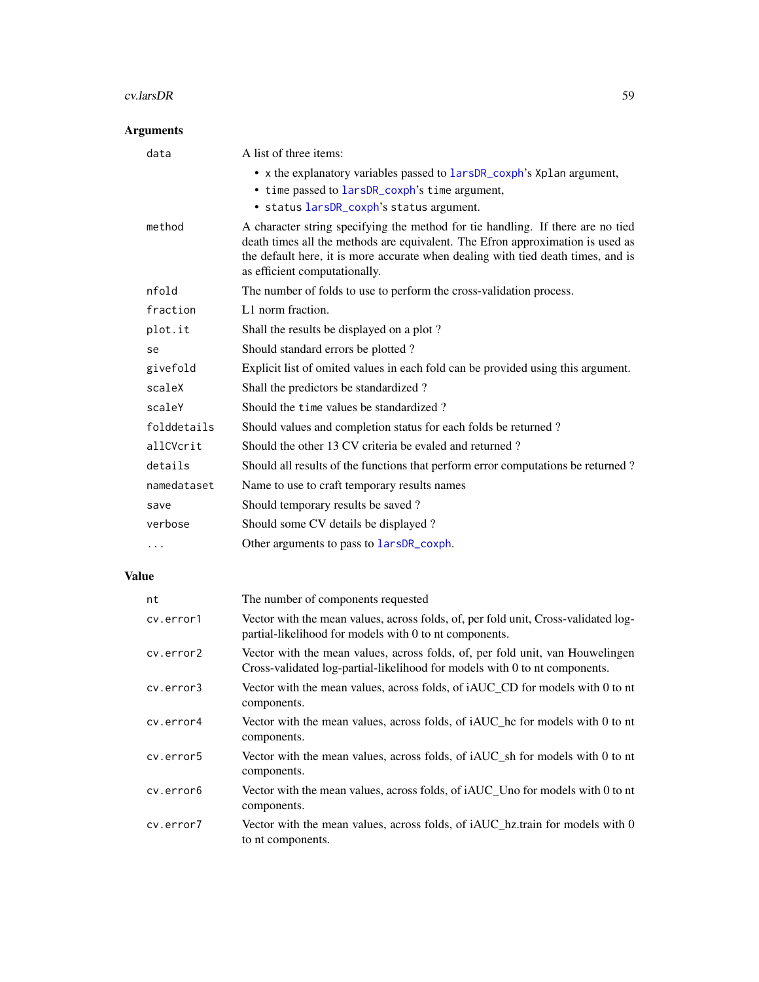#### cv.larsDR 59

# Arguments

| data        | A list of three items:                                                                                                                                                                                                                                                                 |
|-------------|----------------------------------------------------------------------------------------------------------------------------------------------------------------------------------------------------------------------------------------------------------------------------------------|
|             | • x the explanatory variables passed to larsDR_coxph's Xplan argument,                                                                                                                                                                                                                 |
|             | • time passed to larsDR_coxph's time argument,                                                                                                                                                                                                                                         |
|             | · status larsDR_coxph's status argument.                                                                                                                                                                                                                                               |
| method      | A character string specifying the method for tie handling. If there are no tied<br>death times all the methods are equivalent. The Efron approximation is used as<br>the default here, it is more accurate when dealing with tied death times, and is<br>as efficient computationally. |
| nfold       | The number of folds to use to perform the cross-validation process.                                                                                                                                                                                                                    |
| fraction    | L1 norm fraction.                                                                                                                                                                                                                                                                      |
| plot.it     | Shall the results be displayed on a plot?                                                                                                                                                                                                                                              |
| se          | Should standard errors be plotted?                                                                                                                                                                                                                                                     |
| givefold    | Explicit list of omited values in each fold can be provided using this argument.                                                                                                                                                                                                       |
| scaleX      | Shall the predictors be standardized?                                                                                                                                                                                                                                                  |
| scaleY      | Should the time values be standardized?                                                                                                                                                                                                                                                |
| folddetails | Should values and completion status for each folds be returned?                                                                                                                                                                                                                        |
| allCVcrit   | Should the other 13 CV criteria be evaled and returned?                                                                                                                                                                                                                                |
| details     | Should all results of the functions that perform error computations be returned?                                                                                                                                                                                                       |
| namedataset | Name to use to craft temporary results names                                                                                                                                                                                                                                           |
| save        | Should temporary results be saved?                                                                                                                                                                                                                                                     |
| verbose     | Should some CV details be displayed?                                                                                                                                                                                                                                                   |
|             | Other arguments to pass to larsDR_coxph.                                                                                                                                                                                                                                               |
|             |                                                                                                                                                                                                                                                                                        |

| nt        | The number of components requested                                                                                                                          |
|-----------|-------------------------------------------------------------------------------------------------------------------------------------------------------------|
| cv.error1 | Vector with the mean values, across folds, of, per fold unit, Cross-validated log-<br>partial-likelihood for models with 0 to nt components.                |
| cv.error2 | Vector with the mean values, across folds, of, per fold unit, van Houwelingen<br>Cross-validated log-partial-likelihood for models with 0 to nt components. |
| cv.error3 | Vector with the mean values, across folds, of iAUC_CD for models with 0 to nt<br>components.                                                                |
| cv.error4 | Vector with the mean values, across folds, of iAUC_hc for models with 0 to nt<br>components.                                                                |
| cv.error5 | Vector with the mean values, across folds, of iAUC_sh for models with 0 to nt<br>components.                                                                |
| cy.error6 | Vector with the mean values, across folds, of iAUC_Uno for models with 0 to nt<br>components.                                                               |
| cv.error7 | Vector with the mean values, across folds, of iAUC_hz.train for models with 0<br>to nt components.                                                          |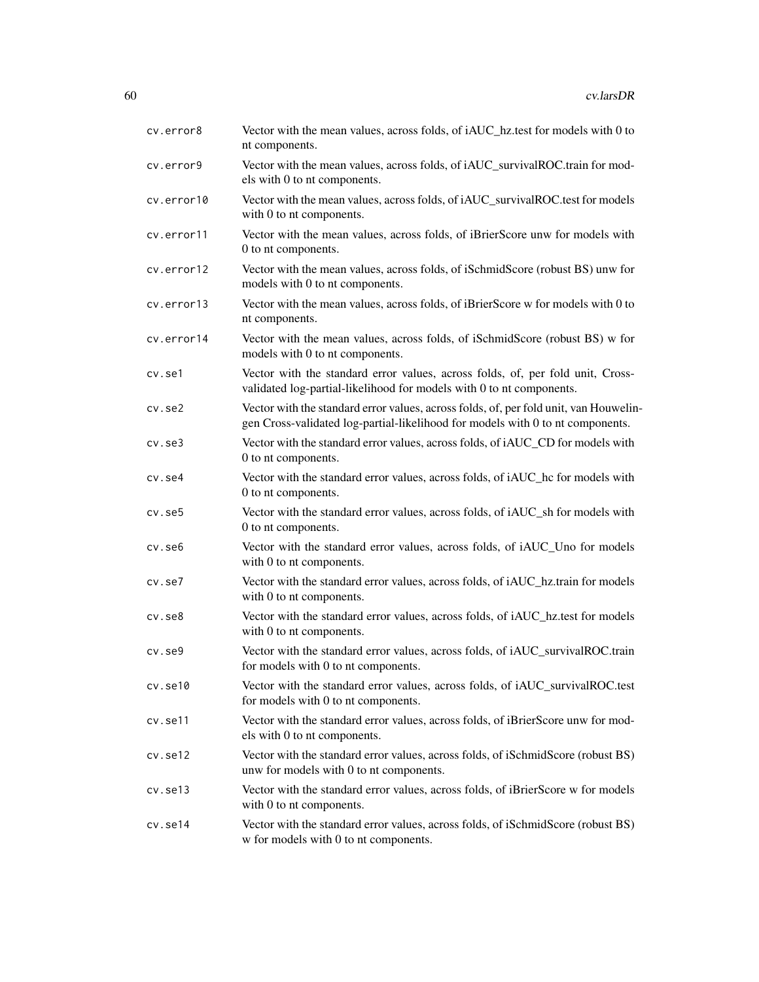| cv.error8    | Vector with the mean values, across folds, of iAUC_hz.test for models with 0 to<br>nt components.                                                                       |
|--------------|-------------------------------------------------------------------------------------------------------------------------------------------------------------------------|
| cv.error9    | Vector with the mean values, across folds, of iAUC_survivalROC.train for mod-<br>els with 0 to nt components.                                                           |
| cv.error10   | Vector with the mean values, across folds, of iAUC_survivalROC.test for models<br>with 0 to nt components.                                                              |
| cv.error11   | Vector with the mean values, across folds, of iBrierScore unw for models with<br>0 to nt components.                                                                    |
| cv.error12   | Vector with the mean values, across folds, of iSchmidScore (robust BS) unw for<br>models with 0 to nt components.                                                       |
| cv.error13   | Vector with the mean values, across folds, of iBrierScore w for models with 0 to<br>nt components.                                                                      |
| cv.error14   | Vector with the mean values, across folds, of iSchmidScore (robust BS) w for<br>models with 0 to nt components.                                                         |
| cv.se1       | Vector with the standard error values, across folds, of, per fold unit, Cross-<br>validated log-partial-likelihood for models with 0 to nt components.                  |
| $cv.$ se $2$ | Vector with the standard error values, across folds, of, per fold unit, van Houwelin-<br>gen Cross-validated log-partial-likelihood for models with 0 to nt components. |
| $cv.$ se $3$ | Vector with the standard error values, across folds, of iAUC_CD for models with<br>0 to nt components.                                                                  |
| cv.se4       | Vector with the standard error values, across folds, of iAUC_hc for models with<br>0 to nt components.                                                                  |
| cv.se5       | Vector with the standard error values, across folds, of iAUC_sh for models with<br>0 to nt components.                                                                  |
| cv.se6       | Vector with the standard error values, across folds, of iAUC_Uno for models<br>with 0 to nt components.                                                                 |
| cv.se7       | Vector with the standard error values, across folds, of iAUC_hz.train for models<br>with 0 to nt components.                                                            |
| $cv.$ se $8$ | Vector with the standard error values, across folds, of iAUC_hz.test for models<br>with 0 to nt components.                                                             |
| $cv.$ se $9$ | Vector with the standard error values, across folds, of iAUC_survivalROC.train<br>for models with 0 to nt components.                                                   |
| cv.se10      | Vector with the standard error values, across folds, of iAUC_survivalROC.test<br>for models with 0 to nt components.                                                    |
| cv.se11      | Vector with the standard error values, across folds, of iBrierScore unw for mod-<br>els with 0 to nt components.                                                        |
| cv.set12     | Vector with the standard error values, across folds, of iSchmidScore (robust BS)<br>unw for models with 0 to nt components.                                             |
| cv.se13      | Vector with the standard error values, across folds, of iBrierScore w for models<br>with 0 to nt components.                                                            |
| cv.se14      | Vector with the standard error values, across folds, of iSchmidScore (robust BS)<br>w for models with 0 to nt components.                                               |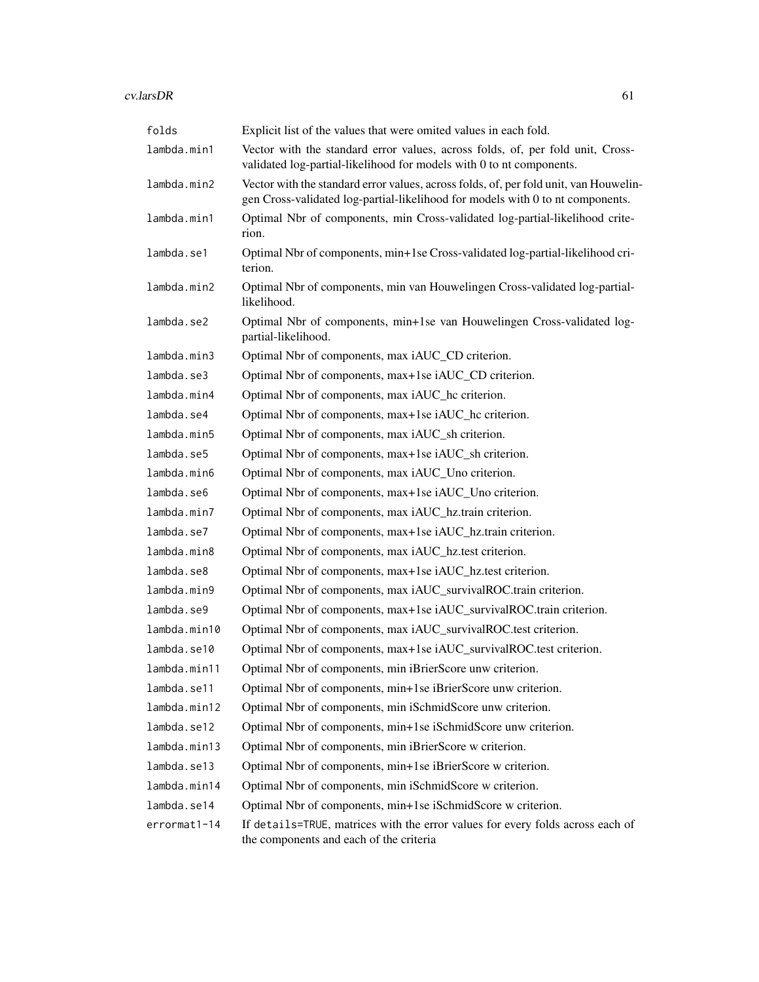| folds        | Explicit list of the values that were omited values in each fold.                                                                                                       |
|--------------|-------------------------------------------------------------------------------------------------------------------------------------------------------------------------|
| lambda.min1  | Vector with the standard error values, across folds, of, per fold unit, Cross-<br>validated log-partial-likelihood for models with 0 to nt components.                  |
| lambda.min2  | Vector with the standard error values, across folds, of, per fold unit, van Houwelin-<br>gen Cross-validated log-partial-likelihood for models with 0 to nt components. |
| lambda.min1  | Optimal Nbr of components, min Cross-validated log-partial-likelihood crite-<br>rion.                                                                                   |
| lambda.se1   | Optimal Nbr of components, min+1se Cross-validated log-partial-likelihood cri-<br>terion.                                                                               |
| lambda.min2  | Optimal Nbr of components, min van Houwelingen Cross-validated log-partial-<br>likelihood.                                                                              |
| lambda.se2   | Optimal Nbr of components, min+1se van Houwelingen Cross-validated log-<br>partial-likelihood.                                                                          |
| lambda.min3  | Optimal Nbr of components, max iAUC_CD criterion.                                                                                                                       |
| lambda.se3   | Optimal Nbr of components, max+1se iAUC_CD criterion.                                                                                                                   |
| lambda.min4  | Optimal Nbr of components, max iAUC_hc criterion.                                                                                                                       |
| lambda.se4   | Optimal Nbr of components, max+1se iAUC_hc criterion.                                                                                                                   |
| lambda.min5  | Optimal Nbr of components, max iAUC_sh criterion.                                                                                                                       |
| lambda.se5   | Optimal Nbr of components, max+1se iAUC_sh criterion.                                                                                                                   |
| lambda.min6  | Optimal Nbr of components, max iAUC_Uno criterion.                                                                                                                      |
| lambda.se6   | Optimal Nbr of components, max+1se iAUC_Uno criterion.                                                                                                                  |
| lambda.min7  | Optimal Nbr of components, max iAUC_hz.train criterion.                                                                                                                 |
| lambda.se7   | Optimal Nbr of components, max+1se iAUC_hz.train criterion.                                                                                                             |
| lambda.min8  | Optimal Nbr of components, max iAUC_hz.test criterion.                                                                                                                  |
| lambda.se8   | Optimal Nbr of components, max+1se iAUC_hz.test criterion.                                                                                                              |
| lambda.min9  | Optimal Nbr of components, max iAUC_survivalROC.train criterion.                                                                                                        |
| lambda.se9   | Optimal Nbr of components, max+1se iAUC_survivalROC.train criterion.                                                                                                    |
| lambda.min10 | Optimal Nbr of components, max iAUC_survivalROC.test criterion.                                                                                                         |
| lambda.se10  | Optimal Nbr of components, max+1se iAUC_survivalROC.test criterion.                                                                                                     |
| lambda.min11 | Optimal Nbr of components, min iBrierScore unw criterion.                                                                                                               |
| lambda.se11  | Optimal Nbr of components, min+1se iBrierScore unw criterion.                                                                                                           |
| lambda.min12 | Optimal Nbr of components, min iSchmidScore unw criterion.                                                                                                              |
| lambda.se12  | Optimal Nbr of components, min+1se iSchmidScore unw criterion.                                                                                                          |
| lambda.min13 | Optimal Nbr of components, min iBrierScore w criterion.                                                                                                                 |
| lambda.se13  | Optimal Nbr of components, min+1se iBrierScore w criterion.                                                                                                             |
| lambda.min14 | Optimal Nbr of components, min iSchmidScore w criterion.                                                                                                                |
| lambda.se14  | Optimal Nbr of components, min+1se iSchmidScore w criterion.                                                                                                            |
| errormat1-14 | If details=TRUE, matrices with the error values for every folds across each of<br>the components and each of the criteria                                               |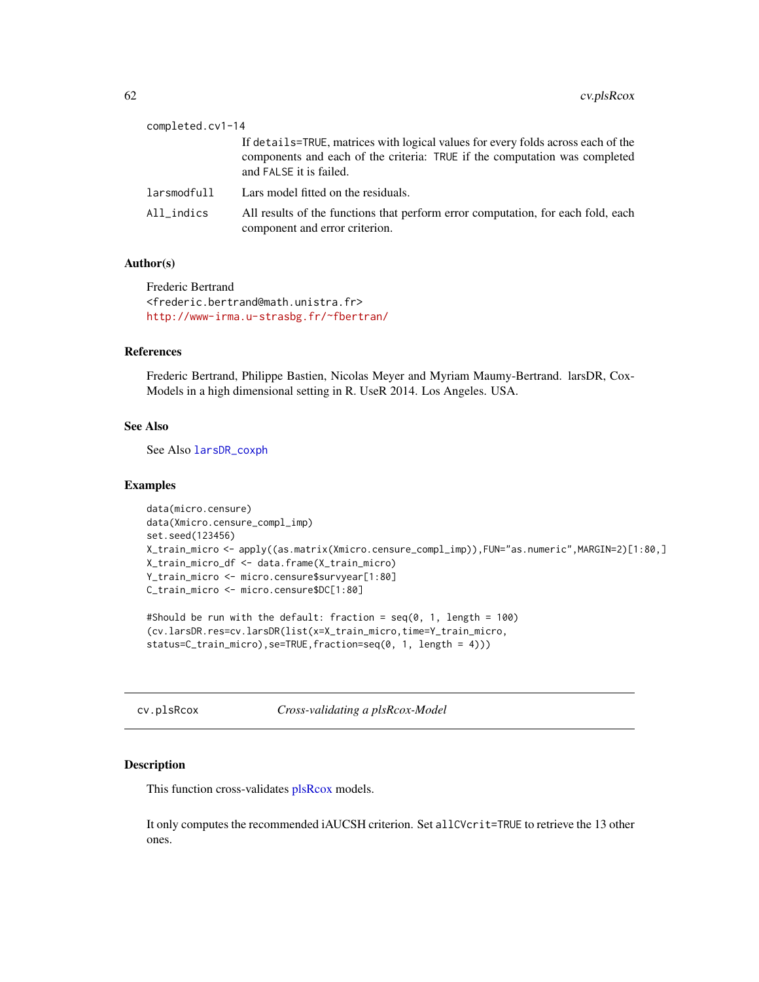| completed.cv1-14 |                                                                                                                                                                                           |
|------------------|-------------------------------------------------------------------------------------------------------------------------------------------------------------------------------------------|
|                  | If details=TRUE, matrices with logical values for every folds across each of the<br>components and each of the criteria: TRUE if the computation was completed<br>and FALSE it is failed. |
| larsmodfull      | Lars model fitted on the residuals.                                                                                                                                                       |
| All_indics       | All results of the functions that perform error computation, for each fold, each<br>component and error criterion.                                                                        |

Frederic Bertrand <frederic.bertrand@math.unistra.fr> <http://www-irma.u-strasbg.fr/~fbertran/>

# References

Frederic Bertrand, Philippe Bastien, Nicolas Meyer and Myriam Maumy-Bertrand. larsDR, Cox-Models in a high dimensional setting in R. UseR 2014. Los Angeles. USA.

# See Also

See Also [larsDR\\_coxph](#page-71-0)

### Examples

```
data(micro.censure)
data(Xmicro.censure_compl_imp)
set.seed(123456)
X_train_micro <- apply((as.matrix(Xmicro.censure_compl_imp)),FUN="as.numeric",MARGIN=2)[1:80,]
X_train_micro_df <- data.frame(X_train_micro)
Y_train_micro <- micro.censure$survyear[1:80]
C_train_micro <- micro.censure$DC[1:80]
```
#Should be run with the default: fraction = seq(0, 1, length = 100) (cv.larsDR.res=cv.larsDR(list(x=X\_train\_micro,time=Y\_train\_micro, status=C\_train\_micro),se=TRUE,fraction=seq(0, 1, length = 4)))

cv.plsRcox *Cross-validating a plsRcox-Model*

### Description

This function cross-validates [plsRcox](#page-77-0) models.

It only computes the recommended iAUCSH criterion. Set allCVcrit=TRUE to retrieve the 13 other ones.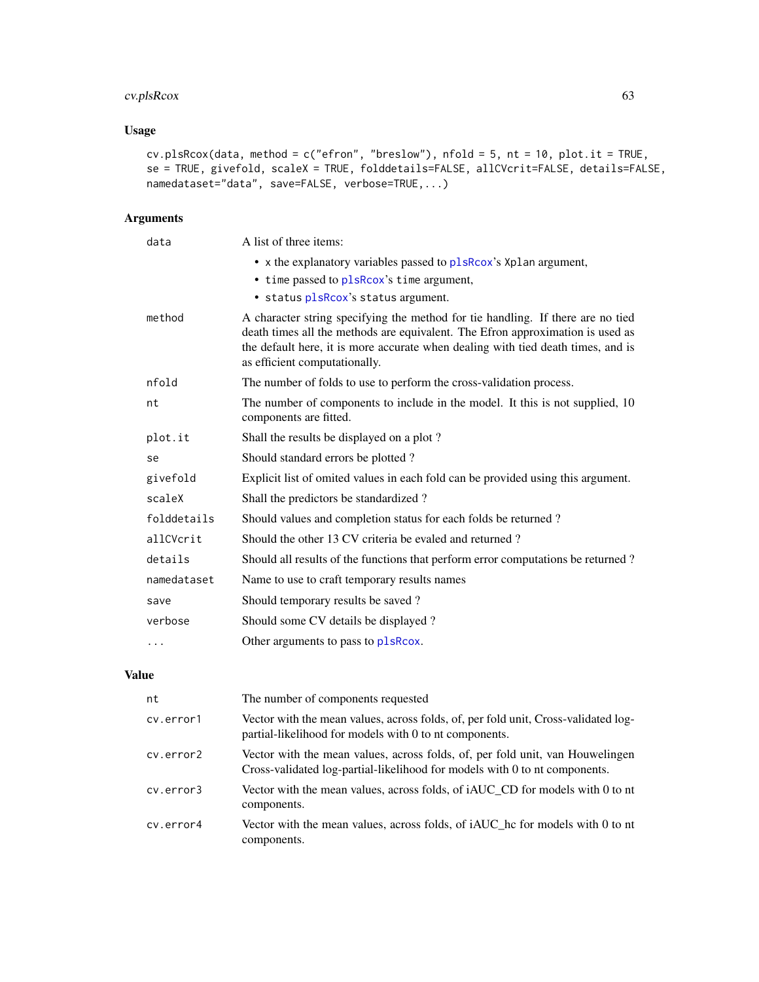# cv.plsRcox 63

# Usage

```
cv.plsRcox(data, method = c("efron", "breslow"), nfold = 5, nt = 10, plot.it = TRUE,
se = TRUE, givefold, scaleX = TRUE, folddetails=FALSE, allCVcrit=FALSE, details=FALSE,
namedataset="data", save=FALSE, verbose=TRUE,...)
```
# Arguments

| data        | A list of three items:                                                                                                                                                                                                                                                                 |
|-------------|----------------------------------------------------------------------------------------------------------------------------------------------------------------------------------------------------------------------------------------------------------------------------------------|
|             | • x the explanatory variables passed to plsRcox's Xplan argument,                                                                                                                                                                                                                      |
|             | • time passed to plsRcox's time argument,                                                                                                                                                                                                                                              |
|             | · status plsRcox's status argument.                                                                                                                                                                                                                                                    |
| method      | A character string specifying the method for tie handling. If there are no tied<br>death times all the methods are equivalent. The Efron approximation is used as<br>the default here, it is more accurate when dealing with tied death times, and is<br>as efficient computationally. |
| nfold       | The number of folds to use to perform the cross-validation process.                                                                                                                                                                                                                    |
| nt          | The number of components to include in the model. It this is not supplied, 10<br>components are fitted.                                                                                                                                                                                |
| plot.it     | Shall the results be displayed on a plot?                                                                                                                                                                                                                                              |
| se          | Should standard errors be plotted?                                                                                                                                                                                                                                                     |
| givefold    | Explicit list of omited values in each fold can be provided using this argument.                                                                                                                                                                                                       |
| scaleX      | Shall the predictors be standardized?                                                                                                                                                                                                                                                  |
| folddetails | Should values and completion status for each folds be returned?                                                                                                                                                                                                                        |
| allCVcrit   | Should the other 13 CV criteria be evaled and returned?                                                                                                                                                                                                                                |
| details     | Should all results of the functions that perform error computations be returned?                                                                                                                                                                                                       |
| namedataset | Name to use to craft temporary results names                                                                                                                                                                                                                                           |
| save        | Should temporary results be saved?                                                                                                                                                                                                                                                     |
| verbose     | Should some CV details be displayed?                                                                                                                                                                                                                                                   |
| $\cdots$    | Other arguments to pass to plsRcox.                                                                                                                                                                                                                                                    |

| nt        | The number of components requested                                                                                                                          |
|-----------|-------------------------------------------------------------------------------------------------------------------------------------------------------------|
| cv.error1 | Vector with the mean values, across folds, of, per fold unit, Cross-validated log-<br>partial-likelihood for models with 0 to nt components.                |
| cv.error2 | Vector with the mean values, across folds, of, per fold unit, van Houwelingen<br>Cross-validated log-partial-likelihood for models with 0 to nt components. |
| cv.error3 | Vector with the mean values, across folds, of iAUC CD for models with 0 to nt<br>components.                                                                |
| cv.error4 | Vector with the mean values, across folds, of <i>iAUC</i> he for models with 0 to nt<br>components.                                                         |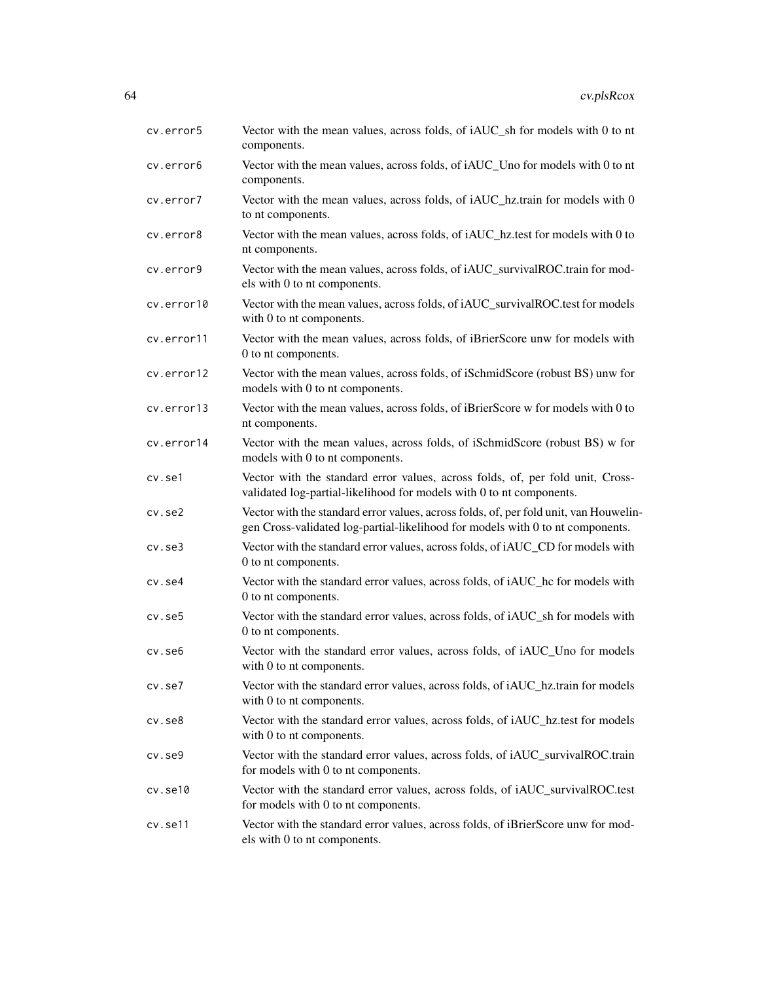| cv.error5    | Vector with the mean values, across folds, of iAUC_sh for models with 0 to nt<br>components.                                                                            |
|--------------|-------------------------------------------------------------------------------------------------------------------------------------------------------------------------|
| cv.error6    | Vector with the mean values, across folds, of iAUC_Uno for models with 0 to nt<br>components.                                                                           |
| cv.error7    | Vector with the mean values, across folds, of iAUC_hz.train for models with 0<br>to nt components.                                                                      |
| cv.error8    | Vector with the mean values, across folds, of iAUC_hz.test for models with 0 to<br>nt components.                                                                       |
| cv.error9    | Vector with the mean values, across folds, of iAUC_survivalROC.train for mod-<br>els with 0 to nt components.                                                           |
| cv.error10   | Vector with the mean values, across folds, of iAUC_survivalROC.test for models<br>with 0 to nt components.                                                              |
| cv.error11   | Vector with the mean values, across folds, of iBrierScore unw for models with<br>0 to nt components.                                                                    |
| cv.error12   | Vector with the mean values, across folds, of iSchmidScore (robust BS) unw for<br>models with 0 to nt components.                                                       |
| cv.error13   | Vector with the mean values, across folds, of iBrierScore w for models with 0 to<br>nt components.                                                                      |
| cv.error14   | Vector with the mean values, across folds, of iSchmidScore (robust BS) w for<br>models with 0 to nt components.                                                         |
| cv.se1       | Vector with the standard error values, across folds, of, per fold unit, Cross-<br>validated log-partial-likelihood for models with 0 to nt components.                  |
| $cv.$ se $2$ | Vector with the standard error values, across folds, of, per fold unit, van Houwelin-<br>gen Cross-validated log-partial-likelihood for models with 0 to nt components. |
| $cv.$ se $3$ | Vector with the standard error values, across folds, of iAUC_CD for models with<br>0 to nt components.                                                                  |
| cv.se4       | Vector with the standard error values, across folds, of iAUC_hc for models with<br>0 to nt components.                                                                  |
| cv.se5       | Vector with the standard error values, across folds, of iAUC_sh for models with<br>0 to nt components.                                                                  |
| cv.se6       | Vector with the standard error values, across folds, of iAUC_Uno for models<br>with 0 to nt components.                                                                 |
| cv.se7       | Vector with the standard error values, across folds, of iAUC_hz.train for models<br>with 0 to nt components.                                                            |
| $cv.$ se $8$ | Vector with the standard error values, across folds, of iAUC_hz.test for models<br>with 0 to nt components.                                                             |
| $cv.$ se $9$ | Vector with the standard error values, across folds, of iAUC_survivalROC.train<br>for models with 0 to nt components.                                                   |
| cv.se10      | Vector with the standard error values, across folds, of iAUC_survivalROC.test<br>for models with 0 to nt components.                                                    |
| cv.se11      | Vector with the standard error values, across folds, of iBrierScore unw for mod-<br>els with 0 to nt components.                                                        |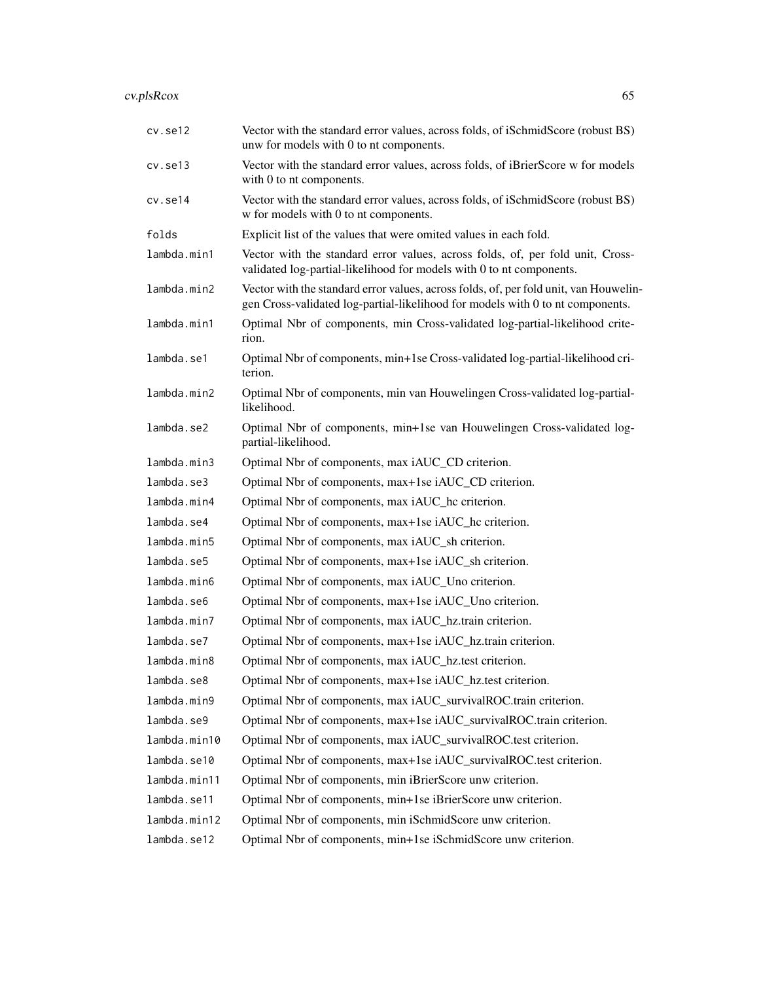# cv.plsRcox 65

| cv.set12     | Vector with the standard error values, across folds, of iSchmidScore (robust BS)<br>unw for models with 0 to nt components.                                             |
|--------------|-------------------------------------------------------------------------------------------------------------------------------------------------------------------------|
| cv.set13     | Vector with the standard error values, across folds, of iBrierScore w for models<br>with 0 to nt components.                                                            |
| cv.se14      | Vector with the standard error values, across folds, of iSchmidScore (robust BS)<br>w for models with 0 to nt components.                                               |
| folds        | Explicit list of the values that were omited values in each fold.                                                                                                       |
| lambda.min1  | Vector with the standard error values, across folds, of, per fold unit, Cross-<br>validated log-partial-likelihood for models with 0 to nt components.                  |
| lambda.min2  | Vector with the standard error values, across folds, of, per fold unit, van Houwelin-<br>gen Cross-validated log-partial-likelihood for models with 0 to nt components. |
| lambda.min1  | Optimal Nbr of components, min Cross-validated log-partial-likelihood crite-<br>rion.                                                                                   |
| lambda.se1   | Optimal Nbr of components, min+1se Cross-validated log-partial-likelihood cri-<br>terion.                                                                               |
| lambda.min2  | Optimal Nbr of components, min van Houwelingen Cross-validated log-partial-<br>likelihood.                                                                              |
| lambda.se2   | Optimal Nbr of components, min+1se van Houwelingen Cross-validated log-<br>partial-likelihood.                                                                          |
| lambda.min3  | Optimal Nbr of components, max iAUC_CD criterion.                                                                                                                       |
| lambda.se3   | Optimal Nbr of components, max+1se iAUC_CD criterion.                                                                                                                   |
| lambda.min4  | Optimal Nbr of components, max iAUC_hc criterion.                                                                                                                       |
| lambda.se4   | Optimal Nbr of components, max+1se iAUC_hc criterion.                                                                                                                   |
| lambda.min5  | Optimal Nbr of components, max iAUC_sh criterion.                                                                                                                       |
| lambda.se5   | Optimal Nbr of components, max+1se iAUC_sh criterion.                                                                                                                   |
| lambda.min6  | Optimal Nbr of components, max iAUC_Uno criterion.                                                                                                                      |
| lambda.se6   | Optimal Nbr of components, max+1se iAUC_Uno criterion.                                                                                                                  |
| lambda.min7  | Optimal Nbr of components, max iAUC_hz.train criterion.                                                                                                                 |
| lambda.se7   | Optimal Nbr of components, max+1se iAUC_hz.train criterion.                                                                                                             |
| lambda.min8  | Optimal Nbr of components, max iAUC_hz.test criterion.                                                                                                                  |
| lambda.se8   | Optimal Nbr of components, max+1se iAUC_hz.test criterion.                                                                                                              |
| lambda.min9  | Optimal Nbr of components, max iAUC_survivalROC.train criterion.                                                                                                        |
| lambda.se9   | Optimal Nbr of components, max+1se iAUC_survivalROC.train criterion.                                                                                                    |
| lambda.min10 | Optimal Nbr of components, max iAUC_survivalROC.test criterion.                                                                                                         |
| lambda.se10  | Optimal Nbr of components, max+1se iAUC_survivalROC.test criterion.                                                                                                     |
| lambda.min11 | Optimal Nbr of components, min iBrierScore unw criterion.                                                                                                               |
| lambda.se11  | Optimal Nbr of components, min+1se iBrierScore unw criterion.                                                                                                           |
| lambda.min12 | Optimal Nbr of components, min iSchmidScore unw criterion.                                                                                                              |
| lambda.se12  | Optimal Nbr of components, min+1se iSchmidScore unw criterion.                                                                                                          |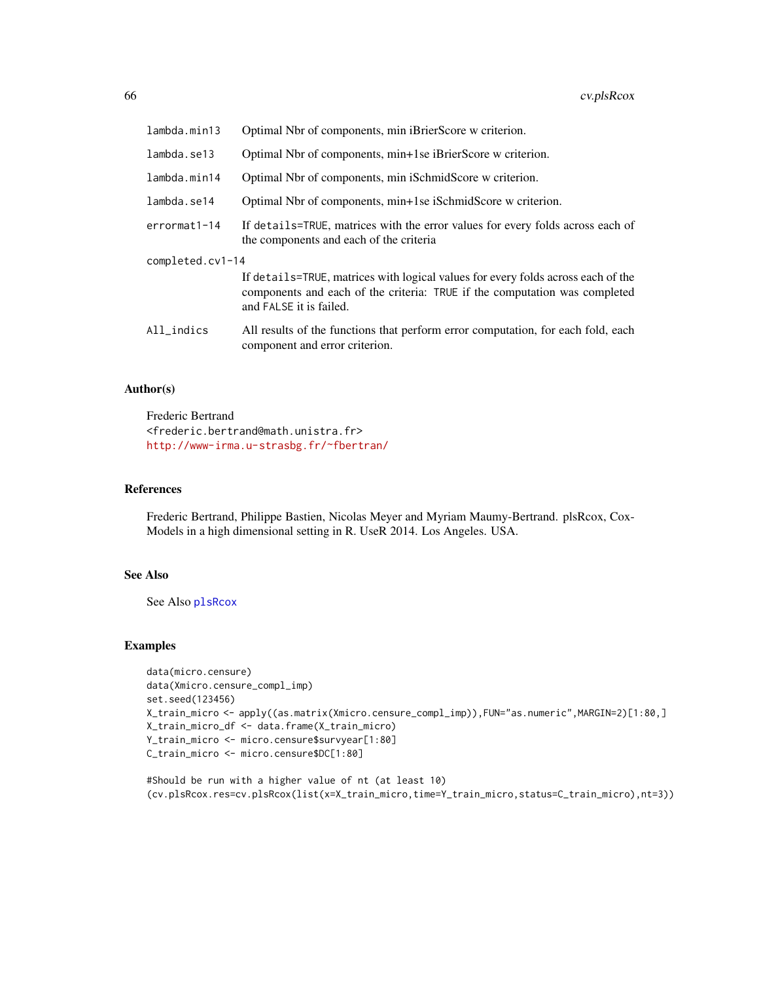| lambda.min13     | Optimal Nbr of components, min iBrierScore w criterion.                                                                                                                                   |
|------------------|-------------------------------------------------------------------------------------------------------------------------------------------------------------------------------------------|
| lambda.se13      | Optimal Nbr of components, min+1se iBrierScore w criterion.                                                                                                                               |
| lambda.min14     | Optimal Nbr of components, min iSchmidScore w criterion.                                                                                                                                  |
| lambda.se14      | Optimal Nbr of components, min+1se iSchmidScore w criterion.                                                                                                                              |
| errormat1-14     | If details=TRUE, matrices with the error values for every folds across each of<br>the components and each of the criteria                                                                 |
| completed.cv1-14 |                                                                                                                                                                                           |
|                  | If details=TRUE, matrices with logical values for every folds across each of the<br>components and each of the criteria: TRUE if the computation was completed<br>and FALSE it is failed. |
| All_indics       | All results of the functions that perform error computation, for each fold, each<br>component and error criterion.                                                                        |

Frederic Bertrand <frederic.bertrand@math.unistra.fr> <http://www-irma.u-strasbg.fr/~fbertran/>

# References

Frederic Bertrand, Philippe Bastien, Nicolas Meyer and Myriam Maumy-Bertrand. plsRcox, Cox-Models in a high dimensional setting in R. UseR 2014. Los Angeles. USA.

### See Also

See Also [plsRcox](#page-77-0)

#### Examples

```
data(micro.censure)
data(Xmicro.censure_compl_imp)
set.seed(123456)
X_train_micro <- apply((as.matrix(Xmicro.censure_compl_imp)),FUN="as.numeric",MARGIN=2)[1:80,]
X_train_micro_df <- data.frame(X_train_micro)
Y_train_micro <- micro.censure$survyear[1:80]
C_train_micro <- micro.censure$DC[1:80]
```
#Should be run with a higher value of nt (at least 10) (cv.plsRcox.res=cv.plsRcox(list(x=X\_train\_micro,time=Y\_train\_micro,status=C\_train\_micro),nt=3))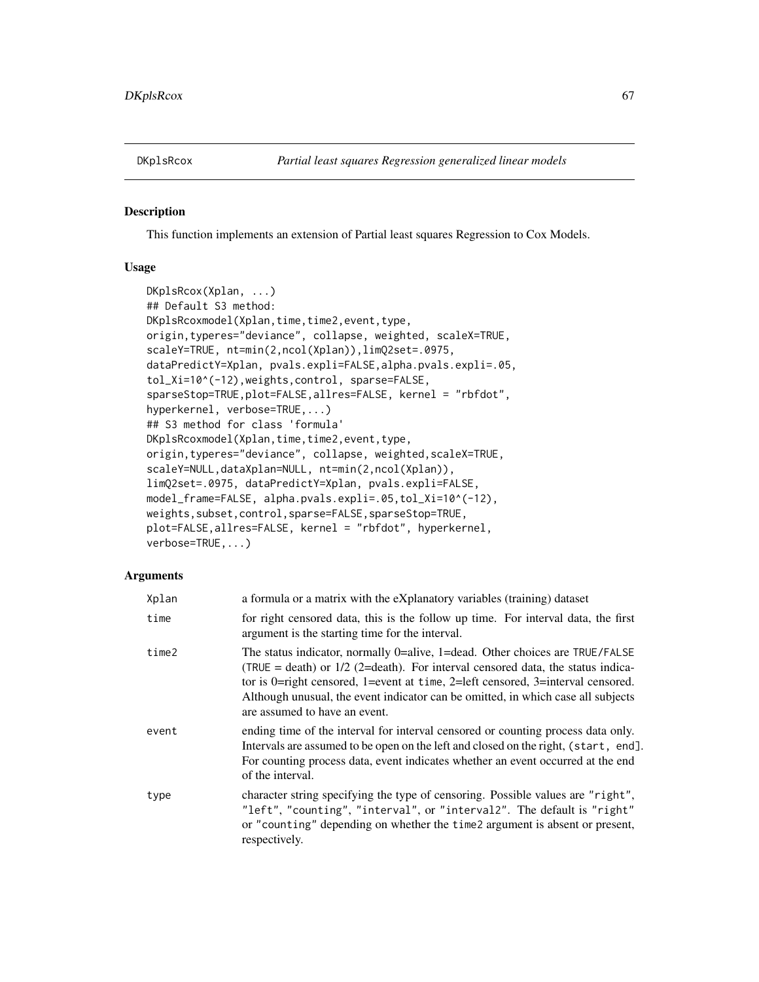### Description

This function implements an extension of Partial least squares Regression to Cox Models.

## Usage

```
DKplsRcox(Xplan, ...)
## Default S3 method:
DKplsRcoxmodel(Xplan,time,time2,event,type,
origin,typeres="deviance", collapse, weighted, scaleX=TRUE,
scaleY=TRUE, nt=min(2,ncol(Xplan)),limQ2set=.0975,
dataPredictY=Xplan, pvals.expli=FALSE,alpha.pvals.expli=.05,
tol_Xi=10^(-12),weights,control, sparse=FALSE,
sparseStop=TRUE,plot=FALSE,allres=FALSE, kernel = "rbfdot",
hyperkernel, verbose=TRUE,...)
## S3 method for class 'formula'
DKplsRcoxmodel(Xplan,time,time2,event,type,
origin,typeres="deviance", collapse, weighted,scaleX=TRUE,
scaleY=NULL,dataXplan=NULL, nt=min(2,ncol(Xplan)),
limQ2set=.0975, dataPredictY=Xplan, pvals.expli=FALSE,
model_frame=FALSE, alpha.pvals.expli=.05,tol_Xi=10^(-12),
weights,subset,control,sparse=FALSE,sparseStop=TRUE,
plot=FALSE,allres=FALSE, kernel = "rbfdot", hyperkernel,
verbose=TRUE,...)
```

| Xplan | a formula or a matrix with the eXplanatory variables (training) dataset                                                                                                                                                                                                                                                                                                   |
|-------|---------------------------------------------------------------------------------------------------------------------------------------------------------------------------------------------------------------------------------------------------------------------------------------------------------------------------------------------------------------------------|
| time  | for right censored data, this is the follow up time. For interval data, the first<br>argument is the starting time for the interval.                                                                                                                                                                                                                                      |
| time2 | The status indicator, normally 0=alive, 1=dead. Other choices are TRUE/FALSE<br>(TRUE = death) or $1/2$ (2=death). For interval censored data, the status indica-<br>tor is 0=right censored, 1=event at time, 2=left censored, 3=interval censored.<br>Although unusual, the event indicator can be omitted, in which case all subjects<br>are assumed to have an event. |
| event | ending time of the interval for interval censored or counting process data only.<br>Intervals are assumed to be open on the left and closed on the right, (start, end].<br>For counting process data, event indicates whether an event occurred at the end<br>of the interval.                                                                                            |
| type  | character string specifying the type of censoring. Possible values are "right",<br>"left", "counting", "interval", or "interval2". The default is "right"<br>or "counting" depending on whether the time 2 argument is absent or present,<br>respectively.                                                                                                                |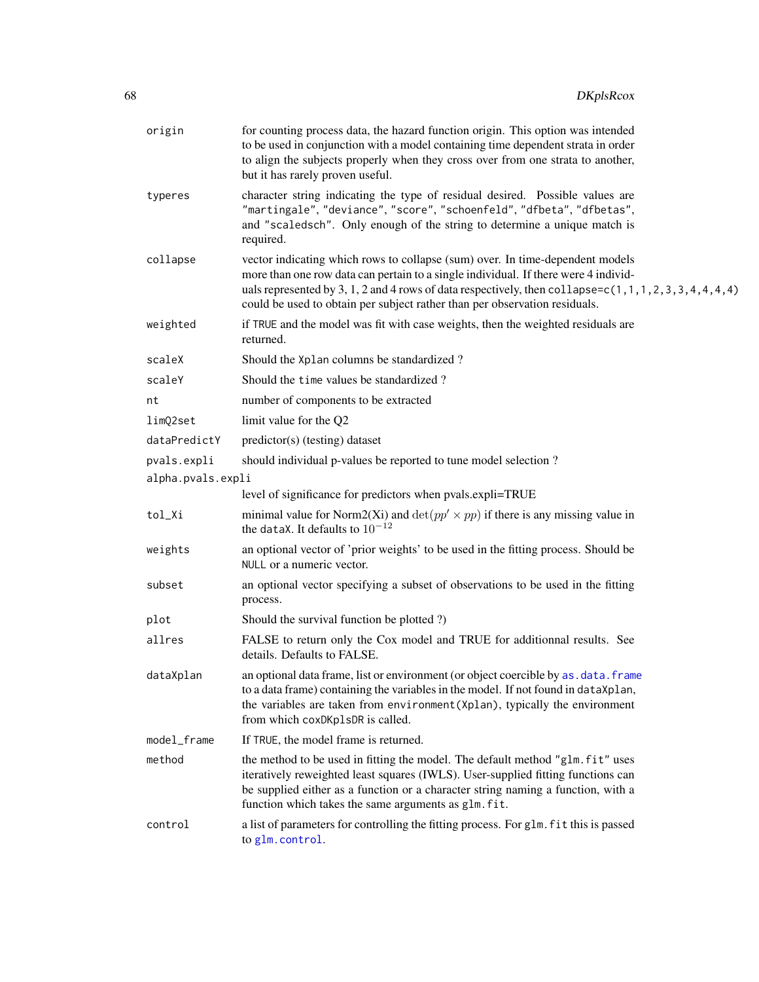| origin            | for counting process data, the hazard function origin. This option was intended<br>to be used in conjunction with a model containing time dependent strata in order<br>to align the subjects properly when they cross over from one strata to another,<br>but it has rarely proven useful.                                                                          |
|-------------------|---------------------------------------------------------------------------------------------------------------------------------------------------------------------------------------------------------------------------------------------------------------------------------------------------------------------------------------------------------------------|
| typeres           | character string indicating the type of residual desired. Possible values are<br>"martingale", "deviance", "score", "schoenfeld", "dfbeta", "dfbetas",<br>and "scaledsch". Only enough of the string to determine a unique match is<br>required.                                                                                                                    |
| collapse          | vector indicating which rows to collapse (sum) over. In time-dependent models<br>more than one row data can pertain to a single individual. If there were 4 individ-<br>uals represented by 3, 1, 2 and 4 rows of data respectively, then collapse= $c(1, 1, 1, 2, 3, 3, 4, 4, 4, 4)$<br>could be used to obtain per subject rather than per observation residuals. |
| weighted          | if TRUE and the model was fit with case weights, then the weighted residuals are<br>returned.                                                                                                                                                                                                                                                                       |
| scaleX            | Should the Xplan columns be standardized?                                                                                                                                                                                                                                                                                                                           |
| scaleY            | Should the time values be standardized?                                                                                                                                                                                                                                                                                                                             |
| nt                | number of components to be extracted                                                                                                                                                                                                                                                                                                                                |
| limQ2set          | limit value for the Q2                                                                                                                                                                                                                                                                                                                                              |
| dataPredictY      | predictor(s) (testing) dataset                                                                                                                                                                                                                                                                                                                                      |
| pvals.expli       | should individual p-values be reported to tune model selection?                                                                                                                                                                                                                                                                                                     |
| alpha.pvals.expli |                                                                                                                                                                                                                                                                                                                                                                     |
|                   | level of significance for predictors when pvals.expli=TRUE                                                                                                                                                                                                                                                                                                          |
| tol_Xi            | minimal value for Norm2(Xi) and $\det(pp' \times pp)$ if there is any missing value in<br>the dataX. It defaults to $10^{-12}$                                                                                                                                                                                                                                      |
| weights           | an optional vector of 'prior weights' to be used in the fitting process. Should be<br>NULL or a numeric vector.                                                                                                                                                                                                                                                     |
| subset            | an optional vector specifying a subset of observations to be used in the fitting<br>process.                                                                                                                                                                                                                                                                        |
| plot              | Should the survival function be plotted ?)                                                                                                                                                                                                                                                                                                                          |
| allres            | FALSE to return only the Cox model and TRUE for additionnal results. See<br>details. Defaults to FALSE.                                                                                                                                                                                                                                                             |
| dataXplan         | an optional data frame, list or environment (or object coercible by as . data. frame<br>to a data frame) containing the variables in the model. If not found in dataXplan,<br>the variables are taken from environment (Xplan), typically the environment<br>from which coxDKp1sDR is called.                                                                       |
| model_frame       | If TRUE, the model frame is returned.                                                                                                                                                                                                                                                                                                                               |
| method            | the method to be used in fitting the model. The default method "glm.fit" uses<br>iteratively reweighted least squares (IWLS). User-supplied fitting functions can<br>be supplied either as a function or a character string naming a function, with a<br>function which takes the same arguments as glm. fit.                                                       |
| control           | a list of parameters for controlling the fitting process. For glm. fit this is passed<br>to glm.control.                                                                                                                                                                                                                                                            |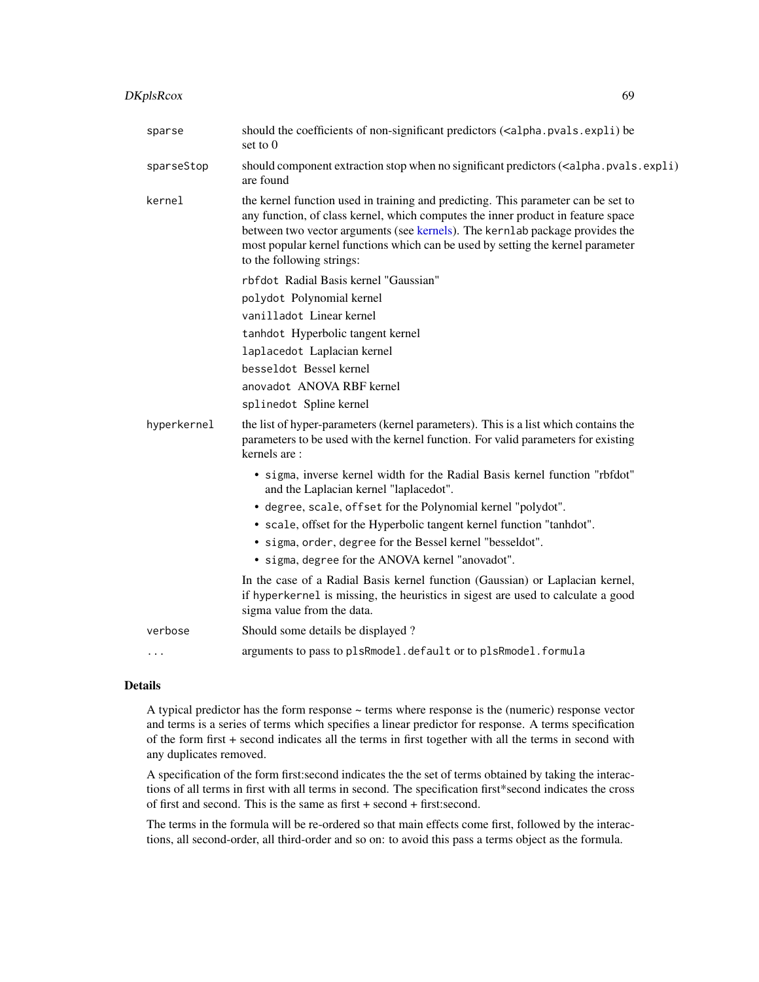| sparse      | should the coefficients of non-significant predictors ( <alpha.pvals.expli) be<br="">set to <math>0</math></alpha.pvals.expli)>                                                                                                                                                                                                                                       |
|-------------|-----------------------------------------------------------------------------------------------------------------------------------------------------------------------------------------------------------------------------------------------------------------------------------------------------------------------------------------------------------------------|
| sparseStop  | should component extraction stop when no significant predictors ( <alpha.pvals.expli)<br>are found</alpha.pvals.expli)<br>                                                                                                                                                                                                                                            |
| kernel      | the kernel function used in training and predicting. This parameter can be set to<br>any function, of class kernel, which computes the inner product in feature space<br>between two vector arguments (see kernels). The kernlab package provides the<br>most popular kernel functions which can be used by setting the kernel parameter<br>to the following strings: |
|             | rbfdot Radial Basis kernel "Gaussian"                                                                                                                                                                                                                                                                                                                                 |
|             | polydot Polynomial kernel                                                                                                                                                                                                                                                                                                                                             |
|             | vanilladot Linear kernel                                                                                                                                                                                                                                                                                                                                              |
|             | tanhdot Hyperbolic tangent kernel                                                                                                                                                                                                                                                                                                                                     |
|             | laplacedot Laplacian kernel                                                                                                                                                                                                                                                                                                                                           |
|             | besseldot Bessel kernel                                                                                                                                                                                                                                                                                                                                               |
|             | anovadot ANOVA RBF kernel                                                                                                                                                                                                                                                                                                                                             |
|             | splinedot Spline kernel                                                                                                                                                                                                                                                                                                                                               |
| hyperkernel | the list of hyper-parameters (kernel parameters). This is a list which contains the<br>parameters to be used with the kernel function. For valid parameters for existing<br>kernels are:                                                                                                                                                                              |
|             | • sigma, inverse kernel width for the Radial Basis kernel function "rbfdot"<br>and the Laplacian kernel "laplacedot".                                                                                                                                                                                                                                                 |
|             | • degree, scale, offset for the Polynomial kernel "polydot".                                                                                                                                                                                                                                                                                                          |
|             | • scale, offset for the Hyperbolic tangent kernel function "tanhdot".                                                                                                                                                                                                                                                                                                 |
|             | · sigma, order, degree for the Bessel kernel "besseldot".                                                                                                                                                                                                                                                                                                             |
|             | · sigma, degree for the ANOVA kernel "anovadot".                                                                                                                                                                                                                                                                                                                      |
|             | In the case of a Radial Basis kernel function (Gaussian) or Laplacian kernel,<br>if hyperkernel is missing, the heuristics in sigest are used to calculate a good<br>sigma value from the data.                                                                                                                                                                       |
| verbose     | Should some details be displayed?                                                                                                                                                                                                                                                                                                                                     |

... arguments to pass to plsRmodel.default or to plsRmodel.formula

# Details

A typical predictor has the form response  $\sim$  terms where response is the (numeric) response vector and terms is a series of terms which specifies a linear predictor for response. A terms specification of the form first + second indicates all the terms in first together with all the terms in second with any duplicates removed.

A specification of the form first:second indicates the the set of terms obtained by taking the interactions of all terms in first with all terms in second. The specification first\*second indicates the cross of first and second. This is the same as first + second + first:second.

The terms in the formula will be re-ordered so that main effects come first, followed by the interactions, all second-order, all third-order and so on: to avoid this pass a terms object as the formula.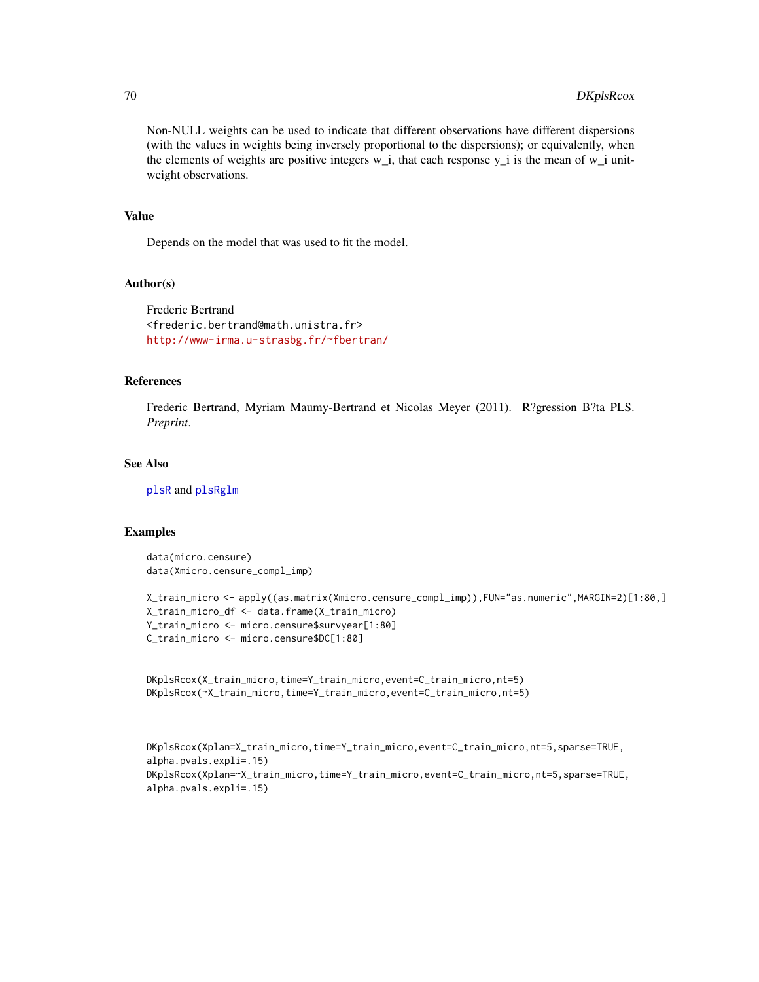Non-NULL weights can be used to indicate that different observations have different dispersions (with the values in weights being inversely proportional to the dispersions); or equivalently, when the elements of weights are positive integers  $w_i$ , that each response  $y_i$  is the mean of  $w_i$  unitweight observations.

### Value

Depends on the model that was used to fit the model.

## Author(s)

Frederic Bertrand <frederic.bertrand@math.unistra.fr> <http://www-irma.u-strasbg.fr/~fbertran/>

# References

Frederic Bertrand, Myriam Maumy-Bertrand et Nicolas Meyer (2011). R?gression B?ta PLS. *Preprint*.

# See Also

[plsR](#page-0-0) and [plsRglm](#page-0-0)

# Examples

data(micro.censure) data(Xmicro.censure\_compl\_imp)

```
X_train_micro <- apply((as.matrix(Xmicro.censure_compl_imp)),FUN="as.numeric",MARGIN=2)[1:80,]
X_train_micro_df <- data.frame(X_train_micro)
Y_train_micro <- micro.censure$survyear[1:80]
C_train_micro <- micro.censure$DC[1:80]
```

```
DKplsRcox(X_train_micro,time=Y_train_micro,event=C_train_micro,nt=5)
DKplsRcox(~X_train_micro,time=Y_train_micro,event=C_train_micro,nt=5)
```

```
DKplsRcox(Xplan=X_train_micro,time=Y_train_micro,event=C_train_micro,nt=5,sparse=TRUE,
alpha.pvals.expli=.15)
DKplsRcox(Xplan=~X_train_micro,time=Y_train_micro,event=C_train_micro,nt=5,sparse=TRUE,
alpha.pvals.expli=.15)
```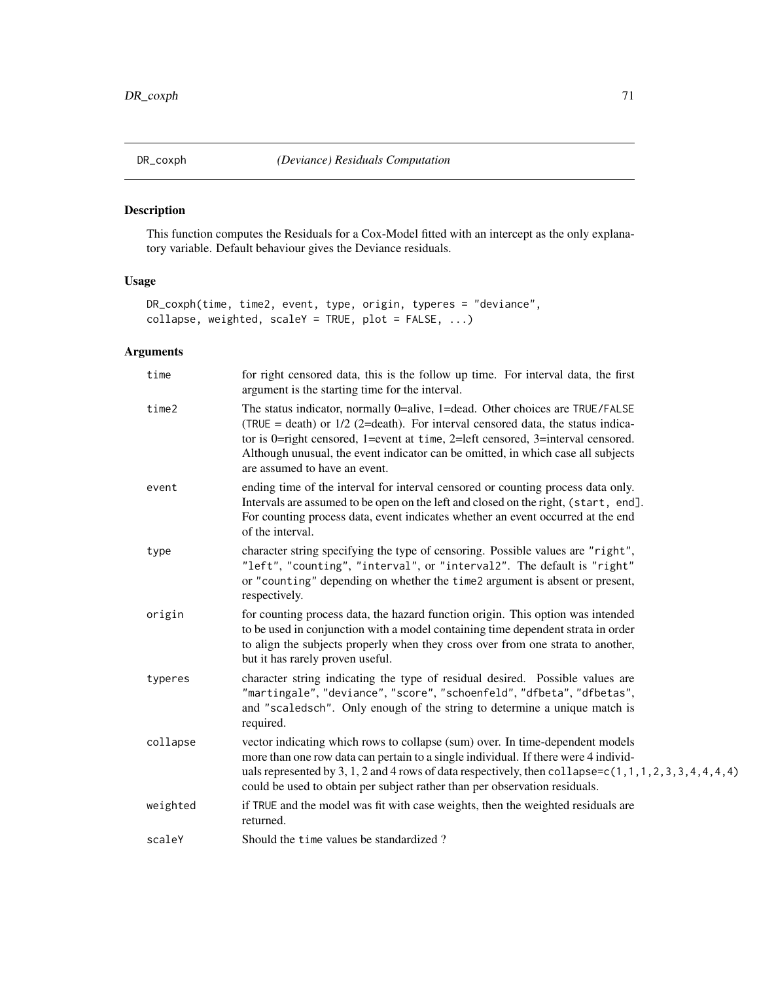# Description

This function computes the Residuals for a Cox-Model fitted with an intercept as the only explanatory variable. Default behaviour gives the Deviance residuals.

# Usage

```
DR_coxph(time, time2, event, type, origin, typeres = "deviance",
collapse, weighted, scaleY = TRUE, plot = FALSE, ...)
```

| time     | for right censored data, this is the follow up time. For interval data, the first<br>argument is the starting time for the interval.                                                                                                                                                                                                                                      |
|----------|---------------------------------------------------------------------------------------------------------------------------------------------------------------------------------------------------------------------------------------------------------------------------------------------------------------------------------------------------------------------------|
| time2    | The status indicator, normally 0=alive, 1=dead. Other choices are TRUE/FALSE<br>(TRUE = death) or $1/2$ (2=death). For interval censored data, the status indica-<br>tor is 0=right censored, 1=event at time, 2=left censored, 3=interval censored.<br>Although unusual, the event indicator can be omitted, in which case all subjects<br>are assumed to have an event. |
| event    | ending time of the interval for interval censored or counting process data only.<br>Intervals are assumed to be open on the left and closed on the right, (start, end].<br>For counting process data, event indicates whether an event occurred at the end<br>of the interval.                                                                                            |
| type     | character string specifying the type of censoring. Possible values are "right",<br>"left", "counting", "interval", or "interval2". The default is "right"<br>or "counting" depending on whether the time2 argument is absent or present,<br>respectively.                                                                                                                 |
| origin   | for counting process data, the hazard function origin. This option was intended<br>to be used in conjunction with a model containing time dependent strata in order<br>to align the subjects properly when they cross over from one strata to another,<br>but it has rarely proven useful.                                                                                |
| typeres  | character string indicating the type of residual desired. Possible values are<br>"martingale", "deviance", "score", "schoenfeld", "dfbeta", "dfbetas",<br>and "scaledsch". Only enough of the string to determine a unique match is<br>required.                                                                                                                          |
| collapse | vector indicating which rows to collapse (sum) over. In time-dependent models<br>more than one row data can pertain to a single individual. If there were 4 individ-<br>uals represented by 3, 1, 2 and 4 rows of data respectively, then collapse= $c(1, 1, 1, 2, 3, 3, 4, 4, 4, 4)$<br>could be used to obtain per subject rather than per observation residuals.       |
| weighted | if TRUE and the model was fit with case weights, then the weighted residuals are<br>returned.                                                                                                                                                                                                                                                                             |
| scaleY   | Should the time values be standardized?                                                                                                                                                                                                                                                                                                                                   |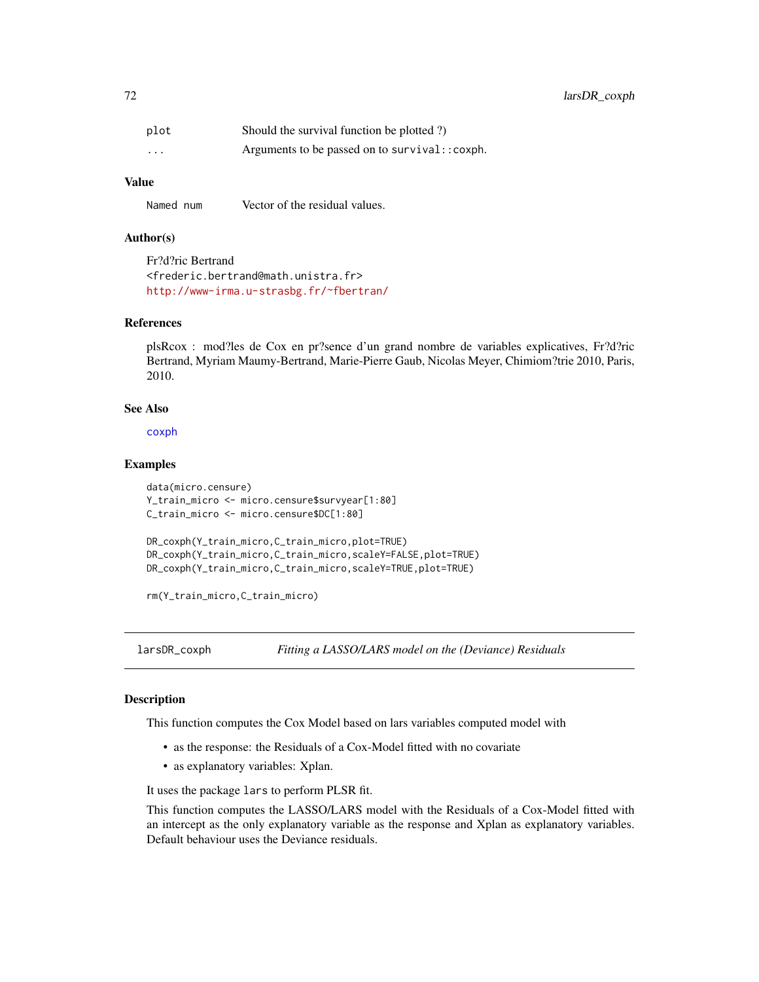72 larsDR\_coxph

| plot     | Should the survival function be plotted ?)     |
|----------|------------------------------------------------|
| $\cdots$ | Arguments to be passed on to survival:: coxph. |

# Value

Named num Vector of the residual values.

## Author(s)

Fr?d?ric Bertrand <frederic.bertrand@math.unistra.fr> <http://www-irma.u-strasbg.fr/~fbertran/>

### References

plsRcox : mod?les de Cox en pr?sence d'un grand nombre de variables explicatives, Fr?d?ric Bertrand, Myriam Maumy-Bertrand, Marie-Pierre Gaub, Nicolas Meyer, Chimiom?trie 2010, Paris, 2010.

### See Also

[coxph](#page-0-0)

### Examples

```
data(micro.censure)
Y_train_micro <- micro.censure$survyear[1:80]
C_train_micro <- micro.censure$DC[1:80]
```

```
DR_coxph(Y_train_micro,C_train_micro,plot=TRUE)
DR_coxph(Y_train_micro,C_train_micro,scaleY=FALSE,plot=TRUE)
DR_coxph(Y_train_micro,C_train_micro,scaleY=TRUE,plot=TRUE)
```
rm(Y\_train\_micro,C\_train\_micro)

<span id="page-71-0"></span>larsDR\_coxph *Fitting a LASSO/LARS model on the (Deviance) Residuals*

# Description

This function computes the Cox Model based on lars variables computed model with

- as the response: the Residuals of a Cox-Model fitted with no covariate
- as explanatory variables: Xplan.

It uses the package lars to perform PLSR fit.

This function computes the LASSO/LARS model with the Residuals of a Cox-Model fitted with an intercept as the only explanatory variable as the response and Xplan as explanatory variables. Default behaviour uses the Deviance residuals.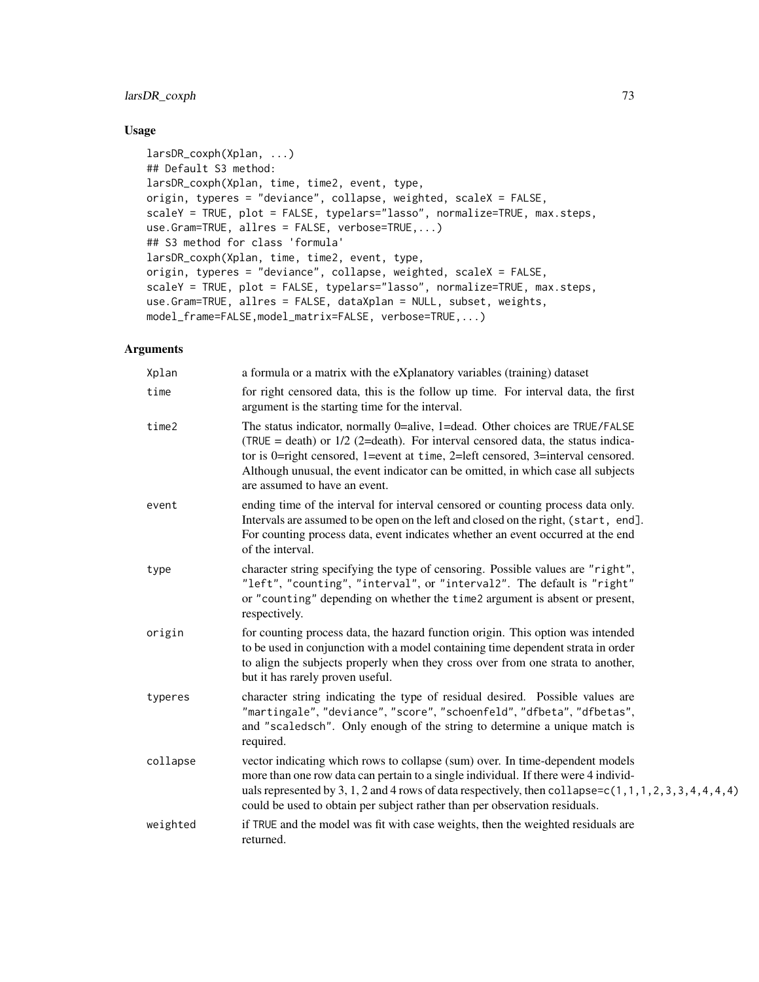# larsDR\_coxph 73

# Usage

```
larsDR_coxph(Xplan, ...)
## Default S3 method:
larsDR_coxph(Xplan, time, time2, event, type,
origin, typeres = "deviance", collapse, weighted, scaleX = FALSE,
scaleY = TRUE, plot = FALSE, typelars="lasso", normalize=TRUE, max.steps,
use.Gram=TRUE, allres = FALSE, verbose=TRUE,...)
## S3 method for class 'formula'
larsDR_coxph(Xplan, time, time2, event, type,
origin, typeres = "deviance", collapse, weighted, scaleX = FALSE,
scaleY = TRUE, plot = FALSE, typelars="lasso", normalize=TRUE, max.steps,
use.Gram=TRUE, allres = FALSE, dataXplan = NULL, subset, weights,
model_frame=FALSE,model_matrix=FALSE, verbose=TRUE,...)
```

| Xplan    | a formula or a matrix with the eXplanatory variables (training) dataset                                                                                                                                                                                                                                                                                                   |  |
|----------|---------------------------------------------------------------------------------------------------------------------------------------------------------------------------------------------------------------------------------------------------------------------------------------------------------------------------------------------------------------------------|--|
| time     | for right censored data, this is the follow up time. For interval data, the first<br>argument is the starting time for the interval.                                                                                                                                                                                                                                      |  |
| time2    | The status indicator, normally 0=alive, 1=dead. Other choices are TRUE/FALSE<br>(TRUE = death) or $1/2$ (2=death). For interval censored data, the status indica-<br>tor is 0=right censored, 1=event at time, 2=left censored, 3=interval censored.<br>Although unusual, the event indicator can be omitted, in which case all subjects<br>are assumed to have an event. |  |
| event    | ending time of the interval for interval censored or counting process data only.<br>Intervals are assumed to be open on the left and closed on the right, (start, end].<br>For counting process data, event indicates whether an event occurred at the end<br>of the interval.                                                                                            |  |
| type     | character string specifying the type of censoring. Possible values are "right",<br>"left", "counting", "interval", or "interval2". The default is "right"<br>or "counting" depending on whether the time2 argument is absent or present,<br>respectively.                                                                                                                 |  |
| origin   | for counting process data, the hazard function origin. This option was intended<br>to be used in conjunction with a model containing time dependent strata in order<br>to align the subjects properly when they cross over from one strata to another,<br>but it has rarely proven useful.                                                                                |  |
| typeres  | character string indicating the type of residual desired. Possible values are<br>"martingale", "deviance", "score", "schoenfeld", "dfbeta", "dfbetas",<br>and "scaledsch". Only enough of the string to determine a unique match is<br>required.                                                                                                                          |  |
| collapse | vector indicating which rows to collapse (sum) over. In time-dependent models<br>more than one row data can pertain to a single individual. If there were 4 individ-<br>uals represented by 3, 1, 2 and 4 rows of data respectively, then collapse= $c(1, 1, 1, 2, 3, 3, 4, 4, 4, 4)$<br>could be used to obtain per subject rather than per observation residuals.       |  |
| weighted | if TRUE and the model was fit with case weights, then the weighted residuals are<br>returned.                                                                                                                                                                                                                                                                             |  |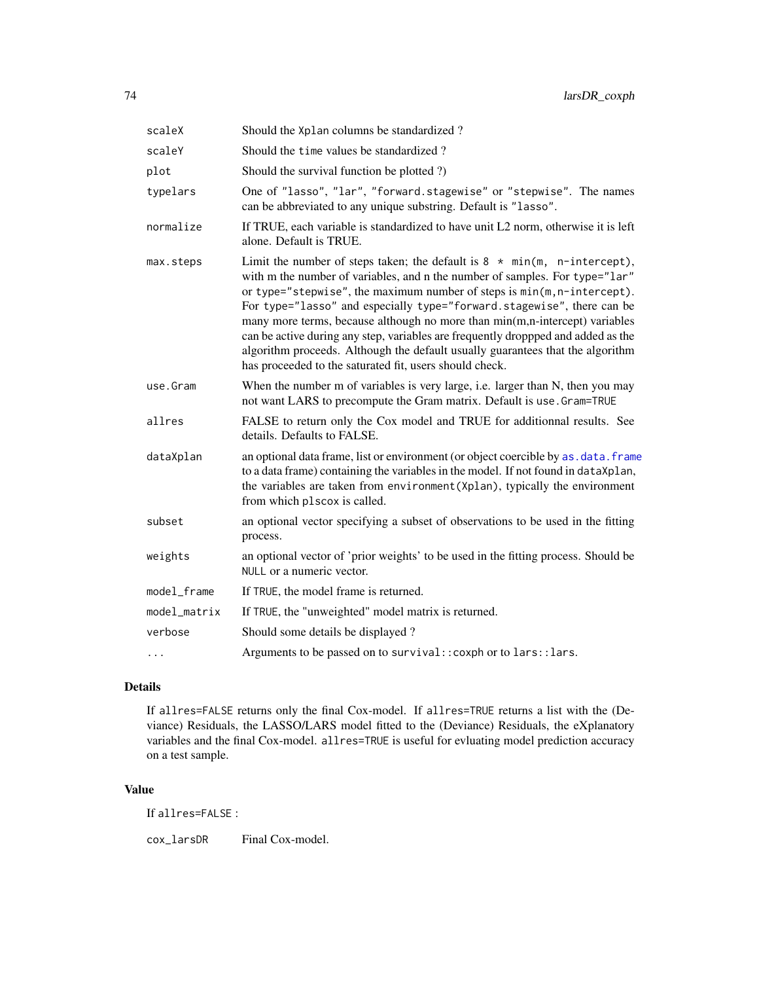<span id="page-73-0"></span>

| scaleX       | Should the Xplan columns be standardized?                                                                                                                                                                                                                                                                                                                                                                                                                                                                                                                                                                                        |
|--------------|----------------------------------------------------------------------------------------------------------------------------------------------------------------------------------------------------------------------------------------------------------------------------------------------------------------------------------------------------------------------------------------------------------------------------------------------------------------------------------------------------------------------------------------------------------------------------------------------------------------------------------|
| scaleY       | Should the time values be standardized?                                                                                                                                                                                                                                                                                                                                                                                                                                                                                                                                                                                          |
| plot         | Should the survival function be plotted ?)                                                                                                                                                                                                                                                                                                                                                                                                                                                                                                                                                                                       |
| typelars     | One of "lasso", "lar", "forward.stagewise" or "stepwise". The names<br>can be abbreviated to any unique substring. Default is "lasso".                                                                                                                                                                                                                                                                                                                                                                                                                                                                                           |
| normalize    | If TRUE, each variable is standardized to have unit L2 norm, otherwise it is left<br>alone. Default is TRUE.                                                                                                                                                                                                                                                                                                                                                                                                                                                                                                                     |
| max.steps    | Limit the number of steps taken; the default is $8 * min(m, n-intercept)$ ,<br>with m the number of variables, and n the number of samples. For type="lar"<br>or type="stepwise", the maximum number of steps is min(m, n-intercept).<br>For type="lasso" and especially type="forward.stagewise", there can be<br>many more terms, because although no more than min(m,n-intercept) variables<br>can be active during any step, variables are frequently droppped and added as the<br>algorithm proceeds. Although the default usually guarantees that the algorithm<br>has proceeded to the saturated fit, users should check. |
| use.Gram     | When the number m of variables is very large, i.e. larger than N, then you may<br>not want LARS to precompute the Gram matrix. Default is use. Gram=TRUE                                                                                                                                                                                                                                                                                                                                                                                                                                                                         |
| allres       | FALSE to return only the Cox model and TRUE for additionnal results. See<br>details. Defaults to FALSE.                                                                                                                                                                                                                                                                                                                                                                                                                                                                                                                          |
| dataXplan    | an optional data frame, list or environment (or object coercible by as . data. frame<br>to a data frame) containing the variables in the model. If not found in dataXplan,<br>the variables are taken from environment (Xplan), typically the environment<br>from which plscox is called.                                                                                                                                                                                                                                                                                                                                        |
| subset       | an optional vector specifying a subset of observations to be used in the fitting<br>process.                                                                                                                                                                                                                                                                                                                                                                                                                                                                                                                                     |
| weights      | an optional vector of 'prior weights' to be used in the fitting process. Should be<br>NULL or a numeric vector.                                                                                                                                                                                                                                                                                                                                                                                                                                                                                                                  |
| model_frame  | If TRUE, the model frame is returned.                                                                                                                                                                                                                                                                                                                                                                                                                                                                                                                                                                                            |
| model_matrix | If TRUE, the "unweighted" model matrix is returned.                                                                                                                                                                                                                                                                                                                                                                                                                                                                                                                                                                              |
| verbose      | Should some details be displayed?                                                                                                                                                                                                                                                                                                                                                                                                                                                                                                                                                                                                |
| $\cdots$     | Arguments to be passed on to survival:: coxph or to lars:: lars.                                                                                                                                                                                                                                                                                                                                                                                                                                                                                                                                                                 |

# Details

If allres=FALSE returns only the final Cox-model. If allres=TRUE returns a list with the (Deviance) Residuals, the LASSO/LARS model fitted to the (Deviance) Residuals, the eXplanatory variables and the final Cox-model. allres=TRUE is useful for evluating model prediction accuracy on a test sample.

## Value

If allres=FALSE :

cox\_larsDR Final Cox-model.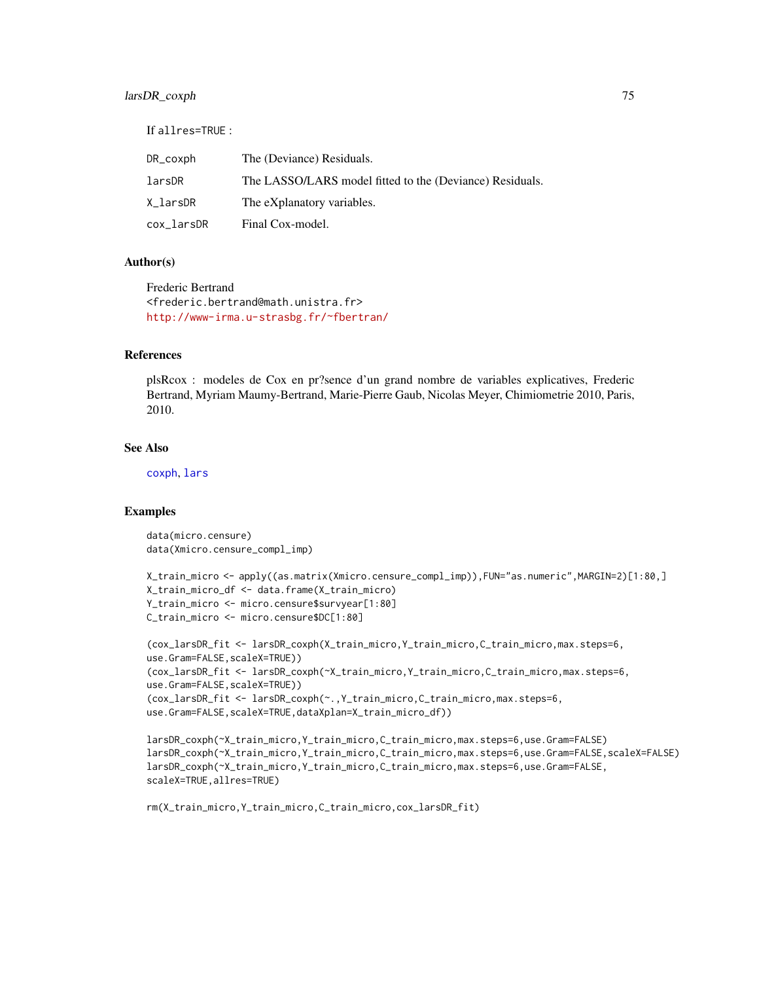# <span id="page-74-0"></span>larsDR\_coxph 75

If allres=TRUE :

| DR_coxph   | The (Deviance) Residuals.                                |
|------------|----------------------------------------------------------|
| larsDR     | The LASSO/LARS model fitted to the (Deviance) Residuals. |
| X larsDR   | The eXplanatory variables.                               |
| cox_larsDR | Final Cox-model.                                         |

#### Author(s)

Frederic Bertrand <frederic.bertrand@math.unistra.fr> <http://www-irma.u-strasbg.fr/~fbertran/>

# References

plsRcox : modeles de Cox en pr?sence d'un grand nombre de variables explicatives, Frederic Bertrand, Myriam Maumy-Bertrand, Marie-Pierre Gaub, Nicolas Meyer, Chimiometrie 2010, Paris, 2010.

#### See Also

[coxph](#page-0-0), [lars](#page-0-0)

# Examples

```
data(micro.censure)
data(Xmicro.censure_compl_imp)
```

```
X_train_micro <- apply((as.matrix(Xmicro.censure_compl_imp)),FUN="as.numeric",MARGIN=2)[1:80,]
X_train_micro_df <- data.frame(X_train_micro)
Y_train_micro <- micro.censure$survyear[1:80]
C_train_micro <- micro.censure$DC[1:80]
```

```
(cox_larsDR_fit <- larsDR_coxph(X_train_micro,Y_train_micro,C_train_micro,max.steps=6,
use.Gram=FALSE,scaleX=TRUE))
(cox_larsDR_fit <- larsDR_coxph(~X_train_micro,Y_train_micro,C_train_micro,max.steps=6,
use.Gram=FALSE,scaleX=TRUE))
(cox_larsDR_fit <- larsDR_coxph(~.,Y_train_micro,C_train_micro,max.steps=6,
use.Gram=FALSE, scaleX=TRUE, dataXplan=X_train_micro_df))
```

```
larsDR_coxph(~X_train_micro,Y_train_micro,C_train_micro,max.steps=6,use.Gram=FALSE)
larsDR_coxph(~X_train_micro,Y_train_micro,C_train_micro,max.steps=6,use.Gram=FALSE,scaleX=FALSE)
larsDR_coxph(~X_train_micro,Y_train_micro,C_train_micro,max.steps=6,use.Gram=FALSE,
scaleX=TRUE,allres=TRUE)
```

```
rm(X_train_micro,Y_train_micro,C_train_micro,cox_larsDR_fit)
```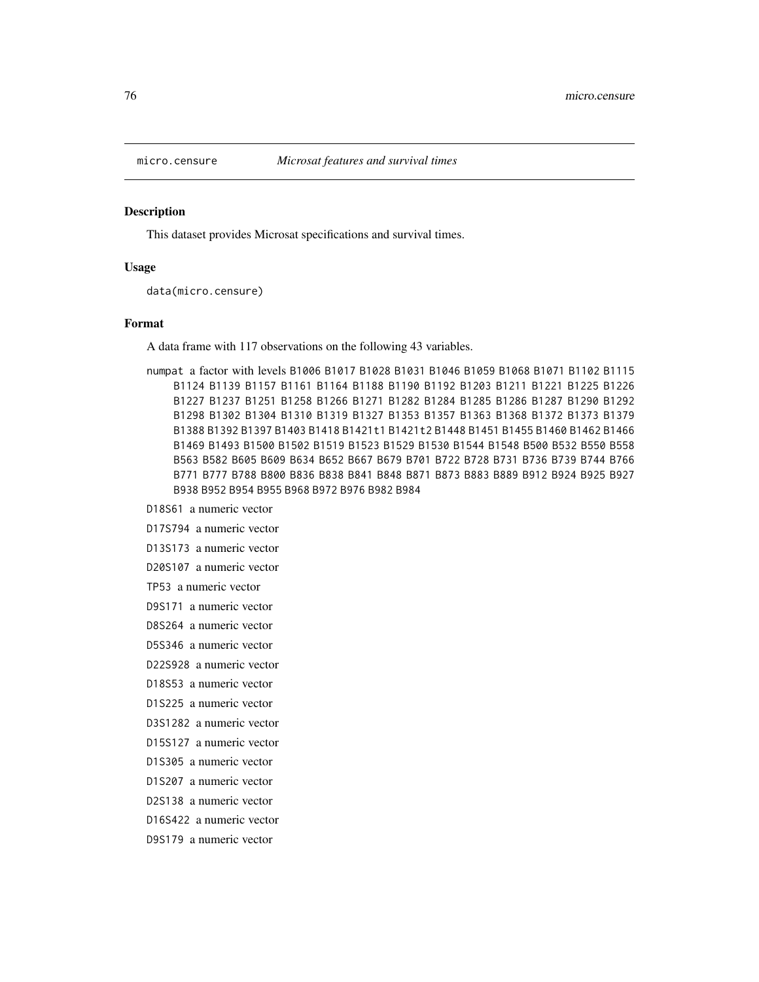<span id="page-75-0"></span>

#### Description

This dataset provides Microsat specifications and survival times.

#### Usage

data(micro.censure)

#### Format

A data frame with 117 observations on the following 43 variables.

numpat a factor with levels B1006 B1017 B1028 B1031 B1046 B1059 B1068 B1071 B1102 B1115 B1124 B1139 B1157 B1161 B1164 B1188 B1190 B1192 B1203 B1211 B1221 B1225 B1226 B1227 B1237 B1251 B1258 B1266 B1271 B1282 B1284 B1285 B1286 B1287 B1290 B1292 B1298 B1302 B1304 B1310 B1319 B1327 B1353 B1357 B1363 B1368 B1372 B1373 B1379 B1388 B1392 B1397 B1403 B1418 B1421t1 B1421t2 B1448 B1451 B1455 B1460 B1462 B1466 B1469 B1493 B1500 B1502 B1519 B1523 B1529 B1530 B1544 B1548 B500 B532 B550 B558 B563 B582 B605 B609 B634 B652 B667 B679 B701 B722 B728 B731 B736 B739 B744 B766 B771 B777 B788 B800 B836 B838 B841 B848 B871 B873 B883 B889 B912 B924 B925 B927 B938 B952 B954 B955 B968 B972 B976 B982 B984

D18S61 a numeric vector

D17S794 a numeric vector

D13S173 a numeric vector

D20S107 a numeric vector

TP53 a numeric vector

D9S171 a numeric vector

D8S264 a numeric vector

D5S346 a numeric vector

D22S928 a numeric vector

D18S53 a numeric vector

D1S225 a numeric vector

D3S1282 a numeric vector

D15S127 a numeric vector

D1S305 a numeric vector

D1S207 a numeric vector

D2S138 a numeric vector

D16S422 a numeric vector

D9S179 a numeric vector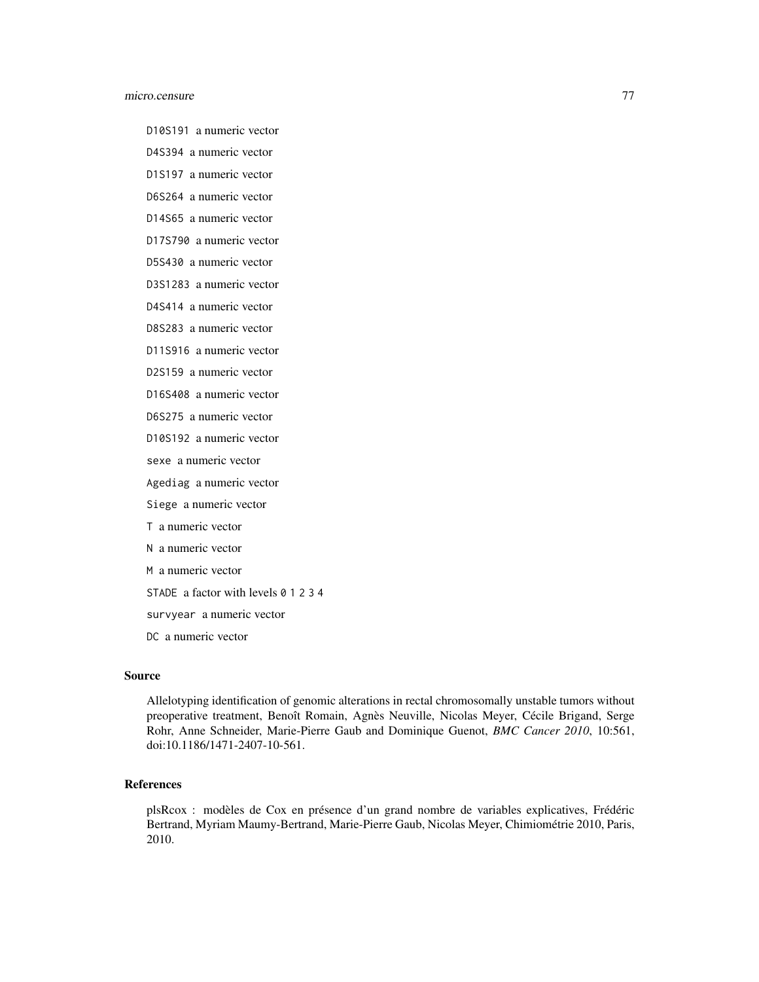#### micro.censure 77

D10S191 a numeric vector

D4S394 a numeric vector

D1S197 a numeric vector

D6S264 a numeric vector

D14S65 a numeric vector

D17S790 a numeric vector

D5S430 a numeric vector

D3S1283 a numeric vector

D4S414 a numeric vector

D8S283 a numeric vector

D11S916 a numeric vector

D2S159 a numeric vector

D16S408 a numeric vector

D6S275 a numeric vector

D10S192 a numeric vector

sexe a numeric vector

Agediag a numeric vector

Siege a numeric vector

T a numeric vector

N a numeric vector

M a numeric vector

STADE a factor with levels 0 1 2 3 4

survyear a numeric vector

DC a numeric vector

## Source

Allelotyping identification of genomic alterations in rectal chromosomally unstable tumors without preoperative treatment, Benoît Romain, Agnès Neuville, Nicolas Meyer, Cécile Brigand, Serge Rohr, Anne Schneider, Marie-Pierre Gaub and Dominique Guenot, *BMC Cancer 2010*, 10:561, doi:10.1186/1471-2407-10-561.

## References

plsRcox : modèles de Cox en présence d'un grand nombre de variables explicatives, Frédéric Bertrand, Myriam Maumy-Bertrand, Marie-Pierre Gaub, Nicolas Meyer, Chimiométrie 2010, Paris, 2010.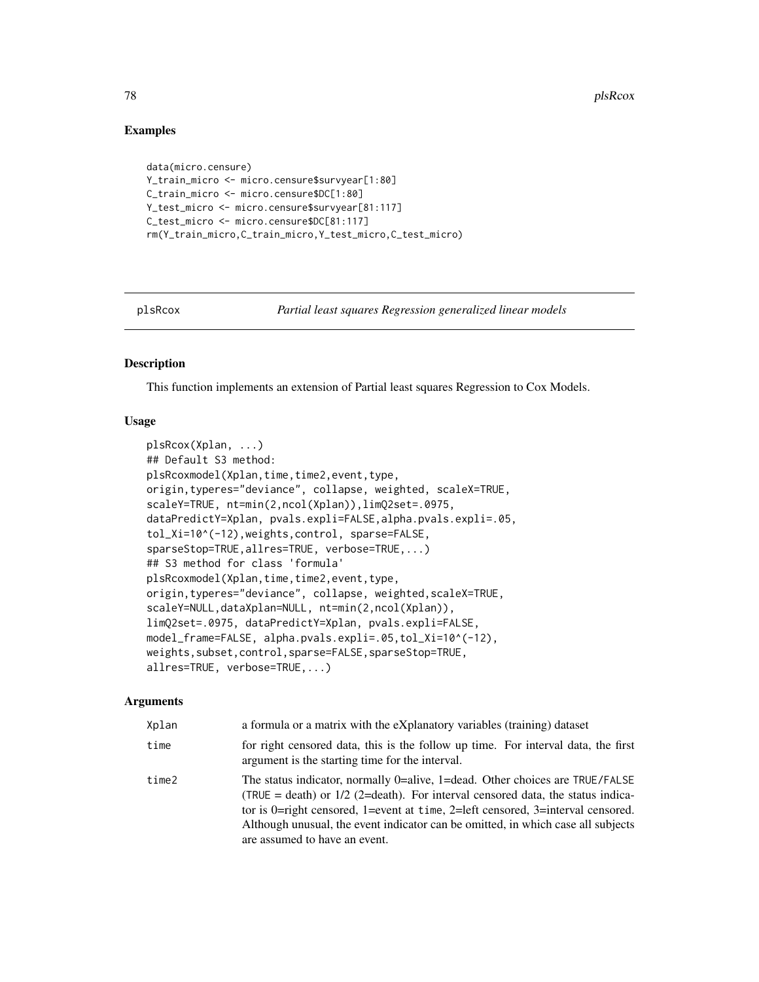## Examples

```
data(micro.censure)
Y_train_micro <- micro.censure$survyear[1:80]
C_train_micro <- micro.censure$DC[1:80]
Y_test_micro <- micro.censure$survyear[81:117]
C_test_micro <- micro.censure$DC[81:117]
rm(Y_train_micro,C_train_micro,Y_test_micro,C_test_micro)
```
plsRcox *Partial least squares Regression generalized linear models*

#### **Description**

This function implements an extension of Partial least squares Regression to Cox Models.

#### Usage

```
plsRcox(Xplan, ...)
## Default S3 method:
plsRcoxmodel(Xplan,time,time2,event,type,
origin,typeres="deviance", collapse, weighted, scaleX=TRUE,
scaleY=TRUE, nt=min(2,ncol(Xplan)),limQ2set=.0975,
dataPredictY=Xplan, pvals.expli=FALSE,alpha.pvals.expli=.05,
tol_Xi=10^(-12),weights,control, sparse=FALSE,
sparseStop=TRUE,allres=TRUE, verbose=TRUE,...)
## S3 method for class 'formula'
plsRcoxmodel(Xplan,time,time2,event,type,
origin,typeres="deviance", collapse, weighted,scaleX=TRUE,
scaleY=NULL,dataXplan=NULL, nt=min(2,ncol(Xplan)),
limQ2set=.0975, dataPredictY=Xplan, pvals.expli=FALSE,
model_frame=FALSE, alpha.pvals.expli=.05,tol_Xi=10^(-12),
weights,subset,control,sparse=FALSE,sparseStop=TRUE,
allres=TRUE, verbose=TRUE,...)
```

| Xplan | a formula or a matrix with the eXplanatory variables (training) dataset                                                                                                                                                                                                                                                                                                     |
|-------|-----------------------------------------------------------------------------------------------------------------------------------------------------------------------------------------------------------------------------------------------------------------------------------------------------------------------------------------------------------------------------|
| time  | for right censored data, this is the follow up time. For interval data, the first<br>argument is the starting time for the interval.                                                                                                                                                                                                                                        |
| time2 | The status indicator, normally 0=alive, 1=dead. Other choices are TRUE/FALSE<br>$(TRUE = death)$ or $1/2$ (2=death). For interval censored data, the status indica-<br>tor is 0=right censored, 1=event at time, 2=left censored, 3=interval censored.<br>Although unusual, the event indicator can be omitted, in which case all subjects<br>are assumed to have an event. |

<span id="page-77-0"></span>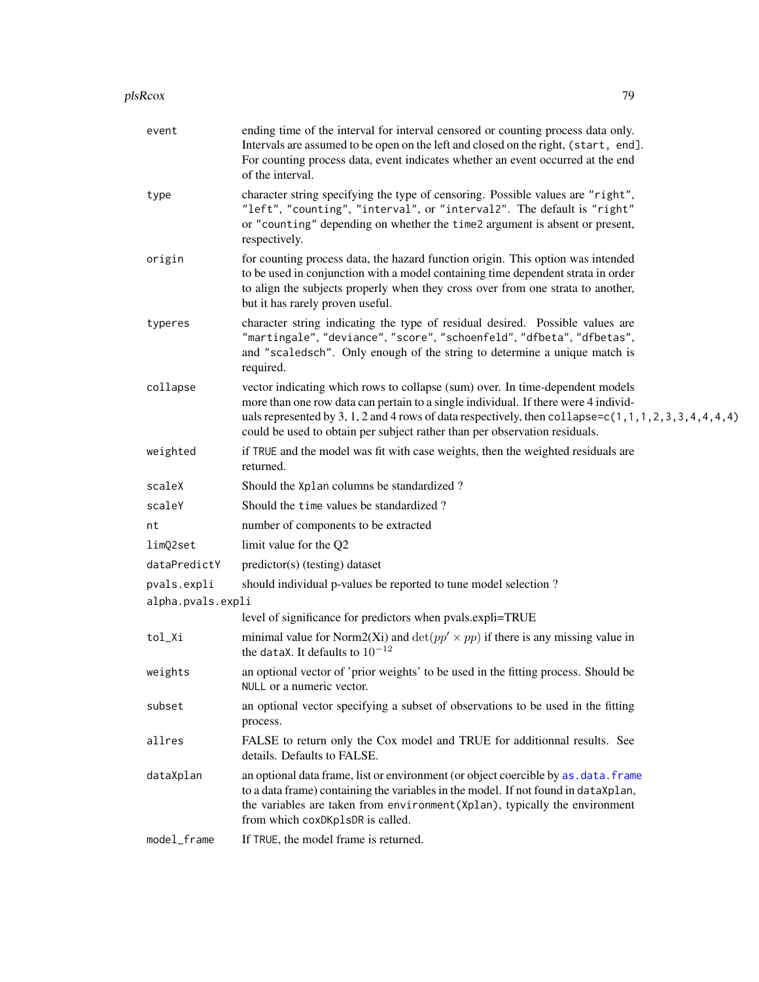#### <span id="page-78-0"></span>plsRcox 29 and 200 and 200 and 200 and 200 and 200 and 200 and 200 and 200 and 200 and 200 and 200 and 200 and

| event             | ending time of the interval for interval censored or counting process data only.<br>Intervals are assumed to be open on the left and closed on the right, (start, end].<br>For counting process data, event indicates whether an event occurred at the end<br>of the interval.                                                                                   |
|-------------------|------------------------------------------------------------------------------------------------------------------------------------------------------------------------------------------------------------------------------------------------------------------------------------------------------------------------------------------------------------------|
| type              | character string specifying the type of censoring. Possible values are "right",<br>"left", "counting", "interval", or "interval2". The default is "right"<br>or "counting" depending on whether the time2 argument is absent or present,<br>respectively.                                                                                                        |
| origin            | for counting process data, the hazard function origin. This option was intended<br>to be used in conjunction with a model containing time dependent strata in order<br>to align the subjects properly when they cross over from one strata to another,<br>but it has rarely proven useful.                                                                       |
| typeres           | character string indicating the type of residual desired. Possible values are<br>"martingale", "deviance", "score", "schoenfeld", "dfbeta", "dfbetas",<br>and "scaledsch". Only enough of the string to determine a unique match is<br>required.                                                                                                                 |
| collapse          | vector indicating which rows to collapse (sum) over. In time-dependent models<br>more than one row data can pertain to a single individual. If there were 4 individ-<br>uals represented by 3, 1, 2 and 4 rows of data respectively, then collapse=c(1, 1, 1, 2, 3, 3, 4, 4, 4, 4)<br>could be used to obtain per subject rather than per observation residuals. |
| weighted          | if TRUE and the model was fit with case weights, then the weighted residuals are<br>returned.                                                                                                                                                                                                                                                                    |
| scaleX            | Should the Xplan columns be standardized?                                                                                                                                                                                                                                                                                                                        |
| scaleY            | Should the time values be standardized?                                                                                                                                                                                                                                                                                                                          |
| nt                | number of components to be extracted                                                                                                                                                                                                                                                                                                                             |
| limQ2set          | limit value for the Q2                                                                                                                                                                                                                                                                                                                                           |
| dataPredictY      | predictor(s) (testing) dataset                                                                                                                                                                                                                                                                                                                                   |
| pvals.expli       | should individual p-values be reported to tune model selection?                                                                                                                                                                                                                                                                                                  |
| alpha.pvals.expli | level of significance for predictors when pvals.expli=TRUE                                                                                                                                                                                                                                                                                                       |
| tol_Xi            | minimal value for Norm2(Xi) and $\det(pp' \times pp)$ if there is any missing value in<br>the dataX. It defaults to $10^{-12}$                                                                                                                                                                                                                                   |
| weights           | an optional vector of 'prior weights' to be used in the fitting process. Should be<br>NULL or a numeric vector.                                                                                                                                                                                                                                                  |
| subset            | an optional vector specifying a subset of observations to be used in the fitting<br>process.                                                                                                                                                                                                                                                                     |
| allres            | FALSE to return only the Cox model and TRUE for additionnal results. See<br>details. Defaults to FALSE.                                                                                                                                                                                                                                                          |
| dataXplan         | an optional data frame, list or environment (or object coercible by as . data. frame<br>to a data frame) containing the variables in the model. If not found in dataXplan,<br>the variables are taken from environment (Xplan), typically the environment<br>from which coxDKplsDR is called.                                                                    |
| model_frame       | If TRUE, the model frame is returned.                                                                                                                                                                                                                                                                                                                            |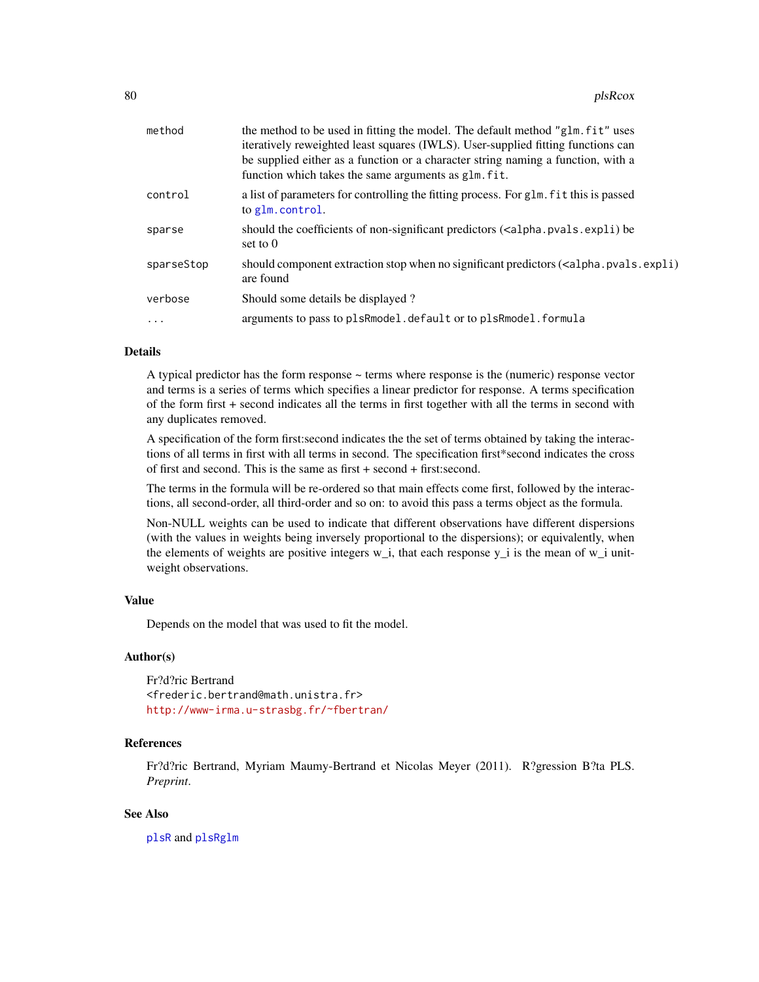<span id="page-79-0"></span>

| method     | the method to be used in fitting the model. The default method "glm. fit" uses<br>iteratively reweighted least squares (IWLS). User-supplied fitting functions can<br>be supplied either as a function or a character string naming a function, with a<br>function which takes the same arguments as glm. fit. |
|------------|----------------------------------------------------------------------------------------------------------------------------------------------------------------------------------------------------------------------------------------------------------------------------------------------------------------|
| control    | a list of parameters for controlling the fitting process. For glm. fit this is passed<br>to glm.control.                                                                                                                                                                                                       |
| sparse     | should the coefficients of non-significant predictors ( <alpha.pvals.expli) be<br="">set to <math>0</math></alpha.pvals.expli)>                                                                                                                                                                                |
| sparseStop | should component extraction stop when no significant predictors ( <alpha.pvals.expli)<br>are found</alpha.pvals.expli)<br>                                                                                                                                                                                     |
| verbose    | Should some details be displayed?                                                                                                                                                                                                                                                                              |
| $\ddotsc$  | arguments to pass to plsRmodel.default or to plsRmodel.formula                                                                                                                                                                                                                                                 |
|            |                                                                                                                                                                                                                                                                                                                |

## **Details**

A typical predictor has the form response  $\sim$  terms where response is the (numeric) response vector and terms is a series of terms which specifies a linear predictor for response. A terms specification of the form first + second indicates all the terms in first together with all the terms in second with any duplicates removed.

A specification of the form first:second indicates the the set of terms obtained by taking the interactions of all terms in first with all terms in second. The specification first\*second indicates the cross of first and second. This is the same as first + second + first:second.

The terms in the formula will be re-ordered so that main effects come first, followed by the interactions, all second-order, all third-order and so on: to avoid this pass a terms object as the formula.

Non-NULL weights can be used to indicate that different observations have different dispersions (with the values in weights being inversely proportional to the dispersions); or equivalently, when the elements of weights are positive integers  $w_i$ , that each response  $y_i$  is the mean of  $w_i$  unitweight observations.

## Value

Depends on the model that was used to fit the model.

#### Author(s)

Fr?d?ric Bertrand <frederic.bertrand@math.unistra.fr> <http://www-irma.u-strasbg.fr/~fbertran/>

## References

Fr?d?ric Bertrand, Myriam Maumy-Bertrand et Nicolas Meyer (2011). R?gression B?ta PLS. *Preprint*.

## See Also

[plsR](#page-0-0) and [plsRglm](#page-0-0)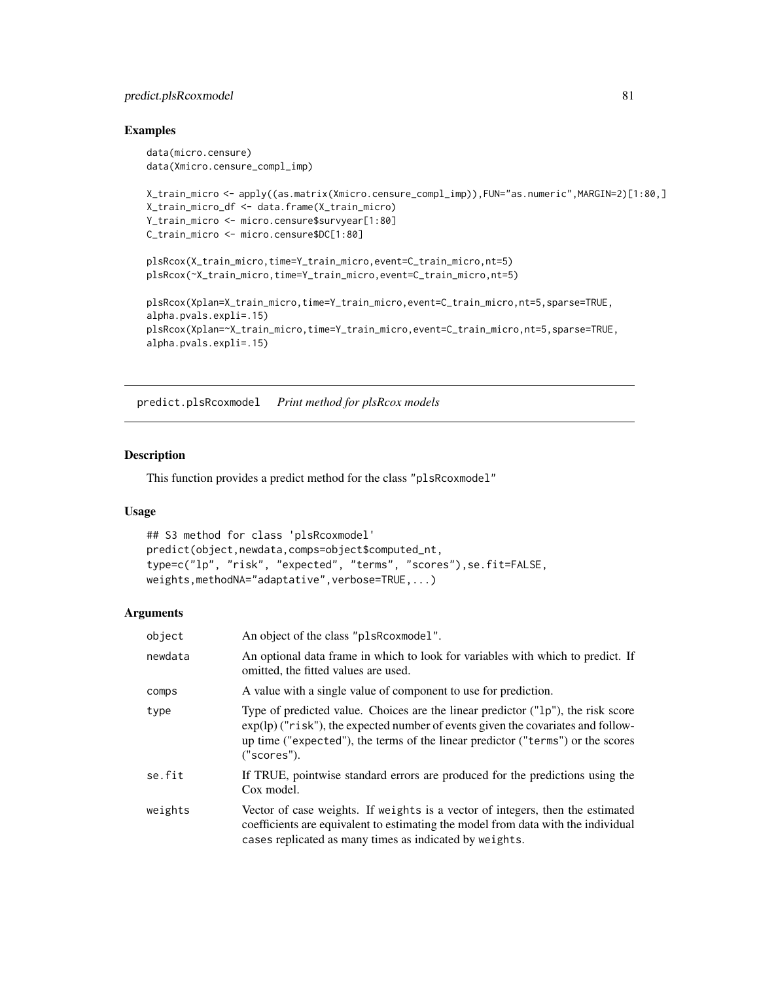# <span id="page-80-0"></span>predict.plsRcoxmodel 81

#### Examples

```
data(micro.censure)
data(Xmicro.censure_compl_imp)
X_train_micro <- apply((as.matrix(Xmicro.censure_compl_imp)),FUN="as.numeric",MARGIN=2)[1:80,]
X_train_micro_df <- data.frame(X_train_micro)
Y_train_micro <- micro.censure$survyear[1:80]
C_train_micro <- micro.censure$DC[1:80]
plsRcox(X_train_micro,time=Y_train_micro,event=C_train_micro,nt=5)
plsRcox(~X_train_micro,time=Y_train_micro,event=C_train_micro,nt=5)
plsRcox(Xplan=X_train_micro,time=Y_train_micro,event=C_train_micro,nt=5,sparse=TRUE,
alpha.pvals.expli=.15)
plsRcox(Xplan=~X_train_micro,time=Y_train_micro,event=C_train_micro,nt=5,sparse=TRUE,
alpha.pvals.expli=.15)
```
predict.plsRcoxmodel *Print method for plsRcox models*

## Description

This function provides a predict method for the class "plsRcoxmodel"

# Usage

```
## S3 method for class 'plsRcoxmodel'
predict(object,newdata,comps=object$computed_nt,
type=c("lp", "risk", "expected", "terms", "scores"),se.fit=FALSE,
weights,methodNA="adaptative", verbose=TRUE,...)
```

| object  | An object of the class "plsRcoxmodel".                                                                                                                                                                                         |
|---------|--------------------------------------------------------------------------------------------------------------------------------------------------------------------------------------------------------------------------------|
| newdata | An optional data frame in which to look for variables with which to predict. If<br>omitted, the fitted values are used.                                                                                                        |
| comps   | A value with a single value of component to use for prediction.                                                                                                                                                                |
| type    | Type of predicted value. Choices are the linear predictor $("lp")$ , the risk score<br>up time ("expected"), the terms of the linear predictor ("terms") or the scores<br>("scores").                                          |
| se.fit  | If TRUE, pointwise standard errors are produced for the predictions using the<br>Cox model.                                                                                                                                    |
| weights | Vector of case weights. If weights is a vector of integers, then the estimated<br>coefficients are equivalent to estimating the model from data with the individual<br>cases replicated as many times as indicated by weights. |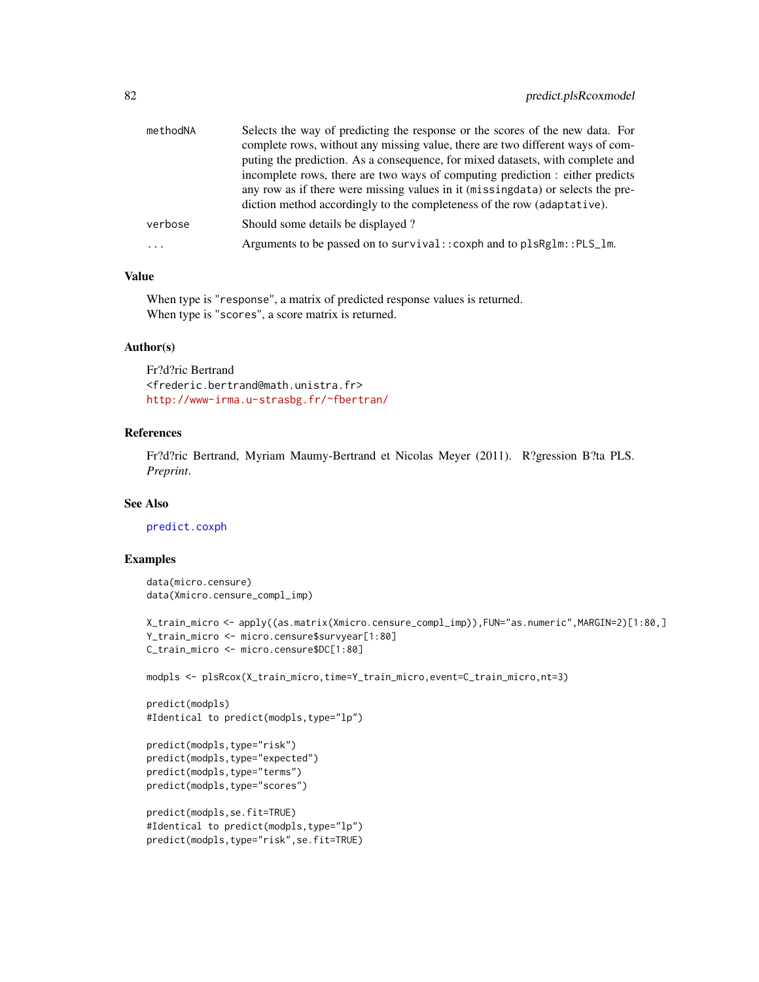<span id="page-81-0"></span>

| methodNA | Selects the way of predicting the response or the scores of the new data. For   |
|----------|---------------------------------------------------------------------------------|
|          | complete rows, without any missing value, there are two different ways of com-  |
|          | puting the prediction. As a consequence, for mixed datasets, with complete and  |
|          | incomplete rows, there are two ways of computing prediction : either predicts   |
|          | any row as if there were missing values in it (missingdata) or selects the pre- |
|          | diction method accordingly to the completeness of the row (adaptative).         |
| verbose  | Should some details be displayed?                                               |
| $\ddots$ | Arguments to be passed on to survival:: coxph and to plsRglm:: PLS_lm.          |
|          |                                                                                 |

When type is "response", a matrix of predicted response values is returned. When type is "scores", a score matrix is returned.

## Author(s)

Fr?d?ric Bertrand <frederic.bertrand@math.unistra.fr> <http://www-irma.u-strasbg.fr/~fbertran/>

# References

Fr?d?ric Bertrand, Myriam Maumy-Bertrand et Nicolas Meyer (2011). R?gression B?ta PLS. *Preprint*.

#### See Also

[predict.coxph](#page-0-0)

# Examples

```
data(micro.censure)
data(Xmicro.censure_compl_imp)
```

```
X_train_micro <- apply((as.matrix(Xmicro.censure_compl_imp)),FUN="as.numeric",MARGIN=2)[1:80,]
Y_train_micro <- micro.censure$survyear[1:80]
C_train_micro <- micro.censure$DC[1:80]
```
modpls <- plsRcox(X\_train\_micro,time=Y\_train\_micro,event=C\_train\_micro,nt=3)

```
predict(modpls)
#Identical to predict(modpls,type="lp")
```

```
predict(modpls,type="risk")
predict(modpls,type="expected")
predict(modpls,type="terms")
predict(modpls,type="scores")
```

```
predict(modpls,se.fit=TRUE)
#Identical to predict(modpls,type="lp")
predict(modpls,type="risk",se.fit=TRUE)
```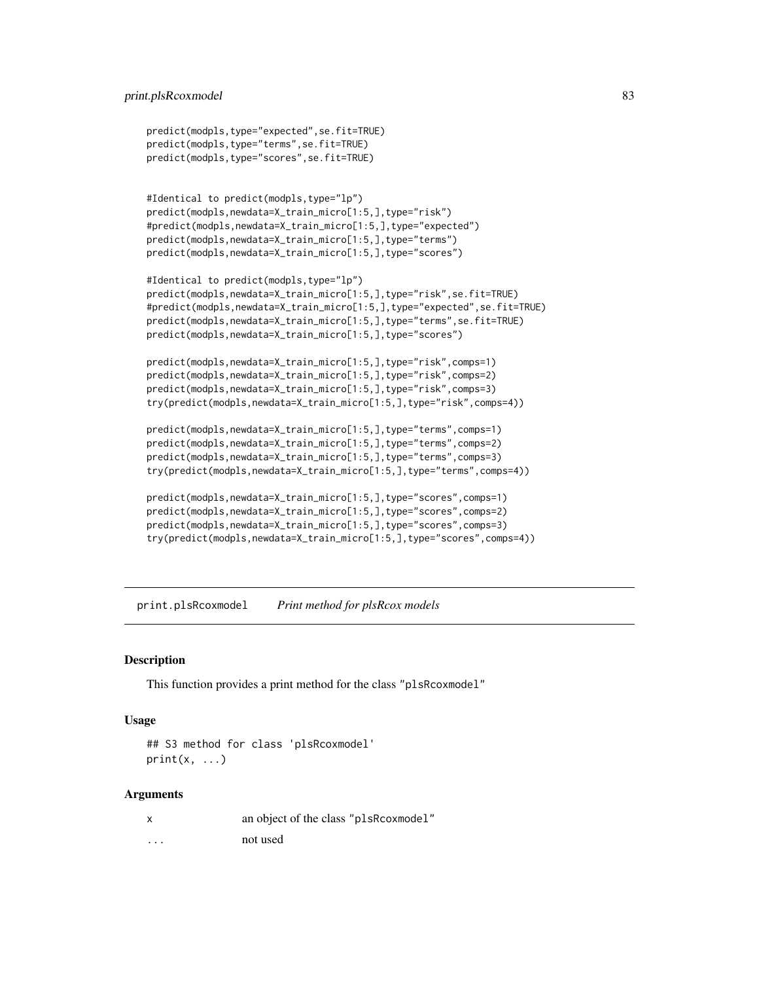## <span id="page-82-0"></span>print.plsRcoxmodel 83

```
predict(modpls,type="expected",se.fit=TRUE)
predict(modpls,type="terms",se.fit=TRUE)
predict(modpls,type="scores",se.fit=TRUE)
#Identical to predict(modpls,type="lp")
predict(modpls,newdata=X_train_micro[1:5,],type="risk")
#predict(modpls,newdata=X_train_micro[1:5,],type="expected")
predict(modpls,newdata=X_train_micro[1:5,],type="terms")
predict(modpls,newdata=X_train_micro[1:5,],type="scores")
#Identical to predict(modpls,type="lp")
predict(modpls,newdata=X_train_micro[1:5,],type="risk",se.fit=TRUE)
#predict(modpls,newdata=X_train_micro[1:5,],type="expected",se.fit=TRUE)
predict(modpls,newdata=X_train_micro[1:5,],type="terms",se.fit=TRUE)
predict(modpls,newdata=X_train_micro[1:5,],type="scores")
predict(modpls,newdata=X_train_micro[1:5,],type="risk",comps=1)
predict(modpls,newdata=X_train_micro[1:5,],type="risk",comps=2)
predict(modpls,newdata=X_train_micro[1:5,],type="risk",comps=3)
try(predict(modpls,newdata=X_train_micro[1:5,],type="risk",comps=4))
predict(modpls,newdata=X_train_micro[1:5,],type="terms",comps=1)
predict(modpls,newdata=X_train_micro[1:5,],type="terms",comps=2)
predict(modpls,newdata=X_train_micro[1:5,],type="terms",comps=3)
try(predict(modpls,newdata=X_train_micro[1:5,],type="terms",comps=4))
predict(modpls,newdata=X_train_micro[1:5,],type="scores",comps=1)
predict(modpls,newdata=X_train_micro[1:5,],type="scores",comps=2)
predict(modpls,newdata=X_train_micro[1:5,],type="scores",comps=3)
try(predict(modpls,newdata=X_train_micro[1:5,],type="scores",comps=4))
```
print.plsRcoxmodel *Print method for plsRcox models*

# Description

This function provides a print method for the class "plsRcoxmodel"

## Usage

```
## S3 method for class 'plsRcoxmodel'
print(x, \ldots)
```

| x                       | an object of the class "plsRcoxmodel" |
|-------------------------|---------------------------------------|
| $\cdot$ $\cdot$ $\cdot$ | not used                              |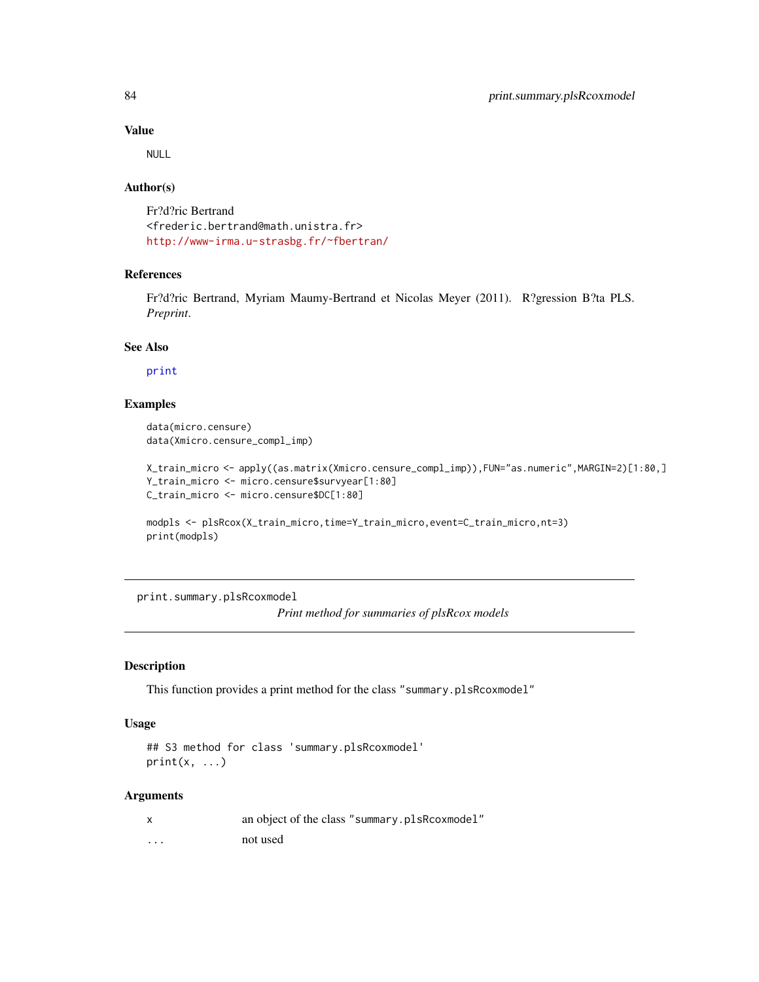NULL

# Author(s)

Fr?d?ric Bertrand <frederic.bertrand@math.unistra.fr> <http://www-irma.u-strasbg.fr/~fbertran/>

# References

Fr?d?ric Bertrand, Myriam Maumy-Bertrand et Nicolas Meyer (2011). R?gression B?ta PLS. *Preprint*.

## See Also

[print](#page-0-0)

# Examples

```
data(micro.censure)
data(Xmicro.censure_compl_imp)
```

```
X_train_micro <- apply((as.matrix(Xmicro.censure_compl_imp)),FUN="as.numeric",MARGIN=2)[1:80,]
Y_train_micro <- micro.censure$survyear[1:80]
C_train_micro <- micro.censure$DC[1:80]
```

```
modpls <- plsRcox(X_train_micro,time=Y_train_micro,event=C_train_micro,nt=3)
print(modpls)
```
print.summary.plsRcoxmodel *Print method for summaries of plsRcox models*

#### Description

This function provides a print method for the class "summary.plsRcoxmodel"

#### Usage

```
## S3 method for class 'summary.plsRcoxmodel'
print(x, \ldots)
```

|   | an object of the class "summary.plsRcoxmodel" |
|---|-----------------------------------------------|
| . | not used                                      |

<span id="page-83-0"></span>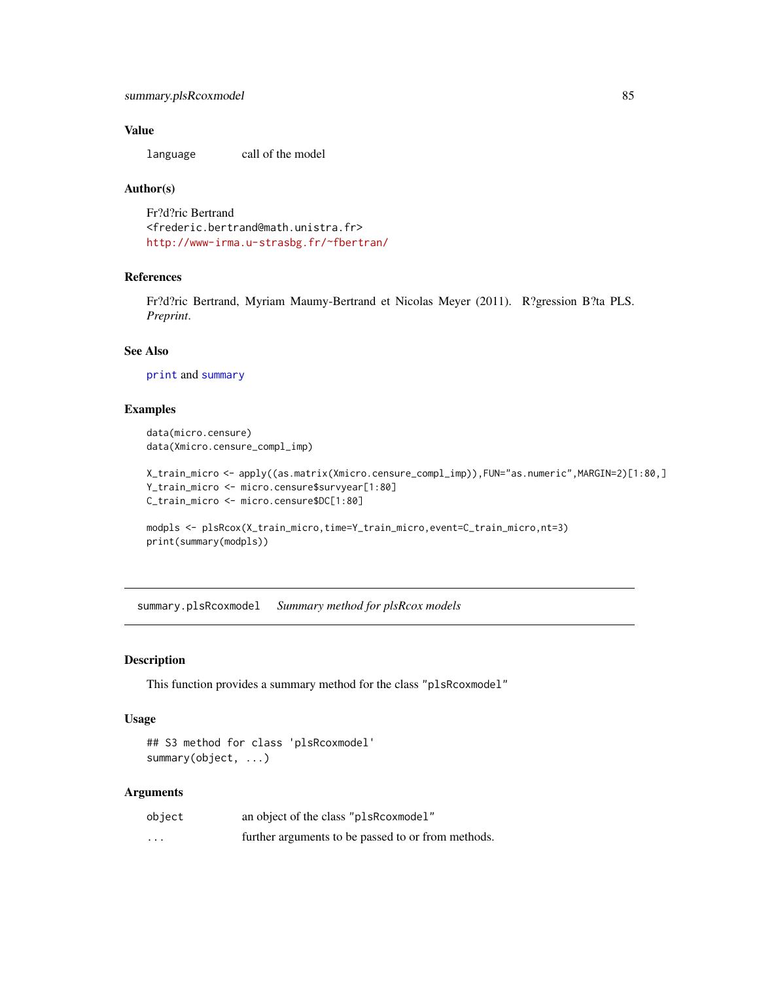<span id="page-84-0"></span>language call of the model

## Author(s)

Fr?d?ric Bertrand <frederic.bertrand@math.unistra.fr> <http://www-irma.u-strasbg.fr/~fbertran/>

## References

Fr?d?ric Bertrand, Myriam Maumy-Bertrand et Nicolas Meyer (2011). R?gression B?ta PLS. *Preprint*.

## See Also

[print](#page-0-0) and [summary](#page-0-0)

## Examples

```
data(micro.censure)
data(Xmicro.censure_compl_imp)
```

```
X_train_micro <- apply((as.matrix(Xmicro.censure_compl_imp)),FUN="as.numeric",MARGIN=2)[1:80,]
Y_train_micro <- micro.censure$survyear[1:80]
C_train_micro <- micro.censure$DC[1:80]
```

```
modpls <- plsRcox(X_train_micro,time=Y_train_micro,event=C_train_micro,nt=3)
print(summary(modpls))
```
summary.plsRcoxmodel *Summary method for plsRcox models*

#### Description

This function provides a summary method for the class "plsRcoxmodel"

## Usage

```
## S3 method for class 'plsRcoxmodel'
summary(object, ...)
```

| object   | an object of the class "plsRcoxmodel"              |
|----------|----------------------------------------------------|
| $\cdots$ | further arguments to be passed to or from methods. |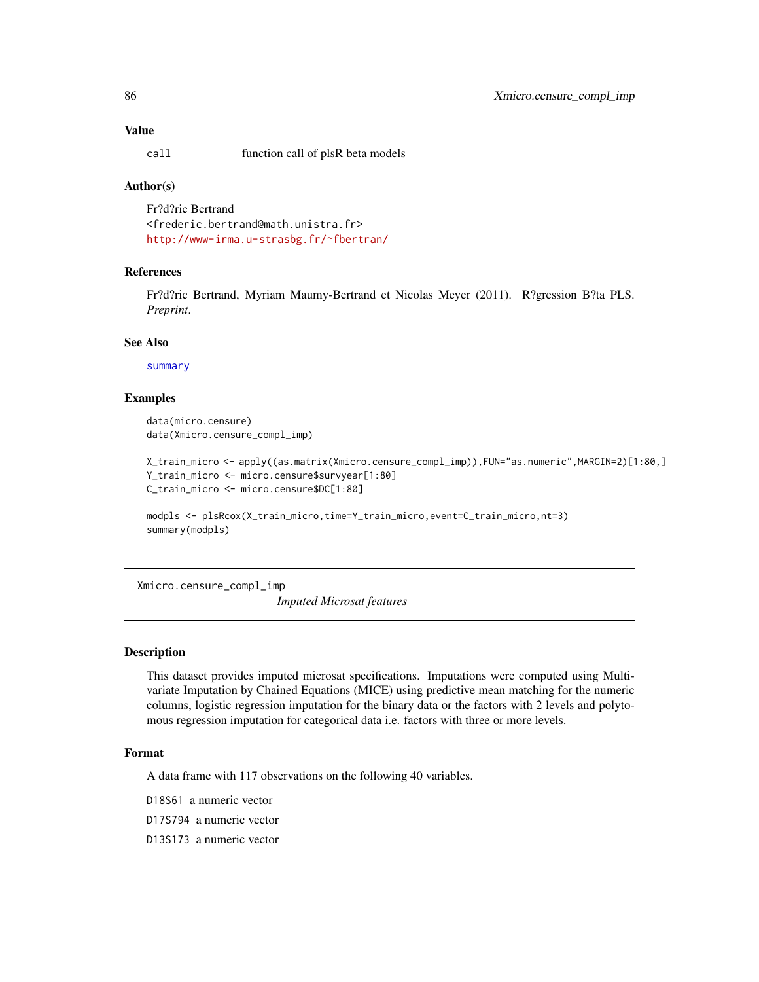<span id="page-85-0"></span>call function call of plsR beta models

#### Author(s)

Fr?d?ric Bertrand <frederic.bertrand@math.unistra.fr> <http://www-irma.u-strasbg.fr/~fbertran/>

# References

Fr?d?ric Bertrand, Myriam Maumy-Bertrand et Nicolas Meyer (2011). R?gression B?ta PLS. *Preprint*.

#### See Also

[summary](#page-0-0)

#### Examples

data(micro.censure) data(Xmicro.censure\_compl\_imp)

```
X_train_micro <- apply((as.matrix(Xmicro.censure_compl_imp)),FUN="as.numeric",MARGIN=2)[1:80,]
Y_train_micro <- micro.censure$survyear[1:80]
C_train_micro <- micro.censure$DC[1:80]
```

```
modpls <- plsRcox(X_train_micro,time=Y_train_micro,event=C_train_micro,nt=3)
summary(modpls)
```
Xmicro.censure\_compl\_imp

*Imputed Microsat features*

#### Description

This dataset provides imputed microsat specifications. Imputations were computed using Multivariate Imputation by Chained Equations (MICE) using predictive mean matching for the numeric columns, logistic regression imputation for the binary data or the factors with 2 levels and polytomous regression imputation for categorical data i.e. factors with three or more levels.

#### Format

A data frame with 117 observations on the following 40 variables.

D18S61 a numeric vector

D17S794 a numeric vector

D13S173 a numeric vector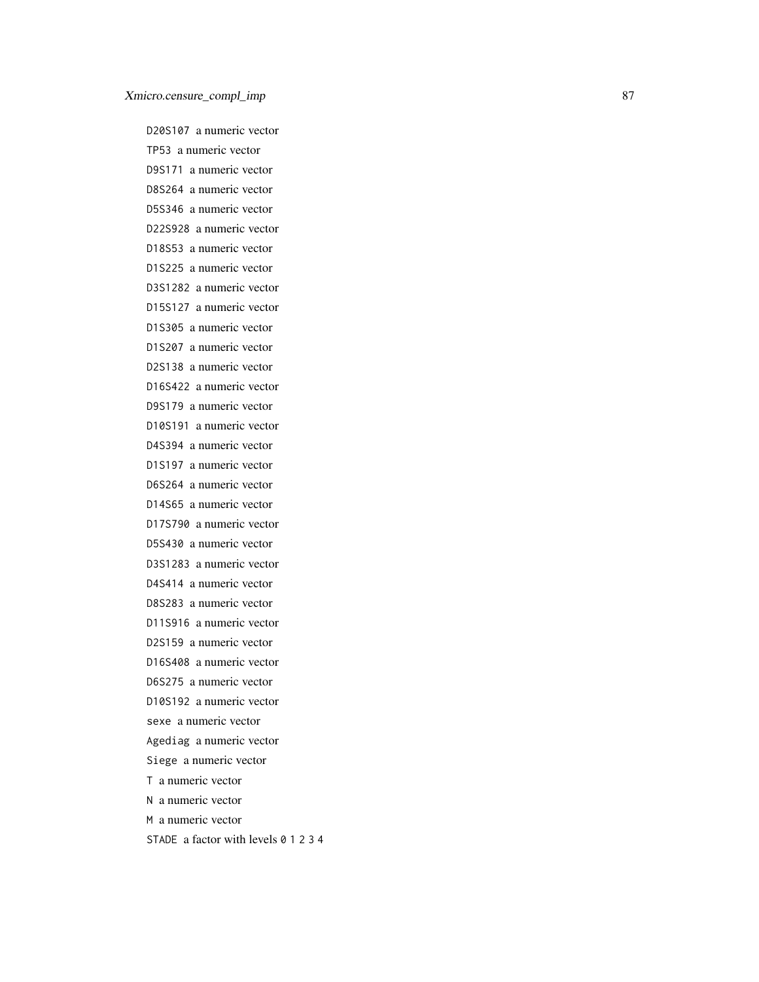D20S107 a numeric vector TP53 a numeric vector D9S171 a numeric vector D8S264 a numeric vector D5S346 a numeric vector D22S928 a numeric vector D18S53 a numeric vector D1S225 a numeric vector D3S1282 a numeric vector D15S127 a numeric vector D1S305 a numeric vector D1S207 a numeric vector D2S138 a numeric vector D16S422 a numeric vector D9S179 a numeric vector D10S191 a numeric vector D4S394 a numeric vector D1S197 a numeric vector D6S264 a numeric vector D14S65 a numeric vector D17S790 a numeric vector D5S430 a numeric vector D3S1283 a numeric vector D4S414 a numeric vector D8S283 a numeric vector D11S916 a numeric vector D2S159 a numeric vector D16S408 a numeric vector D6S275 a numeric vector D10S192 a numeric vector sexe a numeric vector Agediag a numeric vector Siege a numeric vector T a numeric vector N a numeric vector M a numeric vector STADE a factor with levels 0 1 2 3 4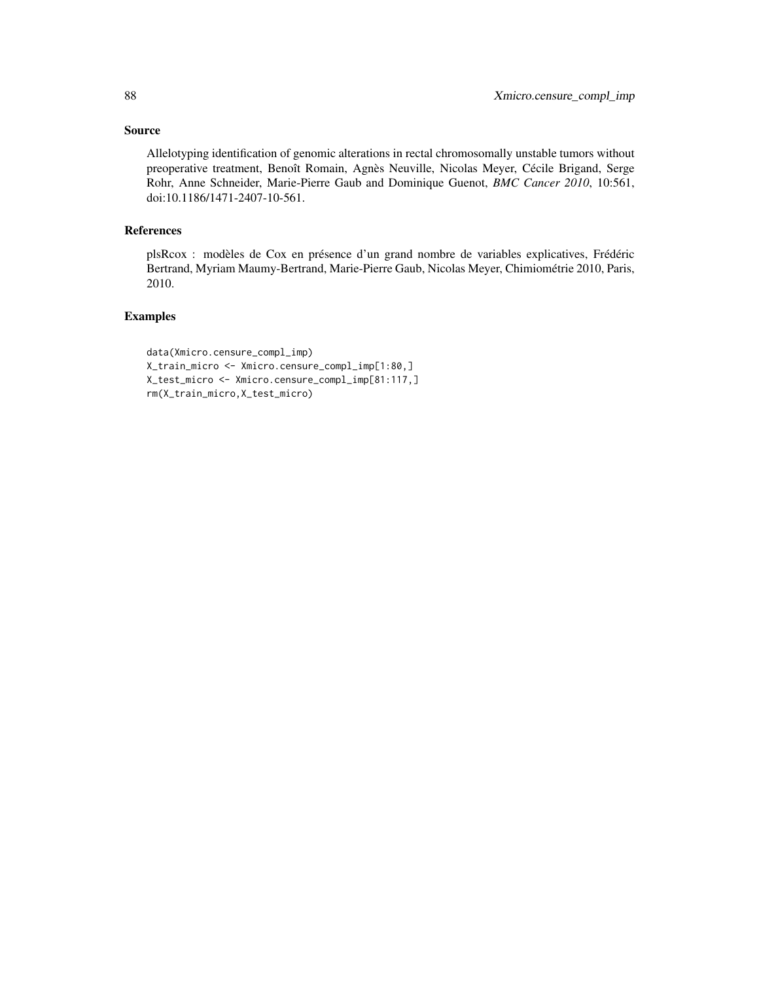# Source

Allelotyping identification of genomic alterations in rectal chromosomally unstable tumors without preoperative treatment, Benoît Romain, Agnès Neuville, Nicolas Meyer, Cécile Brigand, Serge Rohr, Anne Schneider, Marie-Pierre Gaub and Dominique Guenot, *BMC Cancer 2010*, 10:561, doi:10.1186/1471-2407-10-561.

# References

plsRcox : modèles de Cox en présence d'un grand nombre de variables explicatives, Frédéric Bertrand, Myriam Maumy-Bertrand, Marie-Pierre Gaub, Nicolas Meyer, Chimiométrie 2010, Paris, 2010.

#### Examples

```
data(Xmicro.censure_compl_imp)
X_train_micro <- Xmicro.censure_compl_imp[1:80,]
X_test_micro <- Xmicro.censure_compl_imp[81:117,]
rm(X_train_micro,X_test_micro)
```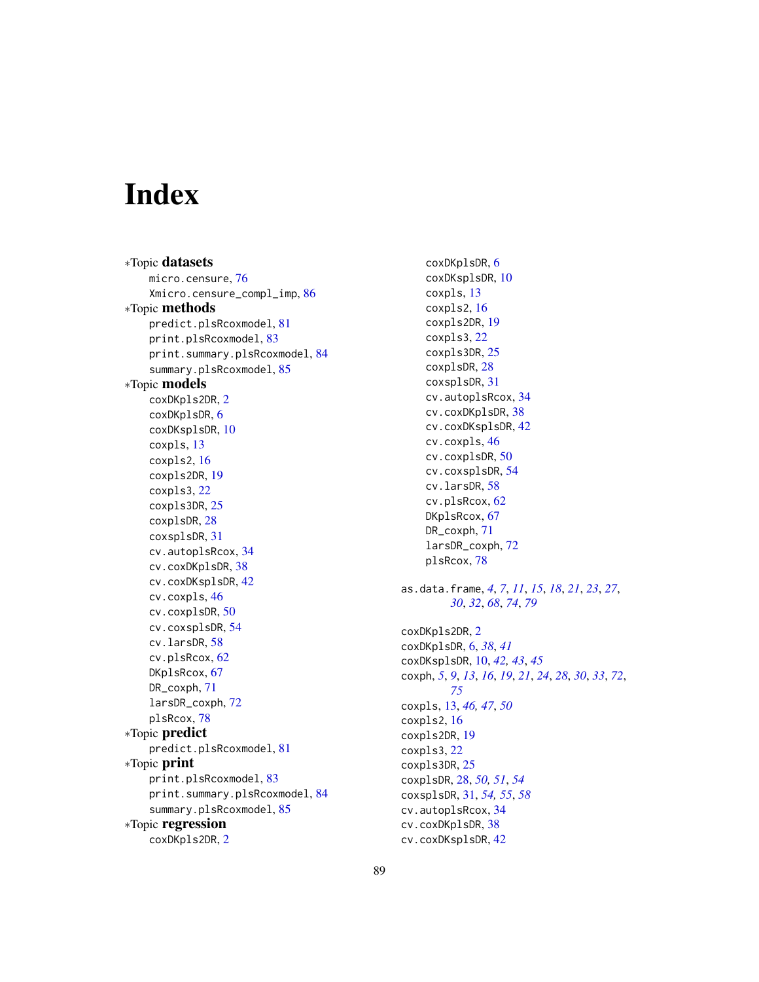# Index

∗Topic datasets micro.censure, [76](#page-75-0) Xmicro.censure\_compl\_imp, [86](#page-85-0) ∗Topic methods predict.plsRcoxmodel, [81](#page-80-0) print.plsRcoxmodel, [83](#page-82-0) print.summary.plsRcoxmodel, [84](#page-83-0) summary.plsRcoxmodel, [85](#page-84-0) ∗Topic models coxDKpls2DR, [2](#page-1-0) coxDKplsDR, [6](#page-5-0) coxDKsplsDR, [10](#page-9-0) coxpls, [13](#page-12-0) coxpls2, [16](#page-15-0) coxpls2DR, [19](#page-18-0) coxpls3, [22](#page-21-0) coxpls3DR, [25](#page-24-0) coxplsDR, [28](#page-27-0) coxsplsDR, [31](#page-30-0) cv.autoplsRcox, [34](#page-33-0) cv.coxDKplsDR, [38](#page-37-0) cv.coxDKsplsDR, [42](#page-41-0) cv.coxpls, [46](#page-45-0) cv.coxplsDR, [50](#page-49-0) cv.coxsplsDR, [54](#page-53-0) cv.larsDR, [58](#page-57-0) cv.plsRcox, [62](#page-61-0) DKplsRcox, [67](#page-66-0) DR\_coxph, [71](#page-70-0) larsDR\_coxph, [72](#page-71-0) plsRcox, [78](#page-77-0) ∗Topic predict predict.plsRcoxmodel, [81](#page-80-0) ∗Topic print print.plsRcoxmodel, [83](#page-82-0) print.summary.plsRcoxmodel, [84](#page-83-0) summary.plsRcoxmodel, [85](#page-84-0) ∗Topic regression coxDKpls2DR, [2](#page-1-0)

coxDKplsDR, [6](#page-5-0) coxDKsplsDR, [10](#page-9-0) coxpls, [13](#page-12-0) coxpls2, [16](#page-15-0) coxpls2DR, [19](#page-18-0) coxpls3, [22](#page-21-0) coxpls3DR, [25](#page-24-0) coxplsDR, [28](#page-27-0) coxsplsDR, [31](#page-30-0) cv.autoplsRcox, [34](#page-33-0) cv.coxDKplsDR, [38](#page-37-0) cv.coxDKsplsDR, [42](#page-41-0) cv.coxpls, [46](#page-45-0) cv.coxplsDR, [50](#page-49-0) cv.coxsplsDR, [54](#page-53-0) cv.larsDR, [58](#page-57-0) cv.plsRcox, [62](#page-61-0) DKplsRcox, [67](#page-66-0) DR\_coxph, [71](#page-70-0) larsDR\_coxph, [72](#page-71-0) plsRcox, [78](#page-77-0) as.data.frame, *[4](#page-3-0)*, *[7](#page-6-0)*, *[11](#page-10-0)*, *[15](#page-14-0)*, *[18](#page-17-0)*, *[21](#page-20-0)*, *[23](#page-22-0)*, *[27](#page-26-0)*, *[30](#page-29-0)*, *[32](#page-31-0)*, *[68](#page-67-0)*, *[74](#page-73-0)*, *[79](#page-78-0)* coxDKpls2DR, [2](#page-1-0) coxDKplsDR, [6,](#page-5-0) *[38](#page-37-0)*, *[41](#page-40-0)* coxDKsplsDR, [10,](#page-9-0) *[42,](#page-41-0) [43](#page-42-0)*, *[45](#page-44-0)* coxph, *[5](#page-4-0)*, *[9](#page-8-0)*, *[13](#page-12-0)*, *[16](#page-15-0)*, *[19](#page-18-0)*, *[21](#page-20-0)*, *[24](#page-23-0)*, *[28](#page-27-0)*, *[30](#page-29-0)*, *[33](#page-32-0)*, *[72](#page-71-0)*, *[75](#page-74-0)* coxpls, [13,](#page-12-0) *[46,](#page-45-0) [47](#page-46-0)*, *[50](#page-49-0)* coxpls2, [16](#page-15-0) coxpls2DR, [19](#page-18-0) coxpls3, [22](#page-21-0) coxpls3DR, [25](#page-24-0) coxplsDR, [28,](#page-27-0) *[50,](#page-49-0) [51](#page-50-0)*, *[54](#page-53-0)* coxsplsDR, [31,](#page-30-0) *[54,](#page-53-0) [55](#page-54-0)*, *[58](#page-57-0)* cv.autoplsRcox, [34](#page-33-0) cv.coxDKplsDR, [38](#page-37-0) cv.coxDKsplsDR, [42](#page-41-0)